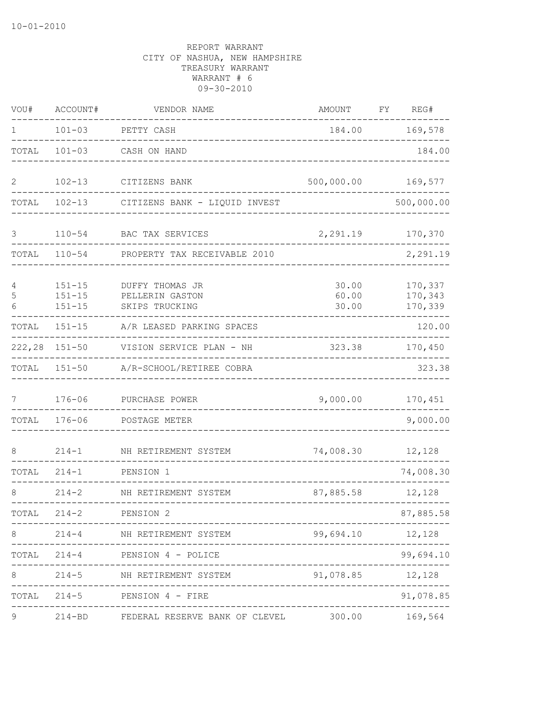| VOU#         | ACCOUNT#                               | VENDOR NAME                                                                 | AMOUNT                  | FΥ | REG#                          |
|--------------|----------------------------------------|-----------------------------------------------------------------------------|-------------------------|----|-------------------------------|
| 1            | $101 - 03$                             | PETTY CASH                                                                  | 184.00                  |    | 169,578                       |
| TOTAL        | $101 - 03$                             | CASH ON HAND                                                                |                         |    | 184.00                        |
| $\mathbf{2}$ | $102 - 13$                             | CITIZENS BANK                                                               | 500,000.00              |    | 169,577                       |
| TOTAL        | $102 - 13$                             | CITIZENS BANK - LIQUID INVEST                                               |                         |    | 500,000.00                    |
| 3            | $110 - 54$                             | BAC TAX SERVICES                                                            | 2,291.19                |    | 170,370                       |
| TOTAL        | $110 - 54$                             | PROPERTY TAX RECEIVABLE 2010                                                |                         |    | 2,291.19                      |
| 4<br>5<br>6  | $151 - 15$<br>$151 - 15$<br>$151 - 15$ | DUFFY THOMAS JR<br>PELLERIN GASTON<br>SKIPS TRUCKING                        | 30.00<br>60.00<br>30.00 |    | 170,337<br>170,343<br>170,339 |
| TOTAL        | $151 - 15$                             | A/R LEASED PARKING SPACES                                                   |                         |    | 120.00                        |
| 222,28       | $151 - 50$                             | VISION SERVICE PLAN - NH                                                    | 323.38                  |    | 170,450                       |
| TOTAL        | $151 - 50$                             | A/R-SCHOOL/RETIREE COBRA                                                    |                         |    | 323.38                        |
| 7            | $176 - 06$                             | PURCHASE POWER                                                              | 9,000.00                |    | 170,451                       |
| TOTAL        | $176 - 06$                             | POSTAGE METER                                                               |                         |    | 9,000.00                      |
| 8            | $214 - 1$                              | NH RETIREMENT SYSTEM                                                        | 74,008.30               |    | 12,128                        |
| TOTAL        | $214 - 1$                              | PENSION 1                                                                   |                         |    | 74,008.30                     |
| 8            | $214 - 2$                              | NH RETIREMENT SYSTEM                                                        | 87,885.58               |    | 12,128                        |
| TOTAL        | $214 - 2$                              | PENSION 2                                                                   |                         |    | 87,885.58                     |
| 8            |                                        | -------------------<br>214-4 NH RETIREMENT SYSTEM                           | 99,694.10 12,128        |    |                               |
|              |                                        | TOTAL 214-4 PENSION 4 - POLICE                                              |                         |    | 99,694.10                     |
| 8            |                                        | 214-5 NH RETIREMENT SYSTEM                                                  | 91,078.85 12,128        |    |                               |
|              |                                        | TOTAL 214-5 PENSION 4 - FIRE                                                |                         |    | 91,078.85                     |
| 9            |                                        | ----------------------------------<br>214-BD FEDERAL RESERVE BANK OF CLEVEL |                         |    | 300.00 169,564                |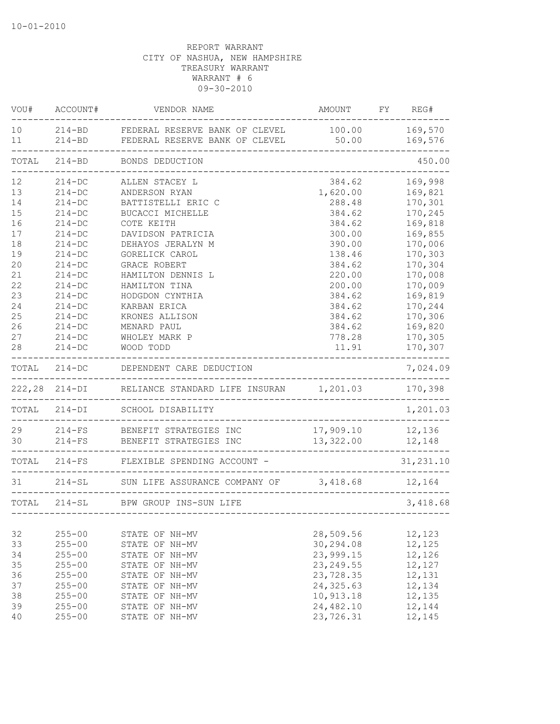| VOU#                  | ACCOUNT#             | VENDOR NAME                                                                                          | AMOUNT FY REG#                    |                    |
|-----------------------|----------------------|------------------------------------------------------------------------------------------------------|-----------------------------------|--------------------|
| 10 <sup>°</sup><br>11 |                      | 214-BD FEDERAL RESERVE BANK OF CLEVEL<br>214-BD FEDERAL RESERVE BANK OF CLEVEL<br>------------------ | 100.00<br>50.00                   | 169,570<br>169,576 |
| TOTAL                 |                      | 214-BD BONDS DEDUCTION                                                                               |                                   | 450.00             |
| 12                    | $214 - DC$           | ALLEN STACEY L                                                                                       | 384.62                            | 169,998            |
| 13                    | $214 - DC$           | ANDERSON RYAN                                                                                        | 1,620.00                          | 169,821            |
| 14                    | $214 - DC$           | BATTISTELLI ERIC C                                                                                   | 288.48                            | 170,301            |
| 15                    | $214 - DC$           | BUCACCI MICHELLE                                                                                     | 384.62                            | 170,245            |
| 16                    | $214-DC$             | COTE KEITH                                                                                           | 384.62                            | 169,818            |
| 17                    | $214 - DC$           | DAVIDSON PATRICIA                                                                                    | 300.00                            | 169,855            |
| 18                    | $214-DC$             | DEHAYOS JERALYN M                                                                                    | 390.00                            | 170,006            |
| 19                    | $214-DC$             | GORELICK CAROL                                                                                       | 138.46                            | 170,303            |
| 20                    | $214-DC$             | GRACE ROBERT                                                                                         | 384.62                            | 170,304            |
| 21                    | $214-DC$             | HAMILTON DENNIS L                                                                                    | 220.00                            | 170,008            |
| 22                    | $214-DC$             | HAMILTON TINA                                                                                        | 200.00                            | 170,009            |
| 23                    | $214-DC$             | HODGDON CYNTHIA                                                                                      | 384.62                            | 169,819            |
| 24                    | $214-DC$             | KARBAN ERICA<br>KRONES ALLISON                                                                       | 384.62                            | 170,244            |
| 25<br>26              | $214-DC$<br>$214-DC$ | MENARD PAUL                                                                                          | 384.62                            | 170,306            |
| 27                    | $214-DC$             | WHOLEY MARK P                                                                                        | 384.62<br>778.28                  | 169,820<br>170,305 |
| 28                    | $214 - DC$           | WOOD TODD                                                                                            | 11.91                             | 170,307            |
|                       |                      |                                                                                                      |                                   |                    |
|                       | TOTAL 214-DC         | DEPENDENT CARE DEDUCTION                                                                             |                                   | 7,024.09           |
|                       |                      | 222,28 214-DI RELIANCE STANDARD LIFE INSURAN 1,201.03                                                |                                   | 170,398            |
|                       | TOTAL 214-DI         | SCHOOL DISABILITY                                                                                    |                                   | 1,201.03           |
|                       |                      | 29 214-FS BENEFIT STRATEGIES INC                                                                     | 17,909.10                         | 12,136             |
|                       |                      | 30 214-FS BENEFIT STRATEGIES INC                                                                     | 13,322.00                         | 12,148             |
|                       |                      | TOTAL 214-FS FLEXIBLE SPENDING ACCOUNT -                                                             |                                   | 31, 231.10         |
| 31                    |                      | 214-SL SUN LIFE ASSURANCE COMPANY OF 3,418.68 12,164                                                 |                                   |                    |
|                       |                      | TOTAL 214-SL BPW GROUP INS-SUN LIFE                                                                  |                                   | 3,418.68           |
|                       |                      |                                                                                                      | --------------------------------- |                    |
| 32                    | $255 - 00$           | STATE OF NH-MV                                                                                       | 28,509.56                         | 12,123             |
| 33                    | $255 - 00$           | STATE OF NH-MV                                                                                       | 30,294.08                         | 12,125             |
| 34                    | $255 - 00$           | STATE OF NH-MV                                                                                       | 23,999.15                         | 12,126             |
| 35                    | $255 - 00$           | STATE OF NH-MV                                                                                       | 23, 249.55                        | 12,127             |
| 36                    | $255 - 00$           | STATE OF NH-MV                                                                                       | 23,728.35                         | 12,131             |
| 37                    | $255 - 00$           | STATE OF NH-MV                                                                                       | 24, 325.63                        | 12,134             |
| 38                    | $255 - 00$           | STATE OF NH-MV                                                                                       | 10,913.18                         | 12,135             |
| 39                    | $255 - 00$           | STATE OF NH-MV                                                                                       | 24,482.10                         | 12,144             |
| 40                    | $255 - 00$           | STATE OF NH-MV                                                                                       | 23,726.31                         | 12,145             |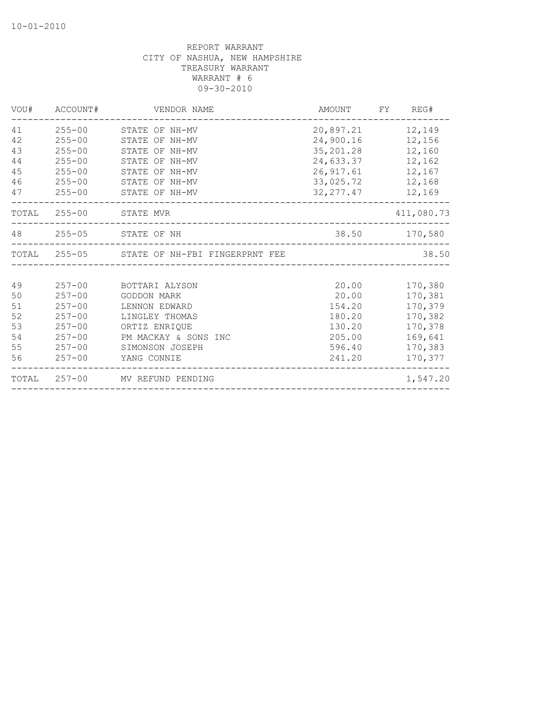| 41<br>$255 - 00$<br>20,897.21<br>12,149<br>STATE OF NH-MV<br>24,900.16 12,156<br>42<br>$255 - 00$<br>STATE OF NH-MV<br>43<br>35,201.28<br>$255 - 00$<br>STATE OF NH-MV<br>12,160<br>44<br>$255 - 00$<br>24,633.37 12,162<br>STATE OF NH-MV<br>45<br>$255 - 00$<br>26, 917.61 12, 167<br>STATE OF NH-MV<br>46<br>$255 - 00$<br>33,025.72 12,168<br>STATE OF NH-MV<br>47<br>$255 - 00$<br>STATE OF NH-MV<br>32, 277.47 12, 169<br>TOTAL 255-00 STATE MVR<br>411,080.73<br>48 255-05 STATE OF NH<br>38.50 170,580<br>TOTAL 255-05 STATE OF NH-FBI FINGERPRNT FEE<br>38.50<br>49<br>$257 - 00$<br>20.00<br>170,380<br>BOTTARI ALYSON<br>50<br>$257 - 00$<br>20.00<br>170,381<br><b>GODDON MARK</b><br>51<br>$257 - 00$<br>154.20<br>170,379<br>LENNON EDWARD<br>52<br>$257 - 00$<br>180.20<br>170,382<br>LINGLEY THOMAS<br>53<br>$257 - 00$<br>ORTIZ ENRIQUE<br>130.20<br>170,378<br>54<br>$257 - 00$<br>205.00<br>169,641<br>PM MACKAY & SONS INC<br>55<br>$257 - 00$<br>170,383<br>SIMONSON JOSEPH<br>596.40<br>56<br>241.20<br>170,377<br>$257 - 00$<br>YANG CONNIE<br>TOTAL 257-00 MV REFUND PENDING<br>1,547.20 | VOU# | ACCOUNT# | VENDOR NAME | AMOUNT FY REG# |
|------------------------------------------------------------------------------------------------------------------------------------------------------------------------------------------------------------------------------------------------------------------------------------------------------------------------------------------------------------------------------------------------------------------------------------------------------------------------------------------------------------------------------------------------------------------------------------------------------------------------------------------------------------------------------------------------------------------------------------------------------------------------------------------------------------------------------------------------------------------------------------------------------------------------------------------------------------------------------------------------------------------------------------------------------------------------------------------------------------------|------|----------|-------------|----------------|
|                                                                                                                                                                                                                                                                                                                                                                                                                                                                                                                                                                                                                                                                                                                                                                                                                                                                                                                                                                                                                                                                                                                  |      |          |             |                |
|                                                                                                                                                                                                                                                                                                                                                                                                                                                                                                                                                                                                                                                                                                                                                                                                                                                                                                                                                                                                                                                                                                                  |      |          |             |                |
|                                                                                                                                                                                                                                                                                                                                                                                                                                                                                                                                                                                                                                                                                                                                                                                                                                                                                                                                                                                                                                                                                                                  |      |          |             |                |
|                                                                                                                                                                                                                                                                                                                                                                                                                                                                                                                                                                                                                                                                                                                                                                                                                                                                                                                                                                                                                                                                                                                  |      |          |             |                |
|                                                                                                                                                                                                                                                                                                                                                                                                                                                                                                                                                                                                                                                                                                                                                                                                                                                                                                                                                                                                                                                                                                                  |      |          |             |                |
|                                                                                                                                                                                                                                                                                                                                                                                                                                                                                                                                                                                                                                                                                                                                                                                                                                                                                                                                                                                                                                                                                                                  |      |          |             |                |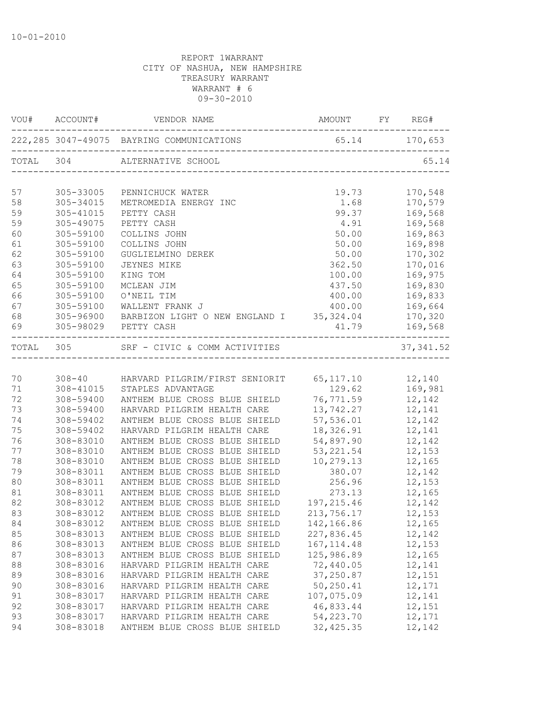|          | VOU# ACCOUNT#          | VENDOR NAME                                                    |                     |                                                                                                              |
|----------|------------------------|----------------------------------------------------------------|---------------------|--------------------------------------------------------------------------------------------------------------|
|          |                        | 222, 285 3047-49075 BAYRING COMMUNICATIONS 65.14 170, 653      |                     |                                                                                                              |
|          |                        | TOTAL 304 ALTERNATIVE SCHOOL                                   |                     | 65.14                                                                                                        |
| 57       |                        | 305-33005 PENNICHUCK WATER                                     |                     |                                                                                                              |
| 58       | 305-34015              | METROMEDIA ENERGY INC                                          |                     | $\begin{array}{cc} 19.73 & \quad & 170,548 \\ 1.68 & \quad & 170,579 \\ 99.37 & \quad & 169,568 \end{array}$ |
| 59       | 305-41015              | PETTY CASH                                                     |                     |                                                                                                              |
| 59       | 305-49075              | PETTY CASH                                                     |                     | 4.91 169,568                                                                                                 |
| 60       | 305-59100              | COLLINS JOHN                                                   | 50.00               | 169,863                                                                                                      |
| 61       | 305-59100              | COLLINS JOHN                                                   | 50.00               | 169,898                                                                                                      |
| 62       | 305-59100              | GUGLIELMINO DEREK                                              | 50.00               | 170,302                                                                                                      |
| 63       | 305-59100              | JEYNES MIKE                                                    | 362.50              | 170,016                                                                                                      |
| 64       | 305-59100              | KING TOM                                                       | 100.00              | 169,975                                                                                                      |
| 65       | 305-59100              | MCLEAN JIM                                                     | 437.50              | 169,830<br>169,833<br>169,664                                                                                |
| 66       | 305-59100              | O'NEIL TIM                                                     | 400.00              |                                                                                                              |
| 67       |                        | 305-59100 WALLENT FRANK J                                      | 400.00              |                                                                                                              |
| 68       |                        | 305-96900 BARBIZON LIGHT O NEW ENGLAND I 35,324.04 170,320     |                     |                                                                                                              |
|          |                        | 69 305-98029 PETTY CASH                                        | 41.79 169,568       |                                                                                                              |
|          |                        | TOTAL 305 SRF - CIVIC & COMM ACTIVITIES                        |                     | 37, 341.52                                                                                                   |
|          |                        |                                                                |                     |                                                                                                              |
| 70       |                        |                                                                |                     |                                                                                                              |
| 71       |                        |                                                                |                     |                                                                                                              |
| 72       |                        |                                                                |                     |                                                                                                              |
| 73       | 308-59400              | HARVARD PILGRIM HEALTH CARE                                    | 13,742.27 12,141    |                                                                                                              |
| 74       | 308-59402              | ANTHEM BLUE CROSS BLUE SHIELD                                  | 57,536.01           | 12,142                                                                                                       |
| 75       | 308-59402              | HARVARD PILGRIM HEALTH CARE                                    | 18, 326. 91 12, 141 |                                                                                                              |
| 76       | 308-83010              | ANTHEM BLUE CROSS BLUE SHIELD                                  | 54,897.90 12,142    |                                                                                                              |
| 77       | 308-83010              | ANTHEM BLUE CROSS BLUE SHIELD                                  | 53, 221.54          | 12,153                                                                                                       |
| 78       | 308-83010              | ANTHEM BLUE CROSS BLUE SHIELD 10,279.13                        |                     | 12,165                                                                                                       |
| 79       | 308-83011              | ANTHEM BLUE CROSS BLUE SHIELD                                  | 380.07              | 12,142                                                                                                       |
| 80<br>81 | 308-83011<br>308-83011 | ANTHEM BLUE CROSS BLUE SHIELD<br>ANTHEM BLUE CROSS BLUE SHIELD | 256.96<br>273.13    | 12,153                                                                                                       |
| 82       | 308-83012              | ANTHEM BLUE CROSS BLUE SHIELD                                  | 197, 215.46 12, 142 | 12,165                                                                                                       |
| 83       | 308-83012              | ANTHEM BLUE CROSS BLUE SHIELD                                  | 213, 756.17 12, 153 |                                                                                                              |
| 84       | 308-83012              | ANTHEM BLUE CROSS BLUE SHIELD                                  | 142,166.86          | 12,165                                                                                                       |
| 85       | 308-83013              | ANTHEM BLUE CROSS BLUE SHIELD                                  | 227,836.45          | 12,142                                                                                                       |
| 86       | 308-83013              | ANTHEM BLUE CROSS BLUE SHIELD                                  | 167, 114.48         | 12,153                                                                                                       |
| 87       | 308-83013              | ANTHEM BLUE CROSS BLUE SHIELD                                  | 125,986.89          | 12,165                                                                                                       |
| 88       | 308-83016              | HARVARD PILGRIM HEALTH CARE                                    | 72,440.05           | 12,141                                                                                                       |
| 89       | 308-83016              | HARVARD PILGRIM HEALTH CARE                                    | 37,250.87           | 12,151                                                                                                       |
| 90       | 308-83016              | HARVARD PILGRIM HEALTH CARE                                    | 50,250.41           | 12,171                                                                                                       |
| 91       | 308-83017              | HARVARD PILGRIM HEALTH CARE                                    | 107,075.09          | 12,141                                                                                                       |
| 92       | 308-83017              | HARVARD PILGRIM HEALTH CARE                                    | 46,833.44           | 12,151                                                                                                       |
| 93       | 308-83017              | HARVARD PILGRIM HEALTH CARE                                    | 54,223.70           | 12,171                                                                                                       |
| 94       | 308-83018              | ANTHEM BLUE CROSS BLUE SHIELD                                  | 32, 425.35          | 12,142                                                                                                       |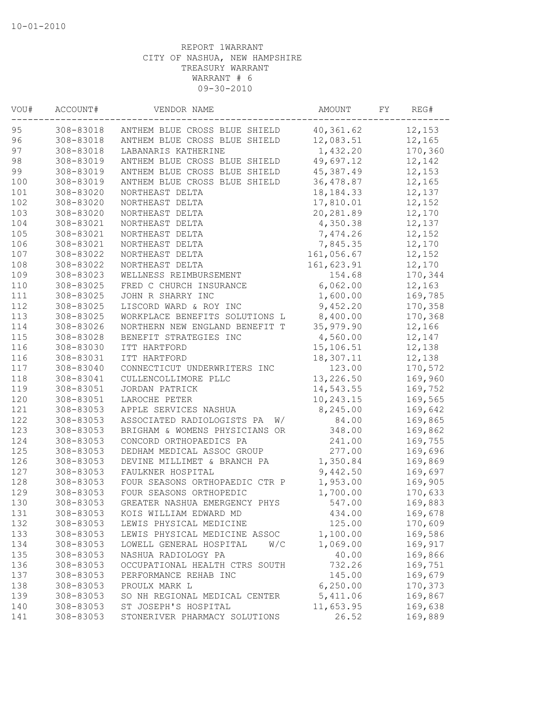| VOU#  | ACCOUNT#  | VENDOR NAME                      | AMOUNT      | FY | REG#    |
|-------|-----------|----------------------------------|-------------|----|---------|
| 95    | 308-83018 | ANTHEM BLUE CROSS BLUE SHIELD    | 40,361.62   |    | 12,153  |
| 96    | 308-83018 | ANTHEM BLUE CROSS BLUE SHIELD    | 12,083.51   |    | 12,165  |
| 97    | 308-83018 | LABANARIS KATHERINE              | 1,432.20    |    | 170,360 |
| 98    | 308-83019 | ANTHEM BLUE CROSS BLUE SHIELD    | 49,697.12   |    | 12,142  |
| 99    | 308-83019 | ANTHEM BLUE CROSS BLUE SHIELD    | 45,387.49   |    | 12,153  |
| 100   | 308-83019 | ANTHEM BLUE CROSS BLUE SHIELD    | 36,478.87   |    | 12,165  |
| $101$ | 308-83020 | NORTHEAST DELTA                  | 18, 184. 33 |    | 12,137  |
| 102   | 308-83020 | NORTHEAST DELTA                  | 17,810.01   |    | 12,152  |
| 103   | 308-83020 | NORTHEAST DELTA                  | 20,281.89   |    | 12,170  |
| 104   | 308-83021 | NORTHEAST DELTA                  | 4,350.38    |    | 12,137  |
| 105   | 308-83021 | NORTHEAST DELTA                  | 7,474.26    |    | 12,152  |
| 106   | 308-83021 | NORTHEAST DELTA                  | 7,845.35    |    | 12,170  |
| 107   | 308-83022 | NORTHEAST DELTA                  | 161,056.67  |    | 12,152  |
| 108   | 308-83022 | NORTHEAST DELTA                  | 161,623.91  |    | 12,170  |
| 109   | 308-83023 | WELLNESS REIMBURSEMENT           | 154.68      |    | 170,344 |
| 110   | 308-83025 | FRED C CHURCH INSURANCE          | 6,062.00    |    | 12,163  |
| 111   | 308-83025 | JOHN R SHARRY INC                | 1,600.00    |    | 169,785 |
| 112   | 308-83025 | LISCORD WARD & ROY INC           | 9,452.20    |    | 170,358 |
| 113   | 308-83025 | WORKPLACE BENEFITS SOLUTIONS L   | 8,400.00    |    | 170,368 |
| 114   | 308-83026 | NORTHERN NEW ENGLAND BENEFIT T   | 35,979.90   |    | 12,166  |
| 115   | 308-83028 | BENEFIT STRATEGIES INC           | 4,560.00    |    | 12,147  |
| 116   | 308-83030 | ITT HARTFORD                     | 15,106.51   |    | 12,138  |
| 116   | 308-83031 | ITT HARTFORD                     | 18,307.11   |    | 12,138  |
| 117   | 308-83040 | CONNECTICUT UNDERWRITERS INC     | 123.00      |    | 170,572 |
| 118   | 308-83041 | CULLENCOLLIMORE PLLC             | 13,226.50   |    | 169,960 |
| 119   | 308-83051 | JORDAN PATRICK                   | 14,543.55   |    | 169,752 |
| 120   | 308-83051 | LAROCHE PETER                    | 10,243.15   |    | 169,565 |
| 121   | 308-83053 | APPLE SERVICES NASHUA            | 8,245.00    |    | 169,642 |
| 122   | 308-83053 | ASSOCIATED RADIOLOGISTS PA<br>W/ | 84.00       |    | 169,865 |
| 123   | 308-83053 | BRIGHAM & WOMENS PHYSICIANS OR   | 348.00      |    | 169,862 |
| 124   | 308-83053 | CONCORD ORTHOPAEDICS PA          | 241.00      |    | 169,755 |
| 125   | 308-83053 | DEDHAM MEDICAL ASSOC GROUP       | 277.00      |    | 169,696 |
| 126   | 308-83053 | DEVINE MILLIMET & BRANCH PA      | 1,350.84    |    | 169,869 |
| 127   | 308-83053 | FAULKNER HOSPITAL                | 9,442.50    |    | 169,697 |
| 128   | 308-83053 | FOUR SEASONS ORTHOPAEDIC CTR P   | 1,953.00    |    | 169,905 |
| 129   | 308-83053 | FOUR SEASONS ORTHOPEDIC          | 1,700.00    |    | 170,633 |
| 130   | 308-83053 | GREATER NASHUA EMERGENCY PHYS    | 547.00      |    | 169,883 |
| 131   | 308-83053 | KOIS WILLIAM EDWARD MD           | 434.00      |    | 169,678 |
| 132   | 308-83053 | LEWIS PHYSICAL MEDICINE          | 125.00      |    | 170,609 |
| 133   | 308-83053 | LEWIS PHYSICAL MEDICINE ASSOC    | 1,100.00    |    | 169,586 |
| 134   | 308-83053 | W/C<br>LOWELL GENERAL HOSPITAL   | 1,069.00    |    | 169,917 |
| 135   | 308-83053 | NASHUA RADIOLOGY PA              | 40.00       |    | 169,866 |
| 136   | 308-83053 | OCCUPATIONAL HEALTH CTRS SOUTH   | 732.26      |    | 169,751 |
| 137   | 308-83053 | PERFORMANCE REHAB INC            | 145.00      |    | 169,679 |
| 138   | 308-83053 | PROULX MARK L                    | 6, 250.00   |    | 170,373 |
| 139   | 308-83053 | SO NH REGIONAL MEDICAL CENTER    | 5,411.06    |    | 169,867 |
| 140   | 308-83053 | ST JOSEPH'S HOSPITAL             | 11,653.95   |    | 169,638 |
| 141   | 308-83053 | STONERIVER PHARMACY SOLUTIONS    | 26.52       |    | 169,889 |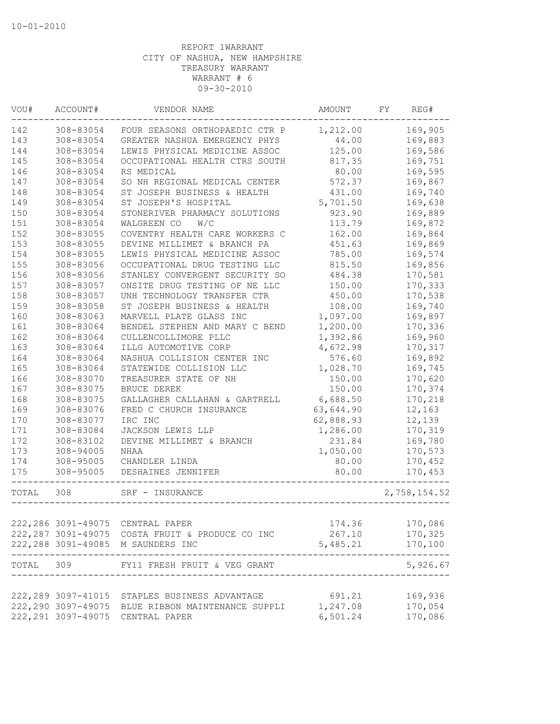| VOU#  | ACCOUNT#  | VENDOR NAME                                       | AMOUNT           | FY. | REG#                |
|-------|-----------|---------------------------------------------------|------------------|-----|---------------------|
| 142   | 308-83054 | FOUR SEASONS ORTHOPAEDIC CTR P                    | 1,212.00         |     | 169,905             |
| 143   | 308-83054 | GREATER NASHUA EMERGENCY PHYS                     | 44.00            |     | 169,883             |
| 144   | 308-83054 | LEWIS PHYSICAL MEDICINE ASSOC                     | 125.00           |     | 169,586             |
| 145   | 308-83054 | OCCUPATIONAL HEALTH CTRS SOUTH                    | 817.35           |     | 169,751             |
| 146   | 308-83054 | RS MEDICAL                                        | 80.00            |     | 169,595             |
| 147   | 308-83054 | SO NH REGIONAL MEDICAL CENTER                     | 572.37           |     | 169,867             |
| 148   | 308-83054 | ST JOSEPH BUSINESS & HEALTH                       | 431.00           |     | 169,740             |
| 149   | 308-83054 | ST JOSEPH'S HOSPITAL                              | 5,701.50         |     | 169,638             |
| 150   | 308-83054 | STONERIVER PHARMACY SOLUTIONS                     | 923.90           |     | 169,889             |
| 151   | 308-83054 | WALGREEN CO<br>W/C                                | 113.79           |     | 169,872             |
| 152   | 308-83055 | COVENTRY HEALTH CARE WORKERS C                    | 162.00           |     | 169,864             |
| 153   | 308-83055 | DEVINE MILLIMET & BRANCH PA                       | 451.63           |     | 169,869             |
| 154   | 308-83055 | LEWIS PHYSICAL MEDICINE ASSOC                     | 785.00           |     | 169,574             |
| 155   | 308-83056 | OCCUPATIONAL DRUG TESTING LLC                     | 815.50           |     | 169,856             |
| 156   | 308-83056 | STANLEY CONVERGENT SECURITY SO                    | 484.38           |     | 170,581             |
| 157   | 308-83057 | ONSITE DRUG TESTING OF NE LLC                     | 150.00           |     | 170,333             |
| 158   | 308-83057 | UNH TECHNOLOGY TRANSFER CTR                       | 450.00           |     | 170,538             |
| 159   | 308-83058 | ST JOSEPH BUSINESS & HEALTH                       | 108.00           |     | 169,740             |
| 160   | 308-83063 | MARVELL PLATE GLASS INC                           | 1,097.00         |     | 169,897             |
| 161   | 308-83064 | BENDEL STEPHEN AND MARY C BEND                    | 1,200.00         |     | 170,336             |
| 162   | 308-83064 | CULLENCOLLIMORE PLLC                              | 1,392.86         |     | 169,960             |
| 163   | 308-83064 | ILLG AUTOMOTIVE CORP                              | 4,672.98         |     | 170,317             |
| 164   | 308-83064 | NASHUA COLLISION CENTER INC                       | 576.60           |     | 169,892             |
| 165   | 308-83064 | STATEWIDE COLLISION LLC                           | 1,028.70         |     | 169,745             |
| 166   | 308-83070 | TREASURER STATE OF NH                             | 150.00           |     | 170,620             |
| 167   | 308-83075 | BRUCE DEREK                                       | 150.00           |     | 170,374             |
| 168   | 308-83075 | GALLAGHER CALLAHAN & GARTRELL                     | 6,688.50         |     | 170,218             |
| 169   | 308-83076 | FRED C CHURCH INSURANCE                           | 63,644.90        |     | 12,163              |
| 170   | 308-83077 | IRC INC                                           | 62,888.93        |     | 12,139              |
| 171   | 308-83084 | JACKSON LEWIS LLP                                 | 1,286.00         |     | 170,319             |
| 172   | 308-83102 | DEVINE MILLIMET & BRANCH                          | 231.84           |     | 169,780             |
| 173   | 308-94005 | NHAA                                              | 1,050.00         |     | 170,573             |
| 174   | 308-95005 | CHANDLER LINDA                                    | 80.00            |     | 170,452             |
| 175   | 308-95005 | DESHAINES JENNIFER                                | 80.00            |     | 170,453             |
| TOTAL | 308       | SRF - INSURANCE                                   |                  |     | 2,758,154.52        |
|       |           |                                                   |                  |     |                     |
|       |           | 222, 286 3091-49075 CENTRAL PAPER                 | 174.36           |     | 170,086             |
|       |           | 222,287 3091-49075 COSTA FRUIT & PRODUCE CO INC   | 267.10           |     | 170,325             |
|       |           | 222, 288 3091-49085 M SAUNDERS INC                | 5,485.21         |     | 170,100<br>-------- |
|       |           | TOTAL 309 FY11 FRESH FRUIT & VEG GRANT            |                  |     | 5,926.67            |
|       |           |                                                   |                  |     |                     |
|       |           | 222, 289 3097-41015 STAPLES BUSINESS ADVANTAGE    | 691.21           |     | 169,936             |
|       |           | 222,290 3097-49075 BLUE RIBBON MAINTENANCE SUPPLI | 1,247.08 170,054 |     |                     |
|       |           | 222, 291 3097-49075 CENTRAL PAPER                 | 6,501.24         |     | 170,086             |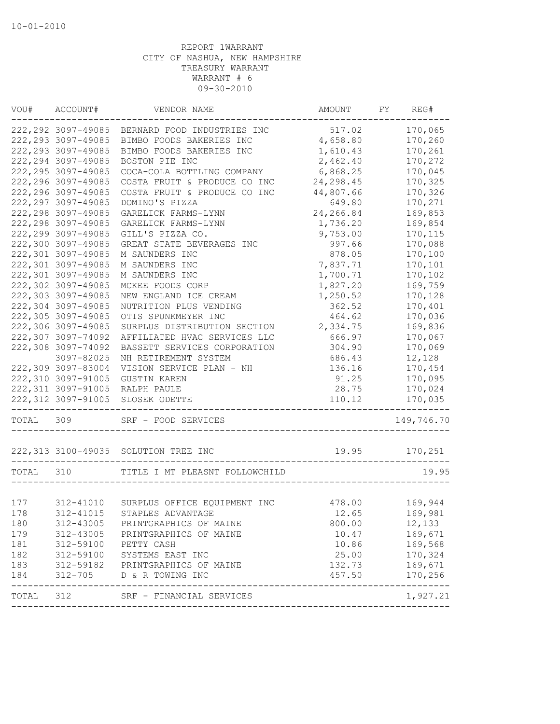| VOU#  | ACCOUNT#            | VENDOR NAME                            | AMOUNT     | FY | REG#                      |
|-------|---------------------|----------------------------------------|------------|----|---------------------------|
|       | 222, 292 3097-49085 | BERNARD FOOD INDUSTRIES INC            | 517.02     |    | 170,065                   |
|       | 222, 293 3097-49085 | BIMBO FOODS BAKERIES INC               | 4,658.80   |    | 170,260                   |
|       | 222, 293 3097-49085 | BIMBO FOODS BAKERIES INC               | 1,610.43   |    | 170,261                   |
|       | 222, 294 3097-49085 | BOSTON PIE INC                         | 2,462.40   |    | 170,272                   |
|       | 222, 295 3097-49085 | COCA-COLA BOTTLING COMPANY             | 6,868.25   |    | 170,045                   |
|       | 222, 296 3097-49085 | COSTA FRUIT & PRODUCE CO INC           | 24, 298.45 |    | 170,325                   |
|       | 222, 296 3097-49085 | COSTA FRUIT & PRODUCE CO INC           | 44,807.66  |    | 170,326                   |
|       | 222, 297 3097-49085 | DOMINO'S PIZZA                         | 649.80     |    | 170,271                   |
|       | 222, 298 3097-49085 | GARELICK FARMS-LYNN                    | 24,266.84  |    | 169,853                   |
|       | 222, 298 3097-49085 | GARELICK FARMS-LYNN                    | 1,736.20   |    | 169,854                   |
|       | 222, 299 3097-49085 | GILL'S PIZZA CO.                       | 9,753.00   |    | 170,115                   |
|       | 222,300 3097-49085  | GREAT STATE BEVERAGES INC              | 997.66     |    | 170,088                   |
|       | 222,301 3097-49085  | M SAUNDERS INC                         | 878.05     |    | 170,100                   |
|       | 222,301 3097-49085  | M SAUNDERS INC                         | 7,837.71   |    | 170,101                   |
|       | 222,301 3097-49085  | M SAUNDERS INC                         | 1,700.71   |    | 170,102                   |
|       | 222,302 3097-49085  | MCKEE FOODS CORP                       | 1,827.20   |    | 169,759                   |
|       | 222,303 3097-49085  | NEW ENGLAND ICE CREAM                  | 1,250.52   |    | 170,128                   |
|       | 222,304 3097-49085  | NUTRITION PLUS VENDING                 | 362.52     |    | 170,401                   |
|       | 222,305 3097-49085  | OTIS SPUNKMEYER INC                    | 464.62     |    | 170,036                   |
|       | 222,306 3097-49085  | SURPLUS DISTRIBUTION SECTION           | 2,334.75   |    | 169,836                   |
|       | 222,307 3097-74092  | AFFILIATED HVAC SERVICES LLC           | 666.97     |    | 170,067                   |
|       | 222,308 3097-74092  | BASSETT SERVICES CORPORATION           | 304.90     |    | 170,069                   |
|       | 3097-82025          | NH RETIREMENT SYSTEM                   | 686.43     |    | 12,128                    |
|       | 222,309 3097-83004  | VISION SERVICE PLAN - NH               | 136.16     |    | 170,454                   |
|       | 222,310 3097-91005  | <b>GUSTIN KAREN</b>                    | 91.25      |    | 170,095                   |
|       | 222, 311 3097-91005 | RALPH PAULE                            | 28.75      |    | 170,024                   |
|       | 222,312 3097-91005  | SLOSEK ODETTE                          | 110.12     |    | 170,035                   |
|       |                     |                                        |            |    |                           |
| TOTAL | 309                 | SRF - FOOD SERVICES                    |            |    | 149,746.70                |
|       |                     | 222, 313 3100-49035 SOLUTION TREE INC  | 19.95      |    | 170,251                   |
| TOTAL | 310                 | TITLE I MT PLEASNT FOLLOWCHILD         |            |    | 19.95                     |
|       |                     |                                        |            |    |                           |
| 177   |                     | 312-41010 SURPLUS OFFICE EQUIPMENT INC | 478.00     |    | 169,944                   |
| 178   |                     | 312-41015 STAPLES ADVANTAGE            | 12.65      |    | 169,981                   |
| 180   | 312-43005           | PRINTGRAPHICS OF MAINE                 | 800.00     |    | 12,133                    |
| 179   | 312-43005           | PRINTGRAPHICS OF MAINE                 | 10.47      |    | 169,671                   |
| 181   | 312-59100           | PETTY CASH                             | 10.86      |    | 169,568                   |
| 182   | 312-59100           | SYSTEMS EAST INC                       | 25.00      |    | 170,324                   |
| 183   | 312-59182           | PRINTGRAPHICS OF MAINE                 | 132.73     |    | 169,671                   |
| 184   | $312 - 705$         | D & R TOWING INC                       | 457.50     |    | 170,256                   |
| TOTAL | 312                 | SRF - FINANCIAL SERVICES               |            |    | $- - - - - -$<br>1,927.21 |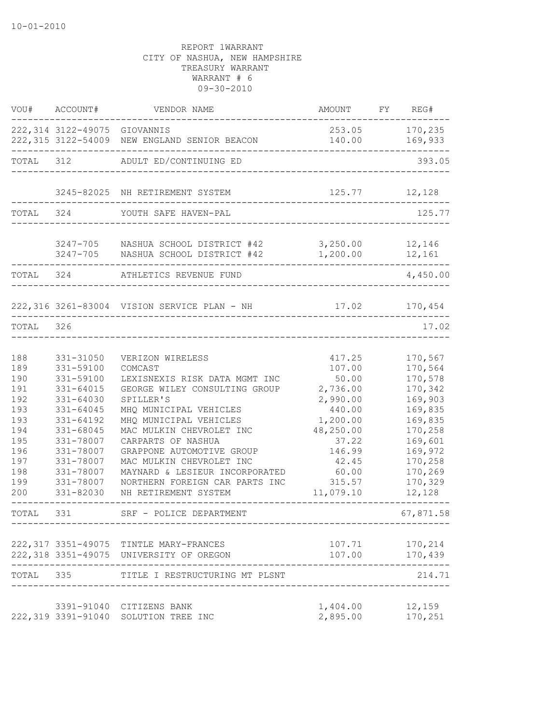|                                                                                                | VOU# ACCOUNT#                                                                                                                                                                      | VENDOR NAME                                                                                                                                                                                                                                                                                                                                                           | AMOUNT FY REG#                                                                                                                                   |                                                                                                                                                       |
|------------------------------------------------------------------------------------------------|------------------------------------------------------------------------------------------------------------------------------------------------------------------------------------|-----------------------------------------------------------------------------------------------------------------------------------------------------------------------------------------------------------------------------------------------------------------------------------------------------------------------------------------------------------------------|--------------------------------------------------------------------------------------------------------------------------------------------------|-------------------------------------------------------------------------------------------------------------------------------------------------------|
|                                                                                                | 222,314 3122-49075 GIOVANNIS                                                                                                                                                       | 222,315 3122-54009 NEW ENGLAND SENIOR BEACON                                                                                                                                                                                                                                                                                                                          | 140.00                                                                                                                                           | 253.05 170,235<br>169,933                                                                                                                             |
| TOTAL 312                                                                                      |                                                                                                                                                                                    | ADULT ED/CONTINUING ED                                                                                                                                                                                                                                                                                                                                                |                                                                                                                                                  | 393.05                                                                                                                                                |
|                                                                                                |                                                                                                                                                                                    | 3245-82025 NH RETIREMENT SYSTEM                                                                                                                                                                                                                                                                                                                                       | 125.77                                                                                                                                           | 12,128                                                                                                                                                |
| TOTAL 324                                                                                      |                                                                                                                                                                                    | YOUTH SAFE HAVEN-PAL                                                                                                                                                                                                                                                                                                                                                  |                                                                                                                                                  | 125.77                                                                                                                                                |
|                                                                                                |                                                                                                                                                                                    | 3247-705 NASHUA SCHOOL DISTRICT #42<br>3247-705 NASHUA SCHOOL DISTRICT #42                                                                                                                                                                                                                                                                                            | 3,250.00<br>1,200.00                                                                                                                             | 12,146<br>12,161                                                                                                                                      |
|                                                                                                | TOTAL 324                                                                                                                                                                          | ATHLETICS REVENUE FUND                                                                                                                                                                                                                                                                                                                                                |                                                                                                                                                  | 4,450.00                                                                                                                                              |
|                                                                                                |                                                                                                                                                                                    | 222,316 3261-83004 VISION SERVICE PLAN - NH                                                                                                                                                                                                                                                                                                                           |                                                                                                                                                  | 17.02 170,454                                                                                                                                         |
| TOTAL 326                                                                                      |                                                                                                                                                                                    |                                                                                                                                                                                                                                                                                                                                                                       |                                                                                                                                                  | 17.02                                                                                                                                                 |
| 188<br>189<br>190<br>191<br>192<br>193<br>193<br>194<br>195<br>196<br>197<br>198<br>199<br>200 | 331-31050<br>331-59100<br>331-59100<br>331-64015<br>331-64030<br>331-64045<br>331-64192<br>331-68045<br>331-78007<br>331-78007<br>331-78007<br>331-78007<br>331-78007<br>331-82030 | VERIZON WIRELESS<br>COMCAST<br>LEXISNEXIS RISK DATA MGMT INC<br>GEORGE WILEY CONSULTING GROUP<br>SPILLER'S<br>MHQ MUNICIPAL VEHICLES<br>MHQ MUNICIPAL VEHICLES<br>MAC MULKIN CHEVROLET INC<br>CARPARTS OF NASHUA<br>GRAPPONE AUTOMOTIVE GROUP<br>MAC MULKIN CHEVROLET INC<br>MAYNARD & LESIEUR INCORPORATED<br>NORTHERN FOREIGN CAR PARTS INC<br>NH RETIREMENT SYSTEM | 417.25<br>107.00<br>50.00<br>2,736.00<br>2,990.00<br>440.00<br>1,200.00<br>48,250.00<br>37.22<br>146.99<br>42.45<br>60.00<br>315.57<br>11,079.10 | 170,567<br>170,564<br>170,578<br>170,342<br>169,903<br>169,835<br>169,835<br>170,258<br>169,601<br>169,972<br>170,258<br>170,269<br>170,329<br>12,128 |
| TOTAL                                                                                          | 331                                                                                                                                                                                | SRF - POLICE DEPARTMENT                                                                                                                                                                                                                                                                                                                                               |                                                                                                                                                  | 67,871.58                                                                                                                                             |
|                                                                                                |                                                                                                                                                                                    | 222, 317 3351-49075 TINTLE MARY-FRANCES<br>222,318 3351-49075 UNIVERSITY OF OREGON                                                                                                                                                                                                                                                                                    |                                                                                                                                                  | 107.71 170,214<br>107.00 170,439                                                                                                                      |
| TOTAL 335                                                                                      |                                                                                                                                                                                    | TITLE I RESTRUCTURING MT PLSNT                                                                                                                                                                                                                                                                                                                                        |                                                                                                                                                  | 214.71                                                                                                                                                |
|                                                                                                |                                                                                                                                                                                    | 3391-91040 CITIZENS BANK<br>222,319 3391-91040 SOLUTION TREE INC                                                                                                                                                                                                                                                                                                      | 1,404.00<br>2,895.00                                                                                                                             | 12,159<br>170,251                                                                                                                                     |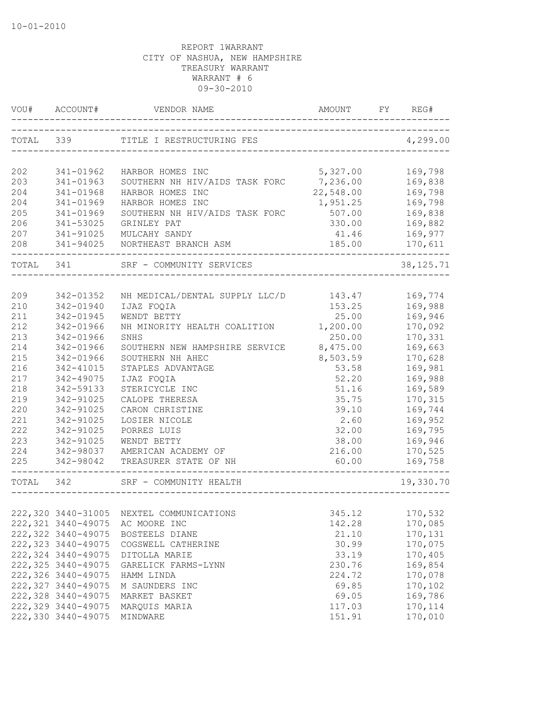| VOU#       | ACCOUNT#               | VENDOR NAME                                                           |                                    | REG#               |
|------------|------------------------|-----------------------------------------------------------------------|------------------------------------|--------------------|
| TOTAL 339  |                        | TITLE I RESTRUCTURING FES                                             | __________________________________ | 4,299.00           |
| 202        | 341-01962              | HARBOR HOMES INC                                                      | 5,327.00                           | 169,798            |
| 203        | 341-01963              | SOUTHERN NH HIV/AIDS TASK FORC                                        | 7,236.00                           | 169,838            |
| 204        | 341-01968              | HARBOR HOMES INC                                                      | 22,548.00                          | 169,798            |
| 204        | 341-01969              | HARBOR HOMES INC                                                      | 1,951.25                           | 169,798            |
| 205        | 341-01969              | SOUTHERN NH HIV/AIDS TASK FORC                                        | 507.00                             | 169,838            |
| 206        | 341-53025              | GRINLEY PAT                                                           | 330.00                             | 169,882            |
| 207        | 341-91025              | MULCAHY SANDY                                                         | 41.46                              | 169,977            |
| 208        | 341-94025              | NORTHEAST BRANCH ASM                                                  | 185.00                             | 170,611            |
| TOTAL 341  |                        | SRF - COMMUNITY SERVICES                                              |                                    | 38, 125. 71        |
|            |                        |                                                                       |                                    |                    |
| 209        | 342-01352              | NH MEDICAL/DENTAL SUPPLY LLC/D                                        | 143.47                             | 169,774            |
| 210        | 342-01940              | IJAZ FOQIA                                                            | 153.25                             | 169,988            |
| 211<br>212 | 342-01945<br>342-01966 | WENDT BETTY<br>NH MINORITY HEALTH COALITION                           | 25.00                              | 169,946<br>170,092 |
| 213        | 342-01966              | SNHS                                                                  | 1,200.00<br>250.00                 |                    |
| 214        |                        |                                                                       | 8,475.00                           | 170,331<br>169,663 |
| 215        | 342-01966<br>342-01966 | SOUTHERN NEW HAMPSHIRE SERVICE<br>SOUTHERN NH AHEC                    | 8,503.59                           | 170,628            |
| 216        | 342-41015              | STAPLES ADVANTAGE                                                     | 53.58                              | 169,981            |
| 217        | 342-49075              | IJAZ FOQIA                                                            | 52.20                              | 169,988            |
| 218        | 342-59133              | STERICYCLE INC                                                        | 51.16                              | 169,589            |
| 219        | 342-91025              | CALOPE THERESA                                                        | 35.75                              | 170,315            |
| 220        | 342-91025              | CARON CHRISTINE                                                       | 39.10                              | 169,744            |
| 221        | 342-91025              | LOSIER NICOLE                                                         | 2.60                               | 169,952            |
| 222        | 342-91025              | PORRES LUIS                                                           | 32.00                              | 169,795            |
| 223        | 342-91025              | WENDT BETTY                                                           | 38.00                              | 169,946            |
| 224        | 342-98037              | AMERICAN ACADEMY OF                                                   | 216.00                             | 170,525            |
| 225        | 342-98042              | TREASURER STATE OF NH                                                 | 60.00                              | 169,758            |
| TOTAL 342  |                        | ________________<br>SRF - COMMUNITY HEALTH<br>----------------------- |                                    | 19,330.70          |
|            |                        |                                                                       |                                    |                    |
|            |                        | 222,320 3440-31005 NEXTEL COMMUNICATIONS                              | 345.12                             | 170,532            |
|            | 222,321 3440-49075     | AC MOORE INC                                                          | 142.28                             | 170,085            |
|            | 222,322 3440-49075     | BOSTEELS DIANE                                                        | 21.10                              | 170,131            |
|            | 222, 323 3440-49075    | COGSWELL CATHERINE                                                    | 30.99                              | 170,075            |
|            | 222,324 3440-49075     | DITOLLA MARIE                                                         | 33.19                              | 170,405            |
|            | 222,325 3440-49075     | GARELICK FARMS-LYNN                                                   | 230.76                             | 169,854            |
|            | 222,326 3440-49075     | HAMM LINDA                                                            | 224.72                             | 170,078            |
|            | 222,327 3440-49075     | M SAUNDERS INC                                                        | 69.85                              | 170,102            |
|            | 222,328 3440-49075     | MARKET BASKET                                                         | 69.05                              | 169,786            |
|            | 222,329 3440-49075     | MARQUIS MARIA                                                         | 117.03                             | 170,114            |
|            | 222,330 3440-49075     | MINDWARE                                                              | 151.91                             | 170,010            |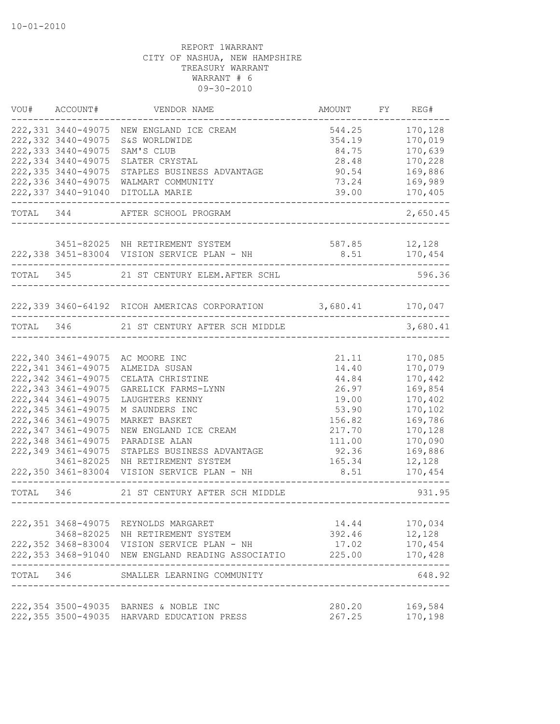|           | VOU# ACCOUNT#           | VENDOR NAME                                                    | AMOUNT FY REG#              |                |
|-----------|-------------------------|----------------------------------------------------------------|-----------------------------|----------------|
|           | 222,331 3440-49075      | NEW ENGLAND ICE CREAM                                          | 544.25                      | 170,128        |
|           | 222,332 3440-49075      | S&S WORLDWIDE                                                  | 354.19                      | 170,019        |
|           | 222,333 3440-49075      | SAM'S CLUB                                                     | 84.75                       | 170,639        |
|           | 222,334 3440-49075      | SLATER CRYSTAL                                                 | 28.48                       | 170,228        |
|           | 222, 335 3440-49075     | STAPLES BUSINESS ADVANTAGE                                     | 90.54                       | 169,886        |
|           | 222,336 3440-49075      | WALMART COMMUNITY                                              | 73.24                       | 169,989        |
|           |                         | 222,337 3440-91040 DITOLLA MARIE                               | 39.00                       | 170,405        |
|           |                         | TOTAL 344 AFTER SCHOOL PROGRAM                                 | . <u>.</u>                  | 2,650.45       |
|           |                         |                                                                |                             |                |
|           |                         | 3451-82025 NH RETIREMENT SYSTEM                                | 587.85 12,128               |                |
|           |                         | 222,338 3451-83004 VISION SERVICE PLAN - NH 8.51 170,454       |                             |                |
| TOTAL 345 |                         | 21 ST CENTURY ELEM. AFTER SCHL                                 |                             | 596.36         |
|           |                         | 222,339 3460-64192 RICOH AMERICAS CORPORATION 3,680.41 170,047 |                             |                |
|           |                         |                                                                |                             |                |
|           |                         | TOTAL 346 21 ST CENTURY AFTER SCH MIDDLE                       |                             | 3,680.41       |
|           |                         | 222,340 3461-49075 AC MOORE INC                                | 21.11                       | 170,085        |
|           | 222, 341 3461-49075     |                                                                | 14.40                       | 170,079        |
|           | 222,342 3461-49075      | ALMEIDA SUSAN                                                  |                             | 170,442        |
|           | 222, 343 3461-49075     | CELATA CHRISTINE                                               | 44.84                       |                |
|           | 222,344 3461-49075      | GARELICK FARMS-LYNN                                            | 26.97                       | 169,854        |
|           |                         | LAUGHTERS KENNY                                                | 19.00                       | 170,402        |
|           | 222, 345 3461-49075     | M SAUNDERS INC                                                 | 53.90                       | 170,102        |
|           | 222,346 3461-49075      | MARKET BASKET                                                  | 156.82                      | 169,786        |
|           | 222,347 3461-49075      | NEW ENGLAND ICE CREAM                                          | 217.70                      | 170,128        |
|           | 222,348 3461-49075      | PARADISE ALAN                                                  | 111.00                      | 170,090        |
|           | 222,349 3461-49075      | STAPLES BUSINESS ADVANTAGE                                     | 92.36                       | 169,886        |
|           | 3461-82025              | NH RETIREMENT SYSTEM                                           | 165.34                      | 12,128         |
|           |                         | 222,350 3461-83004 VISION SERVICE PLAN - NH                    | 8.51                        | 170,454        |
|           |                         | TOTAL 346 21 ST CENTURY AFTER SCH MIDDLE                       | ___________________________ | 931.95         |
|           |                         |                                                                |                             |                |
|           |                         | 222,351 3468-49075 REYNOLDS MARGARET                           | 14.44                       | 170,034        |
|           |                         | 3468-82025 NH RETIREMENT SYSTEM                                | 392.46                      | 12,128         |
|           |                         | 222,352 3468-83004 VISION SERVICE PLAN - NH                    | 17.02                       | 170,454        |
|           | ----------------------- | 222,353 3468-91040 NEW ENGLAND READING ASSOCIATIO              | 225.00                      | 170,428        |
|           |                         | TOTAL 346 SMALLER LEARNING COMMUNITY                           |                             | 648.92         |
|           |                         | 222,354 3500-49035 BARNES & NOBLE INC                          |                             | 280.20 169,584 |
|           |                         | 222,355 3500-49035 HARVARD EDUCATION PRESS                     |                             | 267.25 170,198 |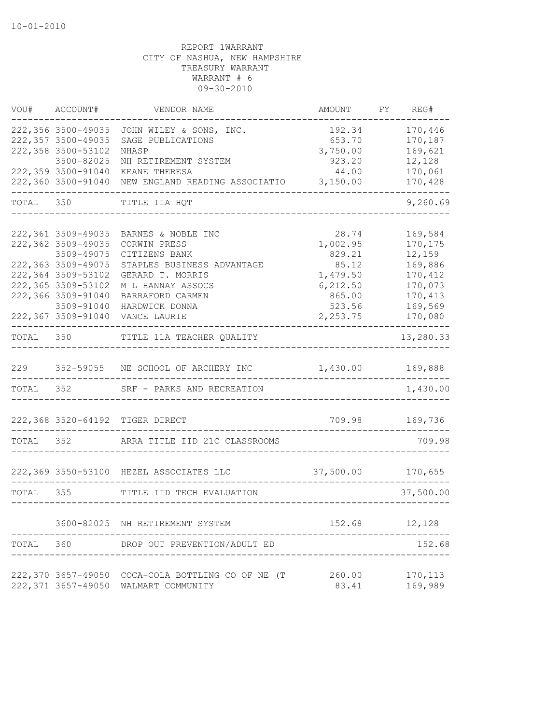| VOU#      | ACCOUNT#           | VENDOR NAME                                         | AMOUNT            | FY | REG#      |
|-----------|--------------------|-----------------------------------------------------|-------------------|----|-----------|
|           | 222,356 3500-49035 | JOHN WILEY & SONS, INC.                             | 192.34            |    | 170,446   |
|           | 222,357 3500-49035 | SAGE PUBLICATIONS                                   | 653.70            |    | 170,187   |
|           | 222,358 3500-53102 | NHASP                                               | 3,750.00          |    | 169,621   |
|           | 3500-82025         | NH RETIREMENT SYSTEM                                | 923.20            |    | 12,128    |
|           | 222,359 3500-91040 | KEANE THERESA                                       | 44.00             |    | 170,061   |
|           | 222,360 3500-91040 | NEW ENGLAND READING ASSOCIATIO                      | 3,150.00          |    | 170,428   |
| TOTAL 350 |                    | TITLE IIA HQT                                       |                   |    | 9,260.69  |
|           | 222,361 3509-49035 |                                                     |                   |    |           |
|           |                    | BARNES & NOBLE INC                                  | 28.74             |    | 169,584   |
|           | 222,362 3509-49035 | CORWIN PRESS                                        | 1,002.95          |    | 170,175   |
|           | 3509-49075         | CITIZENS BANK                                       | 829.21            |    | 12,159    |
|           | 222,363 3509-49075 | STAPLES BUSINESS ADVANTAGE                          | 85.12             |    | 169,886   |
|           | 222,364 3509-53102 | GERARD T. MORRIS                                    | 1,479.50          |    | 170,412   |
|           | 222,365 3509-53102 | M L HANNAY ASSOCS                                   | 6, 212.50         |    | 170,073   |
|           | 222,366 3509-91040 | BARRAFORD CARMEN                                    | 865.00            |    | 170,413   |
|           | 3509-91040         | HARDWICK DONNA                                      | 523.56            |    | 169,569   |
|           | 222,367 3509-91040 | VANCE LAURIE                                        | 2,253.75          |    | 170,080   |
| TOTAL     |                    | 350 TITLE 11A TEACHER QUALITY                       |                   |    | 13,280.33 |
| 229       |                    | 352-59055 NE SCHOOL OF ARCHERY INC 1,430.00 169,888 |                   |    |           |
| TOTAL 352 |                    | SRF - PARKS AND RECREATION                          |                   |    | 1,430.00  |
|           |                    | 222,368 3520-64192 TIGER DIRECT                     | 709.98            |    | 169,736   |
|           |                    |                                                     |                   |    |           |
| TOTAL 352 |                    | ARRA TITLE IID 21C CLASSROOMS                       |                   |    | 709.98    |
|           |                    | 222,369 3550-53100 HEZEL ASSOCIATES LLC             | 37,500.00 170,655 |    |           |
| TOTAL 355 |                    | TITLE IID TECH EVALUATION                           |                   |    | 37,500.00 |
|           |                    |                                                     |                   |    |           |
|           |                    | 3600-82025 NH RETIREMENT SYSTEM                     | 152.68            |    | 12,128    |
| TOTAL     | 360                | DROP OUT PREVENTION/ADULT ED                        |                   |    | 152.68    |
|           |                    |                                                     |                   |    |           |
|           |                    | 222,370 3657-49050 COCA-COLA BOTTLING CO OF NE (T   | 260.00            |    | 170,113   |
|           |                    | 222,371 3657-49050 WALMART COMMUNITY                | 83.41             |    | 169,989   |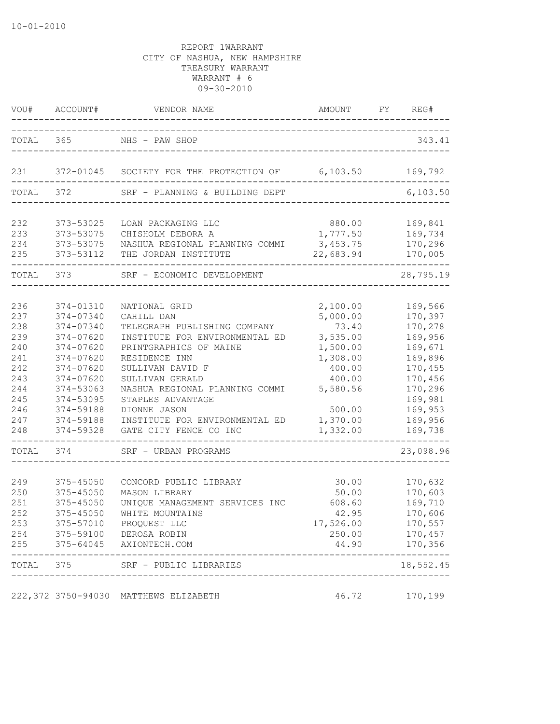| VOU#       | ACCOUNT#               | VENDOR NAME                                      | AMOUNT           | FY | REG#               |
|------------|------------------------|--------------------------------------------------|------------------|----|--------------------|
| TOTAL 365  |                        | NHS - PAW SHOP                                   |                  |    | 343.41             |
| 231        |                        | 372-01045 SOCIETY FOR THE PROTECTION OF 6,103.50 |                  |    | 169,792            |
| TOTAL      | 372                    | SRF - PLANNING & BUILDING DEPT                   |                  |    | 6, 103.50          |
|            |                        |                                                  |                  |    |                    |
| 232        | 373-53025              | LOAN PACKAGING LLC                               | 880.00           |    | 169,841            |
| 233        | 373-53075              | CHISHOLM DEBORA A                                | 1,777.50         |    | 169,734            |
| 234        | 373-53075              | NASHUA REGIONAL PLANNING COMMI 3,453.75          |                  |    | 170,296            |
| 235        | 373-53112              | THE JORDAN INSTITUTE                             | 22,683.94        |    | 170,005            |
| TOTAL 373  |                        | SRF - ECONOMIC DEVELOPMENT                       |                  |    | 28,795.19          |
|            |                        |                                                  |                  |    |                    |
| 236        | 374-01310              | NATIONAL GRID                                    | 2,100.00         |    | 169,566            |
| 237        | 374-07340              | CAHILL DAN                                       | 5,000.00         |    | 170,397            |
| 238        | 374-07340              | TELEGRAPH PUBLISHING COMPANY                     | 73.40            |    | 170,278            |
| 239        | 374-07620              | INSTITUTE FOR ENVIRONMENTAL ED                   | 3,535.00         |    | 169,956            |
| 240        | 374-07620              | PRINTGRAPHICS OF MAINE                           | 1,500.00         |    | 169,671            |
| 241<br>242 | 374-07620<br>374-07620 | RESIDENCE INN                                    | 1,308.00         |    | 169,896            |
| 243        | 374-07620              | SULLIVAN DAVID F<br>SULLIVAN GERALD              | 400.00<br>400.00 |    | 170,455<br>170,456 |
| 244        | 374-53063              | NASHUA REGIONAL PLANNING COMMI                   | 5,580.56         |    | 170,296            |
| 245        | 374-53095              | STAPLES ADVANTAGE                                |                  |    | 169,981            |
| 246        | 374-59188              | DIONNE JASON                                     | 500.00           |    | 169,953            |
| 247        | 374-59188              | INSTITUTE FOR ENVIRONMENTAL ED                   | 1,370.00         |    | 169,956            |
| 248        | 374-59328              | GATE CITY FENCE CO INC                           | 1,332.00         |    | 169,738            |
| TOTAL      | 374                    | SRF - URBAN PROGRAMS                             |                  |    | 23,098.96          |
|            |                        |                                                  |                  |    |                    |
| 249        | 375-45050              | CONCORD PUBLIC LIBRARY                           | 30.00            |    | 170,632            |
| 250        | 375-45050              | MASON LIBRARY                                    | 50.00            |    | 170,603            |
| 251        | $375 - 45050$          | UNIQUE MANAGEMENT SERVICES INC                   | 608.60           |    | 169,710            |
| 252        | 375-45050              | WHITE MOUNTAINS                                  | 42.95            |    | 170,606            |
| 253        | 375-57010              | PROQUEST LLC                                     | 17,526.00        |    | 170,557            |
| 254        |                        | 375-59100 DEROSA ROBIN                           | 250.00           |    | 170,457            |
| 255        | $375 - 64045$          | AXIONTECH.COM                                    | 44.90            |    | 170,356<br>$----$  |
| TOTAL 375  |                        | SRF - PUBLIC LIBRARIES<br>-----------------      |                  |    | 18,552.45          |
|            | 222,372 3750-94030     | MATTHEWS ELIZABETH                               | 46.72            |    | 170,199            |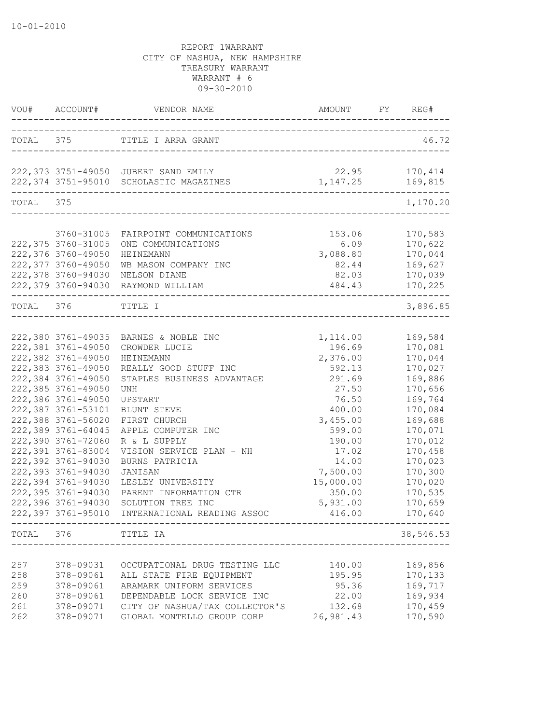|                                        | VOU# ACCOUNT#                                                                                                                                                                                                                                                                                                                                                                                            |                                                                                                                                                                                                                                                                                                                                                                          |                                                                                                                                                                                           | FY REG#                                                                                                                                                                                            |       |
|----------------------------------------|----------------------------------------------------------------------------------------------------------------------------------------------------------------------------------------------------------------------------------------------------------------------------------------------------------------------------------------------------------------------------------------------------------|--------------------------------------------------------------------------------------------------------------------------------------------------------------------------------------------------------------------------------------------------------------------------------------------------------------------------------------------------------------------------|-------------------------------------------------------------------------------------------------------------------------------------------------------------------------------------------|----------------------------------------------------------------------------------------------------------------------------------------------------------------------------------------------------|-------|
|                                        |                                                                                                                                                                                                                                                                                                                                                                                                          | TOTAL 375 TITLE I ARRA GRANT                                                                                                                                                                                                                                                                                                                                             |                                                                                                                                                                                           |                                                                                                                                                                                                    | 46.72 |
|                                        |                                                                                                                                                                                                                                                                                                                                                                                                          | 222,373 3751-49050 JUBERT SAND EMILY<br>222,374 3751-95010 SCHOLASTIC MAGAZINES                                                                                                                                                                                                                                                                                          | 22.95<br>1, 147.25                                                                                                                                                                        | 170,414<br>169,815                                                                                                                                                                                 |       |
| TOTAL 375                              |                                                                                                                                                                                                                                                                                                                                                                                                          |                                                                                                                                                                                                                                                                                                                                                                          |                                                                                                                                                                                           | 1,170.20                                                                                                                                                                                           |       |
|                                        |                                                                                                                                                                                                                                                                                                                                                                                                          |                                                                                                                                                                                                                                                                                                                                                                          |                                                                                                                                                                                           |                                                                                                                                                                                                    |       |
|                                        | 3760-31005<br>222,375 3760-31005<br>222,376 3760-49050<br>222,377 3760-49050                                                                                                                                                                                                                                                                                                                             | FAIRPOINT COMMUNICATIONS<br>ONE COMMUNICATIONS<br>HEINEMANN<br>WB MASON COMPANY INC                                                                                                                                                                                                                                                                                      | 153.06<br>6.09<br>3,088.80<br>82.44                                                                                                                                                       | 170,583<br>170,622<br>170,044<br>169,627                                                                                                                                                           |       |
|                                        | 222,378 3760-94030                                                                                                                                                                                                                                                                                                                                                                                       | NELSON DIANE                                                                                                                                                                                                                                                                                                                                                             | 82.03                                                                                                                                                                                     | 170,039                                                                                                                                                                                            |       |
|                                        |                                                                                                                                                                                                                                                                                                                                                                                                          | 222,379 3760-94030 RAYMOND WILLIAM                                                                                                                                                                                                                                                                                                                                       | 484.43                                                                                                                                                                                    | 170,225<br>.                                                                                                                                                                                       |       |
| TOTAL 376                              |                                                                                                                                                                                                                                                                                                                                                                                                          | TITLE I<br>_________________                                                                                                                                                                                                                                                                                                                                             |                                                                                                                                                                                           | 3,896.85                                                                                                                                                                                           |       |
|                                        | 222,380 3761-49035<br>222,381 3761-49050<br>222,382 3761-49050<br>222,383 3761-49050<br>222,384 3761-49050<br>222,385 3761-49050<br>222,386 3761-49050<br>222,387 3761-53101<br>222,388 3761-56020<br>222,389 3761-64045<br>222,390 3761-72060<br>222,391 3761-83004<br>222,392 3761-94030<br>222,393 3761-94030<br>222,394 3761-94030<br>222,395 3761-94030<br>222,396 3761-94030<br>222,397 3761-95010 | BARNES & NOBLE INC<br>CROWDER LUCIE<br><b>HEINEMANN</b><br>REALLY GOOD STUFF INC<br>STAPLES BUSINESS ADVANTAGE<br>UNH<br>UPSTART<br>BLUNT STEVE<br>FIRST CHURCH<br>APPLE COMPUTER INC<br>R & L SUPPLY<br>VISION SERVICE PLAN - NH<br>BURNS PATRICIA<br><b>JANISAN</b><br>LESLEY UNIVERSITY<br>PARENT INFORMATION CTR<br>SOLUTION TREE INC<br>INTERNATIONAL READING ASSOC | 1,114.00<br>196.69<br>2,376.00<br>592.13<br>291.69<br>27.50<br>76.50<br>400.00<br>3,455.00<br>599.00<br>190.00<br>17.02<br>14.00<br>7,500.00<br>15,000.00<br>350.00<br>5,931.00<br>416.00 | 169,584<br>170,081<br>170,044<br>170,027<br>169,886<br>170,656<br>169,764<br>170,084<br>169,688<br>170,071<br>170,012<br>170,458<br>170,023<br>170,300<br>170,020<br>170,535<br>170,659<br>170,640 |       |
|                                        | TOTAL 376 TITLE IA                                                                                                                                                                                                                                                                                                                                                                                       |                                                                                                                                                                                                                                                                                                                                                                          |                                                                                                                                                                                           | 38,546.53                                                                                                                                                                                          |       |
| 257<br>258<br>259<br>260<br>261<br>262 | 378-09031<br>378-09061<br>378-09061<br>378-09061<br>378-09071<br>378-09071                                                                                                                                                                                                                                                                                                                               | OCCUPATIONAL DRUG TESTING LLC<br>ALL STATE FIRE EQUIPMENT<br>ARAMARK UNIFORM SERVICES<br>DEPENDABLE LOCK SERVICE INC<br>CITY OF NASHUA/TAX COLLECTOR'S<br>GLOBAL MONTELLO GROUP CORP                                                                                                                                                                                     | 140.00<br>195.95<br>95.36<br>22.00<br>132.68<br>26,981.43                                                                                                                                 | 169,856<br>170,133<br>169,717<br>169,934<br>170,459<br>170,590                                                                                                                                     |       |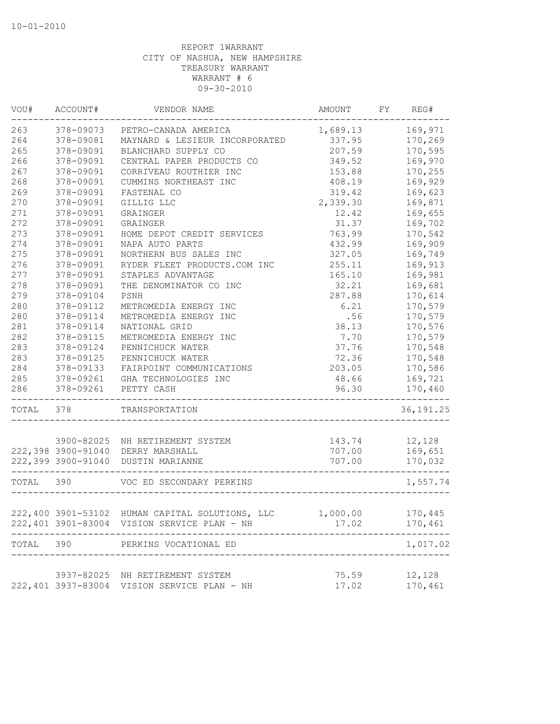| VOU#      | ACCOUNT#                                         | VENDOR NAME                                                                                    | AMOUNT                      | FY | REG#               |
|-----------|--------------------------------------------------|------------------------------------------------------------------------------------------------|-----------------------------|----|--------------------|
| 263       | 378-09073                                        | PETRO-CANADA AMERICA                                                                           | 1,689.13                    |    | 169,971            |
| 264       | 378-09081                                        | MAYNARD & LESIEUR INCORPORATED                                                                 | 337.95                      |    | 170,269            |
| 265       | 378-09091                                        | BLANCHARD SUPPLY CO                                                                            | 207.59                      |    | 170,595            |
| 266       | 378-09091                                        | CENTRAL PAPER PRODUCTS CO                                                                      | 349.52                      |    | 169,970            |
| 267       | 378-09091                                        | CORRIVEAU ROUTHIER INC                                                                         | 153.88                      |    | 170,255            |
| 268       | 378-09091                                        | CUMMINS NORTHEAST INC                                                                          | 408.19                      |    | 169,929            |
| 269       | 378-09091                                        | FASTENAL CO                                                                                    | 319.42                      |    | 169,623            |
| 270       | 378-09091                                        | GILLIG LLC                                                                                     | 2,339.30                    |    | 169,871            |
| 271       | 378-09091                                        | GRAINGER                                                                                       | 12.42                       |    | 169,655            |
| 272       | 378-09091                                        | GRAINGER                                                                                       | 31.37                       |    | 169,702            |
| 273       | 378-09091                                        | HOME DEPOT CREDIT SERVICES                                                                     | 763.99                      |    | 170,542            |
| 274       | 378-09091                                        | NAPA AUTO PARTS                                                                                | 432.99                      |    | 169,909            |
| 275       | 378-09091                                        | NORTHERN BUS SALES INC                                                                         | 327.05                      |    | 169,749            |
| 276       | 378-09091                                        | RYDER FLEET PRODUCTS.COM INC                                                                   | 255.11                      |    | 169,913            |
| 277       | 378-09091                                        | STAPLES ADVANTAGE                                                                              | 165.10                      |    | 169,981            |
| 278       | 378-09091                                        | THE DENOMINATOR CO INC                                                                         | 32.21                       |    | 169,681            |
| 279       | 378-09104                                        | PSNH                                                                                           | 287.88                      |    | 170,614            |
| 280       | 378-09112                                        | METROMEDIA ENERGY INC                                                                          | 6.21                        |    | 170,579            |
| 280       | 378-09114                                        | METROMEDIA ENERGY INC                                                                          | .56                         |    | 170,579            |
| 281       | 378-09114                                        | NATIONAL GRID                                                                                  | 38.13                       |    | 170,576            |
| 282       | 378-09115                                        | METROMEDIA ENERGY INC                                                                          | 7.70                        |    | 170,579            |
| 283       | 378-09124                                        | PENNICHUCK WATER                                                                               | 37.76                       |    | 170,548            |
| 283       | 378-09125                                        | PENNICHUCK WATER                                                                               | 72.36                       |    | 170,548            |
| 284       | 378-09133                                        | FAIRPOINT COMMUNICATIONS                                                                       | 203.05                      |    | 170,586            |
| 285       | 378-09261                                        | GHA TECHNOLOGIES INC                                                                           | 48.66                       |    | 169,721            |
| 286       | 378-09261<br>. _ _ _ _ _ _ _ _ _ _ _ _ _ _ _ _ _ | PETTY CASH                                                                                     | 96.30<br>__________________ |    | 170,460            |
| TOTAL 378 |                                                  | TRANSPORTATION                                                                                 |                             |    | 36, 191.25         |
|           |                                                  |                                                                                                |                             |    |                    |
|           |                                                  | 3900-82025 NH RETIREMENT SYSTEM                                                                | 143.74                      |    | 12,128             |
|           |                                                  | 222,398 3900-91040 DERRY MARSHALL                                                              | 707.00                      |    | 169,651            |
|           |                                                  | 222,399 3900-91040 DUSTIN MARIANNE<br>__________________                                       | 707.00                      |    | 170,032            |
| TOTAL 390 |                                                  | VOC ED SECONDARY PERKINS                                                                       |                             |    | 1,557.74           |
|           |                                                  |                                                                                                |                             |    |                    |
|           |                                                  | 222,400 3901-53102 HUMAN CAPITAL SOLUTIONS, LLC<br>222,401 3901-83004 VISION SERVICE PLAN - NH | 1,000.00<br>17.02           |    | 170,445<br>170,461 |
|           |                                                  |                                                                                                |                             |    |                    |
| TOTAL     | 390                                              | PERKINS VOCATIONAL ED                                                                          |                             |    | 1,017.02           |
|           |                                                  |                                                                                                |                             |    |                    |
|           |                                                  | 3937-82025 NH RETIREMENT SYSTEM<br>222,401 3937-83004 VISION SERVICE PLAN - NH                 | 75.59                       |    | 12,128             |
|           |                                                  |                                                                                                | 17.02                       |    | 170,461            |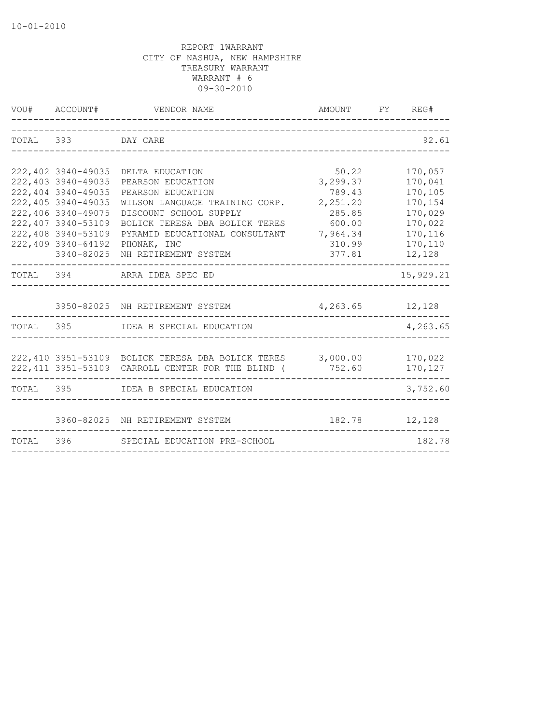|           | VOU# ACCOUNT#                                                                                                                                                                              | VENDOR NAME                                                                                                                                                                                                                      | AMOUNT FY REG#                                                                              |                                                                                                |
|-----------|--------------------------------------------------------------------------------------------------------------------------------------------------------------------------------------------|----------------------------------------------------------------------------------------------------------------------------------------------------------------------------------------------------------------------------------|---------------------------------------------------------------------------------------------|------------------------------------------------------------------------------------------------|
| TOTAL 393 |                                                                                                                                                                                            | DAY CARE                                                                                                                                                                                                                         |                                                                                             | 92.61                                                                                          |
|           | 222,402 3940-49035<br>222,403 3940-49035<br>222,404 3940-49035<br>222,405 3940-49035<br>222,406 3940-49075<br>222,407 3940-53109<br>222,408 3940-53109<br>222,409 3940-64192<br>3940-82025 | DELTA EDUCATION<br>PEARSON EDUCATION<br>PEARSON EDUCATION<br>WILSON LANGUAGE TRAINING CORP.<br>DISCOUNT SCHOOL SUPPLY<br>BOLICK TERESA DBA BOLICK TERES<br>PYRAMID EDUCATIONAL CONSULTANT<br>PHONAK, INC<br>NH RETIREMENT SYSTEM | 50.22<br>3,299.37<br>789.43<br>2,251.20<br>285.85<br>600.00<br>7,964.34<br>310.99<br>377.81 | 170,057<br>170,041<br>170,105<br>170,154<br>170,029<br>170,022<br>170,116<br>170,110<br>12,128 |
|           |                                                                                                                                                                                            | TOTAL 394 ARRA IDEA SPEC ED                                                                                                                                                                                                      |                                                                                             | 15,929.21                                                                                      |
|           |                                                                                                                                                                                            | 3950-82025 NH RETIREMENT SYSTEM<br>TOTAL 395 IDEA B SPECIAL EDUCATION                                                                                                                                                            | 4, 263.65 12, 128                                                                           | 4,263.65                                                                                       |
|           | ---------------                                                                                                                                                                            | 222,410 3951-53109 BOLICK TERESA DBA BOLICK TERES 3,000.00 170,022<br>222,411 3951-53109 CARROLL CENTER FOR THE BLIND (                                                                                                          | 752.60                                                                                      | 170,127                                                                                        |
|           |                                                                                                                                                                                            | TOTAL 395 IDEA B SPECIAL EDUCATION                                                                                                                                                                                               |                                                                                             | 3,752.60                                                                                       |
|           |                                                                                                                                                                                            | 3960-82025 NH RETIREMENT SYSTEM<br>TOTAL 396 SPECIAL EDUCATION PRE-SCHOOL                                                                                                                                                        |                                                                                             | 182.78 12,128<br>182.78                                                                        |
|           |                                                                                                                                                                                            |                                                                                                                                                                                                                                  |                                                                                             |                                                                                                |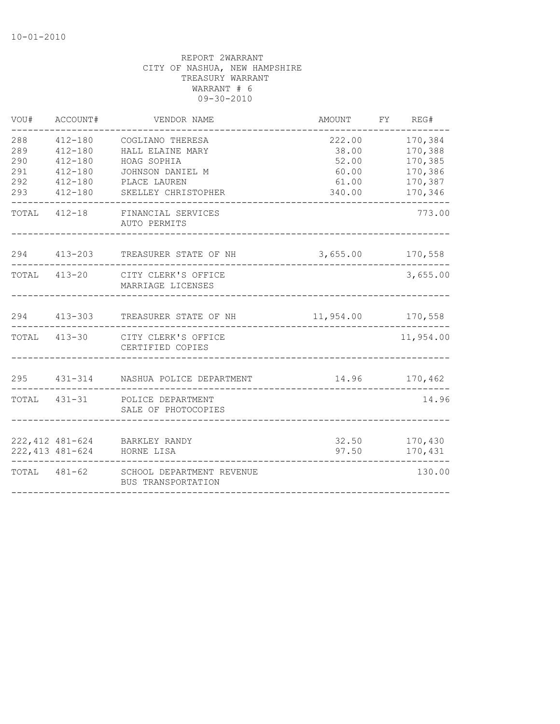| VOU#                                   | ACCOUNT#                                                                           | VENDOR NAME                                                                                                    | AMOUNT                                               | FY REG#                                                        |
|----------------------------------------|------------------------------------------------------------------------------------|----------------------------------------------------------------------------------------------------------------|------------------------------------------------------|----------------------------------------------------------------|
| 288<br>289<br>290<br>291<br>292<br>293 | 412-180<br>$412 - 180$<br>$412 - 180$<br>$412 - 180$<br>$412 - 180$<br>$412 - 180$ | COGLIANO THERESA<br>HALL ELAINE MARY<br>HOAG SOPHIA<br>JOHNSON DANIEL M<br>PLACE LAUREN<br>SKELLEY CHRISTOPHER | 222.00<br>38.00<br>52.00<br>60.00<br>61.00<br>340.00 | 170,384<br>170,388<br>170,385<br>170,386<br>170,387<br>170,346 |
|                                        |                                                                                    | TOTAL 412-18 FINANCIAL SERVICES<br>AUTO PERMITS                                                                |                                                      | 773.00                                                         |
|                                        |                                                                                    | 294 413-203 TREASURER STATE OF NH                                                                              | $3,655.00$ 170,558                                   |                                                                |
|                                        |                                                                                    | TOTAL 413-20 CITY CLERK'S OFFICE<br>MARRIAGE LICENSES                                                          |                                                      | 3,655.00                                                       |
|                                        | 294 413-303                                                                        | TREASURER STATE OF NH                                                                                          | 11,954.00 170,558                                    |                                                                |
|                                        |                                                                                    | TOTAL 413-30 CITY CLERK'S OFFICE<br>CERTIFIED COPIES                                                           |                                                      | 11,954.00                                                      |
|                                        |                                                                                    | 295 431-314 NASHUA POLICE DEPARTMENT                                                                           | 14.96 170,462                                        |                                                                |
|                                        |                                                                                    | TOTAL 431-31 POLICE DEPARTMENT<br>SALE OF PHOTOCOPIES                                                          |                                                      | 14.96                                                          |
|                                        |                                                                                    | 222,412 481-624 BARKLEY RANDY<br>222,413 481-624 HORNE LISA                                                    | 97.50                                                | 32.50 170,430<br>170,431                                       |
|                                        |                                                                                    | TOTAL 481-62 SCHOOL DEPARTMENT REVENUE<br>BUS TRANSPORTATION                                                   |                                                      | 130.00                                                         |
|                                        |                                                                                    |                                                                                                                |                                                      |                                                                |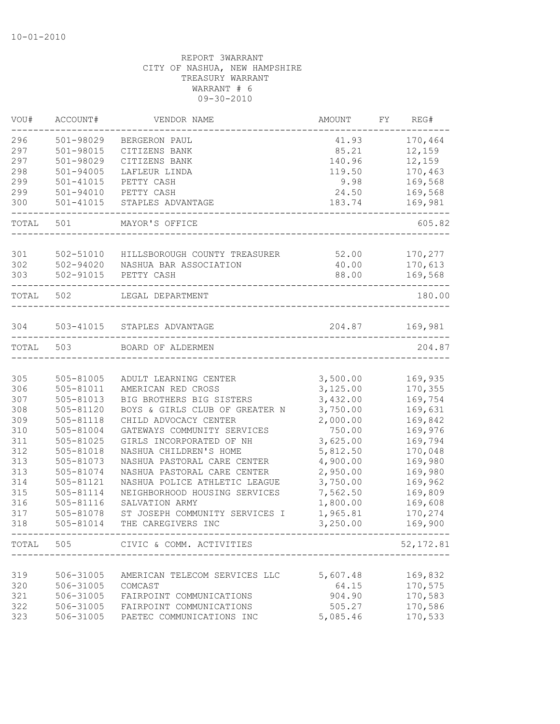| VOU#      | ACCOUNT#      | VENDOR NAME                        | AMOUNT   | FY | REG#       |
|-----------|---------------|------------------------------------|----------|----|------------|
| 296       | 501-98029     | BERGERON PAUL                      | 41.93    |    | 170,464    |
| 297       | 501-98015     | CITIZENS BANK                      | 85.21    |    | 12,159     |
| 297       | 501-98029     | CITIZENS BANK                      | 140.96   |    | 12,159     |
| 298       | 501-94005     | LAFLEUR LINDA                      | 119.50   |    | 170,463    |
| 299       | $501 - 41015$ | PETTY CASH                         | 9.98     |    | 169,568    |
| 299       | 501-94010     | PETTY CASH                         | 24.50    |    | 169,568    |
| 300       | 501-41015     | STAPLES ADVANTAGE                  | 183.74   |    | 169,981    |
| TOTAL     | 501           | MAYOR'S OFFICE                     |          |    | 605.82     |
| 301       | 502-51010     | HILLSBOROUGH COUNTY TREASURER      | 52.00    |    | 170,277    |
| 302       | 502-94020     | NASHUA BAR ASSOCIATION             | 40.00    |    | 170,613    |
| 303       |               | 502-91015 PETTY CASH               | 88.00    |    | 169,568    |
|           |               |                                    |          |    | -------    |
| TOTAL 502 |               | LEGAL DEPARTMENT                   |          |    | 180.00     |
|           |               |                                    |          |    |            |
| 304       |               | 503-41015 STAPLES ADVANTAGE        | 204.87   |    | 169,981    |
| TOTAL     | 503           | BOARD OF ALDERMEN                  |          |    | 204.87     |
|           |               |                                    |          |    |            |
| 305       | 505-81005     | ADULT LEARNING CENTER              | 3,500.00 |    | 169,935    |
| 306       | 505-81011     | AMERICAN RED CROSS                 | 3,125.00 |    | 170,355    |
| 307       | 505-81013     | BIG BROTHERS BIG SISTERS           | 3,432.00 |    | 169,754    |
| 308       | 505-81120     | BOYS & GIRLS CLUB OF GREATER N     | 3,750.00 |    | 169,631    |
| 309       | 505-81118     | CHILD ADVOCACY CENTER              | 2,000.00 |    | 169,842    |
| 310       | 505-81004     | GATEWAYS COMMUNITY SERVICES        | 750.00   |    | 169,976    |
| 311       | 505-81025     | GIRLS INCORPORATED OF NH           | 3,625.00 |    | 169,794    |
| 312       | 505-81018     | NASHUA CHILDREN'S HOME             | 5,812.50 |    | 170,048    |
| 313       | 505-81073     | NASHUA PASTORAL CARE CENTER        | 4,900.00 |    | 169,980    |
| 313       | 505-81074     | NASHUA PASTORAL CARE CENTER        | 2,950.00 |    | 169,980    |
| 314       | 505-81121     | NASHUA POLICE ATHLETIC LEAGUE      | 3,750.00 |    | 169,962    |
| 315       | 505-81114     | NEIGHBORHOOD HOUSING SERVICES      | 7,562.50 |    | 169,809    |
| 316       | 505-81116     | SALVATION ARMY                     | 1,800.00 |    | 169,608    |
| 317       | 505-81078     | ST JOSEPH COMMUNITY SERVICES I     | 1,965.81 |    | 170,274    |
| 318       | $505 - 81014$ | THE CAREGIVERS INC                 | 3,250.00 |    | 169,900    |
|           |               | TOTAL 505 CIVIC & COMM. ACTIVITIES |          |    | 52, 172.81 |
|           |               |                                    |          |    |            |
| 319       | 506-31005     | AMERICAN TELECOM SERVICES LLC      | 5,607.48 |    | 169,832    |
| 320       | 506-31005     | COMCAST                            | 64.15    |    | 170,575    |
| 321       | 506-31005     | FAIRPOINT COMMUNICATIONS           | 904.90   |    | 170,583    |
| 322       | 506-31005     | FAIRPOINT COMMUNICATIONS           | 505.27   |    | 170,586    |
| 323       | 506-31005     | PAETEC COMMUNICATIONS INC          | 5,085.46 |    | 170,533    |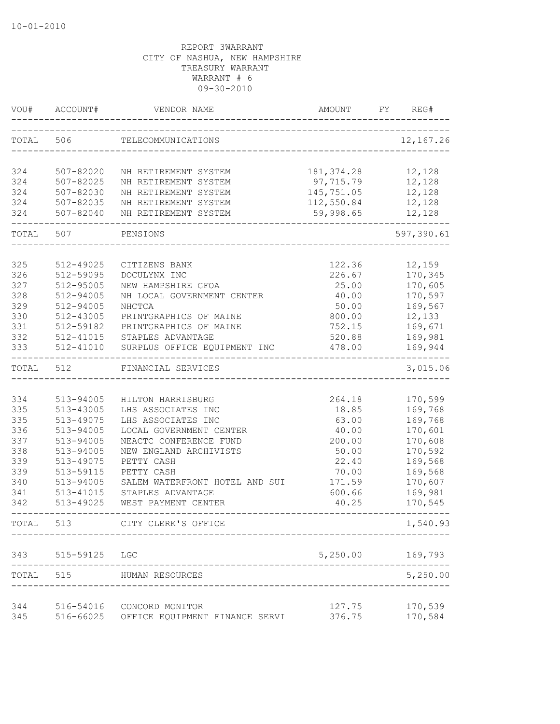| VOU#       | ACCOUNT#               | VENDOR NAME                                   | AMOUNT         | FY. | REG#               |
|------------|------------------------|-----------------------------------------------|----------------|-----|--------------------|
| TOTAL      | 506                    | TELECOMMUNICATIONS                            |                |     | 12, 167.26         |
| 324        | 507-82020              | NH RETIREMENT SYSTEM                          | 181, 374.28    |     | 12,128             |
| 324        | 507-82025              | NH RETIREMENT SYSTEM                          | 97,715.79      |     | 12,128             |
| 324        | 507-82030              | NH RETIREMENT SYSTEM                          | 145,751.05     |     | 12,128             |
| 324        | $507 - 82035$          | NH RETIREMENT SYSTEM                          | 112,550.84     |     | 12,128             |
| 324        | 507-82040              | NH RETIREMENT SYSTEM                          | 59,998.65      |     | 12,128             |
| TOTAL      | 507                    | PENSIONS                                      |                |     | 597,390.61         |
|            |                        |                                               |                |     |                    |
| 325        | 512-49025              | CITIZENS BANK                                 | 122.36         |     | 12,159             |
| 326        | 512-59095              | DOCULYNX INC                                  | 226.67         |     | 170,345            |
| 327        | 512-95005              | NEW HAMPSHIRE GFOA                            | 25.00          |     | 170,605            |
| 328        | 512-94005              | NH LOCAL GOVERNMENT CENTER                    | 40.00          |     | 170,597            |
| 329        | 512-94005              | NHCTCA                                        | 50.00          |     | 169,567            |
| 330        | 512-43005              | PRINTGRAPHICS OF MAINE                        | 800.00         |     | 12,133             |
| 331        | 512-59182              | PRINTGRAPHICS OF MAINE                        | 752.15         |     | 169,671            |
| 332        | 512-41015              | STAPLES ADVANTAGE                             | 520.88         |     | 169,981            |
| 333        | 512-41010              | SURPLUS OFFICE EQUIPMENT INC                  | 478.00         |     | 169,944            |
| TOTAL      | 512                    | FINANCIAL SERVICES                            |                |     | 3,015.06           |
|            |                        |                                               |                |     |                    |
| 334<br>335 | 513-94005              | HILTON HARRISBURG                             | 264.18         |     | 170,599            |
|            | 513-43005              | LHS ASSOCIATES INC                            | 18.85<br>63.00 |     | 169,768            |
| 335<br>336 | 513-49075<br>513-94005 | LHS ASSOCIATES INC<br>LOCAL GOVERNMENT CENTER | 40.00          |     | 169,768<br>170,601 |
| 337        | 513-94005              | NEACTC CONFERENCE FUND                        | 200.00         |     | 170,608            |
| 338        | 513-94005              | NEW ENGLAND ARCHIVISTS                        | 50.00          |     | 170,592            |
| 339        | 513-49075              | PETTY CASH                                    | 22.40          |     | 169,568            |
| 339        | 513-59115              | PETTY CASH                                    | 70.00          |     | 169,568            |
| 340        | 513-94005              | SALEM WATERFRONT HOTEL AND SUI                | 171.59         |     | 170,607            |
| 341        | 513-41015              | STAPLES ADVANTAGE                             | 600.66         |     | 169,981            |
| 342        | 513-49025              | WEST PAYMENT CENTER                           | 40.25          |     | 170,545            |
| TOTAL      | 513                    | CITY CLERK'S OFFICE                           |                |     | 1,540.93           |
| 343        | 515-59125              | LGC                                           | 5,250.00       |     | 169,793            |
| TOTAL      | 515                    | HUMAN RESOURCES                               |                |     | 5,250.00           |
| 344        | 516-54016              | CONCORD MONITOR                               | 127.75         |     | 170,539            |
| 345        |                        | 516-66025 OFFICE EQUIPMENT FINANCE SERVI      | 376.75         |     | 170,584            |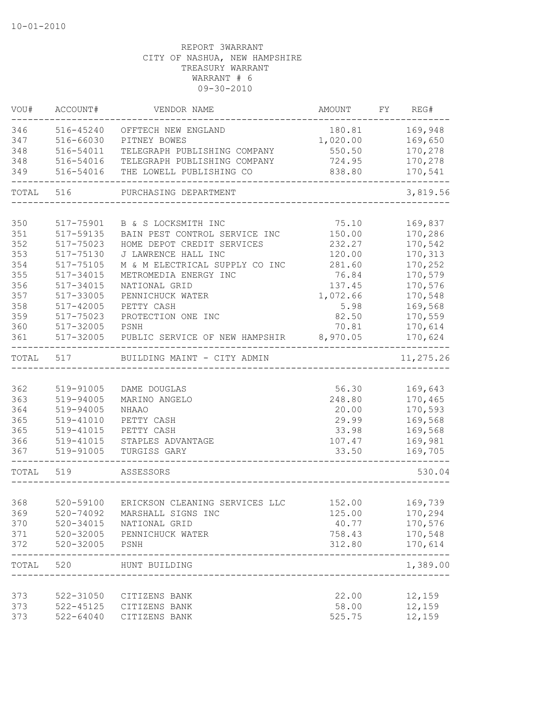| VOU#       | ACCOUNT#       | VENDOR NAME                                   | AMOUNT           | FY REG#                  |
|------------|----------------|-----------------------------------------------|------------------|--------------------------|
| 346        | 516-45240      | OFFTECH NEW ENGLAND                           | 180.81           | 169,948                  |
| 347        | 516-66030      | PITNEY BOWES                                  | 1,020.00         | 169,650                  |
| 348        | 516-54011      | TELEGRAPH PUBLISHING COMPANY                  | 550.50           | 170,278                  |
| 348        | 516-54016      | TELEGRAPH PUBLISHING COMPANY                  | 724.95           | 170,278                  |
| 349        | 516-54016      | THE LOWELL PUBLISHING CO                      | 838.80           | 170,541                  |
| TOTAL      | 516            | PURCHASING DEPARTMENT                         |                  | 3,819.56                 |
| 350        | 517-75901      | B & S LOCKSMITH INC                           | 75.10            | 169,837                  |
| 351        | 517-59135      | BAIN PEST CONTROL SERVICE INC                 | 150.00           | 170,286                  |
| 352        | 517-75023      | HOME DEPOT CREDIT SERVICES                    | 232.27           | 170,542                  |
| 353        | 517-75130      | J LAWRENCE HALL INC                           | 120.00           | 170,313                  |
| 354        | 517-75105      | M & M ELECTRICAL SUPPLY CO INC                | 281.60           | 170,252                  |
| 355        | 517-34015      | METROMEDIA ENERGY INC                         | 76.84            | 170,579                  |
| 356        | $517 - 34015$  | NATIONAL GRID                                 | 137.45           | 170,576                  |
| 357        | 517-33005      | PENNICHUCK WATER                              | 1,072.66         | 170,548                  |
| 358        | 517-42005      | PETTY CASH                                    | 5.98             | 169,568                  |
| 359        | 517-75023      | PROTECTION ONE INC                            | 82.50            | 170,559                  |
| 360        | 517-32005      | PSNH                                          | 70.81            | 170,614                  |
| 361        | 517-32005      | PUBLIC SERVICE OF NEW HAMPSHIR                | 8,970.05         | 170,624                  |
| TOTAL      | 517            | BUILDING MAINT - CITY ADMIN                   |                  | $- - - - -$<br>11,275.26 |
|            |                |                                               |                  |                          |
| 362        | 519-91005      | DAME DOUGLAS                                  | 56.30            | 169,643                  |
| 363        | 519-94005      | MARINO ANGELO                                 | 248.80           | 170,465                  |
| 364        | 519-94005      | NHAAO                                         | 20.00            | 170,593                  |
| 365        | 519-41010      | PETTY CASH                                    | 29.99            | 169,568                  |
| 365        | 519-41015      | PETTY CASH                                    | 33.98            | 169,568                  |
| 366        | 519-41015      | STAPLES ADVANTAGE                             | 107.47           | 169,981                  |
| 367        | 519-91005      | TURGISS GARY                                  | 33.50            | 169,705                  |
| TOTAL 519  |                | ASSESSORS                                     |                  | 530.04                   |
|            |                |                                               |                  |                          |
| 368<br>369 | 520-59100      | ERICKSON CLEANING SERVICES LLC                | 152.00<br>125.00 | 169,739                  |
|            |                | 520-74092 MARSHALL SIGNS INC                  |                  | 170,294                  |
| 370<br>371 | 520-34015      | NATIONAL GRID<br>520-32005 PENNICHUCK WATER   | 40.77<br>758.43  | 170,576<br>170,548       |
| 372        | 520-32005 PSNH |                                               | 312.80           | 170,614                  |
|            |                |                                               |                  | $- - - - -$              |
| TOTAL 520  |                | HUNT BUILDING<br>---------------------------- |                  | 1,389.00                 |
| 373        |                | 522-31050 CITIZENS BANK                       | 22.00            | 12,159                   |
| 373        |                | 522-45125 CITIZENS BANK                       | 58.00            | 12,159                   |
| 373        | 522-64040      | CITIZENS BANK                                 | 525.75           | 12,159                   |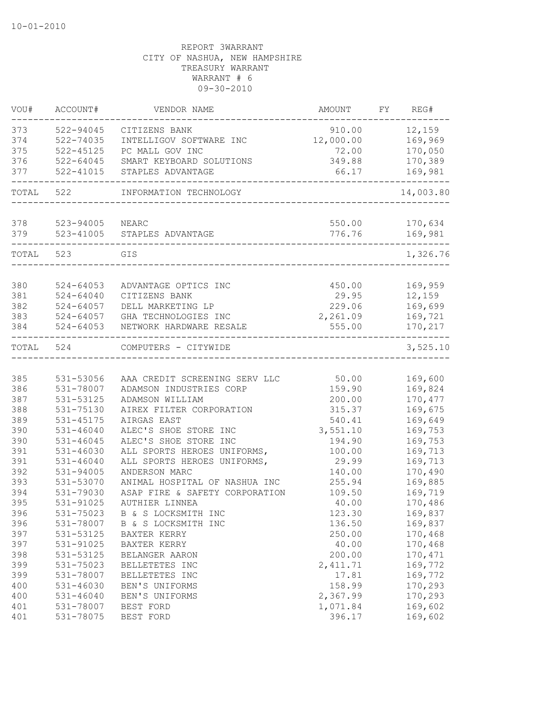| VOU#  | ACCOUNT#      | VENDOR NAME                    | AMOUNT    | FY | REG#      |
|-------|---------------|--------------------------------|-----------|----|-----------|
| 373   | 522-94045     | CITIZENS BANK                  | 910.00    |    | 12,159    |
| 374   | 522-74035     | INTELLIGOV SOFTWARE INC        | 12,000.00 |    | 169,969   |
| 375   | $522 - 45125$ | PC MALL GOV INC                | 72.00     |    | 170,050   |
| 376   | 522-64045     | SMART KEYBOARD SOLUTIONS       | 349.88    |    | 170,389   |
| 377   | $522 - 41015$ | STAPLES ADVANTAGE              | 66.17     |    | 169,981   |
| TOTAL | 522           | INFORMATION TECHNOLOGY         |           |    | 14,003.80 |
| 378   | 523-94005     | NEARC                          | 550.00    |    | 170,634   |
| 379   | 523-41005     | STAPLES ADVANTAGE              | 776.76    |    | 169,981   |
| TOTAL | 523           | GIS                            |           |    | 1,326.76  |
|       |               |                                |           |    |           |
| 380   | $524 - 64053$ | ADVANTAGE OPTICS INC           | 450.00    |    | 169,959   |
| 381   | $524 - 64040$ | CITIZENS BANK                  | 29.95     |    | 12,159    |
| 382   | $524 - 64057$ | DELL MARKETING LP              | 229.06    |    | 169,699   |
| 383   | $524 - 64057$ | GHA TECHNOLOGIES INC           | 2,261.09  |    | 169,721   |
| 384   | $524 - 64053$ | NETWORK HARDWARE RESALE        | 555.00    |    | 170,217   |
| TOTAL | 524           | COMPUTERS - CITYWIDE           |           |    | 3,525.10  |
|       |               |                                |           |    |           |
| 385   | 531-53056     | AAA CREDIT SCREENING SERV LLC  | 50.00     |    | 169,600   |
| 386   | 531-78007     | ADAMSON INDUSTRIES CORP        | 159.90    |    | 169,824   |
| 387   | 531-53125     | ADAMSON WILLIAM                | 200.00    |    | 170, 477  |
| 388   | 531-75130     | AIREX FILTER CORPORATION       | 315.37    |    | 169,675   |
| 389   | 531-45175     | AIRGAS EAST                    | 540.41    |    | 169,649   |
| 390   | $531 - 46040$ | ALEC'S SHOE STORE INC          | 3,551.10  |    | 169,753   |
| 390   | $531 - 46045$ | ALEC'S SHOE STORE INC          | 194.90    |    | 169,753   |
| 391   | 531-46030     | ALL SPORTS HEROES UNIFORMS,    | 100.00    |    | 169,713   |
| 391   | $531 - 46040$ | ALL SPORTS HEROES UNIFORMS,    | 29.99     |    | 169,713   |
| 392   | 531-94005     | ANDERSON MARC                  | 140.00    |    | 170,490   |
| 393   | 531-53070     | ANIMAL HOSPITAL OF NASHUA INC  | 255.94    |    | 169,885   |
| 394   | 531-79030     | ASAP FIRE & SAFETY CORPORATION | 109.50    |    | 169,719   |
| 395   | 531-91025     | AUTHIER LINNEA                 | 40.00     |    | 170,486   |
| 396   | 531-75023     | B & S LOCKSMITH INC            | 123.30    |    | 169,837   |
| 396   | 531-78007     | B & S LOCKSMITH INC            | 136.50    |    | 169,837   |
| 397   | 531-53125     | BAXTER KERRY                   | 250.00    |    | 170,468   |
| 397   | 531-91025     | BAXTER KERRY                   | 40.00     |    | 170,468   |
| 398   | 531-53125     | BELANGER AARON                 | 200.00    |    | 170, 471  |
| 399   | 531-75023     | BELLETETES INC                 | 2, 411.71 |    | 169,772   |
| 399   | 531-78007     | BELLETETES INC                 | 17.81     |    | 169,772   |
| 400   | 531-46030     | BEN'S UNIFORMS                 | 158.99    |    | 170,293   |
| 400   | $531 - 46040$ | BEN'S UNIFORMS                 | 2,367.99  |    | 170,293   |
| 401   | 531-78007     | BEST FORD                      | 1,071.84  |    | 169,602   |
| 401   | 531-78075     | BEST FORD                      | 396.17    |    | 169,602   |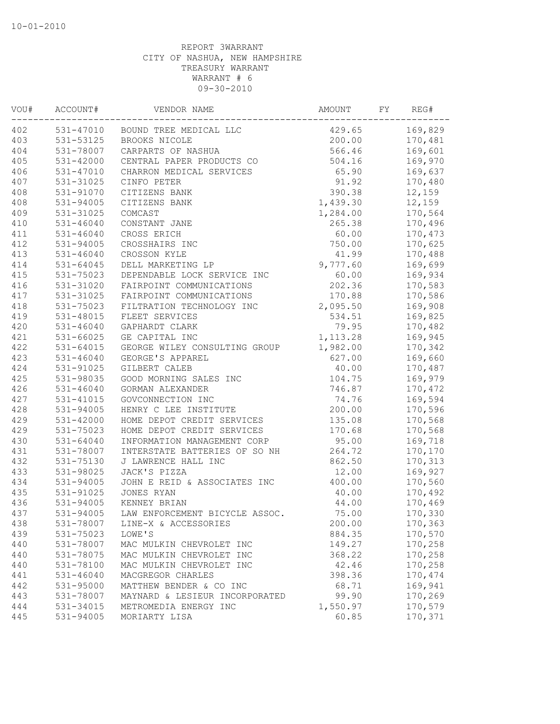| VOU# | ACCOUNT#      | VENDOR NAME                    | AMOUNT   | FY | REG#     |
|------|---------------|--------------------------------|----------|----|----------|
| 402  | 531-47010     | BOUND TREE MEDICAL LLC         | 429.65   |    | 169,829  |
| 403  | 531-53125     | BROOKS NICOLE                  | 200.00   |    | 170,481  |
| 404  | 531-78007     | CARPARTS OF NASHUA             | 566.46   |    | 169,601  |
| 405  | $531 - 42000$ | CENTRAL PAPER PRODUCTS CO      | 504.16   |    | 169,970  |
| 406  | 531-47010     | CHARRON MEDICAL SERVICES       | 65.90    |    | 169,637  |
| 407  | 531-31025     | CINFO PETER                    | 91.92    |    | 170,480  |
| 408  | 531-91070     | CITIZENS BANK                  | 390.38   |    | 12,159   |
| 408  | 531-94005     | CITIZENS BANK                  | 1,439.30 |    | 12,159   |
| 409  | 531-31025     | COMCAST                        | 1,284.00 |    | 170,564  |
| 410  | 531-46040     | CONSTANT JANE                  | 265.38   |    | 170,496  |
| 411  | 531-46040     | CROSS ERICH                    | 60.00    |    | 170,473  |
| 412  | $531 - 94005$ | CROSSHAIRS INC                 | 750.00   |    | 170,625  |
| 413  | $531 - 46040$ | CROSSON KYLE                   | 41.99    |    | 170,488  |
| 414  | 531-64045     | DELL MARKETING LP              | 9,777.60 |    | 169,699  |
| 415  | 531-75023     | DEPENDABLE LOCK SERVICE INC    | 60.00    |    | 169,934  |
| 416  | 531-31020     | FAIRPOINT COMMUNICATIONS       | 202.36   |    | 170,583  |
| 417  | 531-31025     | FAIRPOINT COMMUNICATIONS       | 170.88   |    | 170,586  |
| 418  | 531-75023     | FILTRATION TECHNOLOGY INC      | 2,095.50 |    | 169,908  |
| 419  | 531-48015     | FLEET SERVICES                 | 534.51   |    | 169,825  |
| 420  | 531-46040     | GAPHARDT CLARK                 | 79.95    |    | 170,482  |
| 421  | 531-66025     | GE CAPITAL INC                 | 1,113.28 |    | 169,945  |
| 422  | $531 - 64015$ | GEORGE WILEY CONSULTING GROUP  | 1,982.00 |    | 170,342  |
| 423  | $531 - 46040$ | GEORGE'S APPAREL               | 627.00   |    | 169,660  |
| 424  | 531-91025     | GILBERT CALEB                  | 40.00    |    | 170,487  |
| 425  | 531-98035     | GOOD MORNING SALES INC         | 104.75   |    | 169,979  |
| 426  | $531 - 46040$ | GORMAN ALEXANDER               | 746.87   |    | 170,472  |
| 427  | 531-41015     | GOVCONNECTION INC              | 74.76    |    | 169,594  |
| 428  | 531-94005     | HENRY C LEE INSTITUTE          | 200.00   |    | 170,596  |
| 429  | 531-42000     | HOME DEPOT CREDIT SERVICES     | 135.08   |    | 170,568  |
| 429  | 531-75023     | HOME DEPOT CREDIT SERVICES     | 170.68   |    | 170,568  |
| 430  | $531 - 64040$ | INFORMATION MANAGEMENT CORP    | 95.00    |    | 169,718  |
| 431  | 531-78007     | INTERSTATE BATTERIES OF SO NH  | 264.72   |    | 170,170  |
| 432  | 531-75130     | J LAWRENCE HALL INC            | 862.50   |    | 170,313  |
| 433  | 531-98025     | JACK'S PIZZA                   | 12.00    |    | 169,927  |
| 434  | 531-94005     | JOHN E REID & ASSOCIATES INC   | 400.00   |    | 170,560  |
| 435  | 531-91025     | JONES RYAN                     | 40.00    |    | 170,492  |
| 436  | 531-94005     | KENNEY BRIAN                   | 44.00    |    | 170,469  |
| 437  | 531-94005     | LAW ENFORCEMENT BICYCLE ASSOC. | 75.00    |    | 170,330  |
| 438  | 531-78007     | LINE-X & ACCESSORIES           | 200.00   |    | 170,363  |
| 439  | 531-75023     | LOWE'S                         | 884.35   |    | 170,570  |
| 440  | 531-78007     | MAC MULKIN CHEVROLET INC       | 149.27   |    | 170,258  |
| 440  | 531-78075     | MAC MULKIN CHEVROLET INC       | 368.22   |    | 170,258  |
| 440  | 531-78100     | MAC MULKIN CHEVROLET INC       | 42.46    |    | 170,258  |
| 441  | $531 - 46040$ | MACGREGOR CHARLES              | 398.36   |    | 170, 474 |
| 442  | 531-95000     | MATTHEW BENDER & CO INC        | 68.71    |    | 169,941  |
| 443  | 531-78007     | MAYNARD & LESIEUR INCORPORATED | 99.90    |    | 170,269  |
| 444  | 531-34015     | METROMEDIA ENERGY INC          | 1,550.97 |    | 170,579  |
|      |               | MORIARTY LISA                  |          |    |          |
| 445  | 531-94005     |                                | 60.85    |    | 170,371  |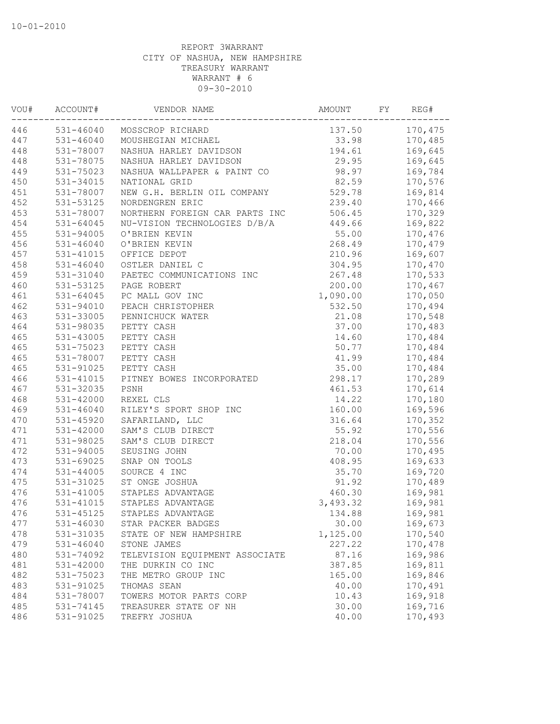| VOU# | ACCOUNT#      | VENDOR NAME                    | AMOUNT   | FY | REG#    |
|------|---------------|--------------------------------|----------|----|---------|
| 446  |               | 531-46040 MOSSCROP RICHARD     | 137.50   |    | 170,475 |
| 447  | 531-46040     | MOUSHEGIAN MICHAEL             | 33.98    |    | 170,485 |
| 448  | 531-78007     | NASHUA HARLEY DAVIDSON         | 194.61   |    | 169,645 |
| 448  | 531-78075     | NASHUA HARLEY DAVIDSON         | 29.95    |    | 169,645 |
| 449  | 531-75023     | NASHUA WALLPAPER & PAINT CO    | 98.97    |    | 169,784 |
| 450  | 531-34015     | NATIONAL GRID                  | 82.59    |    | 170,576 |
| 451  | 531-78007     | NEW G.H. BERLIN OIL COMPANY    | 529.78   |    | 169,814 |
| 452  | 531-53125     | NORDENGREN ERIC                | 239.40   |    | 170,466 |
| 453  | 531-78007     | NORTHERN FOREIGN CAR PARTS INC | 506.45   |    | 170,329 |
| 454  | $531 - 64045$ | NU-VISION TECHNOLOGIES D/B/A   | 449.66   |    | 169,822 |
| 455  | 531-94005     | O'BRIEN KEVIN                  | 55.00    |    | 170,476 |
| 456  | 531-46040     | O'BRIEN KEVIN                  | 268.49   |    | 170,479 |
| 457  | 531-41015     | OFFICE DEPOT                   | 210.96   |    | 169,607 |
| 458  | $531 - 46040$ | OSTLER DANIEL C                | 304.95   |    | 170,470 |
| 459  | 531-31040     | PAETEC COMMUNICATIONS INC      | 267.48   |    | 170,533 |
| 460  | 531-53125     | PAGE ROBERT                    | 200.00   |    | 170,467 |
| 461  | 531-64045     | PC MALL GOV INC                | 1,090.00 |    | 170,050 |
| 462  | 531-94010     | PEACH CHRISTOPHER              | 532.50   |    | 170,494 |
| 463  | 531-33005     | PENNICHUCK WATER               | 21.08    |    | 170,548 |
| 464  | 531-98035     | PETTY CASH                     | 37.00    |    | 170,483 |
| 465  | $531 - 43005$ | PETTY CASH                     | 14.60    |    | 170,484 |
| 465  | 531-75023     | PETTY CASH                     | 50.77    |    | 170,484 |
| 465  | 531-78007     | PETTY CASH                     | 41.99    |    | 170,484 |
| 465  | 531-91025     | PETTY CASH                     | 35.00    |    | 170,484 |
| 466  | 531-41015     | PITNEY BOWES INCORPORATED      | 298.17   |    | 170,289 |
| 467  | 531-32035     | PSNH                           | 461.53   |    | 170,614 |
| 468  | $531 - 42000$ | REXEL CLS                      | 14.22    |    | 170,180 |
| 469  | $531 - 46040$ | RILEY'S SPORT SHOP INC         | 160.00   |    | 169,596 |
| 470  | 531-45920     | SAFARILAND, LLC                | 316.64   |    | 170,352 |
| 471  | $531 - 42000$ | SAM'S CLUB DIRECT              | 55.92    |    | 170,556 |
| 471  | 531-98025     | SAM'S CLUB DIRECT              | 218.04   |    | 170,556 |
| 472  | 531-94005     | SEUSING JOHN                   | 70.00    |    | 170,495 |
| 473  | 531-69025     | SNAP ON TOOLS                  | 408.95   |    | 169,633 |
| 474  | $531 - 44005$ | SOURCE 4 INC                   | 35.70    |    | 169,720 |
| 475  | 531-31025     | ST ONGE JOSHUA                 | 91.92    |    | 170,489 |
| 476  | 531-41005     | STAPLES ADVANTAGE              | 460.30   |    | 169,981 |
| 476  | 531-41015     | STAPLES ADVANTAGE              | 3,493.32 |    | 169,981 |
| 476  | 531-45125     | STAPLES ADVANTAGE              | 134.88   |    | 169,981 |
| 477  | 531-46030     | STAR PACKER BADGES             | 30.00    |    | 169,673 |
| 478  | 531-31035     | STATE OF NEW HAMPSHIRE         | 1,125.00 |    | 170,540 |
| 479  | $531 - 46040$ | STONE JAMES                    | 227.22   |    | 170,478 |
| 480  | 531-74092     | TELEVISION EQUIPMENT ASSOCIATE | 87.16    |    | 169,986 |
| 481  | 531-42000     | THE DURKIN CO INC              | 387.85   |    | 169,811 |
| 482  | 531-75023     | THE METRO GROUP INC            | 165.00   |    | 169,846 |
| 483  | 531-91025     | THOMAS SEAN                    | 40.00    |    | 170,491 |
| 484  | 531-78007     | TOWERS MOTOR PARTS CORP        | 10.43    |    | 169,918 |
| 485  | 531-74145     | TREASURER STATE OF NH          | 30.00    |    | 169,716 |
| 486  | 531-91025     | TREFRY JOSHUA                  | 40.00    |    | 170,493 |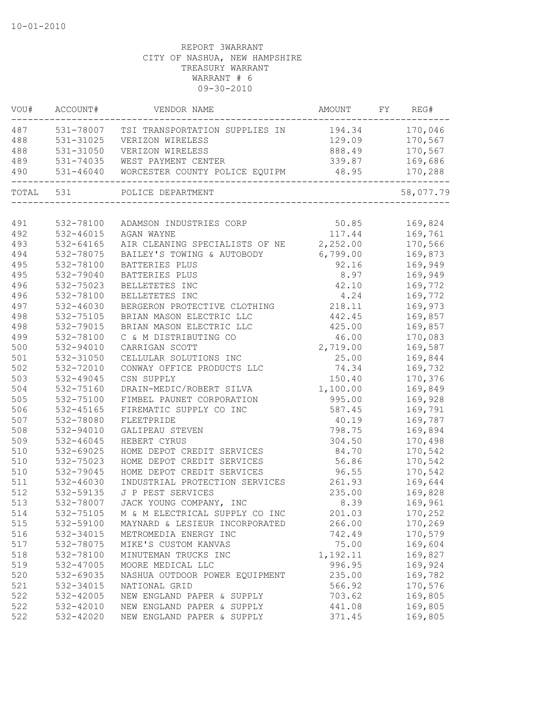| VOU#      | ACCOUNT#      | VENDOR NAME                                     | AMOUNT   | FY | REG#      |
|-----------|---------------|-------------------------------------------------|----------|----|-----------|
| 487       |               | 531-78007 TSI TRANSPORTATION SUPPLIES IN 194.34 |          |    | 170,046   |
| 488       | 531-31025     | VERIZON WIRELESS                                | 129.09   |    | 170,567   |
| 488       | $531 - 31050$ | VERIZON WIRELESS                                | 888.49   |    | 170,567   |
| 489       | 531-74035     | WEST PAYMENT CENTER                             | 339.87   |    | 169,686   |
| 490       | 531-46040     | WORCESTER COUNTY POLICE EQUIPM                  | 48.95    |    | 170,288   |
| TOTAL 531 |               | POLICE DEPARTMENT                               |          |    | 58,077.79 |
|           |               |                                                 |          |    |           |
| 491       | 532-78100     | ADAMSON INDUSTRIES CORP                         | 50.85    |    | 169,824   |
| 492       | $532 - 46015$ | AGAN WAYNE                                      | 117.44   |    | 169,761   |
| 493       | $532 - 64165$ | AIR CLEANING SPECIALISTS OF NE                  | 2,252.00 |    | 170,566   |
| 494       | 532-78075     | BAILEY'S TOWING & AUTOBODY                      | 6,799.00 |    | 169,873   |
| 495       | 532-78100     | BATTERIES PLUS                                  | 92.16    |    | 169,949   |
| 495       | 532-79040     | BATTERIES PLUS                                  | 8.97     |    | 169,949   |
| 496       | 532-75023     | BELLETETES INC                                  | 42.10    |    | 169,772   |
| 496       | 532-78100     | BELLETETES INC                                  | 4.24     |    | 169,772   |
| 497       | 532-46030     | BERGERON PROTECTIVE CLOTHING                    | 218.11   |    | 169,973   |
| 498       | 532-75105     | BRIAN MASON ELECTRIC LLC                        | 442.45   |    | 169,857   |
| 498       | 532-79015     | BRIAN MASON ELECTRIC LLC                        | 425.00   |    | 169,857   |
| 499       | 532-78100     | C & M DISTRIBUTING CO                           | 46.00    |    | 170,083   |
| 500       | 532-94010     | CARRIGAN SCOTT                                  | 2,719.00 |    | 169,587   |
| 501       | 532-31050     | CELLULAR SOLUTIONS INC                          | 25.00    |    | 169,844   |
| 502       | 532-72010     | CONWAY OFFICE PRODUCTS LLC                      | 74.34    |    | 169,732   |
| 503       | 532-49045     | CSN SUPPLY                                      | 150.40   |    | 170,376   |
| 504       | 532-75160     | DRAIN-MEDIC/ROBERT SILVA                        | 1,100.00 |    | 169,849   |
| 505       | 532-75100     | FIMBEL PAUNET CORPORATION                       | 995.00   |    | 169,928   |
| 506       | 532-45165     | FIREMATIC SUPPLY CO INC                         | 587.45   |    | 169,791   |
| 507       | 532-78080     | FLEETPRIDE                                      | 40.19    |    | 169,787   |
| 508       | 532-94010     | GALIPEAU STEVEN                                 | 798.75   |    | 169,894   |
| 509       | 532-46045     | HEBERT CYRUS                                    | 304.50   |    | 170,498   |
| 510       | 532-69025     | HOME DEPOT CREDIT SERVICES                      | 84.70    |    | 170,542   |
| 510       | 532-75023     | HOME DEPOT CREDIT SERVICES                      | 56.86    |    | 170,542   |
| 510       | 532-79045     | HOME DEPOT CREDIT SERVICES                      | 96.55    |    | 170,542   |
| 511       | 532-46030     | INDUSTRIAL PROTECTION SERVICES                  | 261.93   |    | 169,644   |
| 512       | 532-59135     | J P PEST SERVICES                               | 235.00   |    | 169,828   |
| 513       | 532-78007     | JACK YOUNG COMPANY, INC                         | 8.39     |    | 169,961   |
| 514       | 532-75105     | M & M ELECTRICAL SUPPLY CO INC                  | 201.03   |    | 170,252   |
| 515       | 532-59100     | MAYNARD & LESIEUR INCORPORATED                  | 266.00   |    | 170,269   |
| 516       | 532-34015     | METROMEDIA ENERGY INC                           | 742.49   |    | 170,579   |
| 517       | 532-78075     | MIKE'S CUSTOM KANVAS                            | 75.00    |    | 169,604   |
| 518       | 532-78100     | MINUTEMAN TRUCKS INC                            | 1,192.11 |    | 169,827   |
| 519       | 532-47005     | MOORE MEDICAL LLC                               | 996.95   |    | 169,924   |
| 520       | 532-69035     | NASHUA OUTDOOR POWER EQUIPMENT                  | 235.00   |    | 169,782   |
| 521       | 532-34015     | NATIONAL GRID                                   | 566.92   |    | 170,576   |
| 522       | 532-42005     | NEW ENGLAND PAPER & SUPPLY                      | 703.62   |    | 169,805   |
| 522       | 532-42010     | NEW ENGLAND PAPER & SUPPLY                      | 441.08   |    | 169,805   |
| 522       | 532-42020     | NEW ENGLAND PAPER & SUPPLY                      | 371.45   |    | 169,805   |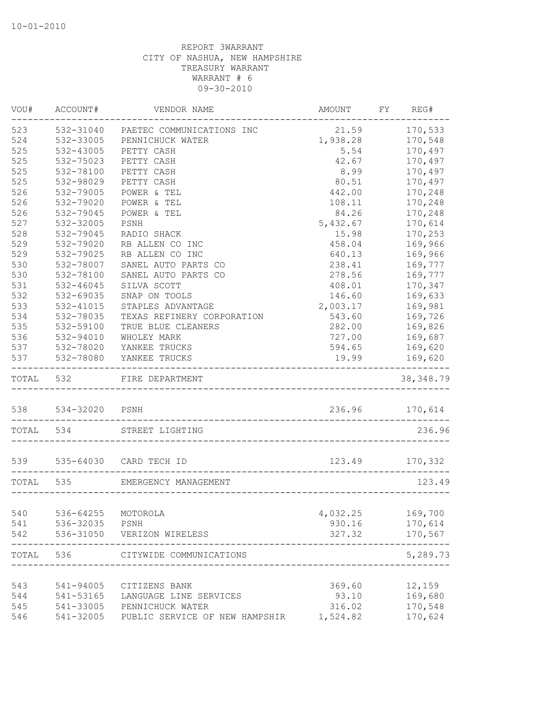| VOU#      | ACCOUNT#           | VENDOR NAME                           | AMOUNT   | FY | REG#           |
|-----------|--------------------|---------------------------------------|----------|----|----------------|
| 523       | 532-31040          | PAETEC COMMUNICATIONS INC             | 21.59    |    | 170,533        |
| 524       | 532-33005          | PENNICHUCK WATER                      | 1,938.28 |    | 170,548        |
| 525       | 532-43005          | PETTY CASH                            | 5.54     |    | 170,497        |
| 525       | 532-75023          | PETTY CASH                            | 42.67    |    | 170,497        |
| 525       | 532-78100          | PETTY CASH                            | 8.99     |    | 170,497        |
| 525       | 532-98029          | PETTY CASH                            | 80.51    |    | 170,497        |
| 526       | 532-79005          | POWER & TEL                           | 442.00   |    | 170,248        |
| 526       | 532-79020          | POWER & TEL                           | 108.11   |    | 170,248        |
| 526       | 532-79045          | POWER & TEL                           | 84.26    |    | 170,248        |
| 527       | 532-32005          | PSNH                                  | 5,432.67 |    | 170,614        |
| 528       | 532-79045          | RADIO SHACK                           | 15.98    |    | 170,253        |
| 529       | 532-79020          | RB ALLEN CO INC                       | 458.04   |    | 169,966        |
| 529       | 532-79025          | RB ALLEN CO INC                       | 640.13   |    | 169,966        |
| 530       | 532-78007          | SANEL AUTO PARTS CO                   | 238.41   |    | 169,777        |
| 530       | 532-78100          | SANEL AUTO PARTS CO                   | 278.56   |    | 169,777        |
| 531       | $532 - 46045$      | SILVA SCOTT                           | 408.01   |    | 170,347        |
| 532       | 532-69035          | SNAP ON TOOLS                         | 146.60   |    | 169,633        |
| 533       | 532-41015          | STAPLES ADVANTAGE                     | 2,003.17 |    | 169,981        |
| 534       | 532-78035          | TEXAS REFINERY CORPORATION            | 543.60   |    | 169,726        |
| 535       | 532-59100          | TRUE BLUE CLEANERS                    | 282.00   |    | 169,826        |
| 536       | 532-94010          | WHOLEY MARK                           | 727.00   |    | 169,687        |
| 537       | 532-78020          | YANKEE TRUCKS                         | 594.65   |    | 169,620        |
| 537       | 532-78080          | YANKEE TRUCKS<br>____________________ | 19.99    |    | 169,620        |
| TOTAL 532 |                    | FIRE DEPARTMENT<br>__________________ |          |    | 38, 348.79     |
|           | 538 534-32020 PSNH |                                       |          |    | 236.96 170,614 |
| TOTAL 534 |                    | STREET LIGHTING                       |          |    | 236.96         |
| 539       | 535-64030          | CARD TECH ID                          | 123.49   |    | 170,332        |
| TOTAL 535 |                    | EMERGENCY MANAGEMENT                  |          |    | 123.49         |
|           |                    |                                       |          |    |                |
| 540       | 536-64255          | MOTOROLA                              | 4,032.25 |    | 169,700        |
| 541       | 536-32035          | PSNH                                  | 930.16   |    | 170,614        |
| 542       | 536-31050          | VERIZON WIRELESS                      | 327.32   |    | 170,567        |
| TOTAL     | 536                | CITYWIDE COMMUNICATIONS               |          |    | 5,289.73       |
|           |                    |                                       |          |    |                |
| 543       | 541-94005          | CITIZENS BANK                         | 369.60   |    | 12,159         |
| 544       | 541-53165          | LANGUAGE LINE SERVICES                | 93.10    |    | 169,680        |
| 545       | 541-33005          | PENNICHUCK WATER                      | 316.02   |    | 170,548        |
| 546       | 541-32005          | PUBLIC SERVICE OF NEW HAMPSHIR        | 1,524.82 |    | 170,624        |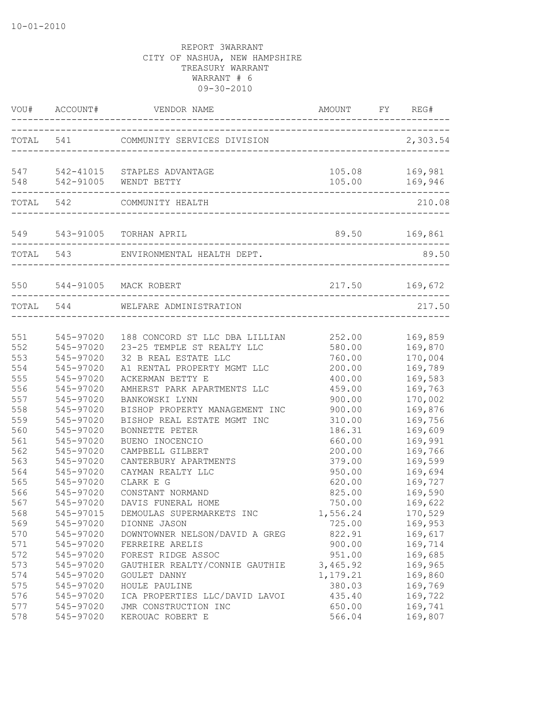|                                                                                  | VOU# ACCOUNT#                                                                                                                                            |                                                                                                                                                                                                                                                                                                                         |                                                                                                                          | FY REG#                                                                                                                          |
|----------------------------------------------------------------------------------|----------------------------------------------------------------------------------------------------------------------------------------------------------|-------------------------------------------------------------------------------------------------------------------------------------------------------------------------------------------------------------------------------------------------------------------------------------------------------------------------|--------------------------------------------------------------------------------------------------------------------------|----------------------------------------------------------------------------------------------------------------------------------|
|                                                                                  |                                                                                                                                                          |                                                                                                                                                                                                                                                                                                                         |                                                                                                                          | 2,303.54                                                                                                                         |
|                                                                                  |                                                                                                                                                          | 547 542-41015 STAPLES ADVANTAGE<br>548 542-91005 WENDT BETTY                                                                                                                                                                                                                                                            |                                                                                                                          | 105.08 169,981<br>105.00 169,946                                                                                                 |
|                                                                                  |                                                                                                                                                          | TOTAL 542 COMMUNITY HEALTH                                                                                                                                                                                                                                                                                              |                                                                                                                          | 210.08                                                                                                                           |
|                                                                                  |                                                                                                                                                          | 549 543-91005 TORHAN APRIL<br>-----------------------------------                                                                                                                                                                                                                                                       | 89.50 169,861                                                                                                            |                                                                                                                                  |
|                                                                                  |                                                                                                                                                          | TOTAL 543 ENVIRONMENTAL HEALTH DEPT.                                                                                                                                                                                                                                                                                    |                                                                                                                          | 89.50                                                                                                                            |
|                                                                                  |                                                                                                                                                          |                                                                                                                                                                                                                                                                                                                         |                                                                                                                          |                                                                                                                                  |
|                                                                                  | TOTAL 544                                                                                                                                                | WELFARE ADMINISTRATION                                                                                                                                                                                                                                                                                                  |                                                                                                                          | 217.50                                                                                                                           |
| 551<br>552<br>553<br>554<br>555<br>556<br>557<br>558<br>559<br>560<br>561        | 545-97020<br>545-97020<br>545-97020<br>545-97020<br>545-97020<br>545-97020<br>545-97020<br>545-97020<br>545-97020<br>545-97020                           | 545-97020 188 CONCORD ST LLC DBA LILLIAN 252.00 169,859<br>23-25 TEMPLE ST REALTY LLC<br>32 B REAL ESTATE LLC<br>A1 RENTAL PROPERTY MGMT LLC<br>ACKERMAN BETTY E<br>AMHERST PARK APARTMENTS LLC<br>BANKOWSKI LYNN<br>BISHOP PROPERTY MANAGEMENT INC<br>BISHOP REAL ESTATE MGMT INC<br>BONNETTE PETER<br>BUENO INOCENCIO | 580.00<br>760.00<br>200.00<br>400.00<br>459.00<br>900.00<br>900.00<br>310.00<br>186.31<br>660.00                         | 169,870<br>170,004<br>169,789<br>169,583<br>169,763<br>170,002<br>169,876<br>169,756<br>169,609<br>169,991                       |
| 562<br>563<br>564<br>565<br>566<br>567<br>568<br>569<br>570<br>571<br>572<br>573 | 545-97020<br>545-97020<br>545-97020<br>545-97020<br>545-97020<br>545-97020<br>545-97015<br>545-97020<br>545-97020<br>545-97020<br>545-97020<br>545-97020 | CAMPBELL GILBERT<br>CANTERBURY APARTMENTS<br>CAYMAN REALTY LLC<br>CLARK E G<br>CONSTANT NORMAND<br>DAVIS FUNERAL HOME<br>DEMOULAS SUPERMARKETS INC<br>DIONNE JASON<br>DOWNTOWNER NELSON/DAVID A GREG<br>FERREIRE ARELIS<br>FOREST RIDGE ASSOC<br>GAUTHIER REALTY/CONNIE GAUTHIE                                         | 200.00<br>379.00<br>950.00<br>620.00<br>825.00<br>750.00<br>1,556.24<br>725.00<br>822.91<br>900.00<br>951.00<br>3,465.92 | 169,766<br>169,599<br>169,694<br>169,727<br>169,590<br>169,622<br>170,529<br>169,953<br>169,617<br>169,714<br>169,685<br>169,965 |
| 574<br>575<br>576<br>577<br>578                                                  | 545-97020<br>545-97020<br>545-97020<br>545-97020<br>545-97020                                                                                            | GOULET DANNY<br>HOULE PAULINE<br>ICA PROPERTIES LLC/DAVID LAVOI<br>JMR CONSTRUCTION INC<br>KEROUAC ROBERT E                                                                                                                                                                                                             | 1,179.21<br>380.03<br>435.40<br>650.00<br>566.04                                                                         | 169,860<br>169,769<br>169,722<br>169,741<br>169,807                                                                              |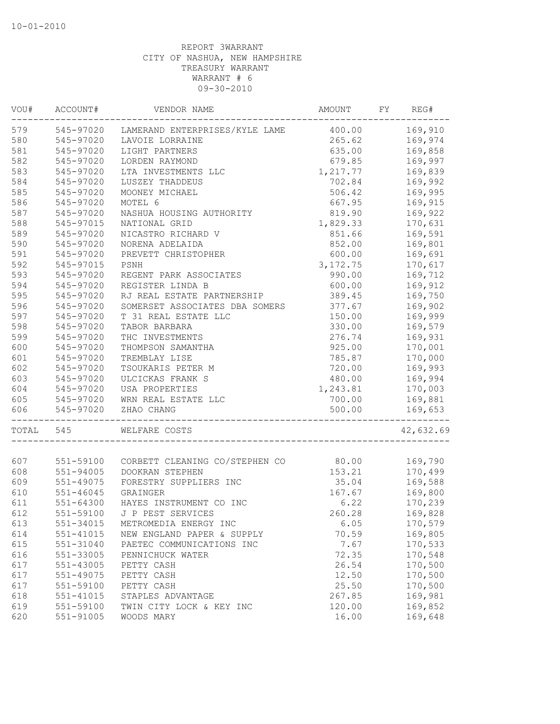| VOU#  | ACCOUNT#      | VENDOR NAME                              | AMOUNT    | FY | REG#      |
|-------|---------------|------------------------------------------|-----------|----|-----------|
| 579   | 545-97020     | LAMERAND ENTERPRISES/KYLE LAME 400.00    |           |    | 169,910   |
| 580   | 545-97020     | LAVOIE LORRAINE                          | 265.62    |    | 169,974   |
| 581   | 545-97020     | LIGHT PARTNERS                           | 635.00    |    | 169,858   |
| 582   | 545-97020     | LORDEN RAYMOND                           | 679.85    |    | 169,997   |
| 583   | 545-97020     | LTA INVESTMENTS LLC                      | 1,217.77  |    | 169,839   |
| 584   | 545-97020     | LUSZEY THADDEUS                          | 702.84    |    | 169,992   |
| 585   | 545-97020     | MOONEY MICHAEL                           | 506.42    |    | 169,995   |
| 586   | 545-97020     | MOTEL 6                                  | 667.95    |    | 169,915   |
| 587   | 545-97020     | NASHUA HOUSING AUTHORITY                 | 819.90    |    | 169,922   |
| 588   | 545-97015     | NATIONAL GRID                            | 1,829.33  |    | 170,631   |
| 589   | 545-97020     | NICASTRO RICHARD V                       | 851.66    |    | 169,591   |
| 590   | 545-97020     | NORENA ADELAIDA                          | 852.00    |    | 169,801   |
| 591   | 545-97020     | PREVETT CHRISTOPHER                      | 600.00    |    | 169,691   |
| 592   | 545-97015     | PSNH                                     | 3, 172.75 |    | 170,617   |
| 593   | 545-97020     | REGENT PARK ASSOCIATES                   | 990.00    |    | 169,712   |
| 594   | 545-97020     | REGISTER LINDA B                         | 600.00    |    | 169,912   |
| 595   | 545-97020     | RJ REAL ESTATE PARTNERSHIP               | 389.45    |    | 169,750   |
| 596   | 545-97020     | SOMERSET ASSOCIATES DBA SOMERS           | 377.67    |    | 169,902   |
| 597   | 545-97020     | T 31 REAL ESTATE LLC                     | 150.00    |    | 169,999   |
| 598   | 545-97020     | TABOR BARBARA                            | 330.00    |    | 169,579   |
| 599   | 545-97020     | THC INVESTMENTS                          | 276.74    |    | 169,931   |
| 600   | 545-97020     | THOMPSON SAMANTHA                        | 925.00    |    | 170,001   |
| 601   | 545-97020     | TREMBLAY LISE                            | 785.87    |    | 170,000   |
| 602   | 545-97020     | TSOUKARIS PETER M                        | 720.00    |    | 169,993   |
| 603   | 545-97020     | ULCICKAS FRANK S                         | 480.00    |    | 169,994   |
| 604   | 545-97020     |                                          | 1,243.81  |    |           |
|       |               | USA PROPERTIES                           |           |    | 170,003   |
| 605   | 545-97020     | WRN REAL ESTATE LLC                      | 700.00    |    | 169,881   |
| 606   | 545-97020     | ZHAO CHANG                               | 500.00    |    | 169,653   |
| TOTAL | 545           | WELFARE COSTS                            |           |    | 42,632.69 |
|       |               |                                          |           |    |           |
| 607   |               | 551-59100 CORBETT CLEANING CO/STEPHEN CO | 80.00     |    | 169,790   |
| 608   | 551-94005     | DOOKRAN STEPHEN                          | 153.21    |    | 170,499   |
| 609   | 551-49075     | FORESTRY SUPPLIERS INC                   | 35.04     |    | 169,588   |
| 610   | $551 - 46045$ | GRAINGER                                 | 167.67    |    | 169,800   |
| 611   | $551 - 64300$ | HAYES INSTRUMENT CO INC                  | 6.22      |    | 170,239   |
| 612   |               | 551-59100 J P PEST SERVICES              | 260.28    |    | 169,828   |
| 613   | 551-34015     | METROMEDIA ENERGY INC                    | 6.05      |    | 170,579   |
| 614   | 551-41015     | NEW ENGLAND PAPER & SUPPLY               | 70.59     |    | 169,805   |
| 615   | 551-31040     | PAETEC COMMUNICATIONS INC                | 7.67      |    | 170,533   |
| 616   | 551-33005     | PENNICHUCK WATER                         | 72.35     |    | 170,548   |
| 617   | $551 - 43005$ | PETTY CASH                               | 26.54     |    | 170,500   |
| 617   | 551-49075     | PETTY CASH                               | 12.50     |    | 170,500   |
| 617   | 551-59100     | PETTY CASH                               | 25.50     |    | 170,500   |
| 618   | 551-41015     | STAPLES ADVANTAGE                        | 267.85    |    | 169,981   |
| 619   | 551-59100     | TWIN CITY LOCK & KEY INC                 | 120.00    |    | 169,852   |
| 620   | 551-91005     | WOODS MARY                               | 16.00     |    | 169,648   |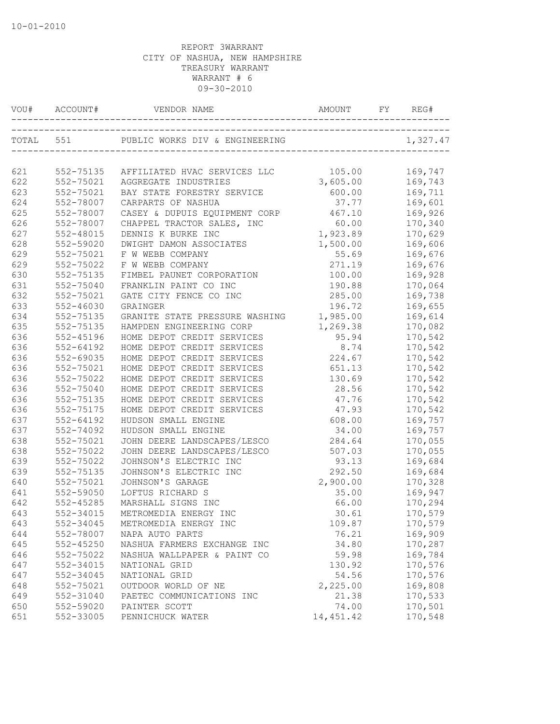| VOU#      | ACCOUNT#               | VENDOR NAME                                        | AMOUNT     | FY | REG#               |
|-----------|------------------------|----------------------------------------------------|------------|----|--------------------|
| TOTAL 551 |                        | PUBLIC WORKS DIV & ENGINEERING                     |            |    | 1,327.47           |
| 621       |                        |                                                    | 105.00     |    | 169,747            |
| 622       | 552-75135              | AFFILIATED HVAC SERVICES LLC                       | 3,605.00   |    |                    |
| 623       | 552-75021<br>552-75021 | AGGREGATE INDUSTRIES<br>BAY STATE FORESTRY SERVICE | 600.00     |    | 169,743<br>169,711 |
| 624       | 552-78007              | CARPARTS OF NASHUA                                 | 37.77      |    | 169,601            |
| 625       | 552-78007              | CASEY & DUPUIS EQUIPMENT CORP                      | 467.10     |    | 169,926            |
| 626       | 552-78007              | CHAPPEL TRACTOR SALES, INC                         | 60.00      |    | 170,340            |
| 627       | 552-48015              | DENNIS K BURKE INC                                 | 1,923.89   |    | 170,629            |
| 628       | 552-59020              | DWIGHT DAMON ASSOCIATES                            | 1,500.00   |    | 169,606            |
| 629       | 552-75021              | F W WEBB COMPANY                                   | 55.69      |    | 169,676            |
| 629       | 552-75022              | F W WEBB COMPANY                                   | 271.19     |    | 169,676            |
| 630       | 552-75135              | FIMBEL PAUNET CORPORATION                          | 100.00     |    | 169,928            |
| 631       | 552-75040              | FRANKLIN PAINT CO INC                              | 190.88     |    | 170,064            |
| 632       | 552-75021              | GATE CITY FENCE CO INC                             | 285.00     |    | 169,738            |
| 633       | 552-46030              | GRAINGER                                           | 196.72     |    | 169,655            |
| 634       | 552-75135              | GRANITE STATE PRESSURE WASHING                     | 1,985.00   |    | 169,614            |
| 635       | 552-75135              | HAMPDEN ENGINEERING CORP                           | 1,269.38   |    | 170,082            |
| 636       | 552-45196              | HOME DEPOT CREDIT SERVICES                         | 95.94      |    | 170,542            |
| 636       | 552-64192              | HOME DEPOT CREDIT SERVICES                         | 8.74       |    | 170,542            |
| 636       | 552-69035              | HOME DEPOT CREDIT SERVICES                         | 224.67     |    | 170,542            |
| 636       | 552-75021              | HOME DEPOT CREDIT SERVICES                         | 651.13     |    | 170,542            |
| 636       | 552-75022              | HOME DEPOT CREDIT SERVICES                         | 130.69     |    | 170,542            |
| 636       | 552-75040              | HOME DEPOT CREDIT SERVICES                         | 28.56      |    | 170,542            |
| 636       | 552-75135              | HOME DEPOT CREDIT SERVICES                         | 47.76      |    | 170,542            |
| 636       | 552-75175              | HOME DEPOT CREDIT SERVICES                         | 47.93      |    | 170,542            |
| 637       | $552 - 64192$          | HUDSON SMALL ENGINE                                | 608.00     |    | 169,757            |
| 637       | 552-74092              | HUDSON SMALL ENGINE                                | 34.00      |    | 169,757            |
| 638       | 552-75021              | JOHN DEERE LANDSCAPES/LESCO                        | 284.64     |    | 170,055            |
| 638       | 552-75022              | JOHN DEERE LANDSCAPES/LESCO                        | 507.03     |    | 170,055            |
| 639       | 552-75022              | JOHNSON'S ELECTRIC INC                             | 93.13      |    | 169,684            |
| 639       | 552-75135              | JOHNSON'S ELECTRIC INC                             | 292.50     |    | 169,684            |
| 640       | 552-75021              | JOHNSON'S GARAGE                                   | 2,900.00   |    | 170,328            |
| 641       | 552-59050              | LOFTUS RICHARD S                                   | 35.00      |    | 169,947            |
| 642       | 552-45285              | MARSHALL SIGNS INC                                 | 66.00      |    | 170,294            |
| 643       | 552-34015              | METROMEDIA ENERGY INC                              | 30.61      |    | 170,579            |
| 643       | 552-34045              | METROMEDIA ENERGY INC                              | 109.87     |    | 170,579            |
| 644       | 552-78007              | NAPA AUTO PARTS                                    | 76.21      |    | 169,909            |
| 645       | 552-45250              | NASHUA FARMERS EXCHANGE INC                        | 34.80      |    | 170,287            |
| 646       | 552-75022              | NASHUA WALLPAPER & PAINT CO                        | 59.98      |    | 169,784            |
| 647       | 552-34015              | NATIONAL GRID                                      | 130.92     |    | 170,576            |
| 647       | 552-34045              | NATIONAL GRID                                      | 54.56      |    | 170,576            |
| 648       | 552-75021              | OUTDOOR WORLD OF NE                                | 2,225.00   |    | 169,808            |
| 649       | 552-31040              | PAETEC COMMUNICATIONS INC                          | 21.38      |    | 170,533            |
| 650       | 552-59020              | PAINTER SCOTT                                      | 74.00      |    | 170,501            |
| 651       | 552-33005              | PENNICHUCK WATER                                   | 14, 451.42 |    | 170,548            |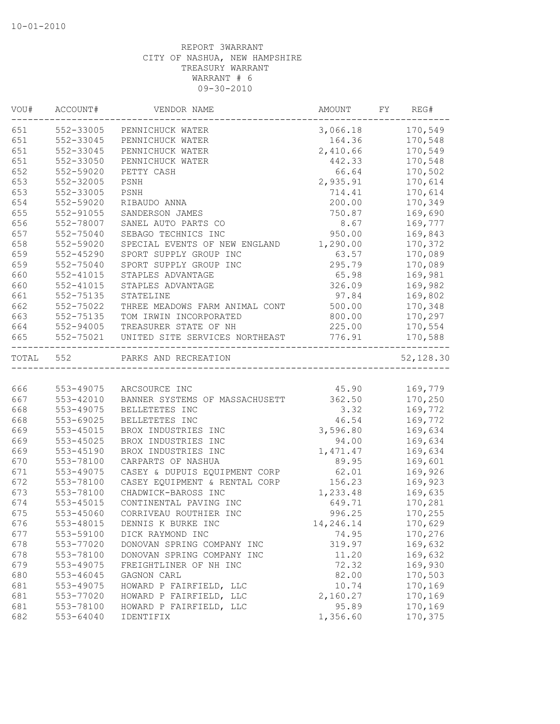| VOU#      | ACCOUNT#      | VENDOR NAME                    | AMOUNT    | FY. | REG#      |
|-----------|---------------|--------------------------------|-----------|-----|-----------|
| 651       | 552-33005     | PENNICHUCK WATER               | 3,066.18  |     | 170,549   |
| 651       | 552-33045     | PENNICHUCK WATER               | 164.36    |     | 170,548   |
| 651       | 552-33045     | PENNICHUCK WATER               | 2,410.66  |     | 170,549   |
| 651       | 552-33050     | PENNICHUCK WATER               | 442.33    |     | 170,548   |
| 652       | 552-59020     | PETTY CASH                     | 66.64     |     | 170,502   |
| 653       | 552-32005     | PSNH                           | 2,935.91  |     | 170,614   |
| 653       | 552-33005     | PSNH                           | 714.41    |     | 170,614   |
| 654       | 552-59020     | RIBAUDO ANNA                   | 200.00    |     | 170,349   |
| 655       | 552-91055     | SANDERSON JAMES                | 750.87    |     | 169,690   |
| 656       | 552-78007     | SANEL AUTO PARTS CO            | 8.67      |     | 169,777   |
| 657       | 552-75040     | SEBAGO TECHNICS INC            | 950.00    |     | 169,843   |
| 658       | 552-59020     | SPECIAL EVENTS OF NEW ENGLAND  | 1,290.00  |     | 170,372   |
| 659       | 552-45290     | SPORT SUPPLY GROUP INC         | 63.57     |     | 170,089   |
| 659       | 552-75040     | SPORT SUPPLY GROUP INC         | 295.79    |     | 170,089   |
| 660       | 552-41015     | STAPLES ADVANTAGE              | 65.98     |     | 169,981   |
| 660       | $552 - 41015$ | STAPLES ADVANTAGE              | 326.09    |     | 169,982   |
| 661       | 552-75135     | STATELINE                      | 97.84     |     | 169,802   |
| 662       | 552-75022     | THREE MEADOWS FARM ANIMAL CONT | 500.00    |     | 170,348   |
| 663       | 552-75135     | TOM IRWIN INCORPORATED         | 800.00    |     | 170,297   |
| 664       | 552-94005     | TREASURER STATE OF NH          | 225.00    |     | 170,554   |
| 665       | 552-75021     | UNITED SITE SERVICES NORTHEAST | 776.91    |     | 170,588   |
| TOTAL 552 |               | PARKS AND RECREATION           |           |     | 52,128.30 |
|           |               |                                |           |     |           |
| 666       | 553-49075     | ARCSOURCE INC                  | 45.90     |     | 169,779   |
| 667       | 553-42010     | BANNER SYSTEMS OF MASSACHUSETT | 362.50    |     | 170,250   |
| 668       | 553-49075     | BELLETETES INC                 | 3.32      |     | 169,772   |
| 668       | 553-69025     | BELLETETES INC                 | 46.54     |     | 169,772   |
| 669       | 553-45015     | BROX INDUSTRIES INC            | 3,596.80  |     | 169,634   |
| 669       | 553-45025     | BROX INDUSTRIES INC            | 94.00     |     | 169,634   |
| 669       | 553-45190     | BROX INDUSTRIES INC            | 1,471.47  |     | 169,634   |
| 670       | 553-78100     | CARPARTS OF NASHUA             | 89.95     |     | 169,601   |
| 671       | 553-49075     | CASEY & DUPUIS EQUIPMENT CORP  | 62.01     |     | 169,926   |
| 672       | 553-78100     | CASEY EQUIPMENT & RENTAL CORP  | 156.23    |     | 169,923   |
| 673       | 553-78100     | CHADWICK-BAROSS INC            | 1,233.48  |     | 169,635   |
| 674       | 553-45015     | CONTINENTAL PAVING INC         | 649.71    |     | 170,281   |
| 675       | 553-45060     | CORRIVEAU ROUTHIER INC         | 996.25    |     | 170,255   |
| 676       | 553-48015     | DENNIS K BURKE INC             | 14,246.14 |     | 170,629   |
| 677       | 553-59100     | DICK RAYMOND INC               | 74.95     |     | 170,276   |
| 678       | 553-77020     | DONOVAN SPRING COMPANY INC     | 319.97    |     | 169,632   |
| 678       | 553-78100     | DONOVAN SPRING COMPANY INC     | 11.20     |     | 169,632   |
| 679       | 553-49075     | FREIGHTLINER OF NH INC         | 72.32     |     | 169,930   |
| 680       | 553-46045     | GAGNON CARL                    | 82.00     |     | 170,503   |
| 681       | 553-49075     | HOWARD P FAIRFIELD, LLC        | 10.74     |     | 170,169   |
| 681       | 553-77020     | HOWARD P FAIRFIELD, LLC        | 2,160.27  |     | 170,169   |
| 681       | 553-78100     | HOWARD P FAIRFIELD, LLC        | 95.89     |     | 170,169   |
| 682       | 553-64040     | IDENTIFIX                      | 1,356.60  |     | 170,375   |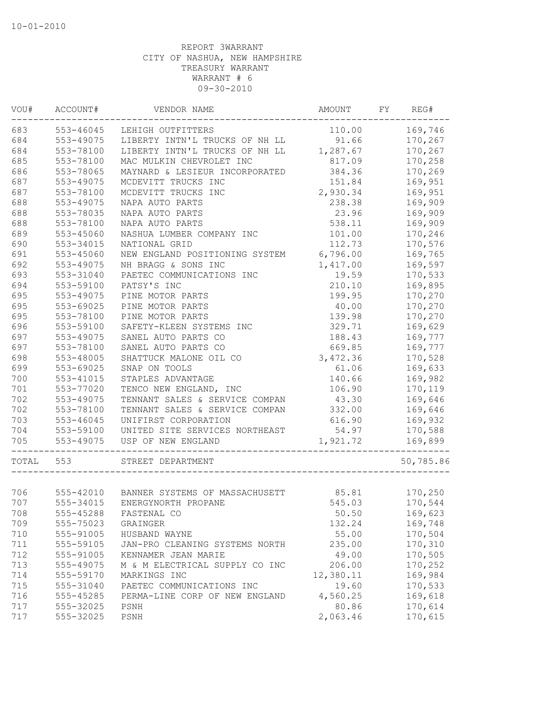| VOU#  | ACCOUNT#  | VENDOR NAME                              | <b>AMOUNT</b> | FY | REG#      |
|-------|-----------|------------------------------------------|---------------|----|-----------|
| 683   | 553-46045 | LEHIGH OUTFITTERS                        | 110.00        |    | 169,746   |
| 684   | 553-49075 | LIBERTY INTN'L TRUCKS OF NH LL           | 91.66         |    | 170,267   |
| 684   | 553-78100 | LIBERTY INTN'L TRUCKS OF NH LL           | 1,287.67      |    | 170,267   |
| 685   | 553-78100 | MAC MULKIN CHEVROLET INC                 | 817.09        |    | 170,258   |
| 686   | 553-78065 | MAYNARD & LESIEUR INCORPORATED           | 384.36        |    | 170,269   |
| 687   | 553-49075 | MCDEVITT TRUCKS INC                      | 151.84        |    | 169,951   |
| 687   | 553-78100 | MCDEVITT TRUCKS INC                      | 2,930.34      |    | 169,951   |
| 688   | 553-49075 | NAPA AUTO PARTS                          | 238.38        |    | 169,909   |
| 688   | 553-78035 | NAPA AUTO PARTS                          | 23.96         |    | 169,909   |
| 688   | 553-78100 | NAPA AUTO PARTS                          | 538.11        |    | 169,909   |
| 689   | 553-45060 | NASHUA LUMBER COMPANY INC                | 101.00        |    | 170,246   |
| 690   | 553-34015 | NATIONAL GRID                            | 112.73        |    | 170,576   |
| 691   | 553-45060 | NEW ENGLAND POSITIONING SYSTEM           | 6,796.00      |    | 169,765   |
| 692   | 553-49075 | NH BRAGG & SONS INC                      | 1,417.00      |    | 169,597   |
| 693   | 553-31040 | PAETEC COMMUNICATIONS INC                | 19.59         |    | 170,533   |
| 694   | 553-59100 | PATSY'S INC                              | 210.10        |    | 169,895   |
| 695   | 553-49075 | PINE MOTOR PARTS                         | 199.95        |    | 170,270   |
| 695   | 553-69025 | PINE MOTOR PARTS                         | 40.00         |    | 170,270   |
| 695   | 553-78100 | PINE MOTOR PARTS                         | 139.98        |    | 170,270   |
| 696   | 553-59100 | SAFETY-KLEEN SYSTEMS INC                 | 329.71        |    | 169,629   |
| 697   | 553-49075 | SANEL AUTO PARTS CO                      | 188.43        |    | 169,777   |
| 697   | 553-78100 | SANEL AUTO PARTS CO                      | 669.85        |    | 169,777   |
| 698   | 553-48005 | SHATTUCK MALONE OIL CO                   | 3,472.36      |    | 170,528   |
| 699   | 553-69025 | SNAP ON TOOLS                            | 61.06         |    | 169,633   |
| 700   | 553-41015 | STAPLES ADVANTAGE                        | 140.66        |    | 169,982   |
| 701   | 553-77020 | TENCO NEW ENGLAND, INC                   | 106.90        |    | 170,119   |
| 702   | 553-49075 | TENNANT SALES & SERVICE COMPAN           | 43.30         |    | 169,646   |
| 702   | 553-78100 | TENNANT SALES & SERVICE COMPAN           | 332.00        |    | 169,646   |
| 703   |           | UNIFIRST CORPORATION                     |               |    |           |
|       | 553-46045 |                                          | 616.90        |    | 169,932   |
| 704   | 553-59100 | UNITED SITE SERVICES NORTHEAST           | 54.97         |    | 170,588   |
| 705   | 553-49075 | USP OF NEW ENGLAND                       | 1,921.72      |    | 169,899   |
| TOTAL | 553       | STREET DEPARTMENT                        |               |    | 50,785.86 |
|       |           |                                          |               |    |           |
| 706   |           | 555-42010 BANNER SYSTEMS OF MASSACHUSETT | 85.81         |    | 170,250   |
| 707   | 555-34015 | ENERGYNORTH PROPANE                      | 545.03        |    | 170,544   |
| 708   | 555-45288 | FASTENAL CO                              | 50.50         |    | 169,623   |
| 709   | 555-75023 | GRAINGER                                 | 132.24        |    | 169,748   |
| 710   | 555-91005 | HUSBAND WAYNE                            | 55.00         |    | 170,504   |
| 711   | 555-59105 | JAN-PRO CLEANING SYSTEMS NORTH           | 235.00        |    | 170,310   |
| 712   | 555-91005 | KENNAMER JEAN MARIE                      | 49.00         |    | 170,505   |
| 713   | 555-49075 | M & M ELECTRICAL SUPPLY CO INC           | 206.00        |    | 170,252   |
| 714   | 555-59170 | MARKINGS INC                             | 12,380.11     |    | 169,984   |
| 715   | 555-31040 | PAETEC COMMUNICATIONS INC                | 19.60         |    | 170,533   |
| 716   | 555-45285 | PERMA-LINE CORP OF NEW ENGLAND           | 4,560.25      |    | 169,618   |
| 717   | 555-32025 | PSNH                                     | 80.86         |    | 170,614   |
| 717   | 555-32025 | PSNH                                     | 2,063.46      |    | 170,615   |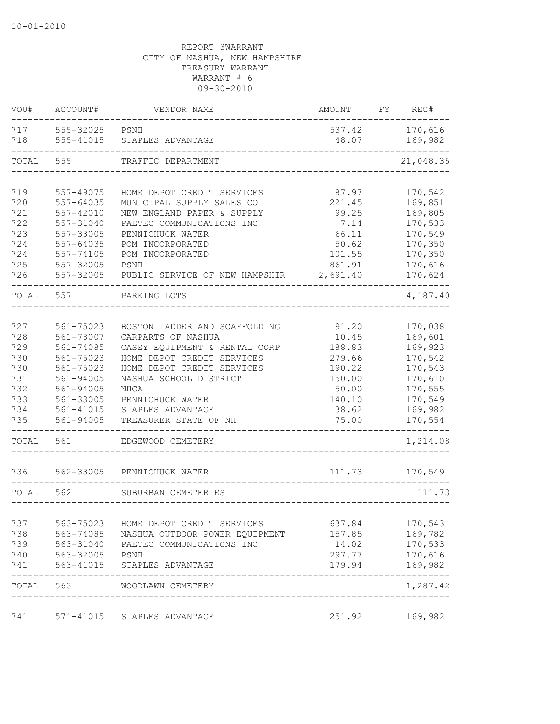| VOU#       | ACCOUNT#               | VENDOR NAME                                | AMOUNT          | FY | REG#               |
|------------|------------------------|--------------------------------------------|-----------------|----|--------------------|
| 717<br>718 | 555-32025<br>555-41015 | PSNH<br>STAPLES ADVANTAGE                  | 537.42<br>48.07 |    | 170,616<br>169,982 |
| TOTAL      | 555                    | TRAFFIC DEPARTMENT                         |                 |    | 21,048.35          |
|            |                        |                                            |                 |    |                    |
| 719        | 557-49075              | HOME DEPOT CREDIT SERVICES                 | 87.97           |    | 170,542            |
| 720        | 557-64035              | MUNICIPAL SUPPLY SALES CO                  | 221.45          |    | 169,851            |
| 721        | 557-42010              | NEW ENGLAND PAPER & SUPPLY                 | 99.25           |    | 169,805            |
| 722        | 557-31040              | PAETEC COMMUNICATIONS INC                  | 7.14            |    | 170,533            |
| 723        | 557-33005              | PENNICHUCK WATER                           | 66.11           |    | 170,549            |
| 724        | 557-64035              | POM INCORPORATED                           | 50.62           |    | 170,350            |
| 724        | $557 - 74105$          | POM INCORPORATED                           | 101.55          |    | 170,350            |
| 725        | 557-32005              | PSNH                                       | 861.91          |    | 170,616            |
| 726        | 557-32005              | PUBLIC SERVICE OF NEW HAMPSHIR             | 2,691.40        |    | 170,624            |
| TOTAL      | 557                    | PARKING LOTS                               |                 |    | 4,187.40           |
|            |                        |                                            |                 |    |                    |
| 727        | 561-75023              | BOSTON LADDER AND SCAFFOLDING              | 91.20           |    | 170,038            |
| 728        | 561-78007              | CARPARTS OF NASHUA                         | 10.45           |    | 169,601            |
| 729        | $561 - 74085$          | CASEY EQUIPMENT & RENTAL CORP              | 188.83          |    | 169,923            |
| 730        | 561-75023              | HOME DEPOT CREDIT SERVICES                 | 279.66          |    | 170,542            |
| 730        | 561-75023              | HOME DEPOT CREDIT SERVICES                 | 190.22          |    | 170,543            |
| 731        | 561-94005              | NASHUA SCHOOL DISTRICT                     | 150.00          |    | 170,610            |
| 732        | 561-94005              | NHCA                                       | 50.00           |    | 170,555            |
| 733        | 561-33005              | PENNICHUCK WATER                           | 140.10          |    | 170,549            |
| 734        | 561-41015              | STAPLES ADVANTAGE                          | 38.62           |    | 169,982            |
| 735        | 561-94005              | TREASURER STATE OF NH                      | 75.00           |    | 170,554            |
| TOTAL      | 561                    | EDGEWOOD CEMETERY                          |                 |    | 1,214.08           |
| 736        | 562-33005              | PENNICHUCK WATER                           | 111.73          |    | 170,549            |
| TOTAL      | 562                    | SUBURBAN CEMETERIES                        |                 |    | 111.73             |
|            |                        |                                            |                 |    |                    |
| 737        | 563-75023              | HOME DEPOT CREDIT SERVICES                 | 637.84          |    | 170,543            |
| 738        | 563-74085              | NASHUA OUTDOOR POWER EQUIPMENT             | 157.85          |    | 169,782            |
| 739        | 563-31040              | PAETEC COMMUNICATIONS INC                  | 14.02           |    | 170,533            |
| 740        | 563-32005              | PSNH                                       | 297.77          |    | 170,616            |
| 741        | 563-41015              | STAPLES ADVANTAGE                          | 179.94          |    | 169,982<br>-----   |
| TOTAL      | 563                    | WOODLAWN CEMETERY<br>--------------------- |                 |    | 1,287.42           |
| 741        |                        | 571-41015 STAPLES ADVANTAGE                | 251.92          |    | 169,982            |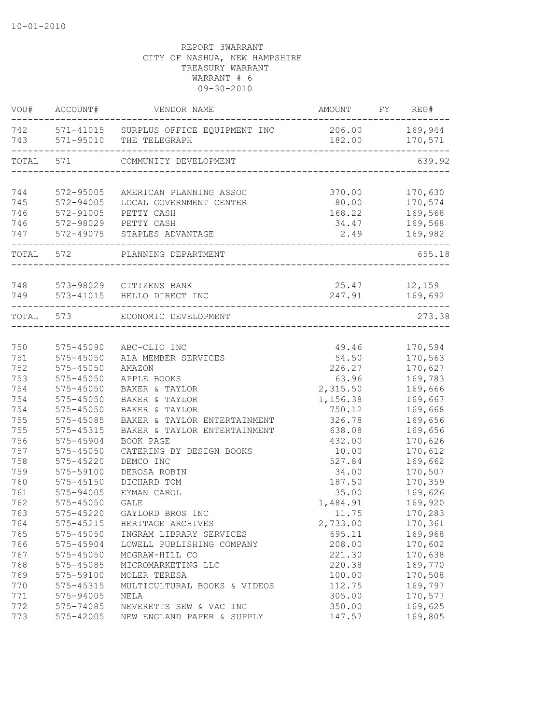| VOU#       | ACCOUNT#                   | VENDOR NAME                                                                              | AMOUNT          | FY | REG#               |
|------------|----------------------------|------------------------------------------------------------------------------------------|-----------------|----|--------------------|
|            |                            | 742 571-41015 SURPLUS OFFICE EQUIPMENT INC 206.00 169,944<br>743 571-95010 THE TELEGRAPH |                 |    | 182.00 170,571     |
| TOTAL      | 571                        | COMMUNITY DEVELOPMENT                                                                    |                 |    | 639.92             |
| 744<br>745 | 572-95005<br>572-94005     | AMERICAN PLANNING ASSOC<br>LOCAL GOVERNMENT CENTER                                       | 370.00<br>80.00 |    | 170,630<br>170,574 |
| 746        | 572-91005                  | PETTY CASH                                                                               | 168.22          |    | 169,568            |
| 746        |                            | 572-98029 PETTY CASH                                                                     | 34.47           |    | 169,568            |
| 747        |                            | 572-49075 STAPLES ADVANTAGE                                                              | 2.49            |    | 169,982            |
|            | TOTAL 572                  | PLANNING DEPARTMENT                                                                      |                 |    | 655.18             |
|            |                            | 748 573-98029 CITIZENS BANK                                                              |                 |    | 25.47 12,159       |
| 749        |                            | 573-41015 HELLO DIRECT INC                                                               | 247.91          |    | 169,692            |
|            | TOTAL 573                  | ECONOMIC DEVELOPMENT                                                                     |                 |    | 273.38             |
|            |                            |                                                                                          |                 |    |                    |
| 750<br>751 | 575-45090<br>$575 - 45050$ | ABC-CLIO INC<br>ALA MEMBER SERVICES                                                      | 49.46<br>54.50  |    | 170,594<br>170,563 |
| 752        | 575-45050                  | AMAZON                                                                                   | 226.27          |    | 170,627            |
| 753        | 575-45050                  | APPLE BOOKS                                                                              | 63.96           |    | 169,783            |
| 754        | 575-45050                  | BAKER & TAYLOR                                                                           | 2,315.50        |    | 169,666            |
| 754        | 575-45050                  | BAKER & TAYLOR                                                                           | 1,156.38        |    | 169,667            |
| 754        | $575 - 45050$              | BAKER & TAYLOR                                                                           | 750.12          |    | 169,668            |
| 755        | 575-45085                  | BAKER & TAYLOR ENTERTAINMENT                                                             | 326.78          |    | 169,656            |
| 755        | 575-45315                  | BAKER & TAYLOR ENTERTAINMENT                                                             | 638.08          |    | 169,656            |
| 756        | 575-45904                  | BOOK PAGE                                                                                | 432.00          |    | 170,626            |
| 757        | 575-45050                  | CATERING BY DESIGN BOOKS                                                                 | 10.00           |    | 170,612            |
| 758        | 575-45220                  | DEMCO INC                                                                                | 527.84          |    | 169,662            |
| 759        | 575-59100                  | DEROSA ROBIN                                                                             | 34.00           |    | 170,507            |
| 760        | 575-45150                  | DICHARD TOM                                                                              | 187.50          |    | 170,359            |
| 761        | 575-94005                  | EYMAN CAROL                                                                              | 35.00           |    | 169,626            |
| 762        | $575 - 45050$              | <b>GALE</b>                                                                              | 1,484.91        |    | 169,920            |
| 763        | 575-45220                  | GAYLORD BROS INC                                                                         | 11.75           |    | 170,283            |
| 764        | 575-45215                  | HERITAGE ARCHIVES                                                                        | 2,733.00        |    | 170,361            |
| 765        | 575-45050                  | INGRAM LIBRARY SERVICES                                                                  | 695.11          |    | 169,968            |
| 766        | 575-45904                  | LOWELL PUBLISHING COMPANY                                                                | 208.00          |    | 170,602            |
| 767        | 575-45050                  | MCGRAW-HILL CO                                                                           | 221.30          |    | 170,638            |
| 768        | 575-45085                  | MICROMARKETING LLC                                                                       | 220.38          |    | 169,770            |
| 769        | 575-59100                  | MOLER TERESA                                                                             | 100.00          |    | 170,508            |
| 770        | 575-45315                  | MULTICULTURAL BOOKS & VIDEOS                                                             | 112.75          |    | 169,797            |
| 771        | 575-94005                  | NELA                                                                                     | 305.00          |    | 170,577            |
| 772        | 575-74085                  | NEVERETTS SEW & VAC INC                                                                  | 350.00          |    | 169,625            |
| 773        | 575-42005                  | NEW ENGLAND PAPER & SUPPLY                                                               | 147.57          |    | 169,805            |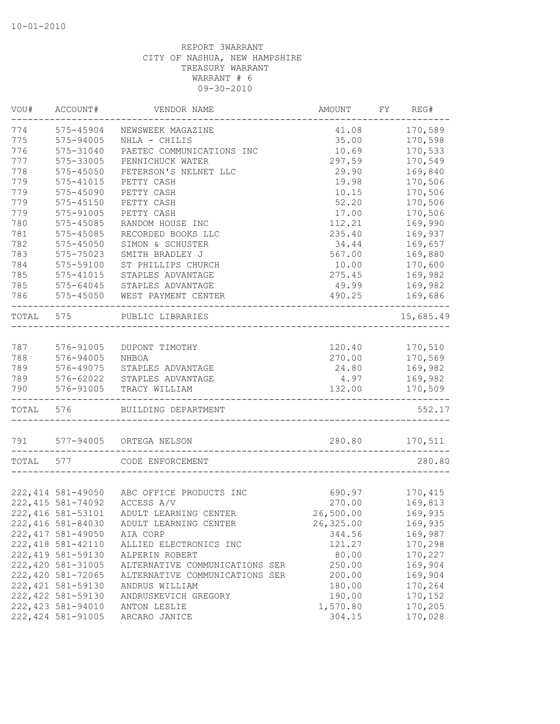| VOU#  | ACCOUNT#           | VENDOR NAME                               | AMOUNT    | FY | REG#      |
|-------|--------------------|-------------------------------------------|-----------|----|-----------|
| 774   | 575-45904          | NEWSWEEK MAGAZINE                         | 41.08     |    | 170,589   |
| 775   | 575-94005          | NHLA - CHILIS                             | 35.00     |    | 170,598   |
| 776   | 575-31040          | PAETEC COMMUNICATIONS INC                 | 10.69     |    | 170,533   |
| 777   | 575-33005          | PENNICHUCK WATER                          | 297.59    |    | 170,549   |
| 778   | 575-45050          | PETERSON'S NELNET LLC                     | 29.90     |    | 169,840   |
| 779   | 575-41015          | PETTY CASH                                | 19.98     |    | 170,506   |
| 779   | 575-45090          | PETTY CASH                                | 10.15     |    | 170,506   |
| 779   | $575 - 45150$      | PETTY CASH                                | 52.20     |    | 170,506   |
| 779   | 575-91005          | PETTY CASH                                | 17.00     |    | 170,506   |
| 780   | 575-45085          | RANDOM HOUSE INC                          | 112.21    |    | 169,990   |
| 781   | 575-45085          | RECORDED BOOKS LLC                        | 235.40    |    | 169,937   |
| 782   | $575 - 45050$      | SIMON & SCHUSTER                          | 34.44     |    | 169,657   |
| 783   | 575-75023          | SMITH BRADLEY J                           | 567.00    |    | 169,880   |
| 784   | 575-59100          | ST PHILLIPS CHURCH                        | 10.00     |    | 170,600   |
| 785   | 575-41015          | STAPLES ADVANTAGE                         | 275.45    |    | 169,982   |
| 785   | 575-64045          | STAPLES ADVANTAGE                         | 49.99     |    | 169,982   |
| 786   | 575-45050          | WEST PAYMENT CENTER                       | 490.25    |    | 169,686   |
| TOTAL | 575                | PUBLIC LIBRARIES                          |           |    | 15,685.49 |
|       |                    |                                           |           |    |           |
| 787   | 576-91005          | DUPONT TIMOTHY                            | 120.40    |    | 170,510   |
| 788   | 576-94005          | NHBOA                                     | 270.00    |    | 170,569   |
| 789   | 576-49075          | STAPLES ADVANTAGE                         | 24.80     |    | 169,982   |
| 789   | 576-62022          | STAPLES ADVANTAGE                         | 4.97      |    | 169,982   |
| 790   | 576-91005          | TRACY WILLIAM                             | 132.00    |    | 170,509   |
| TOTAL | 576                | BUILDING DEPARTMENT                       |           |    | 552.17    |
| 791   | 577-94005          | ORTEGA NELSON                             | 280.80    |    | 170,511   |
| TOTAL | 577                | CODE ENFORCEMENT                          |           |    | 280.80    |
|       |                    |                                           |           |    |           |
|       |                    | 222,414 581-49050 ABC OFFICE PRODUCTS INC | 690.97    |    | 170,415   |
|       | 222, 415 581-74092 | ACCESS A/V                                | 270.00    |    | 169,813   |
|       | 222, 416 581-53101 | ADULT LEARNING CENTER                     | 26,500.00 |    | 169,935   |
|       | 222, 416 581-84030 | ADULT LEARNING CENTER                     | 26,325.00 |    | 169,935   |
|       | 222, 417 581-49050 | AIA CORP                                  | 344.56    |    | 169,987   |
|       | 222, 418 581-42110 | ALLIED ELECTRONICS INC                    | 121.27    |    | 170,298   |
|       | 222, 419 581-59130 | ALPERIN ROBERT                            | 80.00     |    | 170,227   |
|       | 222, 420 581-31005 | ALTERNATIVE COMMUNICATIONS SER            | 250.00    |    | 169,904   |
|       | 222,420 581-72065  | ALTERNATIVE COMMUNICATIONS SER            | 200.00    |    | 169,904   |
|       | 222, 421 581-59130 | ANDRUS WILLIAM                            | 180.00    |    | 170,264   |
|       | 222, 422 581-59130 | ANDRUSKEVICH GREGORY                      | 190.00    |    | 170,152   |
|       | 222, 423 581-94010 | ANTON LESLIE                              | 1,570.80  |    | 170,205   |
|       | 222, 424 581-91005 | ARCARO JANICE                             | 304.15    |    | 170,028   |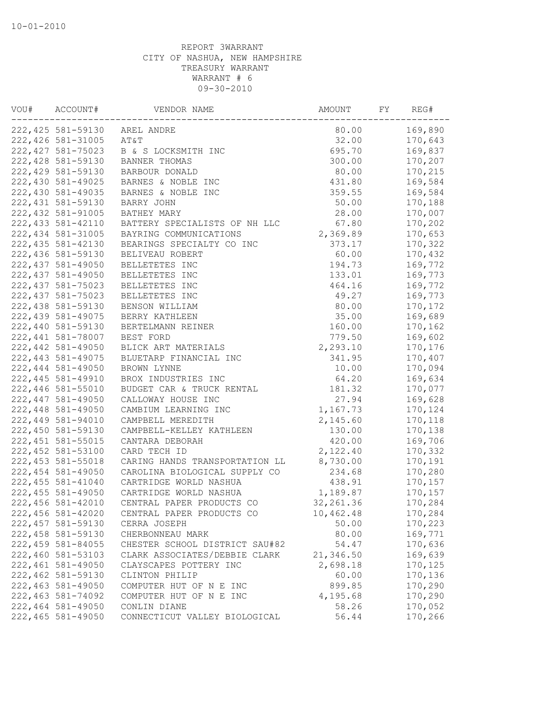| VOU# | ACCOUNT#           | VENDOR NAME                    | AMOUNT     | FY | REG#    |
|------|--------------------|--------------------------------|------------|----|---------|
|      | 222, 425 581-59130 | AREL ANDRE                     | 80.00      |    | 169,890 |
|      | 222, 426 581-31005 | AT&T                           | 32.00      |    | 170,643 |
|      | 222, 427 581-75023 | B & S LOCKSMITH INC            | 695.70     |    | 169,837 |
|      | 222, 428 581-59130 | BANNER THOMAS                  | 300.00     |    | 170,207 |
|      | 222, 429 581-59130 | BARBOUR DONALD                 | 80.00      |    | 170,215 |
|      | 222,430 581-49025  | BARNES & NOBLE INC             | 431.80     |    | 169,584 |
|      | 222,430 581-49035  | BARNES & NOBLE INC             | 359.55     |    | 169,584 |
|      | 222, 431 581-59130 | BARRY JOHN                     | 50.00      |    | 170,188 |
|      | 222, 432 581-91005 | BATHEY MARY                    | 28.00      |    | 170,007 |
|      | 222, 433 581-42110 | BATTERY SPECIALISTS OF NH LLC  | 67.80      |    | 170,202 |
|      | 222, 434 581-31005 | BAYRING COMMUNICATIONS         | 2,369.89   |    | 170,653 |
|      | 222, 435 581-42130 | BEARINGS SPECIALTY CO INC      | 373.17     |    | 170,322 |
|      | 222,436 581-59130  | BELIVEAU ROBERT                | 60.00      |    | 170,432 |
|      | 222, 437 581-49050 | BELLETETES INC                 | 194.73     |    | 169,772 |
|      | 222, 437 581-49050 | BELLETETES INC                 | 133.01     |    | 169,773 |
|      | 222, 437 581-75023 | BELLETETES INC                 | 464.16     |    | 169,772 |
|      | 222, 437 581-75023 | BELLETETES INC                 | 49.27      |    | 169,773 |
|      | 222,438 581-59130  | BENSON WILLIAM                 | 80.00      |    | 170,172 |
|      | 222, 439 581-49075 | BERRY KATHLEEN                 | 35.00      |    | 169,689 |
|      | 222,440 581-59130  | BERTELMANN REINER              | 160.00     |    | 170,162 |
|      | 222,441 581-78007  | BEST FORD                      | 779.50     |    | 169,602 |
|      | 222, 442 581-49050 | BLICK ART MATERIALS            | 2,293.10   |    | 170,176 |
|      | 222, 443 581-49075 | BLUETARP FINANCIAL INC         | 341.95     |    | 170,407 |
|      | 222,444 581-49050  | BROWN LYNNE                    | 10.00      |    | 170,094 |
|      | 222, 445 581-49910 | BROX INDUSTRIES INC            | 64.20      |    | 169,634 |
|      | 222,446 581-55010  | BUDGET CAR & TRUCK RENTAL      | 181.32     |    | 170,077 |
|      | 222, 447 581-49050 | CALLOWAY HOUSE INC             | 27.94      |    | 169,628 |
|      | 222,448 581-49050  | CAMBIUM LEARNING INC           | 1,167.73   |    | 170,124 |
|      | 222,449 581-94010  | CAMPBELL MEREDITH              | 2,145.60   |    | 170,118 |
|      | 222,450 581-59130  | CAMPBELL-KELLEY KATHLEEN       | 130.00     |    | 170,138 |
|      | 222, 451 581-55015 | CANTARA DEBORAH                | 420.00     |    | 169,706 |
|      | 222, 452 581-53100 | CARD TECH ID                   | 2,122.40   |    | 170,332 |
|      | 222, 453 581-55018 | CARING HANDS TRANSPORTATION LL | 8,730.00   |    | 170,191 |
|      | 222, 454 581-49050 | CAROLINA BIOLOGICAL SUPPLY CO  | 234.68     |    | 170,280 |
|      | 222, 455 581-41040 | CARTRIDGE WORLD NASHUA         | 438.91     |    | 170,157 |
|      | 222, 455 581-49050 | CARTRIDGE WORLD NASHUA         | 1,189.87   |    | 170,157 |
|      | 222,456 581-42010  | CENTRAL PAPER PRODUCTS CO      | 32, 261.36 |    | 170,284 |
|      | 222,456 581-42020  | CENTRAL PAPER PRODUCTS CO      | 10,462.48  |    | 170,284 |
|      | 222, 457 581-59130 | CERRA JOSEPH                   | 50.00      |    | 170,223 |
|      | 222,458 581-59130  | CHERBONNEAU MARK               | 80.00      |    | 169,771 |
|      | 222, 459 581-84055 | CHESTER SCHOOL DISTRICT SAU#82 | 54.47      |    | 170,636 |
|      | 222,460 581-53103  | CLARK ASSOCIATES/DEBBIE CLARK  | 21,346.50  |    | 169,639 |
|      | 222,461 581-49050  | CLAYSCAPES POTTERY INC         | 2,698.18   |    | 170,125 |
|      | 222,462 581-59130  | CLINTON PHILIP                 | 60.00      |    | 170,136 |
|      | 222,463 581-49050  | COMPUTER HUT OF N E INC        | 899.85     |    | 170,290 |
|      | 222,463 581-74092  | COMPUTER HUT OF N E INC        | 4,195.68   |    | 170,290 |
|      | 222,464 581-49050  | CONLIN DIANE                   | 58.26      |    | 170,052 |
|      | 222,465 581-49050  | CONNECTICUT VALLEY BIOLOGICAL  | 56.44      |    | 170,266 |
|      |                    |                                |            |    |         |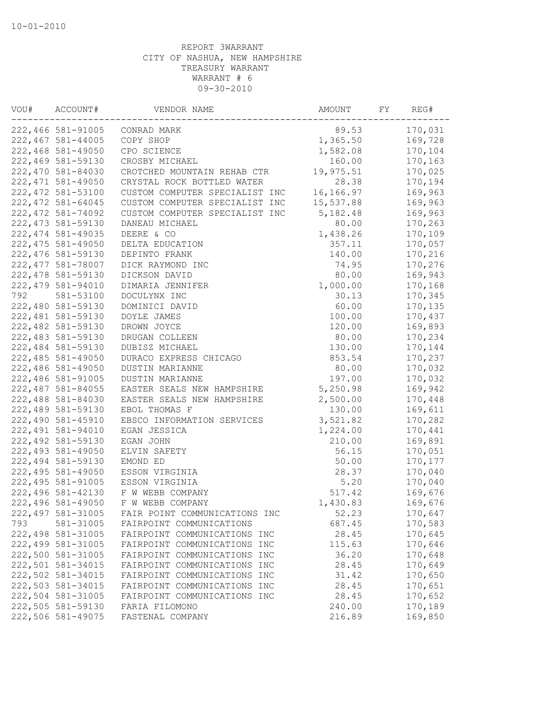| VOU# | ACCOUNT#                               | VENDOR NAME                                                  | AMOUNT          | FY | REG#               |
|------|----------------------------------------|--------------------------------------------------------------|-----------------|----|--------------------|
|      | 222,466 581-91005                      | CONRAD MARK                                                  | 89.53           |    | 170,031            |
|      | 222, 467 581-44005                     | COPY SHOP                                                    | 1,365.50        |    | 169,728            |
|      | 222,468 581-49050                      | CPO SCIENCE                                                  | 1,582.08        |    | 170,104            |
|      | 222,469 581-59130                      | CROSBY MICHAEL                                               | 160.00          |    | 170,163            |
|      | 222,470 581-84030                      | CROTCHED MOUNTAIN REHAB CTR                                  | 19,975.51       |    | 170,025            |
|      | 222, 471 581-49050                     | CRYSTAL ROCK BOTTLED WATER                                   | 28.38           |    | 170,194            |
|      | 222, 472 581-53100                     | CUSTOM COMPUTER SPECIALIST INC                               | 16,166.97       |    | 169,963            |
|      | 222, 472 581-64045                     | CUSTOM COMPUTER SPECIALIST INC                               | 15,537.88       |    | 169,963            |
|      | 222, 472 581-74092                     | CUSTOM COMPUTER SPECIALIST INC                               | 5,182.48        |    | 169,963            |
|      | 222, 473 581-59130                     | DANEAU MICHAEL                                               | 80.00           |    | 170,263            |
|      | 222, 474 581-49035                     | DEERE & CO                                                   | 1,438.26        |    | 170,109            |
|      | 222, 475 581-49050                     | DELTA EDUCATION                                              | 357.11          |    | 170,057            |
|      | 222, 476 581-59130                     | DEPINTO FRANK                                                | 140.00          |    | 170,216            |
|      | 222, 477 581-78007                     | DICK RAYMOND INC                                             | 74.95           |    | 170,276            |
|      | 222, 478 581-59130                     | DICKSON DAVID                                                | 80.00           |    | 169,943            |
|      | 222, 479 581-94010                     | DIMARIA JENNIFER                                             | 1,000.00        |    | 170,168            |
| 792  | 581-53100                              | DOCULYNX INC                                                 | 30.13           |    | 170,345            |
|      | 222,480 581-59130                      | DOMINICI DAVID                                               | 60.00           |    | 170,135            |
|      | 222, 481 581-59130                     | DOYLE JAMES                                                  | 100.00          |    | 170,437            |
|      | 222,482 581-59130                      | DROWN JOYCE                                                  | 120.00          |    | 169,893            |
|      | 222, 483 581-59130                     | DRUGAN COLLEEN                                               | 80.00           |    | 170,234            |
|      | 222,484 581-59130                      | DUBISZ MICHAEL                                               | 130.00          |    | 170,144            |
|      | 222,485 581-49050                      | DURACO EXPRESS CHICAGO                                       | 853.54          |    | 170,237            |
|      | 222,486 581-49050                      | DUSTIN MARIANNE                                              | 80.00           |    | 170,032            |
|      | 222,486 581-91005                      | DUSTIN MARIANNE                                              | 197.00          |    | 170,032            |
|      | 222, 487 581-84055                     | EASTER SEALS NEW HAMPSHIRE                                   | 5,250.98        |    | 169,942            |
|      | 222,488 581-84030                      | EASTER SEALS NEW HAMPSHIRE                                   | 2,500.00        |    | 170,448            |
|      | 222,489 581-59130                      | EBOL THOMAS F                                                | 130.00          |    | 169,611            |
|      | 222,490 581-45910                      | EBSCO INFORMATION SERVICES                                   | 3,521.82        |    | 170,282            |
|      | 222,491 581-94010                      | EGAN JESSICA                                                 | 1,224.00        |    | 170,441            |
|      | 222, 492 581-59130                     | EGAN JOHN                                                    | 210.00          |    | 169,891            |
|      | 222, 493 581-49050                     | ELVIN SAFETY                                                 | 56.15           |    | 170,051            |
|      | 222,494 581-59130                      | EMOND ED                                                     | 50.00           |    | 170,177            |
|      | 222,495 581-49050                      | ESSON VIRGINIA                                               | 28.37           |    | 170,040            |
|      | 222, 495 581-91005                     | ESSON VIRGINIA                                               | 5.20            |    | 170,040            |
|      | 222,496 581-42130                      | F W WEBB COMPANY                                             | 517.42          |    | 169,676            |
|      | 222,496 581-49050                      | F W WEBB COMPANY                                             | 1,430.83        |    | 169,676            |
|      | 222, 497 581-31005                     | FAIR POINT COMMUNICATIONS INC                                | 52.23           |    | 170,647            |
| 793  | 581-31005                              | FAIRPOINT COMMUNICATIONS                                     |                 |    |                    |
|      |                                        |                                                              | 687.45          |    | 170,583            |
|      | 222,498 581-31005<br>222,499 581-31005 | FAIRPOINT COMMUNICATIONS INC<br>FAIRPOINT COMMUNICATIONS INC | 28.45           |    | 170,645<br>170,646 |
|      | 222,500 581-31005                      | FAIRPOINT COMMUNICATIONS INC                                 | 115.63<br>36.20 |    | 170,648            |
|      |                                        |                                                              |                 |    |                    |
|      | 222,501 581-34015<br>222,502 581-34015 | FAIRPOINT COMMUNICATIONS INC                                 | 28.45           |    | 170,649            |
|      |                                        | FAIRPOINT COMMUNICATIONS INC                                 | 31.42           |    | 170,650            |
|      | 222,503 581-34015                      | FAIRPOINT COMMUNICATIONS INC                                 | 28.45           |    | 170,651            |
|      | 222,504 581-31005                      | FAIRPOINT COMMUNICATIONS INC                                 | 28.45           |    | 170,652            |
|      | 222,505 581-59130                      | FARIA FILOMONO                                               | 240.00          |    | 170,189            |
|      | 222,506 581-49075                      | FASTENAL COMPANY                                             | 216.89          |    | 169,850            |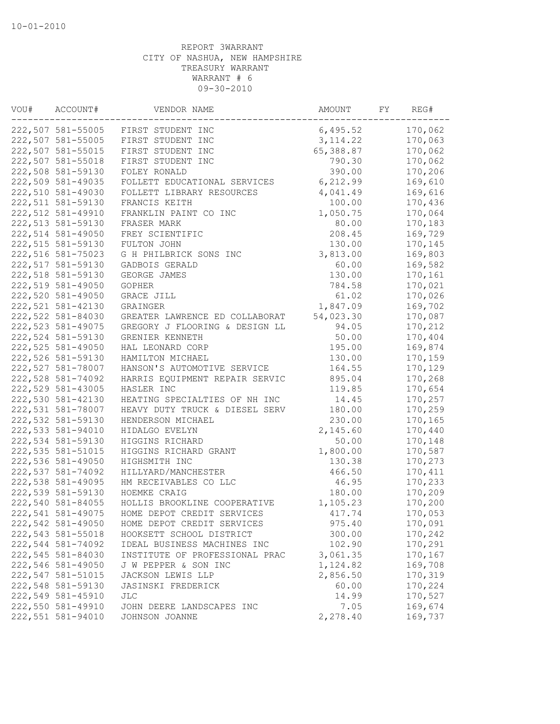| VOU# | ACCOUNT#           | VENDOR NAME                    | AMOUNT    | FY | REG#    |
|------|--------------------|--------------------------------|-----------|----|---------|
|      | 222,507 581-55005  | FIRST STUDENT INC              | 6,495.52  |    | 170,062 |
|      | 222,507 581-55005  | FIRST STUDENT INC              | 3, 114.22 |    | 170,063 |
|      | 222,507 581-55015  | FIRST STUDENT INC              | 65,388.87 |    | 170,062 |
|      | 222,507 581-55018  | FIRST STUDENT INC              | 790.30    |    | 170,062 |
|      | 222,508 581-59130  | FOLEY RONALD                   | 390.00    |    | 170,206 |
|      | 222,509 581-49035  | FOLLETT EDUCATIONAL SERVICES   | 6,212.99  |    | 169,610 |
|      | 222,510 581-49030  | FOLLETT LIBRARY RESOURCES      | 4,041.49  |    | 169,616 |
|      | 222,511 581-59130  | FRANCIS KEITH                  | 100.00    |    | 170,436 |
|      | 222,512 581-49910  | FRANKLIN PAINT CO INC          | 1,050.75  |    | 170,064 |
|      | 222,513 581-59130  | FRASER MARK                    | 80.00     |    | 170,183 |
|      | 222,514 581-49050  | FREY SCIENTIFIC                | 208.45    |    | 169,729 |
|      | 222,515 581-59130  | FULTON JOHN                    | 130.00    |    | 170,145 |
|      | 222,516 581-75023  | G H PHILBRICK SONS INC         | 3,813.00  |    | 169,803 |
|      | 222,517 581-59130  | GADBOIS GERALD                 | 60.00     |    | 169,582 |
|      | 222,518 581-59130  | GEORGE JAMES                   | 130.00    |    | 170,161 |
|      | 222,519 581-49050  | GOPHER                         | 784.58    |    | 170,021 |
|      | 222,520 581-49050  | GRACE JILL                     | 61.02     |    | 170,026 |
|      | 222,521 581-42130  | GRAINGER                       | 1,847.09  |    | 169,702 |
|      | 222,522 581-84030  | GREATER LAWRENCE ED COLLABORAT | 54,023.30 |    | 170,087 |
|      | 222, 523 581-49075 | GREGORY J FLOORING & DESIGN LL | 94.05     |    | 170,212 |
|      | 222,524 581-59130  | GRENIER KENNETH                | 50.00     |    | 170,404 |
|      | 222,525 581-49050  | HAL LEONARD CORP               | 195.00    |    | 169,874 |
|      | 222,526 581-59130  | HAMILTON MICHAEL               | 130.00    |    | 170,159 |
|      | 222,527 581-78007  | HANSON'S AUTOMOTIVE SERVICE    | 164.55    |    | 170,129 |
|      | 222,528 581-74092  | HARRIS EQUIPMENT REPAIR SERVIC | 895.04    |    | 170,268 |
|      | 222,529 581-43005  | HASLER INC                     | 119.85    |    | 170,654 |
|      | 222,530 581-42130  | HEATING SPECIALTIES OF NH INC  | 14.45     |    | 170,257 |
|      | 222,531 581-78007  | HEAVY DUTY TRUCK & DIESEL SERV | 180.00    |    | 170,259 |
|      | 222,532 581-59130  | HENDERSON MICHAEL              | 230.00    |    | 170,165 |
|      | 222,533 581-94010  | HIDALGO EVELYN                 | 2,145.60  |    | 170,440 |
|      | 222,534 581-59130  | HIGGINS RICHARD                | 50.00     |    | 170,148 |
|      | 222, 535 581-51015 | HIGGINS RICHARD GRANT          | 1,800.00  |    | 170,587 |
|      | 222,536 581-49050  | HIGHSMITH INC                  | 130.38    |    | 170,273 |
|      | 222,537 581-74092  | HILLYARD/MANCHESTER            | 466.50    |    | 170,411 |
|      | 222,538 581-49095  | HM RECEIVABLES CO LLC          | 46.95     |    | 170,233 |
|      | 222,539 581-59130  | HOEMKE CRAIG                   | 180.00    |    | 170,209 |
|      | 222,540 581-84055  | HOLLIS BROOKLINE COOPERATIVE   | 1,105.23  |    | 170,200 |
|      | 222,541 581-49075  | HOME DEPOT CREDIT SERVICES     | 417.74    |    | 170,053 |
|      | 222,542 581-49050  | HOME DEPOT CREDIT SERVICES     | 975.40    |    | 170,091 |
|      | 222,543 581-55018  | HOOKSETT SCHOOL DISTRICT       | 300.00    |    | 170,242 |
|      | 222,544 581-74092  | IDEAL BUSINESS MACHINES INC    | 102.90    |    | 170,291 |
|      | 222,545 581-84030  | INSTITUTE OF PROFESSIONAL PRAC | 3,061.35  |    | 170,167 |
|      | 222,546 581-49050  | J W PEPPER & SON INC           | 1,124.82  |    | 169,708 |
|      | 222,547 581-51015  | JACKSON LEWIS LLP              | 2,856.50  |    | 170,319 |
|      | 222,548 581-59130  | JASINSKI FREDERICK             | 60.00     |    | 170,224 |
|      | 222,549 581-45910  | JLC                            | 14.99     |    | 170,527 |
|      | 222,550 581-49910  | JOHN DEERE LANDSCAPES INC      | 7.05      |    | 169,674 |
|      | 222,551 581-94010  | JOHNSON JOANNE                 | 2,278.40  |    | 169,737 |
|      |                    |                                |           |    |         |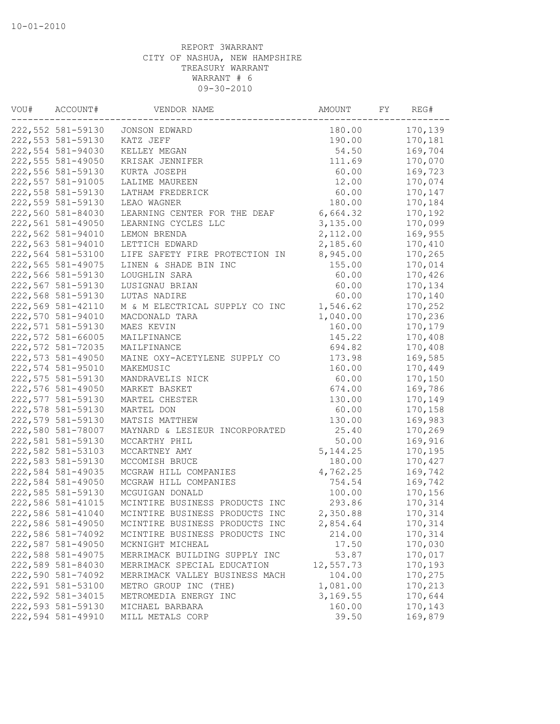| VOU# | ACCOUNT#          | VENDOR NAME                    | AMOUNT    | FY | REG#    |
|------|-------------------|--------------------------------|-----------|----|---------|
|      | 222,552 581-59130 | JONSON EDWARD                  | 180.00    |    | 170,139 |
|      | 222,553 581-59130 | KATZ JEFF                      | 190.00    |    | 170,181 |
|      | 222,554 581-94030 | KELLEY MEGAN                   | 54.50     |    | 169,704 |
|      | 222,555 581-49050 | KRISAK JENNIFER                | 111.69    |    | 170,070 |
|      | 222,556 581-59130 | KURTA JOSEPH                   | 60.00     |    | 169,723 |
|      | 222,557 581-91005 | LALIME MAUREEN                 | 12.00     |    | 170,074 |
|      | 222,558 581-59130 | LATHAM FREDERICK               | 60.00     |    | 170,147 |
|      | 222,559 581-59130 | LEAO WAGNER                    | 180.00    |    | 170,184 |
|      | 222,560 581-84030 | LEARNING CENTER FOR THE DEAF   | 6,664.32  |    | 170,192 |
|      | 222,561 581-49050 | LEARNING CYCLES LLC            | 3,135.00  |    | 170,099 |
|      | 222,562 581-94010 | LEMON BRENDA                   | 2,112.00  |    | 169,955 |
|      | 222,563 581-94010 | LETTICH EDWARD                 | 2,185.60  |    | 170,410 |
|      | 222,564 581-53100 | LIFE SAFETY FIRE PROTECTION IN | 8,945.00  |    | 170,265 |
|      | 222,565 581-49075 | LINEN & SHADE BIN INC          | 155.00    |    | 170,014 |
|      | 222,566 581-59130 | LOUGHLIN SARA                  | 60.00     |    | 170,426 |
|      | 222,567 581-59130 | LUSIGNAU BRIAN                 | 60.00     |    | 170,134 |
|      | 222,568 581-59130 | LUTAS NADIRE                   | 60.00     |    | 170,140 |
|      | 222,569 581-42110 | M & M ELECTRICAL SUPPLY CO INC | 1,546.62  |    | 170,252 |
|      | 222,570 581-94010 | MACDONALD TARA                 | 1,040.00  |    | 170,236 |
|      | 222,571 581-59130 | MAES KEVIN                     | 160.00    |    | 170,179 |
|      | 222,572 581-66005 | MAILFINANCE                    | 145.22    |    | 170,408 |
|      | 222,572 581-72035 | MAILFINANCE                    | 694.82    |    | 170,408 |
|      | 222,573 581-49050 | MAINE OXY-ACETYLENE SUPPLY CO  | 173.98    |    | 169,585 |
|      | 222,574 581-95010 | MAKEMUSIC                      | 160.00    |    | 170,449 |
|      | 222,575 581-59130 | MANDRAVELIS NICK               | 60.00     |    | 170,150 |
|      | 222,576 581-49050 | MARKET BASKET                  | 674.00    |    | 169,786 |
|      | 222,577 581-59130 | MARTEL CHESTER                 | 130.00    |    | 170,149 |
|      | 222,578 581-59130 | MARTEL DON                     | 60.00     |    | 170,158 |
|      | 222,579 581-59130 | MATSIS MATTHEW                 | 130.00    |    | 169,983 |
|      | 222,580 581-78007 | MAYNARD & LESIEUR INCORPORATED | 25.40     |    | 170,269 |
|      | 222,581 581-59130 | MCCARTHY PHIL                  | 50.00     |    | 169,916 |
|      | 222,582 581-53103 | MCCARTNEY AMY                  | 5, 144.25 |    | 170,195 |
|      | 222,583 581-59130 | MCCOMISH BRUCE                 | 180.00    |    | 170,427 |
|      | 222,584 581-49035 | MCGRAW HILL COMPANIES          | 4,762.25  |    | 169,742 |
|      | 222,584 581-49050 | MCGRAW HILL COMPANIES          | 754.54    |    | 169,742 |
|      | 222,585 581-59130 | MCGUIGAN DONALD                | 100.00    |    | 170,156 |
|      | 222,586 581-41015 | MCINTIRE BUSINESS PRODUCTS INC | 293.86    |    | 170,314 |
|      | 222,586 581-41040 | MCINTIRE BUSINESS PRODUCTS INC | 2,350.88  |    | 170,314 |
|      | 222,586 581-49050 | MCINTIRE BUSINESS PRODUCTS INC | 2,854.64  |    | 170,314 |
|      | 222,586 581-74092 | MCINTIRE BUSINESS PRODUCTS INC | 214.00    |    | 170,314 |
|      | 222,587 581-49050 | MCKNIGHT MICHEAL               | 17.50     |    | 170,030 |
|      | 222,588 581-49075 | MERRIMACK BUILDING SUPPLY INC  | 53.87     |    | 170,017 |
|      | 222,589 581-84030 | MERRIMACK SPECIAL EDUCATION    | 12,557.73 |    | 170,193 |
|      | 222,590 581-74092 | MERRIMACK VALLEY BUSINESS MACH | 104.00    |    | 170,275 |
|      | 222,591 581-53100 | METRO GROUP INC (THE)          | 1,081.00  |    | 170,213 |
|      | 222,592 581-34015 | METROMEDIA ENERGY INC          | 3,169.55  |    | 170,644 |
|      | 222,593 581-59130 | MICHAEL BARBARA                | 160.00    |    | 170,143 |
|      | 222,594 581-49910 | MILL METALS CORP               | 39.50     |    | 169,879 |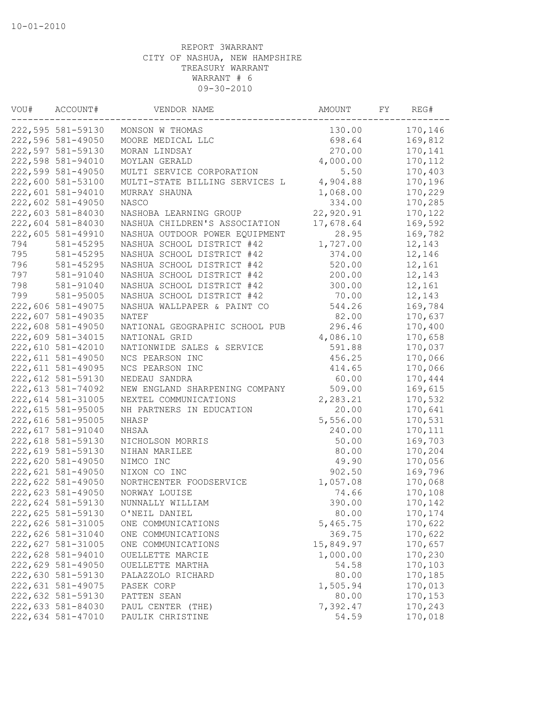| VOU# | ACCOUNT#           | VENDOR NAME                    | AMOUNT    | FY | REG#    |
|------|--------------------|--------------------------------|-----------|----|---------|
|      | 222,595 581-59130  | MONSON W THOMAS                | 130.00    |    | 170,146 |
|      | 222,596 581-49050  | MOORE MEDICAL LLC              | 698.64    |    | 169,812 |
|      | 222,597 581-59130  | MORAN LINDSAY                  | 270.00    |    | 170,141 |
|      | 222,598 581-94010  | MOYLAN GERALD                  | 4,000.00  |    | 170,112 |
|      | 222,599 581-49050  | MULTI SERVICE CORPORATION      | 5.50      |    | 170,403 |
|      | 222,600 581-53100  | MULTI-STATE BILLING SERVICES L | 4,904.88  |    | 170,196 |
|      | 222,601 581-94010  | MURRAY SHAUNA                  | 1,068.00  |    | 170,229 |
|      | 222,602 581-49050  | NASCO                          | 334.00    |    | 170,285 |
|      | 222,603 581-84030  | NASHOBA LEARNING GROUP         | 22,920.91 |    | 170,122 |
|      | 222,604 581-84030  | NASHUA CHILDREN'S ASSOCIATION  | 17,678.64 |    | 169,592 |
|      | 222,605 581-49910  | NASHUA OUTDOOR POWER EQUIPMENT | 28.95     |    | 169,782 |
| 794  | 581-45295          | NASHUA SCHOOL DISTRICT #42     | 1,727.00  |    | 12,143  |
| 795  | $581 - 45295$      | NASHUA SCHOOL DISTRICT #42     | 374.00    |    | 12,146  |
| 796  | 581-45295          | NASHUA SCHOOL DISTRICT #42     | 520.00    |    | 12,161  |
| 797  | 581-91040          | NASHUA SCHOOL DISTRICT #42     | 200.00    |    | 12,143  |
| 798  | 581-91040          | NASHUA SCHOOL DISTRICT #42     | 300.00    |    | 12,161  |
| 799  | 581-95005          | NASHUA SCHOOL DISTRICT #42     | 70.00     |    | 12,143  |
|      | 222,606 581-49075  | NASHUA WALLPAPER & PAINT CO    | 544.26    |    | 169,784 |
|      | 222,607 581-49035  | NATEF                          | 82.00     |    | 170,637 |
|      | 222,608 581-49050  | NATIONAL GEOGRAPHIC SCHOOL PUB | 296.46    |    | 170,400 |
|      | 222,609 581-34015  | NATIONAL GRID                  | 4,086.10  |    | 170,658 |
|      | 222,610 581-42010  | NATIONWIDE SALES & SERVICE     | 591.88    |    | 170,037 |
|      | 222, 611 581-49050 | NCS PEARSON INC                | 456.25    |    | 170,066 |
|      | 222,611 581-49095  | NCS PEARSON INC                | 414.65    |    | 170,066 |
|      | 222,612 581-59130  | NEDEAU SANDRA                  | 60.00     |    | 170,444 |
|      | 222, 613 581-74092 | NEW ENGLAND SHARPENING COMPANY | 509.00    |    | 169,615 |
|      | 222,614 581-31005  | NEXTEL COMMUNICATIONS          | 2,283.21  |    | 170,532 |
|      | 222,615 581-95005  | NH PARTNERS IN EDUCATION       | 20.00     |    | 170,641 |
|      | 222,616 581-95005  | NHASP                          | 5,556.00  |    | 170,531 |
|      | 222,617 581-91040  | NHSAA                          | 240.00    |    | 170,111 |
|      | 222,618 581-59130  | NICHOLSON MORRIS               | 50.00     |    | 169,703 |
|      | 222,619 581-59130  | NIHAN MARILEE                  | 80.00     |    | 170,204 |
|      | 222,620 581-49050  | NIMCO INC                      | 49.90     |    | 170,056 |
|      | 222,621 581-49050  | NIXON CO INC                   | 902.50    |    | 169,796 |
|      | 222,622 581-49050  | NORTHCENTER FOODSERVICE        | 1,057.08  |    | 170,068 |
|      | 222,623 581-49050  | NORWAY LOUISE                  | 74.66     |    | 170,108 |
|      | 222,624 581-59130  | NUNNALLY WILLIAM               | 390.00    |    | 170,142 |
|      | 222,625 581-59130  | O'NEIL DANIEL                  | 80.00     |    | 170,174 |
|      | 222,626 581-31005  | ONE COMMUNICATIONS             | 5,465.75  |    | 170,622 |
|      | 222,626 581-31040  | ONE COMMUNICATIONS             | 369.75    |    | 170,622 |
|      | 222,627 581-31005  | ONE COMMUNICATIONS             | 15,849.97 |    | 170,657 |
|      | 222,628 581-94010  | OUELLETTE MARCIE               | 1,000.00  |    | 170,230 |
|      | 222,629 581-49050  | OUELLETTE MARTHA               | 54.58     |    | 170,103 |
|      | 222,630 581-59130  | PALAZZOLO RICHARD              | 80.00     |    | 170,185 |
|      | 222,631 581-49075  | PASEK CORP                     | 1,505.94  |    | 170,013 |
|      | 222,632 581-59130  | PATTEN SEAN                    | 80.00     |    | 170,153 |
|      | 222,633 581-84030  | PAUL CENTER (THE)              | 7,392.47  |    | 170,243 |
|      | 222,634 581-47010  | PAULIK CHRISTINE               | 54.59     |    | 170,018 |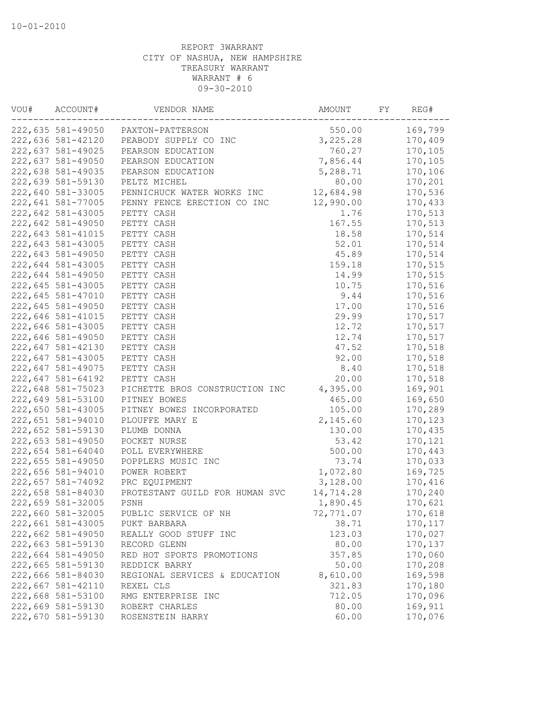| VOU# | ACCOUNT#          | VENDOR NAME                    | AMOUNT    | FY | REG#    |
|------|-------------------|--------------------------------|-----------|----|---------|
|      | 222,635 581-49050 | PAXTON-PATTERSON               | 550.00    |    | 169,799 |
|      | 222,636 581-42120 | PEABODY SUPPLY CO INC          | 3,225.28  |    | 170,409 |
|      | 222,637 581-49025 | PEARSON EDUCATION              | 760.27    |    | 170,105 |
|      | 222,637 581-49050 | PEARSON EDUCATION              | 7,856.44  |    | 170,105 |
|      | 222,638 581-49035 | PEARSON EDUCATION              | 5,288.71  |    | 170,106 |
|      | 222,639 581-59130 | PELTZ MICHEL                   | 80.00     |    | 170,201 |
|      | 222,640 581-33005 | PENNICHUCK WATER WORKS INC     | 12,684.98 |    | 170,536 |
|      | 222,641 581-77005 | PENNY FENCE ERECTION CO INC    | 12,990.00 |    | 170,433 |
|      | 222,642 581-43005 | PETTY CASH                     | 1.76      |    | 170,513 |
|      | 222,642 581-49050 | PETTY CASH                     | 167.55    |    | 170,513 |
|      | 222,643 581-41015 | PETTY CASH                     | 18.58     |    | 170,514 |
|      | 222,643 581-43005 | PETTY CASH                     | 52.01     |    | 170,514 |
|      | 222,643 581-49050 | PETTY CASH                     | 45.89     |    | 170,514 |
|      | 222,644 581-43005 | PETTY CASH                     | 159.18    |    | 170,515 |
|      | 222,644 581-49050 | PETTY CASH                     | 14.99     |    | 170,515 |
|      | 222,645 581-43005 | PETTY CASH                     | 10.75     |    | 170,516 |
|      | 222,645 581-47010 | PETTY CASH                     | 9.44      |    | 170,516 |
|      | 222,645 581-49050 | PETTY CASH                     | 17.00     |    | 170,516 |
|      | 222,646 581-41015 | PETTY CASH                     | 29.99     |    | 170,517 |
|      | 222,646 581-43005 | PETTY CASH                     | 12.72     |    | 170,517 |
|      | 222,646 581-49050 | PETTY CASH                     | 12.74     |    | 170,517 |
|      | 222,647 581-42130 | PETTY CASH                     | 47.52     |    | 170,518 |
|      | 222,647 581-43005 | PETTY CASH                     | 92.00     |    | 170,518 |
|      | 222,647 581-49075 | PETTY CASH                     | 8.40      |    | 170,518 |
|      | 222,647 581-64192 | PETTY CASH                     | 20.00     |    | 170,518 |
|      | 222,648 581-75023 | PICHETTE BROS CONSTRUCTION INC | 4,395.00  |    | 169,901 |
|      | 222,649 581-53100 | PITNEY BOWES                   | 465.00    |    | 169,650 |
|      | 222,650 581-43005 | PITNEY BOWES INCORPORATED      | 105.00    |    | 170,289 |
|      | 222,651 581-94010 | PLOUFFE MARY E                 | 2,145.60  |    | 170,123 |
|      | 222,652 581-59130 | PLUMB DONNA                    | 130.00    |    | 170,435 |
|      | 222,653 581-49050 | POCKET NURSE                   | 53.42     |    | 170,121 |
|      | 222,654 581-64040 | POLL EVERYWHERE                | 500.00    |    | 170,443 |
|      | 222,655 581-49050 | POPPLERS MUSIC INC             | 73.74     |    | 170,033 |
|      | 222,656 581-94010 | POWER ROBERT                   | 1,072.80  |    | 169,725 |
|      | 222,657 581-74092 | PRC EQUIPMENT                  | 3,128.00  |    | 170,416 |
|      | 222,658 581-84030 | PROTESTANT GUILD FOR HUMAN SVC | 14,714.28 |    | 170,240 |
|      | 222,659 581-32005 | PSNH                           | 1,890.45  |    | 170,621 |
|      | 222,660 581-32005 | PUBLIC SERVICE OF NH           | 72,771.07 |    | 170,618 |
|      | 222,661 581-43005 | PUKT BARBARA                   | 38.71     |    | 170,117 |
|      | 222,662 581-49050 | REALLY GOOD STUFF INC          | 123.03    |    | 170,027 |
|      | 222,663 581-59130 | RECORD GLENN                   | 80.00     |    | 170,137 |
|      | 222,664 581-49050 | RED HOT SPORTS PROMOTIONS      | 357.85    |    | 170,060 |
|      | 222,665 581-59130 | REDDICK BARRY                  | 50.00     |    | 170,208 |
|      | 222,666 581-84030 | REGIONAL SERVICES & EDUCATION  | 8,610.00  |    | 169,598 |
|      | 222,667 581-42110 | REXEL CLS                      | 321.83    |    | 170,180 |
|      | 222,668 581-53100 | RMG ENTERPRISE INC             | 712.05    |    | 170,096 |
|      | 222,669 581-59130 | ROBERT CHARLES                 | 80.00     |    | 169,911 |
|      | 222,670 581-59130 | ROSENSTEIN HARRY               | 60.00     |    | 170,076 |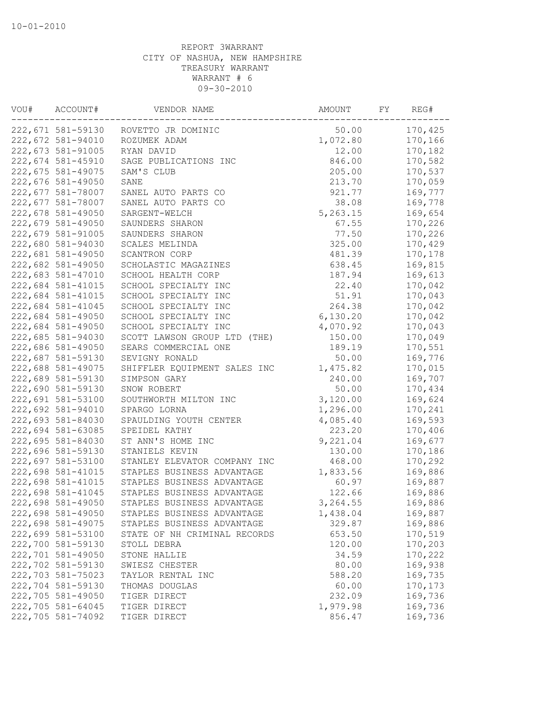| VOU# | ACCOUNT#          | VENDOR NAME                     | AMOUNT   | FY | REG#    |
|------|-------------------|---------------------------------|----------|----|---------|
|      | 222,671 581-59130 | ROVETTO JR DOMINIC              | 50.00    |    | 170,425 |
|      | 222,672 581-94010 | ROZUMEK ADAM                    | 1,072.80 |    | 170,166 |
|      | 222,673 581-91005 | RYAN DAVID                      | 12.00    |    | 170,182 |
|      | 222,674 581-45910 | SAGE PUBLICATIONS INC           | 846.00   |    | 170,582 |
|      | 222,675 581-49075 | SAM'S CLUB                      | 205.00   |    | 170,537 |
|      | 222,676 581-49050 | SANE                            | 213.70   |    | 170,059 |
|      | 222,677 581-78007 | SANEL AUTO PARTS CO             | 921.77   |    | 169,777 |
|      | 222,677 581-78007 | SANEL AUTO PARTS CO             | 38.08    |    | 169,778 |
|      | 222,678 581-49050 | SARGENT-WELCH                   | 5,263.15 |    | 169,654 |
|      | 222,679 581-49050 | SAUNDERS SHARON                 | 67.55    |    | 170,226 |
|      | 222,679 581-91005 | SAUNDERS SHARON                 | 77.50    |    | 170,226 |
|      | 222,680 581-94030 | SCALES MELINDA                  | 325.00   |    | 170,429 |
|      | 222,681 581-49050 | SCANTRON CORP                   | 481.39   |    | 170,178 |
|      | 222,682 581-49050 | SCHOLASTIC MAGAZINES            | 638.45   |    | 169,815 |
|      | 222,683 581-47010 | SCHOOL HEALTH CORP              | 187.94   |    | 169,613 |
|      | 222,684 581-41015 | SCHOOL SPECIALTY INC            | 22.40    |    | 170,042 |
|      | 222,684 581-41015 | SCHOOL SPECIALTY INC            | 51.91    |    | 170,043 |
|      | 222,684 581-41045 | SCHOOL SPECIALTY INC            | 264.38   |    | 170,042 |
|      | 222,684 581-49050 | SCHOOL SPECIALTY INC            | 6,130.20 |    | 170,042 |
|      | 222,684 581-49050 | SCHOOL SPECIALTY INC            | 4,070.92 |    | 170,043 |
|      | 222,685 581-94030 | SCOTT LAWSON GROUP LTD<br>(THE) | 150.00   |    | 170,049 |
|      | 222,686 581-49050 | SEARS COMMERCIAL ONE            | 189.19   |    | 170,551 |
|      | 222,687 581-59130 | SEVIGNY RONALD                  | 50.00    |    | 169,776 |
|      | 222,688 581-49075 | SHIFFLER EQUIPMENT SALES INC    | 1,475.82 |    | 170,015 |
|      | 222,689 581-59130 | SIMPSON GARY                    | 240.00   |    | 169,707 |
|      | 222,690 581-59130 | SNOW ROBERT                     | 50.00    |    | 170,434 |
|      | 222,691 581-53100 | SOUTHWORTH MILTON INC           | 3,120.00 |    | 169,624 |
|      | 222,692 581-94010 | SPARGO LORNA                    | 1,296.00 |    | 170,241 |
|      | 222,693 581-84030 | SPAULDING YOUTH CENTER          | 4,085.40 |    | 169,593 |
|      | 222,694 581-63085 | SPEIDEL KATHY                   | 223.20   |    | 170,406 |
|      | 222,695 581-84030 | ST ANN'S HOME INC               | 9,221.04 |    | 169,677 |
|      | 222,696 581-59130 | STANIELS KEVIN                  | 130.00   |    | 170,186 |
|      | 222,697 581-53100 | STANLEY ELEVATOR COMPANY INC    | 468.00   |    | 170,292 |
|      | 222,698 581-41015 | STAPLES BUSINESS ADVANTAGE      | 1,833.56 |    | 169,886 |
|      | 222,698 581-41015 | STAPLES BUSINESS ADVANTAGE      | 60.97    |    | 169,887 |
|      | 222,698 581-41045 | STAPLES BUSINESS ADVANTAGE      | 122.66   |    | 169,886 |
|      | 222,698 581-49050 | STAPLES BUSINESS ADVANTAGE      | 3,264.55 |    | 169,886 |
|      | 222,698 581-49050 | STAPLES BUSINESS ADVANTAGE      | 1,438.04 |    | 169,887 |
|      | 222,698 581-49075 | STAPLES BUSINESS ADVANTAGE      | 329.87   |    | 169,886 |
|      | 222,699 581-53100 | STATE OF NH CRIMINAL RECORDS    | 653.50   |    | 170,519 |
|      | 222,700 581-59130 | STOLL DEBRA                     | 120.00   |    | 170,203 |
|      | 222,701 581-49050 | STONE HALLIE                    | 34.59    |    | 170,222 |
|      | 222,702 581-59130 | SWIESZ CHESTER                  | 80.00    |    | 169,938 |
|      | 222,703 581-75023 | TAYLOR RENTAL INC               | 588.20   |    | 169,735 |
|      | 222,704 581-59130 | THOMAS DOUGLAS                  | 60.00    |    | 170,173 |
|      | 222,705 581-49050 | TIGER DIRECT                    | 232.09   |    | 169,736 |
|      | 222,705 581-64045 | TIGER DIRECT                    | 1,979.98 |    | 169,736 |
|      | 222,705 581-74092 | TIGER DIRECT                    | 856.47   |    | 169,736 |
|      |                   |                                 |          |    |         |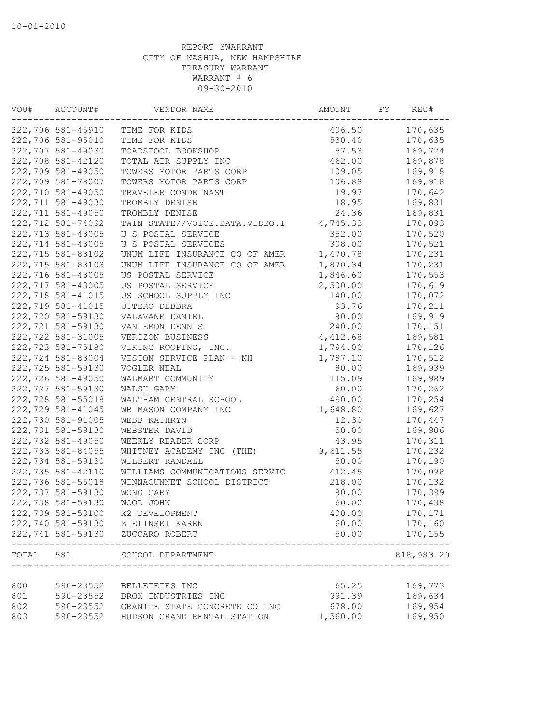| VOU#  | ACCOUNT#          | VENDOR NAME                             | AMOUNT   | FY | REG#             |
|-------|-------------------|-----------------------------------------|----------|----|------------------|
|       | 222,706 581-45910 | TIME FOR KIDS                           | 406.50   |    | 170,635          |
|       | 222,706 581-95010 | TIME FOR KIDS                           | 530.40   |    | 170,635          |
|       | 222,707 581-49030 | TOADSTOOL BOOKSHOP                      | 57.53    |    | 169,724          |
|       | 222,708 581-42120 | TOTAL AIR SUPPLY INC                    | 462.00   |    | 169,878          |
|       | 222,709 581-49050 | TOWERS MOTOR PARTS CORP                 | 109.05   |    | 169,918          |
|       | 222,709 581-78007 | TOWERS MOTOR PARTS CORP                 | 106.88   |    | 169,918          |
|       | 222,710 581-49050 | TRAVELER CONDE NAST                     | 19.97    |    | 170,642          |
|       | 222,711 581-49030 | TROMBLY DENISE                          | 18.95    |    | 169,831          |
|       | 222,711 581-49050 | TROMBLY DENISE                          | 24.36    |    | 169,831          |
|       | 222,712 581-74092 | TWIN STATE//VOICE.DATA.VIDEO.I          | 4,745.33 |    | 170,093          |
|       | 222,713 581-43005 | U S POSTAL SERVICE                      | 352.00   |    | 170,520          |
|       | 222,714 581-43005 | U S POSTAL SERVICES                     | 308.00   |    | 170,521          |
|       | 222,715 581-83102 | UNUM LIFE INSURANCE CO OF AMER          | 1,470.78 |    | 170,231          |
|       | 222,715 581-83103 | UNUM LIFE INSURANCE CO OF AMER          | 1,870.34 |    | 170,231          |
|       | 222,716 581-43005 | US POSTAL SERVICE                       | 1,846.60 |    | 170,553          |
|       | 222,717 581-43005 | US POSTAL SERVICE                       | 2,500.00 |    | 170,619          |
|       | 222,718 581-41015 | US SCHOOL SUPPLY INC                    | 140.00   |    | 170,072          |
|       | 222,719 581-41015 | UTTERO DEBBRA                           | 93.76    |    | 170,211          |
|       | 222,720 581-59130 | VALAVANE DANIEL                         | 80.00    |    | 169,919          |
|       | 222,721 581-59130 | VAN ERON DENNIS                         | 240.00   |    | 170,151          |
|       | 222,722 581-31005 | VERIZON BUSINESS                        | 4,412.68 |    | 169,581          |
|       | 222,723 581-75180 | VIKING ROOFING, INC.                    | 1,794.00 |    | 170,126          |
|       | 222,724 581-83004 | VISION SERVICE PLAN - NH                | 1,787.10 |    | 170,512          |
|       | 222,725 581-59130 | VOGLER NEAL                             | 80.00    |    | 169,939          |
|       | 222,726 581-49050 | WALMART COMMUNITY                       | 115.09   |    | 169,989          |
|       | 222,727 581-59130 | WALSH GARY                              | 60.00    |    | 170,262          |
|       | 222,728 581-55018 | WALTHAM CENTRAL SCHOOL                  | 490.00   |    | 170,254          |
|       | 222,729 581-41045 | WB MASON COMPANY INC                    | 1,648.80 |    | 169,627          |
|       | 222,730 581-91005 | WEBB KATHRYN                            | 12.30    |    | 170,447          |
|       | 222,731 581-59130 | WEBSTER DAVID                           | 50.00    |    | 169,906          |
|       | 222,732 581-49050 | WEEKLY READER CORP                      | 43.95    |    | 170,311          |
|       | 222,733 581-84055 | WHITNEY ACADEMY INC (THE)               | 9,611.55 |    | 170,232          |
|       | 222,734 581-59130 | WILBERT RANDALL                         | 50.00    |    | 170,190          |
|       | 222,735 581-42110 | WILLIAMS COMMUNICATIONS SERVIC          | 412.45   |    | 170,098          |
|       | 222,736 581-55018 | WINNACUNNET SCHOOL DISTRICT             | 218.00   |    | 170,132          |
|       | 222,737 581-59130 | WONG GARY                               | 80.00    |    | 170,399          |
|       | 222,738 581-59130 | WOOD JOHN                               | 60.00    |    | 170,438          |
|       | 222,739 581-53100 | X2 DEVELOPMENT                          | 400.00   |    | 170,171          |
|       | 222,740 581-59130 | ZIELINSKI KAREN                         | 60.00    |    | 170,160          |
|       | 222,741 581-59130 | ZUCCARO ROBERT                          | 50.00    |    | 170,155<br>----- |
| TOTAL | 581               | SCHOOL DEPARTMENT<br>__________________ |          |    | 818,983.20       |
|       |                   |                                         |          |    |                  |
| 800   | 590-23552         | BELLETETES INC                          | 65.25    |    | 169,773          |
| 801   | 590-23552         | BROX INDUSTRIES INC                     | 991.39   |    | 169,634          |
| 802   | 590-23552         | GRANITE STATE CONCRETE CO INC           | 678.00   |    | 169,954          |
| 803   | 590-23552         | HUDSON GRAND RENTAL STATION             | 1,560.00 |    | 169,950          |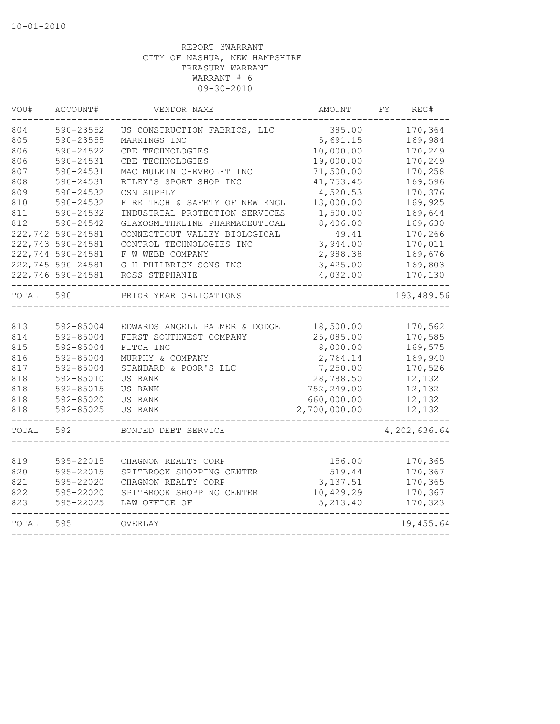| VOU#  | ACCOUNT#          | VENDOR NAME                    | <b>AMOUNT</b> | FY | REG#         |
|-------|-------------------|--------------------------------|---------------|----|--------------|
| 804   | 590-23552         | US CONSTRUCTION FABRICS, LLC   | 385.00        |    | 170,364      |
| 805   | 590-23555         | MARKINGS INC                   | 5,691.15      |    | 169,984      |
| 806   | 590-24522         | CBE TECHNOLOGIES               | 10,000.00     |    | 170,249      |
| 806   | 590-24531         | CBE TECHNOLOGIES               | 19,000.00     |    | 170,249      |
| 807   | 590-24531         | MAC MULKIN CHEVROLET INC       | 71,500.00     |    | 170,258      |
| 808   | 590-24531         | RILEY'S SPORT SHOP INC         | 41,753.45     |    | 169,596      |
| 809   | 590-24532         | CSN SUPPLY                     | 4,520.53      |    | 170,376      |
| 810   | 590-24532         | FIRE TECH & SAFETY OF NEW ENGL | 13,000.00     |    | 169,925      |
| 811   | 590-24532         | INDUSTRIAL PROTECTION SERVICES | 1,500.00      |    | 169,644      |
| 812   | 590-24542         | GLAXOSMITHKLINE PHARMACEUTICAL | 8,406.00      |    | 169,630      |
|       | 222,742 590-24581 | CONNECTICUT VALLEY BIOLOGICAL  | 49.41         |    | 170,266      |
|       | 222,743 590-24581 | CONTROL TECHNOLOGIES INC       | 3,944.00      |    | 170,011      |
|       | 222,744 590-24581 | F W WEBB COMPANY               | 2,988.38      |    | 169,676      |
|       | 222,745 590-24581 | G H PHILBRICK SONS INC         | 3,425.00      |    | 169,803      |
|       | 222,746 590-24581 | ROSS STEPHANIE                 | 4,032.00      |    | 170,130      |
| TOTAL | 590               | PRIOR YEAR OBLIGATIONS         |               |    | 193,489.56   |
|       |                   |                                |               |    |              |
| 813   | 592-85004         | EDWARDS ANGELL PALMER & DODGE  | 18,500.00     |    | 170,562      |
| 814   | 592-85004         | FIRST SOUTHWEST COMPANY        | 25,085.00     |    | 170,585      |
| 815   | 592-85004         | FITCH INC                      | 8,000.00      |    | 169,575      |
| 816   | 592-85004         | MURPHY & COMPANY               | 2,764.14      |    | 169,940      |
| 817   | 592-85004         | STANDARD & POOR'S LLC          | 7,250.00      |    | 170,526      |
| 818   | 592-85010         | US BANK                        | 28,788.50     |    | 12,132       |
| 818   | 592-85015         | US BANK                        | 752,249.00    |    | 12,132       |
| 818   | 592-85020         | US BANK                        | 660,000.00    |    | 12,132       |
| 818   | 592-85025         | <b>US BANK</b>                 | 2,700,000.00  |    | 12,132       |
| TOTAL | 592               | BONDED DEBT SERVICE            |               |    | 4,202,636.64 |
|       |                   |                                |               |    |              |
| 819   | 595-22015         | CHAGNON REALTY CORP            | 156.00        |    | 170,365      |
| 820   | 595-22015         | SPITBROOK SHOPPING CENTER      | 519.44        |    | 170,367      |
| 821   | 595-22020         | CHAGNON REALTY CORP            | 3, 137.51     |    | 170,365      |
| 822   | 595-22020         | SPITBROOK SHOPPING CENTER      | 10,429.29     |    | 170,367      |
| 823   | 595-22025         | LAW OFFICE OF                  | 5, 213.40     |    | 170,323      |
| TOTAL | 595               | OVERLAY                        |               |    | 19,455.64    |
|       |                   |                                |               |    |              |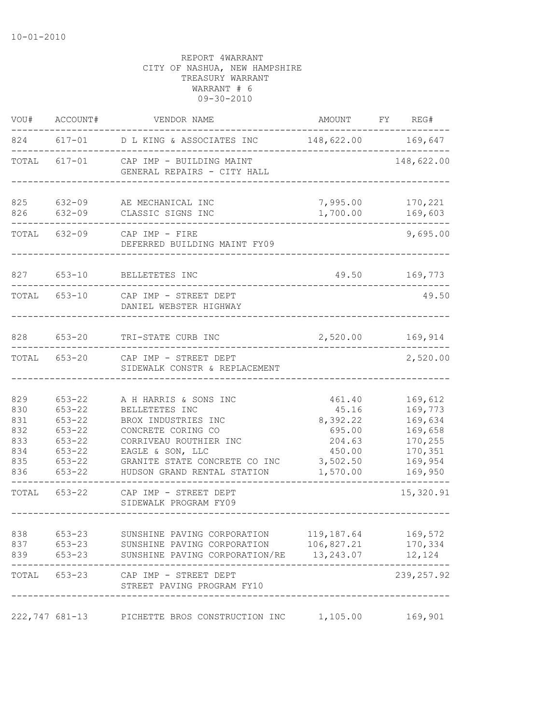| VOU#                                                 | ACCOUNT#                                                                                                     | VENDOR NAME                                                                                                                                                                                        | AMOUNT FY REG#                                                                    |                                                                                      |
|------------------------------------------------------|--------------------------------------------------------------------------------------------------------------|----------------------------------------------------------------------------------------------------------------------------------------------------------------------------------------------------|-----------------------------------------------------------------------------------|--------------------------------------------------------------------------------------|
|                                                      |                                                                                                              | 824 617-01 D L KING & ASSOCIATES INC 148,622.00 169,647                                                                                                                                            |                                                                                   |                                                                                      |
| TOTAL                                                |                                                                                                              | 617-01 CAP IMP - BUILDING MAINT<br>GENERAL REPAIRS - CITY HALL                                                                                                                                     |                                                                                   | 148,622.00                                                                           |
| 825<br>826                                           | 632-09<br>$632 - 09$                                                                                         | AE MECHANICAL INC<br>CLASSIC SIGNS INC                                                                                                                                                             | 7,995.00<br>1,700.00                                                              | 170,221<br>169,603                                                                   |
|                                                      | TOTAL 632-09                                                                                                 | CAP IMP - FIRE<br>DEFERRED BUILDING MAINT FY09                                                                                                                                                     |                                                                                   | 9,695.00                                                                             |
|                                                      | 827 653-10                                                                                                   | BELLETETES INC                                                                                                                                                                                     | 49.50                                                                             | 169,773                                                                              |
|                                                      | TOTAL 653-10                                                                                                 | CAP IMP - STREET DEPT<br>DANIEL WEBSTER HIGHWAY                                                                                                                                                    |                                                                                   | 49.50                                                                                |
| 828                                                  | $653 - 20$                                                                                                   | TRI-STATE CURB INC                                                                                                                                                                                 | 2,520.00                                                                          | 169,914                                                                              |
| TOTAL                                                |                                                                                                              | 653-20 CAP IMP - STREET DEPT<br>SIDEWALK CONSTR & REPLACEMENT                                                                                                                                      |                                                                                   | 2,520.00                                                                             |
| 829<br>830<br>831<br>832<br>833<br>834<br>835<br>836 | $653 - 22$<br>$653 - 22$<br>$653 - 22$<br>$653 - 22$<br>$653 - 22$<br>$653 - 22$<br>$653 - 22$<br>$653 - 22$ | A H HARRIS & SONS INC<br>BELLETETES INC<br>BROX INDUSTRIES INC<br>CONCRETE CORING CO<br>CORRIVEAU ROUTHIER INC<br>EAGLE & SON, LLC<br>GRANITE STATE CONCRETE CO INC<br>HUDSON GRAND RENTAL STATION | 461.40<br>45.16<br>8,392.22<br>695.00<br>204.63<br>450.00<br>3,502.50<br>1,570.00 | 169,612<br>169,773<br>169,634<br>169,658<br>170,255<br>170,351<br>169,954<br>169,950 |
|                                                      | TOTAL 653-22                                                                                                 | CAP IMP - STREET DEPT<br>SIDEWALK PROGRAM FY09                                                                                                                                                     |                                                                                   | 15,320.91                                                                            |
| 838<br>837<br>839                                    | $653 - 23$<br>653-23<br>$653 - 23$                                                                           | SUNSHINE PAVING CORPORATION<br>SUNSHINE PAVING CORPORATION<br>SUNSHINE PAVING CORPORATION/RE                                                                                                       | 119,187.64<br>106,827.21<br>13,243.07                                             | 169,572<br>170,334<br>12, 124                                                        |
|                                                      | TOTAL 653-23                                                                                                 | CAP IMP - STREET DEPT<br>STREET PAVING PROGRAM FY10                                                                                                                                                |                                                                                   | 239, 257.92                                                                          |
| 222,747 681-13                                       |                                                                                                              | PICHETTE BROS CONSTRUCTION INC                                                                                                                                                                     | 1,105.00                                                                          | 169,901                                                                              |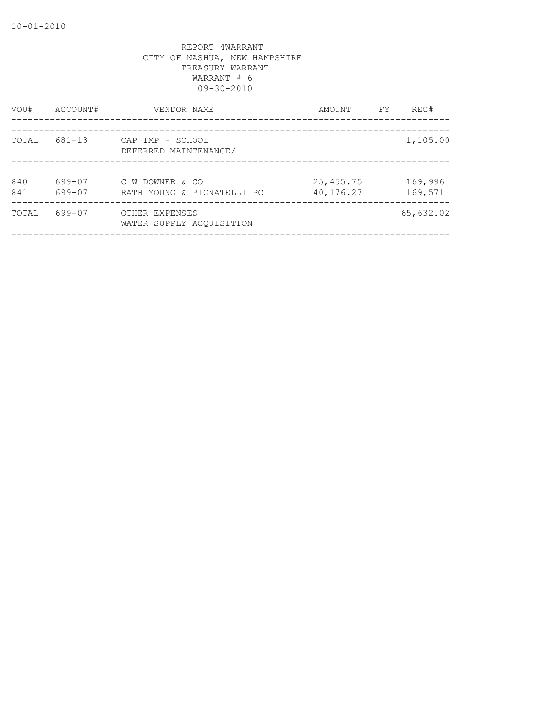| VOU#       | ACCOUNT#         | VENDOR NAME                                   | AMOUNT                 | FY | REG#               |
|------------|------------------|-----------------------------------------------|------------------------|----|--------------------|
| TOTAL      | 681-13           | CAP IMP - SCHOOL<br>DEFERRED MAINTENANCE/     |                        |    | 1,105.00           |
| 840<br>841 | 699-07<br>699-07 | C W DOWNER & CO<br>RATH YOUNG & PIGNATELLI PC | 25,455.75<br>40,176.27 |    | 169,996<br>169,571 |
| TOTAL      | 699-07           | OTHER EXPENSES<br>WATER SUPPLY ACOUISITION    |                        |    | 65,632.02          |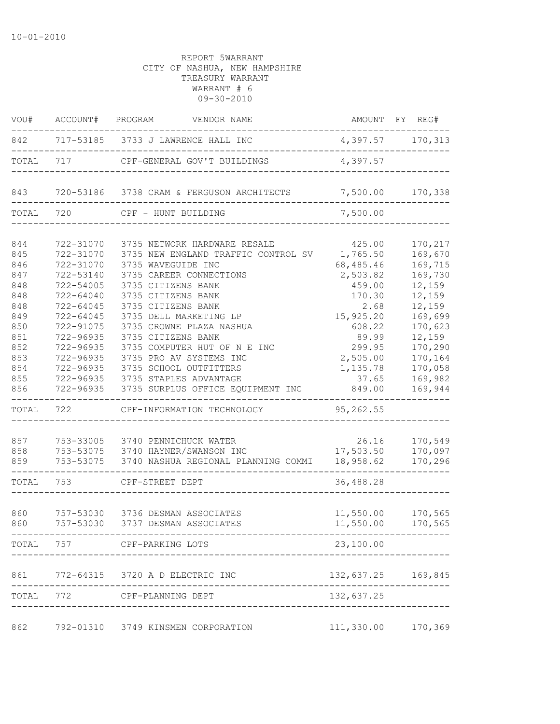| VOU#       |               | ACCOUNT# PROGRAM VENDOR NAME                                                                         |                            | AMOUNT FY REG#    |
|------------|---------------|------------------------------------------------------------------------------------------------------|----------------------------|-------------------|
|            |               | 842 717-53185 3733 J LAWRENCE HALL INC 4,397.57 170,313                                              |                            |                   |
| TOTAL      |               | 717 CPF-GENERAL GOV'T BUILDINGS                                                                      | 4,397.57                   |                   |
|            |               | 843 720-53186 3738 CRAM & FERGUSON ARCHITECTS 7,500.00                                               |                            | 170,338           |
| TOTAL      | 720           | CPF - HUNT BUILDING                                                                                  | 7,500.00                   |                   |
| 844        | 722-31070     | 3735 NETWORK HARDWARE RESALE                                                                         | 425.00                     | 170,217           |
| 845        | 722-31070     | 3735 NEW ENGLAND TRAFFIC CONTROL SV 1,765.50                                                         |                            | 169,670           |
| 846        | 722-31070     | 3735 WAVEGUIDE INC                                                                                   | 68,485.46                  | 169,715           |
| 847        | 722-53140     | 3735 CAREER CONNECTIONS                                                                              | 2,503.82                   | 169,730           |
| 848        | 722-54005     | 3735 CITIZENS BANK                                                                                   | 459.00                     | 12,159            |
| 848        | 722-64040     | 3735 CITIZENS BANK                                                                                   | 170.30                     | 12,159            |
| 848        | 722-64045     | 3735 CITIZENS BANK                                                                                   | 2.68                       | 12,159            |
| 849        | $722 - 64045$ | 3735 DELL MARKETING LP                                                                               | 15,925.20                  | 169,699           |
| 850        | 722-91075     | 3735 CROWNE PLAZA NASHUA                                                                             | 608.22                     | 170,623           |
| 851        | 722-96935     | 3735 CITIZENS BANK                                                                                   | 89.99                      | 12,159            |
| 852        | 722-96935     | 3735 COMPUTER HUT OF N E INC                                                                         | 299.95                     | 170,290           |
| 853        | 722-96935     | 3735 PRO AV SYSTEMS INC                                                                              | 2,505.00                   | 170,164           |
| 854        | 722-96935     | 3735 SCHOOL OUTFITTERS                                                                               | 1,135.78                   | 170,058           |
| 855        |               | 722-96935 3735 STAPLES ADVANTAGE                                                                     | 37.65                      | 169,982           |
| 856        |               | 722-96935 3735 SURPLUS OFFICE EQUIPMENT INC                                                          | 849.00                     | 169,944           |
| TOTAL 722  |               | CPF-INFORMATION TECHNOLOGY                                                                           | 95,262.55                  |                   |
|            |               |                                                                                                      |                            |                   |
| 857        |               | 753-33005 3740 PENNICHUCK WATER                                                                      | 26.16<br>17,503.50 170,097 | 170,549           |
| 858<br>859 |               | 753-53075 3740 HAYNER/SWANSON INC<br>753-53075 3740 NASHUA REGIONAL PLANNING COMMI 18,958.62 170,296 |                            |                   |
|            |               |                                                                                                      |                            |                   |
| TOTAL 753  |               | CPF-STREET DEPT                                                                                      | 36,488.28                  |                   |
| 860        |               | 757-53030 3736 DESMAN ASSOCIATES                                                                     | 11,550.00                  | 170,565           |
| 860        |               | 757-53030 3737 DESMAN ASSOCIATES                                                                     |                            | 11,550.00 170,565 |
|            |               | TOTAL 757 CPF-PARKING LOTS                                                                           | 23,100.00                  |                   |
|            |               |                                                                                                      |                            |                   |
| 861        |               | 772-64315 3720 A D ELECTRIC INC                                                                      | 132,637.25 169,845         |                   |
|            |               | TOTAL 772 CPF-PLANNING DEPT<br>---------------                                                       | 132,637.25                 |                   |
| 862        |               | 792-01310 3749 KINSMEN CORPORATION                                                                   | 111,330.00 170,369         |                   |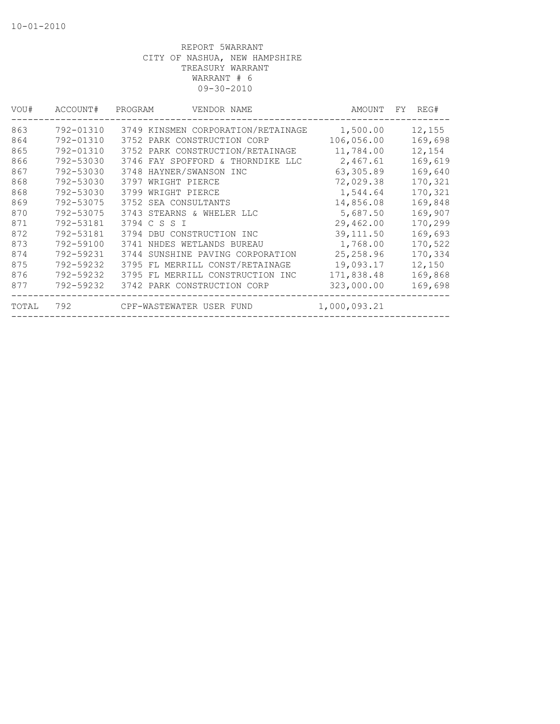| VOU#  | ACCOUNT#  | PROGRAM<br>VENDOR NAME              | AMOUNT       | REG#<br>FY. |
|-------|-----------|-------------------------------------|--------------|-------------|
| 863   | 792-01310 | 3749 KINSMEN CORPORATION/RETAINAGE  | 1,500.00     | 12,155      |
| 864   | 792-01310 | 3752 PARK CONSTRUCTION CORP         | 106,056.00   | 169,698     |
| 865   | 792-01310 | 3752 PARK CONSTRUCTION/RETAINAGE    | 11,784.00    | 12,154      |
| 866   | 792-53030 | 3746 FAY SPOFFORD & THORNDIKE LLC   | 2,467.61     | 169,619     |
| 867   | 792-53030 | 3748 HAYNER/SWANSON INC             | 63,305.89    | 169,640     |
| 868   | 792-53030 | 3797 WRIGHT PIERCE                  | 72,029.38    | 170,321     |
| 868   | 792-53030 | 3799 WRIGHT PIERCE                  | 1,544.64     | 170,321     |
| 869   | 792-53075 | 3752 SEA CONSULTANTS                | 14,856.08    | 169,848     |
| 870   | 792-53075 | 3743 STEARNS & WHELER LLC           | 5,687.50     | 169,907     |
| 871   | 792-53181 | 3794 C S S I                        | 29,462.00    | 170,299     |
| 872   | 792-53181 | 3794 DBU CONSTRUCTION INC           | 39, 111.50   | 169,693     |
| 873   | 792-59100 | 3741 NHDES WETLANDS BUREAU          | 1,768.00     | 170,522     |
| 874   | 792-59231 | SUNSHINE PAVING CORPORATION<br>3744 | 25, 258.96   | 170,334     |
| 875   | 792-59232 | 3795 FL MERRILL CONST/RETAINAGE     | 19,093.17    | 12,150      |
| 876   | 792-59232 | 3795 FL MERRILL CONSTRUCTION INC    | 171,838.48   | 169,868     |
| 877   | 792-59232 | 3742 PARK CONSTRUCTION CORP         | 323,000.00   | 169,698     |
| TOTAL |           | 792 CPF-WASTEWATER USER FUND        | 1,000,093.21 |             |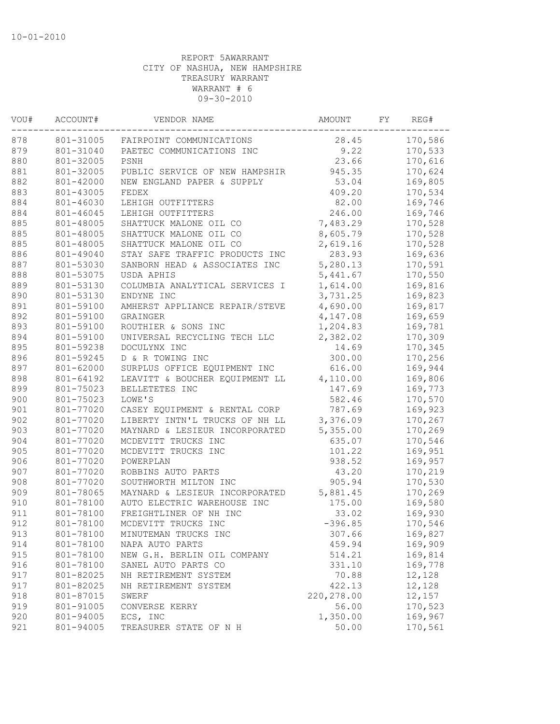| VOU# | ACCOUNT#  | VENDOR NAME                    | AMOUNT      | FY | REG#    |
|------|-----------|--------------------------------|-------------|----|---------|
| 878  | 801-31005 | FAIRPOINT COMMUNICATIONS       | 28.45       |    | 170,586 |
| 879  | 801-31040 | PAETEC COMMUNICATIONS INC      | 9.22        |    | 170,533 |
| 880  | 801-32005 | PSNH                           | 23.66       |    | 170,616 |
| 881  | 801-32005 | PUBLIC SERVICE OF NEW HAMPSHIR | 945.35      |    | 170,624 |
| 882  | 801-42000 | NEW ENGLAND PAPER & SUPPLY     | 53.04       |    | 169,805 |
| 883  | 801-43005 | FEDEX                          | 409.20      |    | 170,534 |
| 884  | 801-46030 | LEHIGH OUTFITTERS              | 82.00       |    | 169,746 |
| 884  | 801-46045 | LEHIGH OUTFITTERS              | 246.00      |    | 169,746 |
| 885  | 801-48005 | SHATTUCK MALONE OIL CO         | 7,483.29    |    | 170,528 |
| 885  | 801-48005 | SHATTUCK MALONE OIL CO         | 8,605.79    |    | 170,528 |
| 885  | 801-48005 | SHATTUCK MALONE OIL CO         | 2,619.16    |    | 170,528 |
| 886  | 801-49040 | STAY SAFE TRAFFIC PRODUCTS INC | 283.93      |    | 169,636 |
| 887  | 801-53030 | SANBORN HEAD & ASSOCIATES INC  | 5,280.13    |    | 170,591 |
| 888  | 801-53075 | USDA APHIS                     | 5,441.67    |    | 170,550 |
| 889  | 801-53130 | COLUMBIA ANALYTICAL SERVICES I | 1,614.00    |    | 169,816 |
| 890  | 801-53130 | ENDYNE INC                     | 3,731.25    |    | 169,823 |
| 891  | 801-59100 | AMHERST APPLIANCE REPAIR/STEVE | 4,690.00    |    | 169,817 |
| 892  | 801-59100 | GRAINGER                       | 4,147.08    |    | 169,659 |
| 893  | 801-59100 | ROUTHIER & SONS INC            | 1,204.83    |    | 169,781 |
| 894  | 801-59100 | UNIVERSAL RECYCLING TECH LLC   | 2,382.02    |    | 170,309 |
| 895  | 801-59238 | DOCULYNX INC                   | 14.69       |    | 170,345 |
| 896  | 801-59245 | D & R TOWING INC               | 300.00      |    | 170,256 |
| 897  | 801-62000 | SURPLUS OFFICE EQUIPMENT INC   | 616.00      |    | 169,944 |
| 898  | 801-64192 | LEAVITT & BOUCHER EQUIPMENT LL | 4,110.00    |    | 169,806 |
| 899  | 801-75023 | BELLETETES INC                 | 147.69      |    | 169,773 |
| 900  | 801-75023 | LOWE'S                         | 582.46      |    | 170,570 |
|      |           |                                |             |    |         |
| 901  | 801-77020 | CASEY EQUIPMENT & RENTAL CORP  | 787.69      |    | 169,923 |
| 902  | 801-77020 | LIBERTY INTN'L TRUCKS OF NH LL | 3,376.09    |    | 170,267 |
| 903  | 801-77020 | MAYNARD & LESIEUR INCORPORATED | 5,355.00    |    | 170,269 |
| 904  | 801-77020 | MCDEVITT TRUCKS INC            | 635.07      |    | 170,546 |
| 905  | 801-77020 | MCDEVITT TRUCKS INC            | 101.22      |    | 169,951 |
| 906  | 801-77020 | POWERPLAN                      | 938.52      |    | 169,957 |
| 907  | 801-77020 | ROBBINS AUTO PARTS             | 43.20       |    | 170,219 |
| 908  | 801-77020 | SOUTHWORTH MILTON INC          | 905.94      |    | 170,530 |
| 909  | 801-78065 | MAYNARD & LESIEUR INCORPORATED | 5,881.45    |    | 170,269 |
| 910  | 801-78100 | AUTO ELECTRIC WAREHOUSE INC    | 175.00      |    | 169,580 |
| 911  | 801-78100 | FREIGHTLINER OF NH INC         | 33.02       |    | 169,930 |
| 912  | 801-78100 | MCDEVITT TRUCKS INC            | $-396.85$   |    | 170,546 |
| 913  | 801-78100 | MINUTEMAN TRUCKS INC           | 307.66      |    | 169,827 |
| 914  | 801-78100 | NAPA AUTO PARTS                | 459.94      |    | 169,909 |
| 915  | 801-78100 | NEW G.H. BERLIN OIL COMPANY    | 514.21      |    | 169,814 |
| 916  | 801-78100 | SANEL AUTO PARTS CO            | 331.10      |    | 169,778 |
| 917  | 801-82025 | NH RETIREMENT SYSTEM           | 70.88       |    | 12,128  |
| 917  | 801-82025 | NH RETIREMENT SYSTEM           | 422.13      |    | 12,128  |
| 918  | 801-87015 | SWERF                          | 220, 278.00 |    | 12,157  |
| 919  | 801-91005 | CONVERSE KERRY                 | 56.00       |    | 170,523 |
| 920  | 801-94005 | ECS, INC                       | 1,350.00    |    | 169,967 |
| 921  | 801-94005 | TREASURER STATE OF N H         | 50.00       |    | 170,561 |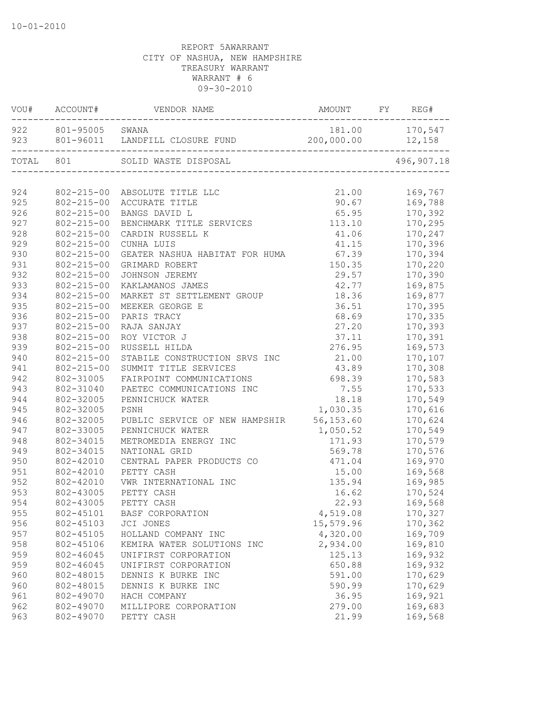|           |                     | VOU# ACCOUNT# VENDOR NAME                | AMOUNT             | FY REG#                                         |
|-----------|---------------------|------------------------------------------|--------------------|-------------------------------------------------|
|           | 922 801-95005 SWANA | 923 801-96011 LANDFILL CLOSURE FUND      | 200,000.00 12,158  | 181.00 170,547                                  |
|           |                     |                                          |                    |                                                 |
| TOTAL 801 |                     | SOLID WASTE DISPOSAL                     |                    | 496,907.18                                      |
|           |                     |                                          |                    |                                                 |
| 924       |                     | 802-215-00 ABSOLUTE TITLE LLC            |                    | 21.00 169,767<br>90.67 169,788<br>65.95 170,392 |
| 925       |                     | 802-215-00 ACCURATE TITLE                |                    |                                                 |
| 926       | $802 - 215 - 00$    | BANGS DAVID L                            |                    |                                                 |
| 927       | $802 - 215 - 00$    | BENCHMARK TITLE SERVICES                 | $113.10$ $170,295$ |                                                 |
| 928       | $802 - 215 - 00$    | CARDIN RUSSELL K                         | 41.06              | 170,247                                         |
| 929       | $802 - 215 - 00$    | CUNHA LUIS                               | 41.15              | 170,396                                         |
| 930       | $802 - 215 - 00$    | GEATER NASHUA HABITAT FOR HUMA 67.39     |                    | 170,394                                         |
| 931       | $802 - 215 - 00$    | GRIMARD ROBERT                           | 150.35             | 170,220                                         |
| 932       | $802 - 215 - 00$    | JOHNSON JEREMY                           | 29.57              | 170,390                                         |
| 933       | $802 - 215 - 00$    | KAKLAMANOS JAMES                         | 42.77              | 169,875                                         |
| 934       | $802 - 215 - 00$    | MARKET ST SETTLEMENT GROUP               | 18.36              | 169,877                                         |
| 935       | $802 - 215 - 00$    | MEEKER GEORGE E                          | 36.51              | 170,395                                         |
| 936       | $802 - 215 - 00$    | PARIS TRACY                              | 68.69              | 170,335                                         |
| 937       | $802 - 215 - 00$    | RAJA SANJAY                              | 27.20              | 170,393                                         |
| 938       | $802 - 215 - 00$    | ROY VICTOR J                             | 37.11              | 170,391                                         |
| 939       | $802 - 215 - 00$    | RUSSELL HILDA                            | 276.95             | 169,573                                         |
| 940       | $802 - 215 - 00$    | STABILE CONSTRUCTION SRVS INC            | 21.00              | 170,107                                         |
| 941       | $802 - 215 - 00$    | SUMMIT TITLE SERVICES                    | 43.89              | 170,308                                         |
| 942       | 802-31005           | FAIRPOINT COMMUNICATIONS                 | 698.39             | 170,583                                         |
| 943       | 802-31040           | PAETEC COMMUNICATIONS INC                | 7.55               | 170,533                                         |
| 944       | 802-32005           | PENNICHUCK WATER                         | 18.18              | 170,549                                         |
| 945       | 802-32005           | PSNH                                     | 1,030.35           | 170,616                                         |
| 946       | 802-32005           | PUBLIC SERVICE OF NEW HAMPSHIR 56,153.60 |                    | 170,624                                         |
| 947       | 802-33005           | PENNICHUCK WATER                         | 1,050.52           | 170,549                                         |
| 948       | 802-34015           | METROMEDIA ENERGY INC                    | 171.93             | 170,579                                         |
| 949       | 802-34015           | NATIONAL GRID                            | 569.78             | 170,576                                         |
| 950       | 802-42010           | CENTRAL PAPER PRODUCTS CO                | 471.04             | 169,970                                         |
| 951       | 802-42010           | PETTY CASH                               | 15.00              | 169,568                                         |
| 952       | 802-42010           | VWR INTERNATIONAL INC                    | 135.94             | 169,985                                         |
| 953       | 802-43005           | PETTY CASH                               | 16.62              | 170,524                                         |
| 954       | 802-43005           | PETTY CASH                               | 22.93              | 169,568                                         |
| 955       |                     | 802-45101 BASF CORPORATION               | 4,519.08           | 170,327                                         |
| 956       | 802-45103           | JCI JONES                                | 15,579.96          | 170,362                                         |
| 957       | 802-45105           | HOLLAND COMPANY INC                      | 4,320.00           | 169,709                                         |
| 958       | 802-45106           | KEMIRA WATER SOLUTIONS INC               | 2,934.00           | 169,810                                         |
| 959       | 802-46045           | UNIFIRST CORPORATION                     | 125.13             | 169,932                                         |
| 959       | 802-46045           | UNIFIRST CORPORATION                     | 650.88             | 169,932                                         |
| 960       | 802-48015           | DENNIS K BURKE INC                       | 591.00             | 170,629                                         |
| 960       | 802-48015           | DENNIS K BURKE INC                       | 590.99             | 170,629                                         |
| 961       | 802-49070           | HACH COMPANY                             | 36.95              | 169,921                                         |
| 962       | 802-49070           | MILLIPORE CORPORATION                    | 279.00             | 169,683                                         |
| 963       | 802-49070           | PETTY CASH                               | 21.99              | 169,568                                         |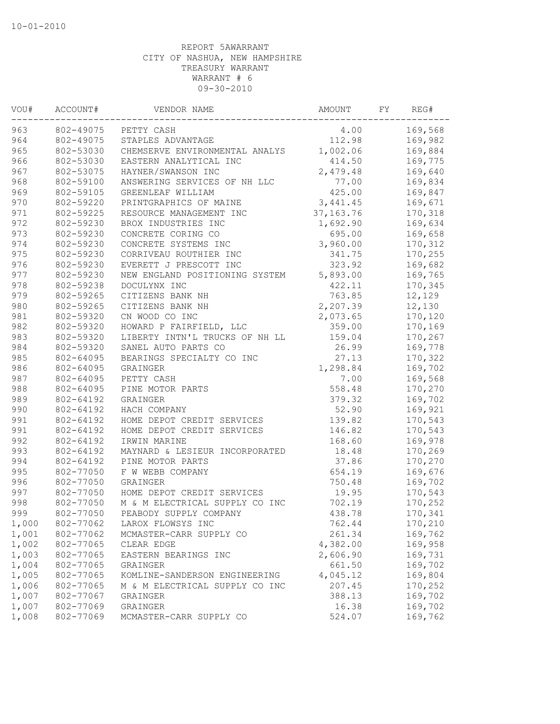| VOU#  | ACCOUNT#  | VENDOR NAME                    | AMOUNT      | FY. | REG#    |
|-------|-----------|--------------------------------|-------------|-----|---------|
| 963   | 802-49075 | PETTY CASH                     | 4.00        |     | 169,568 |
| 964   | 802-49075 | STAPLES ADVANTAGE              | 112.98      |     | 169,982 |
| 965   | 802-53030 | CHEMSERVE ENVIRONMENTAL ANALYS | 1,002.06    |     | 169,884 |
| 966   | 802-53030 | EASTERN ANALYTICAL INC         | 414.50      |     | 169,775 |
| 967   | 802-53075 | HAYNER/SWANSON INC             | 2,479.48    |     | 169,640 |
| 968   | 802-59100 | ANSWERING SERVICES OF NH LLC   | 77.00       |     | 169,834 |
| 969   | 802-59105 | GREENLEAF WILLIAM              | 425.00      |     | 169,847 |
| 970   | 802-59220 | PRINTGRAPHICS OF MAINE         | 3,441.45    |     | 169,671 |
| 971   | 802-59225 | RESOURCE MANAGEMENT INC        | 37, 163. 76 |     | 170,318 |
| 972   | 802-59230 | BROX INDUSTRIES INC            | 1,692.90    |     | 169,634 |
| 973   | 802-59230 | CONCRETE CORING CO             | 695.00      |     | 169,658 |
| 974   | 802-59230 | CONCRETE SYSTEMS INC           | 3,960.00    |     | 170,312 |
| 975   | 802-59230 | CORRIVEAU ROUTHIER INC         | 341.75      |     | 170,255 |
| 976   | 802-59230 | EVERETT J PRESCOTT INC         | 323.92      |     | 169,682 |
| 977   | 802-59230 | NEW ENGLAND POSITIONING SYSTEM | 5,893.00    |     | 169,765 |
| 978   | 802-59238 | DOCULYNX INC                   | 422.11      |     | 170,345 |
| 979   | 802-59265 | CITIZENS BANK NH               | 763.85      |     | 12,129  |
| 980   | 802-59265 | CITIZENS BANK NH               | 2,207.39    |     | 12,130  |
| 981   | 802-59320 | CN WOOD CO INC                 | 2,073.65    |     | 170,120 |
| 982   | 802-59320 | HOWARD P FAIRFIELD, LLC        | 359.00      |     | 170,169 |
| 983   | 802-59320 | LIBERTY INTN'L TRUCKS OF NH LL | 159.04      |     | 170,267 |
| 984   | 802-59320 | SANEL AUTO PARTS CO            | 26.99       |     | 169,778 |
| 985   | 802-64095 | BEARINGS SPECIALTY CO INC      | 27.13       |     | 170,322 |
| 986   | 802-64095 | GRAINGER                       | 1,298.84    |     | 169,702 |
| 987   | 802-64095 | PETTY CASH                     | 7.00        |     | 169,568 |
| 988   | 802-64095 | PINE MOTOR PARTS               | 558.48      |     | 170,270 |
| 989   | 802-64192 | GRAINGER                       | 379.32      |     | 169,702 |
| 990   | 802-64192 | HACH COMPANY                   | 52.90       |     | 169,921 |
| 991   | 802-64192 | HOME DEPOT CREDIT SERVICES     | 139.82      |     | 170,543 |
| 991   | 802-64192 | HOME DEPOT CREDIT SERVICES     | 146.82      |     | 170,543 |
| 992   | 802-64192 | IRWIN MARINE                   | 168.60      |     | 169,978 |
| 993   | 802-64192 | MAYNARD & LESIEUR INCORPORATED | 18.48       |     | 170,269 |
| 994   | 802-64192 | PINE MOTOR PARTS               | 37.86       |     | 170,270 |
| 995   | 802-77050 | F W WEBB COMPANY               | 654.19      |     |         |
| 996   | 802-77050 |                                |             |     | 169,676 |
|       |           | GRAINGER                       | 750.48      |     | 169,702 |
| 997   | 802-77050 | HOME DEPOT CREDIT SERVICES     | 19.95       |     | 170,543 |
| 998   | 802-77050 | M & M ELECTRICAL SUPPLY CO INC | 702.19      |     | 170,252 |
| 999   | 802-77050 | PEABODY SUPPLY COMPANY         | 438.78      |     | 170,341 |
| 1,000 | 802-77062 | LAROX FLOWSYS INC              | 762.44      |     | 170,210 |
| 1,001 | 802-77062 | MCMASTER-CARR SUPPLY CO        | 261.34      |     | 169,762 |
| 1,002 | 802-77065 | CLEAR EDGE                     | 4,382.00    |     | 169,958 |
| 1,003 | 802-77065 | EASTERN BEARINGS INC           | 2,606.90    |     | 169,731 |
| 1,004 | 802-77065 | GRAINGER                       | 661.50      |     | 169,702 |
| 1,005 | 802-77065 | KOMLINE-SANDERSON ENGINEERING  | 4,045.12    |     | 169,804 |
| 1,006 | 802-77065 | M & M ELECTRICAL SUPPLY CO INC | 207.45      |     | 170,252 |
| 1,007 | 802-77067 | GRAINGER                       | 388.13      |     | 169,702 |
| 1,007 | 802-77069 | GRAINGER                       | 16.38       |     | 169,702 |
| 1,008 | 802-77069 | MCMASTER-CARR SUPPLY CO        | 524.07      |     | 169,762 |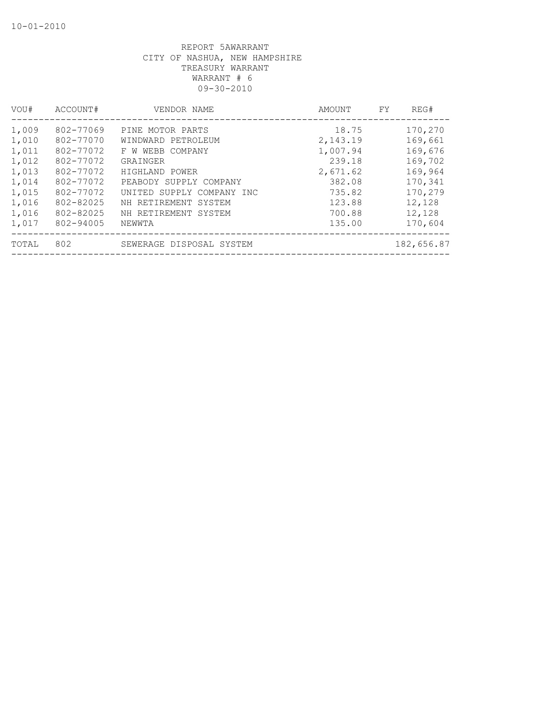| VOU#  | ACCOUNT#  | VENDOR NAME               | AMOUNT   | REG#<br>FY. |
|-------|-----------|---------------------------|----------|-------------|
| 1,009 | 802-77069 | PINE MOTOR PARTS          | 18.75    | 170,270     |
| 1,010 | 802-77070 | WINDWARD PETROLEUM        | 2,143.19 | 169,661     |
| 1,011 | 802-77072 | F W WEBB COMPANY          | 1,007.94 | 169,676     |
| 1,012 | 802-77072 | GRAINGER                  | 239.18   | 169,702     |
| 1,013 | 802-77072 | HIGHLAND POWER            | 2,671.62 | 169,964     |
| 1,014 | 802-77072 | PEABODY SUPPLY COMPANY    | 382.08   | 170,341     |
| 1,015 | 802-77072 | UNITED SUPPLY COMPANY INC | 735.82   | 170,279     |
| 1,016 | 802-82025 | NH RETIREMENT SYSTEM      | 123.88   | 12,128      |
| 1,016 | 802-82025 | NH RETIREMENT SYSTEM      | 700.88   | 12,128      |
| 1,017 | 802-94005 | NEWWTA                    | 135.00   | 170,604     |
| TOTAL | 802       | SEWERAGE DISPOSAL SYSTEM  |          | 182,656.87  |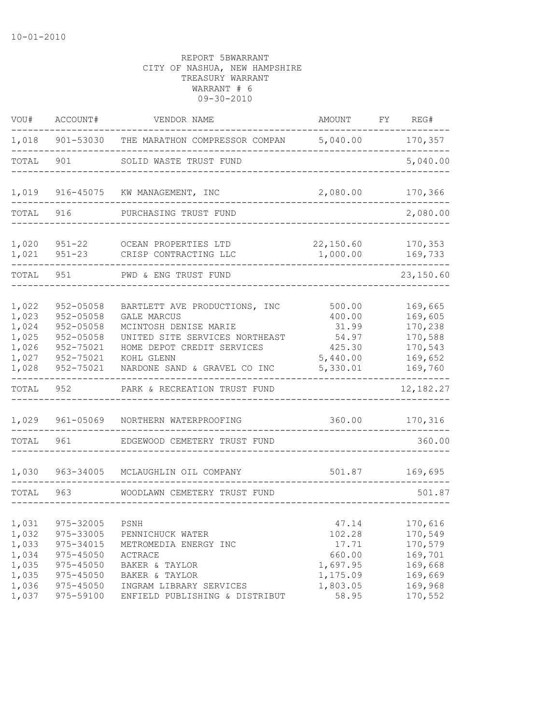| VOU#                                                        | ACCOUNT#                                                                                            | VENDOR NAME                                                                                                                                                                                | AMOUNT                                                                 | FY | REG#                                                                      |
|-------------------------------------------------------------|-----------------------------------------------------------------------------------------------------|--------------------------------------------------------------------------------------------------------------------------------------------------------------------------------------------|------------------------------------------------------------------------|----|---------------------------------------------------------------------------|
| 1,018                                                       |                                                                                                     | 901-53030 THE MARATHON COMPRESSOR COMPAN                                                                                                                                                   | 5,040.00                                                               |    | 170,357                                                                   |
| TOTAL                                                       | 901                                                                                                 | SOLID WASTE TRUST FUND                                                                                                                                                                     |                                                                        |    | 5,040.00                                                                  |
| 1,019                                                       | 916-45075                                                                                           | KW MANAGEMENT, INC                                                                                                                                                                         | 2,080.00                                                               |    | 170,366                                                                   |
| TOTAL                                                       | 916                                                                                                 | PURCHASING TRUST FUND                                                                                                                                                                      |                                                                        |    | 2,080.00                                                                  |
| 1,020<br>1,021                                              | $951 - 22$<br>$951 - 23$                                                                            | OCEAN PROPERTIES LTD<br>CRISP CONTRACTING LLC                                                                                                                                              | 22,150.60<br>1,000.00                                                  |    | 170,353<br>169,733                                                        |
| TOTAL                                                       | 951                                                                                                 | PWD & ENG TRUST FUND                                                                                                                                                                       |                                                                        |    | 23,150.60                                                                 |
| 1,022<br>1,023<br>1,024<br>1,025<br>1,026<br>1,027<br>1,028 | 952-05058<br>$952 - 05058$<br>$952 - 05058$<br>$952 - 05058$<br>952-75021<br>952-75021<br>952-75021 | BARTLETT AVE PRODUCTIONS, INC<br><b>GALE MARCUS</b><br>MCINTOSH DENISE MARIE<br>UNITED SITE SERVICES NORTHEAST<br>HOME DEPOT CREDIT SERVICES<br>KOHL GLENN<br>NARDONE SAND & GRAVEL CO INC | 500.00<br>400.00<br>31.99<br>54.97<br>425.30<br>5,440.00<br>5,330.01   |    | 169,665<br>169,605<br>170,238<br>170,588<br>170,543<br>169,652<br>169,760 |
| TOTAL                                                       | 952                                                                                                 | PARK & RECREATION TRUST FUND                                                                                                                                                               |                                                                        |    | 12, 182. 27                                                               |
| 1,029                                                       | 961-05069                                                                                           | NORTHERN WATERPROOFING                                                                                                                                                                     | 360.00                                                                 |    | 170,316                                                                   |
| TOTAL                                                       | 961                                                                                                 | EDGEWOOD CEMETERY TRUST FUND                                                                                                                                                               |                                                                        |    | 360.00                                                                    |
| 1,030                                                       | 963-34005                                                                                           | MCLAUGHLIN OIL COMPANY                                                                                                                                                                     | 501.87                                                                 |    | 169,695                                                                   |
| TOTAL                                                       | 963                                                                                                 | WOODLAWN CEMETERY TRUST FUND                                                                                                                                                               |                                                                        |    | 501.87                                                                    |
| 1,031<br>1,032<br>1,033<br>1,034<br>1,035<br>1,035<br>1,036 | 975-32005<br>975-33005<br>975-34015<br>975-45050<br>975-45050<br>975-45050<br>975-45050             | PSNH<br>PENNICHUCK WATER<br>METROMEDIA ENERGY INC<br>ACTRACE<br>BAKER & TAYLOR<br>BAKER & TAYLOR<br>INGRAM LIBRARY SERVICES                                                                | 47.14<br>102.28<br>17.71<br>660.00<br>1,697.95<br>1,175.09<br>1,803.05 |    | 170,616<br>170,549<br>170,579<br>169,701<br>169,668<br>169,669<br>169,968 |
| 1,037                                                       | 975-59100                                                                                           | ENFIELD PUBLISHING & DISTRIBUT                                                                                                                                                             | 58.95                                                                  |    | 170,552                                                                   |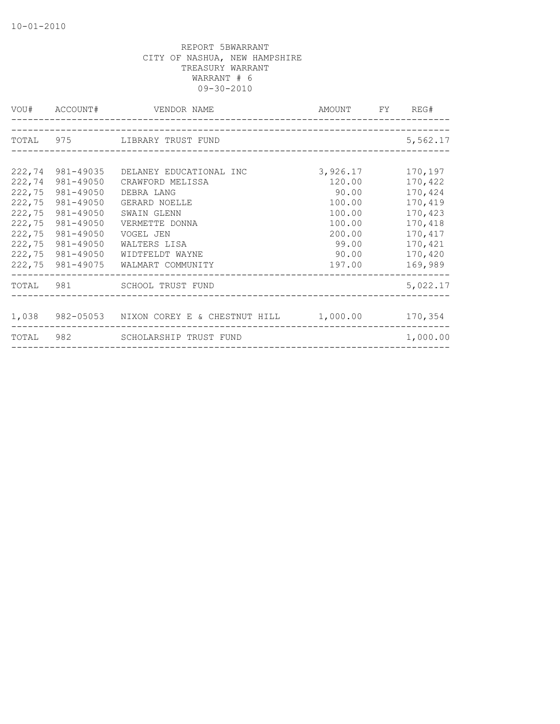|           |                  | VOU# ACCOUNT# VENDOR NAME                              | AMOUNT FY REG# |          |
|-----------|------------------|--------------------------------------------------------|----------------|----------|
|           |                  | TOTAL 975 LIBRARY TRUST FUND                           |                | 5,562.17 |
|           |                  |                                                        |                |          |
| 222,74    | 981-49035        | DELANEY EDUCATIONAL INC                                | 3,926.17       | 170,197  |
| 222,74    | 981-49050        | CRAWFORD MELISSA                                       | 120.00         | 170,422  |
| 222,75    | 981-49050        | DEBRA LANG                                             | 90.00          | 170,424  |
| 222,75    | 981-49050        | GERARD NOELLE                                          | 100.00         | 170,419  |
| 222,75    | 981-49050        | SWAIN GLENN                                            | 100.00         | 170,423  |
| 222,75    | 981-49050        | VERMETTE DONNA                                         | 100.00         | 170,418  |
| 222,75    | 981-49050        | VOGEL JEN                                              | 200.00         | 170,417  |
| 222,75    | 981-49050        | WALTERS LISA                                           | 99.00          | 170,421  |
| 222,75    | 981-49050        | WIDTFELDT WAYNE                                        | 90.00          | 170,420  |
|           | 222,75 981-49075 | WALMART COMMUNITY                                      | 197.00         | 169,989  |
|           |                  | TOTAL 981 SCHOOL TRUST FUND                            |                | 5,022.17 |
|           |                  |                                                        |                |          |
|           |                  | 1,038 982-05053 NIXON COREY E & CHESTNUT HILL 1,000.00 |                | 170,354  |
| TOTAL 982 |                  | SCHOLARSHIP TRUST FUND                                 |                | 1,000.00 |
|           |                  |                                                        |                |          |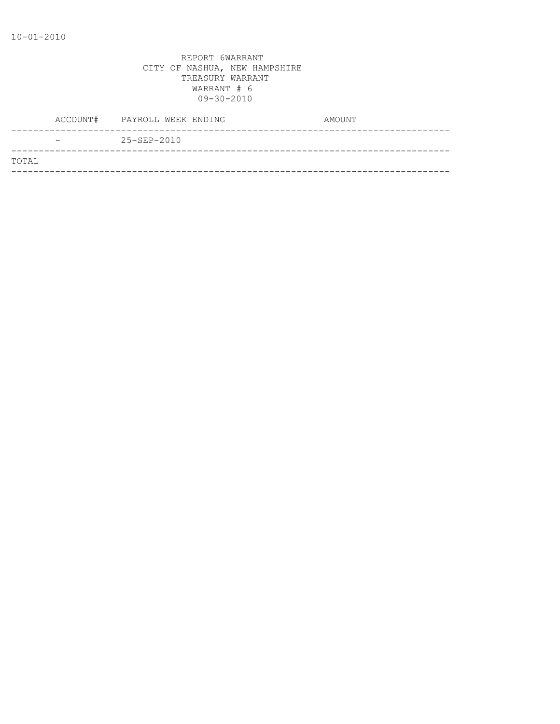| ACCOUNT# | PAYROLL WEEK ENDING | AMOUNT |
|----------|---------------------|--------|
|          | $25 - SEP - 2010$   |        |
| TOTAL    |                     |        |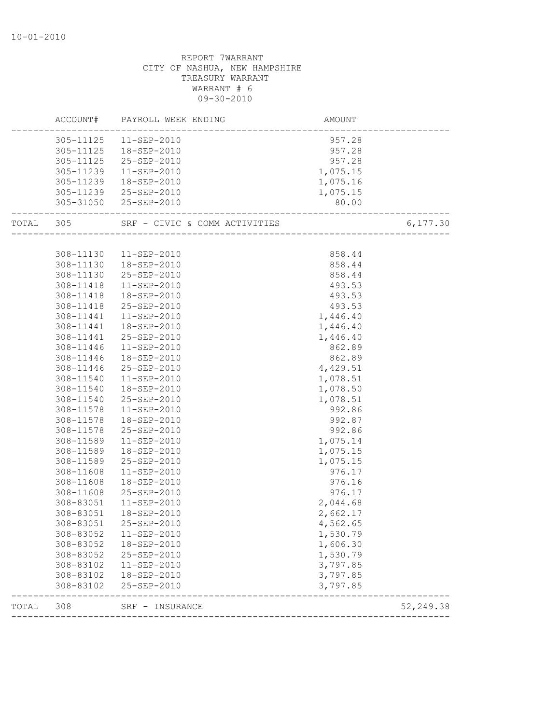|           |                        | ACCOUNT# PAYROLL WEEK ENDING | AMOUNT               |            |
|-----------|------------------------|------------------------------|----------------------|------------|
|           |                        | 305-11125  11-SEP-2010       | 957.28               |            |
|           |                        | 305-11125  18-SEP-2010       | 957.28               |            |
|           |                        | 305-11125 25-SEP-2010        | 957.28               |            |
|           | 305-11239              | 11-SEP-2010                  | 1,075.15             |            |
|           | 305-11239              | 18-SEP-2010                  | 1,075.16             |            |
|           |                        | 305-11239 25-SEP-2010        | 1,075.15             |            |
|           |                        | 305-31050 25-SEP-2010        | 80.00                |            |
| TOTAL 305 |                        |                              |                      | 6,177.30   |
|           |                        |                              |                      |            |
|           | 308-11130              | 11-SEP-2010                  | 858.44               |            |
|           | 308-11130              | 18-SEP-2010                  | 858.44               |            |
|           | 308-11130              | 25-SEP-2010                  | 858.44               |            |
|           | 308-11418              | 11-SEP-2010                  | 493.53               |            |
|           | 308-11418              | 18-SEP-2010                  | 493.53               |            |
|           | 308-11418              | 25-SEP-2010                  | 493.53               |            |
|           | 308-11441              | 11-SEP-2010                  | 1,446.40             |            |
|           | 308-11441              | 18-SEP-2010                  | 1,446.40             |            |
|           | 308-11441              | 25-SEP-2010                  | 1,446.40             |            |
|           | 308-11446              | 11-SEP-2010                  | 862.89               |            |
|           | 308-11446              | 18-SEP-2010                  | 862.89               |            |
|           | 308-11446              | 25-SEP-2010                  | 4,429.51             |            |
|           | 308-11540              | 11-SEP-2010                  | 1,078.51             |            |
|           | 308-11540              | 18-SEP-2010                  | 1,078.50             |            |
|           | 308-11540              | 25-SEP-2010                  | 1,078.51             |            |
|           | 308-11578              | 11-SEP-2010                  | 992.86               |            |
|           | 308-11578              | 18-SEP-2010                  | 992.87               |            |
|           | 308-11578              | 25-SEP-2010                  | 992.86               |            |
|           | 308-11589              | 11-SEP-2010                  | 1,075.14             |            |
|           | 308-11589              | 18-SEP-2010                  | 1,075.15             |            |
|           | 308-11589              | 25-SEP-2010                  | 1,075.15             |            |
|           | 308-11608              | $11 - SEP - 2010$            | 976.17               |            |
|           | 308-11608              | 18-SEP-2010                  | 976.16               |            |
|           | 308-11608              | 25-SEP-2010                  | 976.17               |            |
|           | 308-83051              | 11-SEP-2010                  | 2,044.68             |            |
|           | 308-83051              | 18-SEP-2010                  | 2,662.17             |            |
|           |                        | 308-83051 25-SEP-2010        | 4,562.65             |            |
|           | 308-83052              | 11-SEP-2010                  | 1,530.79             |            |
|           | 308-83052              | 18-SEP-2010                  | 1,606.30             |            |
|           | 308-83052              | 25-SEP-2010                  | 1,530.79             |            |
|           | 308-83102              | 11-SEP-2010                  | 3,797.85             |            |
|           | 308-83102<br>308-83102 | 18-SEP-2010<br>25-SEP-2010   | 3,797.85<br>3,797.85 |            |
| TOTAL     | 308                    | SRF - INSURANCE              |                      | 52, 249.38 |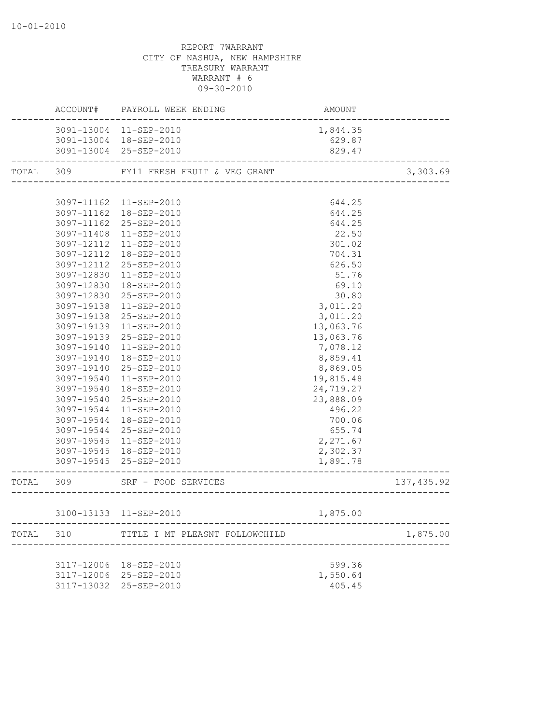|           |            | ACCOUNT# PAYROLL WEEK ENDING                      | AMOUNT               |             |
|-----------|------------|---------------------------------------------------|----------------------|-------------|
|           |            | 3091-13004 11-SEP-2010                            | 1,844.35             |             |
|           |            | 3091-13004 18-SEP-2010                            | 629.87               |             |
|           |            | 3091-13004 25-SEP-2010                            | 829.47               |             |
|           |            | TOTAL 309 FY11 FRESH FRUIT & VEG GRANT            |                      | 3,303.69    |
|           |            |                                                   |                      |             |
|           |            | 3097-11162  11-SEP-2010                           | 644.25               |             |
|           |            | 3097-11162  18-SEP-2010                           | 644.25               |             |
|           |            | 3097-11162 25-SEP-2010                            | 644.25               |             |
|           | 3097-11408 | 11-SEP-2010                                       | 22.50                |             |
|           | 3097-12112 | 11-SEP-2010                                       | 301.02               |             |
|           | 3097-12112 | 18-SEP-2010                                       | 704.31               |             |
|           | 3097-12112 | 25-SEP-2010                                       | 626.50               |             |
|           | 3097-12830 | 11-SEP-2010                                       | 51.76                |             |
|           | 3097-12830 | 18-SEP-2010                                       | 69.10                |             |
|           | 3097-12830 | 25-SEP-2010                                       | 30.80                |             |
|           | 3097-19138 | 11-SEP-2010                                       | 3,011.20             |             |
|           | 3097-19138 | 25-SEP-2010                                       | 3,011.20             |             |
|           | 3097-19139 | 11-SEP-2010                                       | 13,063.76            |             |
|           | 3097-19139 | 25-SEP-2010                                       | 13,063.76            |             |
|           | 3097-19140 | $11 - SEP - 2010$                                 | 7,078.12             |             |
|           | 3097-19140 | 18-SEP-2010                                       | 8,859.41             |             |
|           | 3097-19140 | 25-SEP-2010                                       | 8,869.05             |             |
|           | 3097-19540 | 11-SEP-2010                                       | 19,815.48            |             |
|           | 3097-19540 | 18-SEP-2010                                       | 24,719.27            |             |
|           | 3097-19540 | 25-SEP-2010                                       | 23,888.09            |             |
|           | 3097-19544 | 11-SEP-2010                                       | 496.22               |             |
|           | 3097-19544 | 18-SEP-2010                                       | 700.06               |             |
|           |            | 3097-19544 25-SEP-2010                            | 655.74               |             |
|           |            | 3097-19545 11-SEP-2010                            | 2,271.67             |             |
|           |            | 3097-19545  18-SEP-2010<br>3097-19545 25-SEP-2010 | 2,302.37<br>1,891.78 |             |
| TOTAL 309 |            | _______________________<br>SRF - FOOD SERVICES    |                      |             |
|           |            | ,<br>-------------------------                    |                      | 137, 435.92 |
|           |            | 3100-13133 11-SEP-2010                            | 1,875.00             |             |
|           | TOTAL 310  | TITLE I MT PLEASNT FOLLOWCHILD                    |                      | 1,875.00    |
|           |            |                                                   |                      |             |
|           |            | 3117-12006 18-SEP-2010                            | 599.36               |             |
|           |            | 3117-12006 25-SEP-2010                            | 1,550.64             |             |
|           |            | 3117-13032 25-SEP-2010                            | 405.45               |             |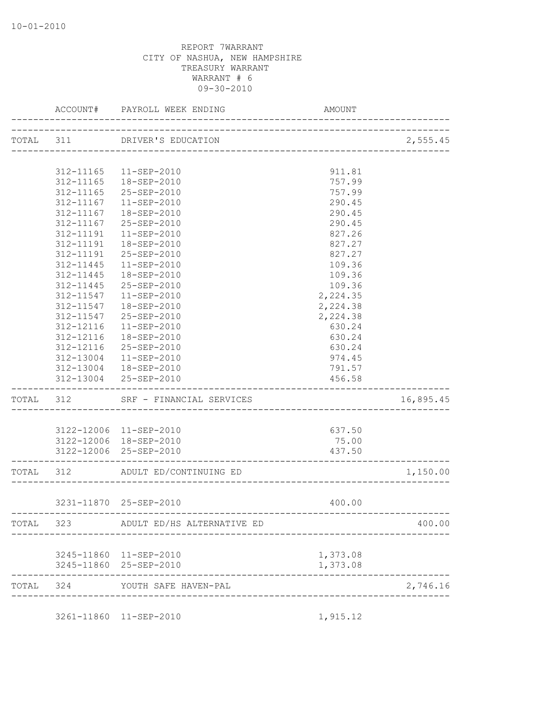|           |           | ACCOUNT# PAYROLL WEEK ENDING     | AMOUNT   |           |
|-----------|-----------|----------------------------------|----------|-----------|
|           |           | TOTAL 311 DRIVER'S EDUCATION     |          | 2,555.45  |
|           |           |                                  |          |           |
|           |           | 312-11165  11-SEP-2010           | 911.81   |           |
|           | 312-11165 | 18-SEP-2010                      | 757.99   |           |
|           | 312-11165 | 25-SEP-2010                      | 757.99   |           |
|           | 312-11167 | 11-SEP-2010                      | 290.45   |           |
|           | 312-11167 | 18-SEP-2010                      | 290.45   |           |
|           | 312-11167 | 25-SEP-2010                      | 290.45   |           |
|           | 312-11191 | $11 - SEP - 2010$                | 827.26   |           |
|           | 312-11191 | 18-SEP-2010                      | 827.27   |           |
|           | 312-11191 | 25-SEP-2010                      | 827.27   |           |
|           | 312-11445 | $11 - SEP - 2010$                | 109.36   |           |
|           | 312-11445 | 18-SEP-2010                      | 109.36   |           |
|           | 312-11445 | 25-SEP-2010                      | 109.36   |           |
|           | 312-11547 | $11 - SEP - 2010$                | 2,224.35 |           |
|           | 312-11547 | 18-SEP-2010                      | 2,224.38 |           |
|           | 312-11547 | 25-SEP-2010                      | 2,224.38 |           |
|           | 312-12116 | $11 - SEP - 2010$                | 630.24   |           |
|           | 312-12116 | 18-SEP-2010                      | 630.24   |           |
|           | 312-12116 | $25 - SEP - 2010$                | 630.24   |           |
|           | 312-13004 | 11-SEP-2010                      | 974.45   |           |
|           |           | 312-13004  18-SEP-2010           | 791.57   |           |
|           |           | 312-13004 25-SEP-2010            | 456.58   |           |
| TOTAL 312 |           | SRF - FINANCIAL SERVICES         |          | 16,895.45 |
|           |           |                                  |          |           |
|           |           | 3122-12006 11-SEP-2010           | 637.50   |           |
|           |           | 3122-12006 18-SEP-2010           | 75.00    |           |
|           |           | 3122-12006 25-SEP-2010           | 437.50   |           |
|           |           | TOTAL 312 ADULT ED/CONTINUING ED |          | 1,150.00  |
|           |           | 3231-11870 25-SEP-2010           | 400.00   |           |
|           |           |                                  |          |           |
|           | TOTAL 323 | ADULT ED/HS ALTERNATIVE ED       |          | 400.00    |
|           |           | 3245-11860 11-SEP-2010           | 1,373.08 |           |
|           |           | 3245-11860 25-SEP-2010           | 1,373.08 |           |
| TOTAL     | 324       | YOUTH SAFE HAVEN-PAL             |          | 2,746.16  |
|           |           |                                  |          |           |
|           |           | 3261-11860 11-SEP-2010           | 1,915.12 |           |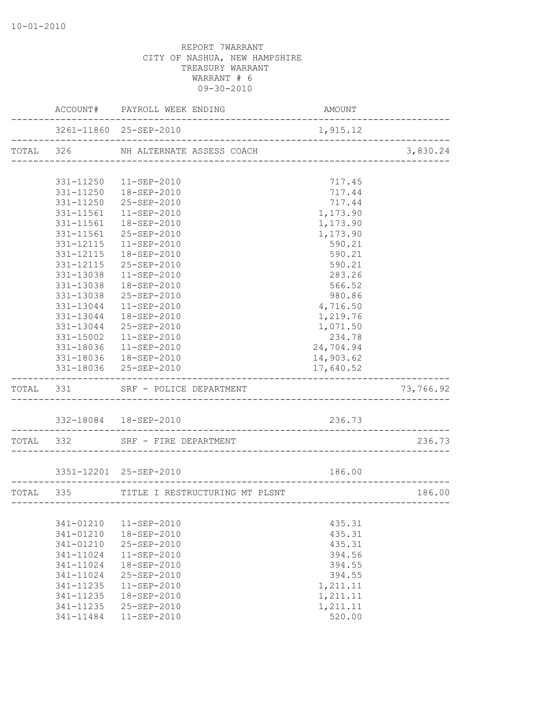|           | ACCOUNT# PAYROLL WEEK ENDING                                 | AMOUNT               |           |
|-----------|--------------------------------------------------------------|----------------------|-----------|
|           | 3261-11860 25-SEP-2010                                       | 1,915.12             |           |
|           | TOTAL 326 NH ALTERNATE ASSESS COACH                          |                      | 3,830.24  |
|           |                                                              |                      |           |
|           | 331-11250    11-SEP-2010                                     | 717.45               |           |
|           | 331-11250  18-SEP-2010                                       | 717.44               |           |
|           | 331-11250 25-SEP-2010                                        | 717.44               |           |
|           | 331-11561  11-SEP-2010                                       | 1,173.90             |           |
|           | 331-11561  18-SEP-2010                                       | 1,173.90             |           |
|           | 331-11561 25-SEP-2010                                        | 1,173.90             |           |
|           | 331-12115  11-SEP-2010                                       | 590.21               |           |
| 331-12115 | 18-SEP-2010                                                  | 590.21               |           |
| 331-12115 | 25-SEP-2010                                                  | 590.21               |           |
| 331-13038 | 11-SEP-2010                                                  | 283.26               |           |
| 331-13038 | 18-SEP-2010                                                  | 566.52               |           |
|           | 331-13038 25-SEP-2010                                        | 980.86               |           |
|           | 331-13044  11-SEP-2010<br>331-13044  18-SEP-2010             | 4,716.50<br>1,219.76 |           |
|           | 331-13044 25-SEP-2010                                        | 1,071.50             |           |
|           | 331-15002  11-SEP-2010                                       | 234.78               |           |
|           | 331-18036 11-SEP-2010                                        | 24,704.94            |           |
|           | 331-18036  18-SEP-2010                                       | 14,903.62            |           |
|           | 331-18036 25-SEP-2010                                        | 17,640.52            |           |
|           | TOTAL 331 SRF - POLICE DEPARTMENT<br>_______________________ |                      | 73,766.92 |
|           |                                                              |                      |           |
|           |                                                              | 236.73               |           |
|           | TOTAL 332 SRF - FIRE DEPARTMENT                              |                      | 236.73    |
|           |                                                              |                      |           |
|           | 3351-12201 25-SEP-2010                                       | 186.00               |           |
|           | TOTAL 335 TITLE I RESTRUCTURING MT PLSNT                     |                      | 186.00    |
|           |                                                              |                      |           |
| 341-01210 | $11 - SEP - 2010$                                            | 435.31               |           |
| 341-01210 | 18-SEP-2010                                                  | 435.31               |           |
| 341-01210 | 25-SEP-2010                                                  | 435.31               |           |
| 341-11024 | 11-SEP-2010                                                  | 394.56               |           |
| 341-11024 | 18-SEP-2010                                                  | 394.55               |           |
| 341-11024 | 25-SEP-2010                                                  | 394.55               |           |
| 341-11235 | 11-SEP-2010                                                  | 1,211.11             |           |
| 341-11235 | 18-SEP-2010                                                  | 1,211.11             |           |
| 341-11235 | 25-SEP-2010                                                  | 1,211.11             |           |
| 341-11484 | 11-SEP-2010                                                  | 520.00               |           |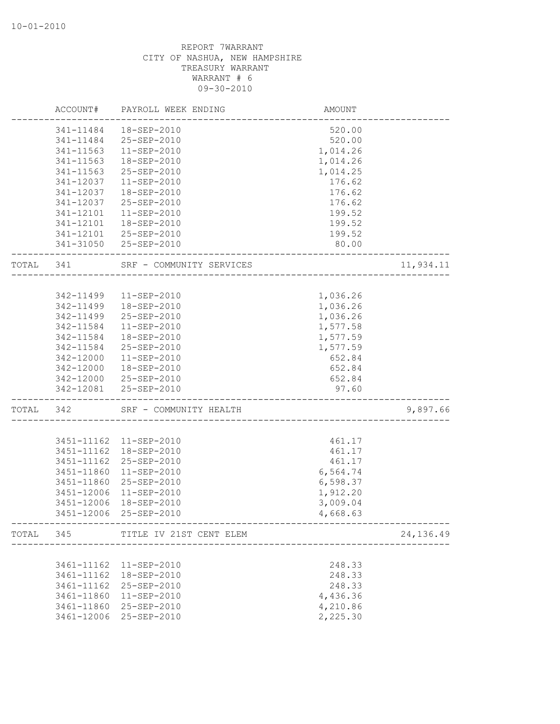|       | ACCOUNT#   | PAYROLL WEEK ENDING               | AMOUNT                             |           |
|-------|------------|-----------------------------------|------------------------------------|-----------|
|       | 341-11484  | 18-SEP-2010                       | 520.00                             |           |
|       | 341-11484  | 25-SEP-2010                       | 520.00                             |           |
|       | 341-11563  | 11-SEP-2010                       | 1,014.26                           |           |
|       | 341-11563  | 18-SEP-2010                       | 1,014.26                           |           |
|       | 341-11563  | 25-SEP-2010                       | 1,014.25                           |           |
|       | 341-12037  | $11 - SEP - 2010$                 | 176.62                             |           |
|       | 341-12037  | 18-SEP-2010                       | 176.62                             |           |
|       | 341-12037  | 25-SEP-2010                       | 176.62                             |           |
|       | 341-12101  | 11-SEP-2010                       | 199.52                             |           |
|       | 341-12101  | 18-SEP-2010                       | 199.52                             |           |
|       | 341-12101  | 25-SEP-2010                       | 199.52                             |           |
|       | 341-31050  | 25-SEP-2010                       | 80.00                              |           |
| TOTAL | 341        | SRF - COMMUNITY SERVICES          |                                    | 11,934.11 |
|       |            |                                   |                                    |           |
|       | 342-11499  | 11-SEP-2010                       | 1,036.26                           |           |
|       | 342-11499  | 18-SEP-2010                       | 1,036.26                           |           |
|       | 342-11499  | 25-SEP-2010                       | 1,036.26                           |           |
|       | 342-11584  | 11-SEP-2010                       | 1,577.58                           |           |
|       | 342-11584  | 18-SEP-2010                       | 1,577.59                           |           |
|       | 342-11584  | 25-SEP-2010                       | 1,577.59                           |           |
|       | 342-12000  | 11-SEP-2010                       | 652.84                             |           |
|       | 342-12000  | 18-SEP-2010                       | 652.84                             |           |
|       | 342-12000  | 25-SEP-2010                       | 652.84                             |           |
|       | 342-12081  | 25-SEP-2010                       | 97.60<br>_________________________ |           |
| TOTAL | 342        | SRF - COMMUNITY HEALTH            |                                    | 9,897.66  |
|       |            |                                   |                                    |           |
|       |            | 3451-11162  11-SEP-2010           | 461.17                             |           |
|       | 3451-11162 | 18-SEP-2010                       | 461.17                             |           |
|       | 3451-11162 | 25-SEP-2010                       | 461.17                             |           |
|       | 3451-11860 | 11-SEP-2010                       | 6,564.74                           |           |
|       | 3451-11860 | 25-SEP-2010                       | 6,598.37                           |           |
|       | 3451-12006 | 11-SEP-2010                       | 1,912.20                           |           |
|       | 3451-12006 | 18-SEP-2010                       | 3,009.04                           |           |
|       |            | 3451-12006 25-SEP-2010            | 4,668.63                           |           |
|       |            | TOTAL 345 TITLE IV 21ST CENT ELEM | ___________________                | 24,136.49 |
|       |            |                                   |                                    |           |
|       | 3461-11162 | 11-SEP-2010                       | 248.33                             |           |
|       | 3461-11162 | 18-SEP-2010                       | 248.33                             |           |
|       | 3461-11162 | 25-SEP-2010                       | 248.33                             |           |
|       | 3461-11860 | 11-SEP-2010                       | 4,436.36                           |           |
|       | 3461-11860 | 25-SEP-2010                       | 4,210.86                           |           |
|       | 3461-12006 | 25-SEP-2010                       | 2,225.30                           |           |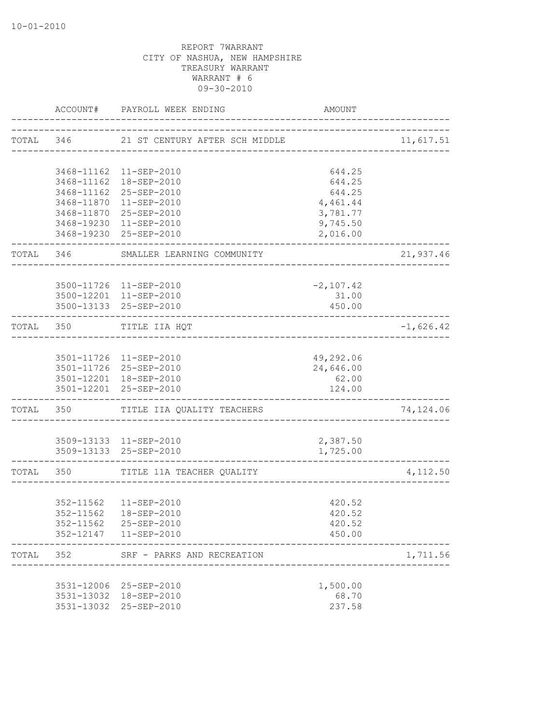|       |            | ACCOUNT# PAYROLL WEEK ENDING                     | AMOUNT                              |             |
|-------|------------|--------------------------------------------------|-------------------------------------|-------------|
|       | TOTAL 346  | 21 ST CENTURY AFTER SCH MIDDLE                   |                                     | 11,617.51   |
|       |            |                                                  |                                     |             |
|       |            | 3468-11162  11-SEP-2010                          | 644.25                              |             |
|       |            | 3468-11162  18-SEP-2010                          | 644.25                              |             |
|       |            | 3468-11162 25-SEP-2010<br>3468-11870 11-SEP-2010 | 644.25<br>4,461.44                  |             |
|       |            | 3468-11870 25-SEP-2010                           | 3,781.77                            |             |
|       |            | 3468-19230 11-SEP-2010                           | 9,745.50                            |             |
|       |            | 3468-19230 25-SEP-2010                           | 2,016.00                            |             |
|       | TOTAL 346  | SMALLER LEARNING COMMUNITY                       |                                     | 21,937.46   |
|       |            |                                                  |                                     |             |
|       |            | 3500-11726 11-SEP-2010<br>3500-12201 11-SEP-2010 | $-2, 107.42$<br>31.00               |             |
|       |            | 3500-13133 25-SEP-2010                           | 450.00                              |             |
|       |            |                                                  |                                     |             |
|       | TOTAL 350  | TITLE IIA HQT                                    |                                     | $-1,626.42$ |
|       |            |                                                  |                                     |             |
|       |            | 3501-11726 11-SEP-2010                           | 49,292.06                           |             |
|       |            | 3501-11726 25-SEP-2010                           | 24,646.00                           |             |
|       |            | 3501-12201 18-SEP-2010                           | 62.00                               |             |
|       |            | 3501-12201 25-SEP-2010                           | 124.00                              |             |
|       | TOTAL 350  | TITLE IIA QUALITY TEACHERS                       |                                     | 74,124.06   |
|       |            | 3509-13133 11-SEP-2010                           | 2,387.50                            |             |
|       |            | 3509-13133 25-SEP-2010                           | 1,725.00                            |             |
|       | TOTAL 350  | TITLE 11A TEACHER QUALITY                        | . _ _ _ _ _ _ _ _ _ _ _ _ _ _ _ _ _ | 4,112.50    |
|       |            |                                                  |                                     |             |
|       |            | 352-11562    11-SEP-2010                         | 420.52                              |             |
|       |            | 352-11562  18-SEP-2010<br>352-11562 25-SEP-2010  | 420.52<br>420.52                    |             |
|       |            | 352-12147   11-SEP-2010                          | 450.00                              |             |
| TOTAL | 352        | SRF - PARKS AND RECREATION                       |                                     | 1,711.56    |
|       |            |                                                  |                                     |             |
|       |            | 3531-12006 25-SEP-2010                           | 1,500.00                            |             |
|       |            | 3531-13032 18-SEP-2010                           | 68.70                               |             |
|       | 3531-13032 | 25-SEP-2010                                      | 237.58                              |             |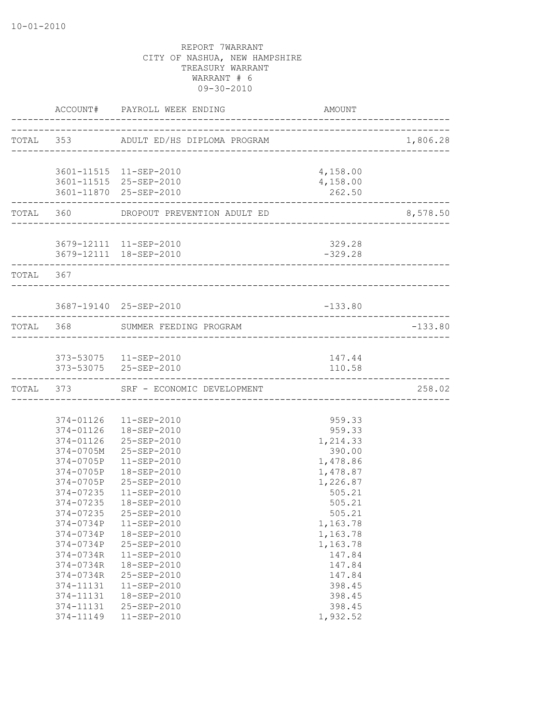|           |           | ACCOUNT# PAYROLL WEEK ENDING          | AMOUNT                                |           |
|-----------|-----------|---------------------------------------|---------------------------------------|-----------|
|           |           | TOTAL 353 ADULT ED/HS DIPLOMA PROGRAM |                                       | 1,806.28  |
|           |           |                                       |                                       |           |
|           |           | 3601-11515  11-SEP-2010               | 4,158.00                              |           |
|           |           | 3601-11515 25-SEP-2010                | 4,158.00                              |           |
|           |           | 3601-11870 25-SEP-2010                | 262.50<br>___________________________ |           |
|           |           | TOTAL 360 DROPOUT PREVENTION ADULT ED |                                       | 8,578.50  |
|           |           |                                       |                                       |           |
|           |           | 3679-12111 11-SEP-2010                | 329.28                                |           |
|           |           | 3679-12111 18-SEP-2010                | $-329.28$                             |           |
| TOTAL 367 |           |                                       |                                       |           |
|           |           |                                       |                                       |           |
|           |           | 3687-19140 25-SEP-2010                | $-133.80$                             |           |
|           |           | TOTAL 368 SUMMER FEEDING PROGRAM      |                                       | $-133.80$ |
|           |           |                                       |                                       |           |
|           |           | 373-53075  11-SEP-2010                | 147.44                                |           |
|           |           | 373-53075 25-SEP-2010                 | 110.58                                |           |
|           |           | TOTAL 373 SRF - ECONOMIC DEVELOPMENT  |                                       | 258.02    |
|           |           |                                       |                                       |           |
|           |           | 374-01126  11-SEP-2010                | 959.33                                |           |
|           |           | 374-01126  18-SEP-2010                | 959.33                                |           |
|           |           | 374-01126 25-SEP-2010                 | 1,214.33                              |           |
|           | 374-0705M | 25-SEP-2010                           | 390.00                                |           |
|           | 374-0705P | $11 - SEP - 2010$                     | 1,478.86                              |           |
|           | 374-0705P | 18-SEP-2010                           | 1,478.87                              |           |
|           | 374-0705P | 25-SEP-2010                           | 1,226.87                              |           |
|           | 374-07235 | $11 - SEP - 2010$                     | 505.21                                |           |
|           | 374-07235 | 18-SEP-2010                           | 505.21                                |           |
|           | 374-07235 | 25-SEP-2010                           | 505.21                                |           |
|           | 374-0734P | $11 - SEP - 2010$                     | 1,163.78                              |           |
|           | 374-0734P | 18-SEP-2010                           | 1,163.78                              |           |
|           | 374-0734P | 25-SEP-2010                           | 1,163.78                              |           |
|           | 374-0734R | 11-SEP-2010                           | 147.84                                |           |
|           | 374-0734R | 18-SEP-2010                           | 147.84                                |           |
|           | 374-0734R | 25-SEP-2010                           | 147.84                                |           |
|           | 374-11131 | 11-SEP-2010                           | 398.45                                |           |
|           | 374-11131 | 18-SEP-2010                           | 398.45                                |           |
|           | 374-11131 | 25-SEP-2010                           | 398.45                                |           |
|           | 374-11149 | $11 - SEP - 2010$                     | 1,932.52                              |           |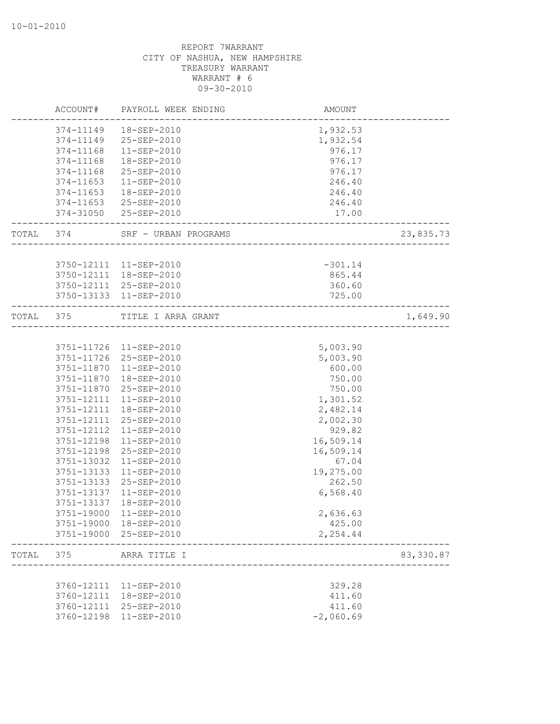|       |                   | ACCOUNT# PAYROLL WEEK ENDING           | AMOUNT<br>--------------------       |           |
|-------|-------------------|----------------------------------------|--------------------------------------|-----------|
|       |                   | 374-11149  18-SEP-2010                 | 1,932.53                             |           |
|       |                   | 374-11149 25-SEP-2010                  | 1,932.54                             |           |
|       |                   | 374-11168  11-SEP-2010                 | 976.17                               |           |
|       | 374-11168         | 18-SEP-2010                            | 976.17                               |           |
|       | 374-11168         | 25-SEP-2010                            | 976.17                               |           |
|       | 374-11653         | 11-SEP-2010                            | 246.40                               |           |
|       | 374-11653         | 18-SEP-2010                            | 246.40                               |           |
|       |                   | 374-11653 25-SEP-2010                  | 246.40                               |           |
|       |                   | 374-31050 25-SEP-2010                  | 17.00                                |           |
|       |                   | TOTAL 374 SRF - URBAN PROGRAMS         | _____________________                | 23,835.73 |
|       |                   |                                        |                                      |           |
|       |                   | 3750-12111 11-SEP-2010                 | $-301.14$                            |           |
|       |                   | 3750-12111  18-SEP-2010                | 865.44                               |           |
|       |                   | 3750-12111 25-SEP-2010                 | 360.60                               |           |
|       | ----------------- | 3750-13133 11-SEP-2010<br>------------ | 725.00                               |           |
|       |                   | TOTAL 375 TITLE I ARRA GRANT           | ------------------------------------ | 1,649.90  |
|       |                   |                                        |                                      |           |
|       |                   | 3751-11726 11-SEP-2010                 | 5,003.90                             |           |
|       |                   | 3751-11726 25-SEP-2010                 | 5,003.90                             |           |
|       |                   | 3751-11870  11-SEP-2010                | 600.00                               |           |
|       |                   | 3751-11870  18-SEP-2010                | 750.00                               |           |
|       | 3751-11870        | 25-SEP-2010                            | 750.00                               |           |
|       |                   | 3751-12111 11-SEP-2010                 | 1,301.52                             |           |
|       | 3751-12111        | 18-SEP-2010                            | 2,482.14                             |           |
|       | 3751-12111        | 25-SEP-2010                            | 2,002.30                             |           |
|       | 3751-12112        | 11-SEP-2010                            | 929.82                               |           |
|       | 3751-12198        | 11-SEP-2010                            | 16,509.14                            |           |
|       | 3751-12198        | 25-SEP-2010                            | 16,509.14                            |           |
|       | 3751-13032        | 11-SEP-2010                            | 67.04                                |           |
|       | 3751-13133        | 11-SEP-2010                            | 19,275.00                            |           |
|       | 3751-13133        | 25-SEP-2010                            | 262.50                               |           |
|       | 3751-13137        | 11-SEP-2010                            | 6,568.40                             |           |
|       | 3751-13137        | 18-SEP-2010                            |                                      |           |
|       | 3751-19000        | $11 - SEP - 2010$                      | 2,636.63                             |           |
|       | 3751-19000        | 18-SEP-2010                            | 425.00                               |           |
|       |                   | 3751-19000 25-SEP-2010                 | 2,254.44                             |           |
| TOTAL | 375               | ARRA TITLE I                           |                                      | 83,330.87 |
|       |                   |                                        |                                      |           |
|       |                   | 3760-12111 11-SEP-2010                 | 329.28                               |           |
|       | 3760-12111        | 18-SEP-2010                            | 411.60                               |           |
|       | 3760-12111        | 25-SEP-2010                            | 411.60                               |           |
|       | 3760-12198        | 11-SEP-2010                            | $-2,060.69$                          |           |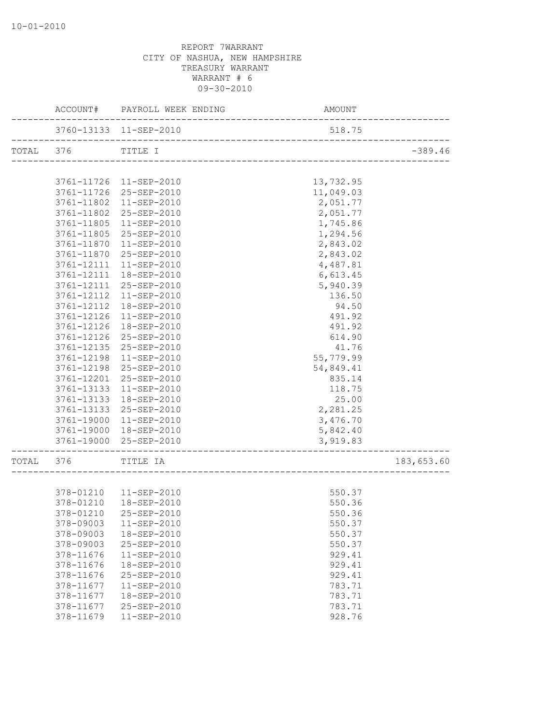|           |                          | ACCOUNT# PAYROLL WEEK ENDING | AMOUNT           |            |
|-----------|--------------------------|------------------------------|------------------|------------|
|           |                          | 3760-13133 11-SEP-2010       | 518.75           |            |
| TOTAL 376 |                          | TITLE I                      |                  | $-389.46$  |
|           |                          |                              |                  |            |
|           |                          | 3761-11726 11-SEP-2010       | 13,732.95        |            |
|           |                          | 3761-11726 25-SEP-2010       | 11,049.03        |            |
|           |                          | 3761-11802 11-SEP-2010       | 2,051.77         |            |
|           |                          | 3761-11802 25-SEP-2010       | 2,051.77         |            |
|           |                          | 3761-11805 11-SEP-2010       | 1,745.86         |            |
|           | 3761-11805               | 25-SEP-2010                  | 1,294.56         |            |
|           | 3761-11870               | 11-SEP-2010                  | 2,843.02         |            |
|           |                          | 3761-11870 25-SEP-2010       | 2,843.02         |            |
|           |                          | 3761-12111 11-SEP-2010       | 4,487.81         |            |
|           | 3761-12111               | 18-SEP-2010                  | 6,613.45         |            |
|           | 3761-12111               | 25-SEP-2010                  | 5,940.39         |            |
|           | 3761-12112               | 11-SEP-2010                  | 136.50           |            |
|           | 3761-12112               | 18-SEP-2010                  | 94.50            |            |
|           | 3761-12126               | 11-SEP-2010                  | 491.92           |            |
|           | 3761-12126<br>3761-12126 | 18-SEP-2010<br>25-SEP-2010   | 491.92<br>614.90 |            |
|           | 3761-12135               | 25-SEP-2010                  | 41.76            |            |
|           | 3761-12198               | 11-SEP-2010                  | 55,779.99        |            |
|           | 3761-12198               | 25-SEP-2010                  | 54,849.41        |            |
|           |                          | 3761-12201 25-SEP-2010       | 835.14           |            |
|           |                          | 3761-13133 11-SEP-2010       | 118.75           |            |
|           |                          | 3761-13133  18-SEP-2010      | 25.00            |            |
|           |                          | 3761-13133 25-SEP-2010       | 2,281.25         |            |
|           | 3761-19000               | 11-SEP-2010                  | 3,476.70         |            |
|           |                          | 3761-19000 18-SEP-2010       | 5,842.40         |            |
|           |                          | 3761-19000 25-SEP-2010       | 3,919.83         |            |
|           |                          |                              |                  |            |
| TOTAL 376 |                          | TITLE IA                     |                  | 183,653.60 |
|           |                          |                              |                  |            |
|           |                          | 378-01210  11-SEP-2010       | 550.37           |            |
|           | 378-01210                | 18-SEP-2010                  | 550.36           |            |
|           |                          | 378-01210 25-SEP-2010        | 550.36           |            |
|           | 378-09003                | $11 - SEP - 2010$            | 550.37           |            |
|           | 378-09003                | 18-SEP-2010                  | 550.37           |            |
|           | 378-09003                | 25-SEP-2010                  | 550.37           |            |
|           | 378-11676                | 11-SEP-2010                  | 929.41           |            |
|           | 378-11676                | 18-SEP-2010                  | 929.41           |            |
|           | 378-11676                | 25-SEP-2010                  | 929.41           |            |
|           | 378-11677                | 11-SEP-2010                  | 783.71           |            |
|           | 378-11677                | 18-SEP-2010                  | 783.71           |            |
|           | 378-11677                | 25-SEP-2010                  | 783.71           |            |
|           | 378-11679                | 11-SEP-2010                  | 928.76           |            |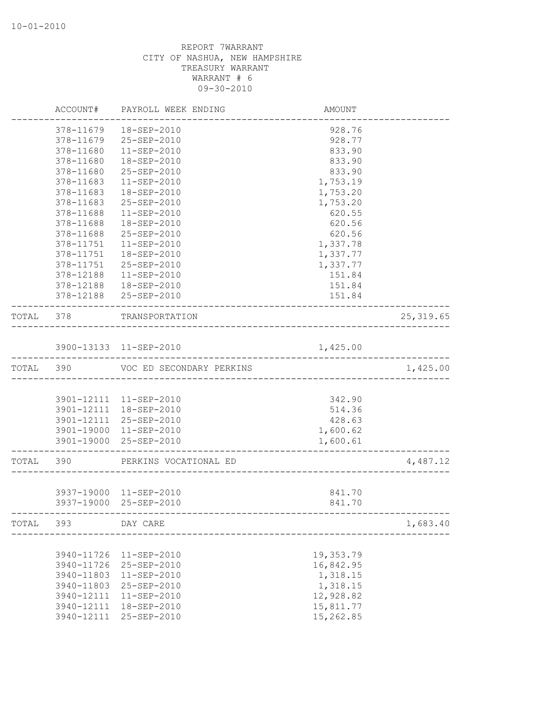|           | ACCOUNT#   | PAYROLL WEEK ENDING      | AMOUNT    |            |
|-----------|------------|--------------------------|-----------|------------|
|           | 378-11679  | 18-SEP-2010              | 928.76    |            |
|           | 378-11679  | 25-SEP-2010              | 928.77    |            |
|           | 378-11680  | 11-SEP-2010              | 833.90    |            |
|           | 378-11680  | 18-SEP-2010              | 833.90    |            |
|           | 378-11680  | 25-SEP-2010              | 833.90    |            |
|           | 378-11683  | $11 - SEP - 2010$        | 1,753.19  |            |
|           | 378-11683  | 18-SEP-2010              | 1,753.20  |            |
|           | 378-11683  | 25-SEP-2010              | 1,753.20  |            |
|           | 378-11688  | $11 - SEP - 2010$        | 620.55    |            |
|           | 378-11688  | 18-SEP-2010              | 620.56    |            |
|           | 378-11688  | 25-SEP-2010              | 620.56    |            |
|           | 378-11751  | 11-SEP-2010              | 1,337.78  |            |
|           | 378-11751  | 18-SEP-2010              | 1,337.77  |            |
|           | 378-11751  | 25-SEP-2010              | 1,337.77  |            |
|           | 378-12188  | 11-SEP-2010              | 151.84    |            |
|           | 378-12188  | 18-SEP-2010              | 151.84    |            |
|           |            | 378-12188 25-SEP-2010    | 151.84    |            |
| TOTAL 378 |            | TRANSPORTATION           |           | 25, 319.65 |
|           |            | 3900-13133 11-SEP-2010   | 1,425.00  |            |
|           |            |                          |           |            |
| TOTAL 390 |            | VOC ED SECONDARY PERKINS |           | 1,425.00   |
|           |            |                          |           |            |
|           |            | 3901-12111 11-SEP-2010   | 342.90    |            |
|           |            | 3901-12111 18-SEP-2010   | 514.36    |            |
|           |            | 3901-12111 25-SEP-2010   | 428.63    |            |
|           | 3901-19000 | 11-SEP-2010              | 1,600.62  |            |
|           |            | 3901-19000 25-SEP-2010   | 1,600.61  |            |
| TOTAL     | 390        | PERKINS VOCATIONAL ED    |           | 4,487.12   |
|           |            |                          |           |            |
|           |            | 3937-19000 11-SEP-2010   | 841.70    |            |
|           |            | 3937-19000 25-SEP-2010   | 841.70    |            |
| TOTAL     | 393        | DAY CARE                 |           | 1,683.40   |
|           |            |                          |           |            |
|           | 3940-11726 | $11 - SEP - 2010$        | 19,353.79 |            |
|           | 3940-11726 | 25-SEP-2010              | 16,842.95 |            |
|           | 3940-11803 | $11 - SEP - 2010$        | 1,318.15  |            |
|           | 3940-11803 | 25-SEP-2010              | 1,318.15  |            |
|           | 3940-12111 | $11 - SEP - 2010$        | 12,928.82 |            |
|           | 3940-12111 | 18-SEP-2010              | 15,811.77 |            |
|           | 3940-12111 | 25-SEP-2010              | 15,262.85 |            |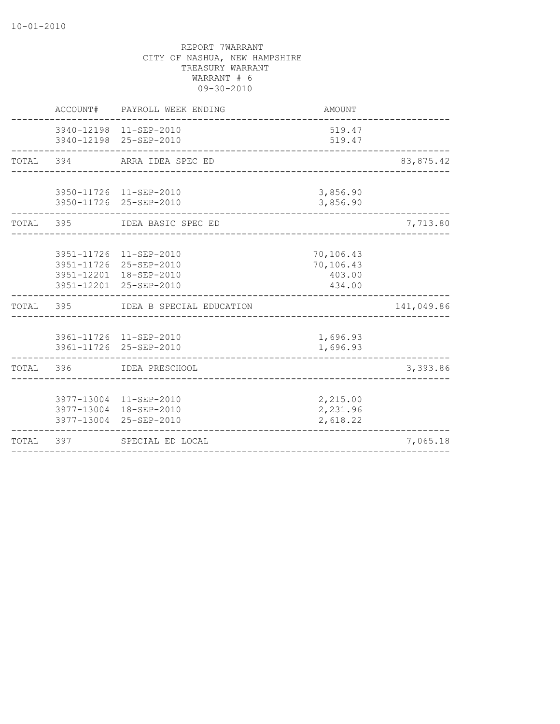|           | ACCOUNT# PAYROLL WEEK ENDING                                                                         | AMOUNT                                     |            |
|-----------|------------------------------------------------------------------------------------------------------|--------------------------------------------|------------|
|           | 3940-12198 11-SEP-2010<br>3940-12198 25-SEP-2010                                                     | 519.47<br>519.47                           |            |
| TOTAL 394 | ARRA IDEA SPEC ED                                                                                    |                                            | 83,875.42  |
|           | 3950-11726 11-SEP-2010<br>3950-11726 25-SEP-2010                                                     | 3,856.90<br>3,856.90                       |            |
|           | TOTAL 395 IDEA BASIC SPEC ED                                                                         |                                            | 7,713.80   |
|           | 3951-11726 11-SEP-2010<br>3951-11726 25-SEP-2010<br>3951-12201 18-SEP-2010<br>3951-12201 25-SEP-2010 | 70,106.43<br>70,106.43<br>403.00<br>434.00 |            |
| TOTAL 395 | IDEA B SPECIAL EDUCATION                                                                             |                                            | 141,049.86 |
|           | 3961-11726 11-SEP-2010<br>3961-11726 25-SEP-2010                                                     | 1,696.93<br>1,696.93                       |            |
|           | TOTAL 396 IDEA PRESCHOOL                                                                             |                                            | 3,393.86   |
|           | 3977-13004 11-SEP-2010<br>3977-13004 18-SEP-2010<br>3977-13004 25-SEP-2010                           | 2,215.00<br>2,231.96<br>2,618.22           |            |
|           | TOTAL 397 SPECIAL ED LOCAL                                                                           |                                            | 7,065.18   |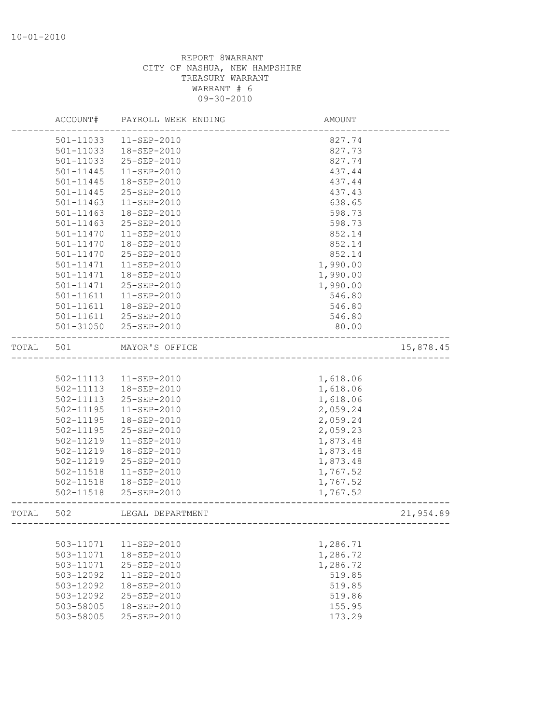|       | ACCOUNT#      | PAYROLL WEEK ENDING   | AMOUNT   |           |
|-------|---------------|-----------------------|----------|-----------|
|       | 501-11033     | 11-SEP-2010           | 827.74   |           |
|       | 501-11033     | 18-SEP-2010           | 827.73   |           |
|       | 501-11033     | 25-SEP-2010           | 827.74   |           |
|       | 501-11445     | $11-SEP-2010$         | 437.44   |           |
|       | 501-11445     | 18-SEP-2010           | 437.44   |           |
|       | 501-11445     | 25-SEP-2010           | 437.43   |           |
|       | $501 - 11463$ | $11 - SEP - 2010$     | 638.65   |           |
|       | $501 - 11463$ | 18-SEP-2010           | 598.73   |           |
|       | 501-11463     | 25-SEP-2010           | 598.73   |           |
|       | 501-11470     | $11 - SEP - 2010$     | 852.14   |           |
|       | 501-11470     | 18-SEP-2010           | 852.14   |           |
|       | 501-11470     | 25-SEP-2010           | 852.14   |           |
|       | 501-11471     | 11-SEP-2010           | 1,990.00 |           |
|       | 501-11471     | 18-SEP-2010           | 1,990.00 |           |
|       | 501-11471     | 25-SEP-2010           | 1,990.00 |           |
|       | 501-11611     | $11 - SEP - 2010$     | 546.80   |           |
|       | 501-11611     | 18-SEP-2010           | 546.80   |           |
|       | 501-11611     | 25-SEP-2010           | 546.80   |           |
|       |               | 501-31050 25-SEP-2010 | 80.00    |           |
| TOTAL | 501           | MAYOR'S OFFICE        |          | 15,878.45 |
|       |               |                       |          |           |
|       | 502-11113     | 11-SEP-2010           | 1,618.06 |           |
|       | 502-11113     | 18-SEP-2010           | 1,618.06 |           |
|       | 502-11113     | 25-SEP-2010           | 1,618.06 |           |
|       | 502-11195     | $11 - SEP - 2010$     | 2,059.24 |           |
|       | 502-11195     | 18-SEP-2010           | 2,059.24 |           |
|       | 502-11195     | 25-SEP-2010           | 2,059.23 |           |
|       | 502-11219     | $11 - SEP - 2010$     | 1,873.48 |           |
|       |               |                       |          |           |
|       | 502-11219     | 18-SEP-2010           | 1,873.48 |           |
|       | 502-11219     | 25-SEP-2010           | 1,873.48 |           |
|       | 502-11518     | $11 - SEP - 2010$     | 1,767.52 |           |
|       | 502-11518     | 18-SEP-2010           | 1,767.52 |           |
|       | 502-11518     | 25-SEP-2010           | 1,767.52 |           |
| TOTAL | 502           | LEGAL DEPARTMENT      |          | 21,954.89 |
|       |               |                       |          |           |
|       | 503-11071     | $11-SEP-2010$         | 1,286.71 |           |
|       | 503-11071     | 18-SEP-2010           | 1,286.72 |           |
|       | 503-11071     | $25 - SEP - 2010$     | 1,286.72 |           |
|       | 503-12092     | $11 - SEP - 2010$     | 519.85   |           |
|       | 503-12092     | 18-SEP-2010           | 519.85   |           |
|       | 503-12092     | 25-SEP-2010           | 519.86   |           |
|       | 503-58005     | $18 - SEP - 2010$     | 155.95   |           |
|       | 503-58005     | 25-SEP-2010           | 173.29   |           |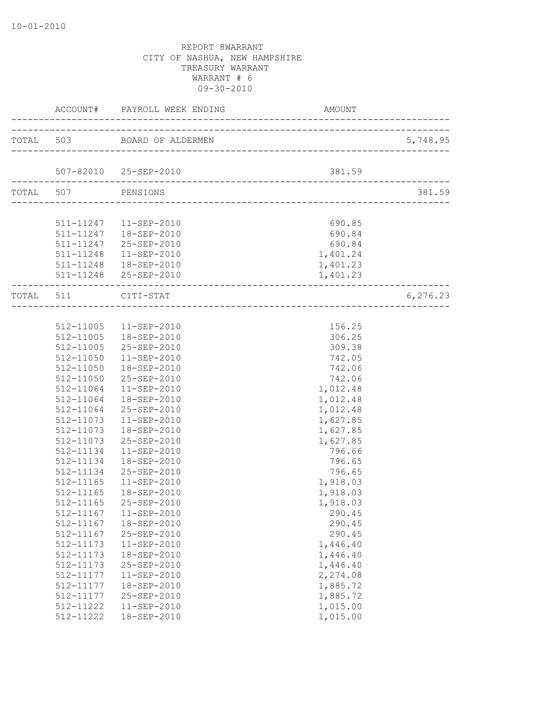| -----------         | ACCOUNT# PAYROLL WEEK ENDING<br>------------------------------------- | AMOUNT   |           |
|---------------------|-----------------------------------------------------------------------|----------|-----------|
|                     | TOTAL 503 BOARD OF ALDERMEN                                           |          | 5,748.95  |
|                     | 507-82010 25-SEP-2010                                                 | 381.59   |           |
| TOTAL 507 PENSIONS  |                                                                       |          | 381.59    |
|                     |                                                                       |          |           |
|                     |                                                                       |          |           |
|                     | 511-11247  11-SEP-2010                                                | 690.85   |           |
|                     | 511-11247  18-SEP-2010                                                | 690.84   |           |
|                     | 511-11247 25-SEP-2010                                                 | 690.84   |           |
|                     | 511-11248  11-SEP-2010                                                | 1,401.24 |           |
|                     | 511-11248  18-SEP-2010                                                | 1,401.23 |           |
|                     | 511-11248 25-SEP-2010                                                 | 1,401.23 |           |
| TOTAL 511 CITI-STAT |                                                                       |          | 6, 276.23 |
|                     | __________________________________                                    |          |           |
|                     | 512-11005  11-SEP-2010                                                | 156.25   |           |
|                     | 512-11005  18-SEP-2010                                                | 306.25   |           |
|                     | 512-11005 25-SEP-2010                                                 | 309.38   |           |
| 512-11050           | 11-SEP-2010                                                           | 742.05   |           |
| 512-11050           | 18-SEP-2010                                                           | 742.06   |           |
| 512-11050           | 25-SEP-2010                                                           | 742.06   |           |
| 512-11064           | 11-SEP-2010                                                           | 1,012.48 |           |
| 512-11064           | 18-SEP-2010                                                           | 1,012.48 |           |
|                     | 512-11064 25-SEP-2010                                                 | 1,012.48 |           |
|                     | 512-11073  11-SEP-2010                                                | 1,627.85 |           |
| 512-11073           | 18-SEP-2010                                                           | 1,627.85 |           |
| 512-11073           | 25-SEP-2010                                                           | 1,627.85 |           |
| 512-11134           | 11-SEP-2010                                                           | 796.66   |           |
| 512-11134           | 18-SEP-2010                                                           | 796.65   |           |
| 512-11134           | 25-SEP-2010                                                           | 796.65   |           |
| 512-11165           | $11 - SEP - 2010$                                                     | 1,918.03 |           |
| 512-11165           | 18-SEP-2010                                                           | 1,918.03 |           |
| 512-11165           | 25-SEP-2010                                                           | 1,918.03 |           |
|                     | 512-11167    11-SEP-2010                                              | 290.45   |           |
| 512-11167           | 18-SEP-2010                                                           | 290.45   |           |
| 512-11167           | 25-SEP-2010                                                           | 290.45   |           |
| 512-11173           | 11-SEP-2010                                                           | 1,446.40 |           |
| 512-11173           | 18-SEP-2010                                                           | 1,446.40 |           |
| 512-11173           | 25-SEP-2010                                                           | 1,446.40 |           |
| 512-11177           | 11-SEP-2010                                                           | 2,274.08 |           |
| 512-11177           | 18-SEP-2010                                                           | 1,885.72 |           |
| 512-11177           | 25-SEP-2010                                                           | 1,885.72 |           |
| 512-11222           | 11-SEP-2010                                                           | 1,015.00 |           |
| 512-11222           | 18-SEP-2010                                                           | 1,015.00 |           |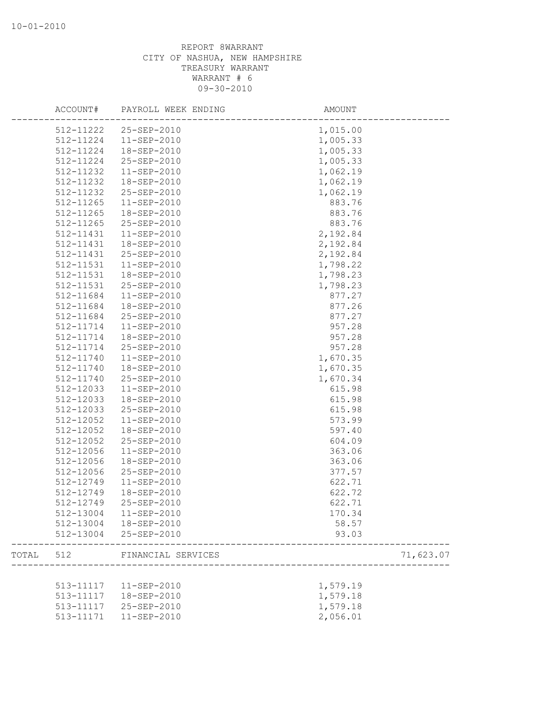|       | ACCOUNT#  | PAYROLL WEEK ENDING    | AMOUNT    |
|-------|-----------|------------------------|-----------|
|       | 512-11222 | 25-SEP-2010            | 1,015.00  |
|       | 512-11224 | $11 - SEP - 2010$      | 1,005.33  |
|       | 512-11224 | 18-SEP-2010            | 1,005.33  |
|       | 512-11224 | 25-SEP-2010            | 1,005.33  |
|       | 512-11232 | 11-SEP-2010            | 1,062.19  |
|       | 512-11232 | 18-SEP-2010            | 1,062.19  |
|       | 512-11232 | 25-SEP-2010            | 1,062.19  |
|       | 512-11265 | $11 - SEP - 2010$      | 883.76    |
|       | 512-11265 | 18-SEP-2010            | 883.76    |
|       | 512-11265 | 25-SEP-2010            | 883.76    |
|       | 512-11431 | $11-SEP-2010$          | 2,192.84  |
|       | 512-11431 | 18-SEP-2010            | 2,192.84  |
|       | 512-11431 | 25-SEP-2010            | 2,192.84  |
|       | 512-11531 | 11-SEP-2010            | 1,798.22  |
|       | 512-11531 | 18-SEP-2010            | 1,798.23  |
|       | 512-11531 | 25-SEP-2010            | 1,798.23  |
|       | 512-11684 | 11-SEP-2010            | 877.27    |
|       | 512-11684 | 18-SEP-2010            | 877.26    |
|       | 512-11684 | 25-SEP-2010            | 877.27    |
|       | 512-11714 | 11-SEP-2010            | 957.28    |
|       | 512-11714 | 18-SEP-2010            | 957.28    |
|       | 512-11714 | 25-SEP-2010            | 957.28    |
|       | 512-11740 | 11-SEP-2010            | 1,670.35  |
|       | 512-11740 | 18-SEP-2010            | 1,670.35  |
|       | 512-11740 | 25-SEP-2010            | 1,670.34  |
|       | 512-12033 | 11-SEP-2010            | 615.98    |
|       | 512-12033 | 18-SEP-2010            | 615.98    |
|       | 512-12033 | 25-SEP-2010            | 615.98    |
|       | 512-12052 | $11-SEP-2010$          | 573.99    |
|       | 512-12052 | 18-SEP-2010            | 597.40    |
|       | 512-12052 | 25-SEP-2010            | 604.09    |
|       | 512-12056 | $11 - SEP - 2010$      | 363.06    |
|       | 512-12056 | 18-SEP-2010            | 363.06    |
|       | 512-12056 | 25-SEP-2010            | 377.57    |
|       | 512-12749 | 11-SEP-2010            | 622.71    |
|       | 512-12749 | 18-SEP-2010            | 622.72    |
|       | 512-12749 | 25-SEP-2010            | 622.71    |
|       |           | 512-13004  11-SEP-2010 | 170.34    |
|       |           | 512-13004  18-SEP-2010 | 58.57     |
|       |           | 512-13004 25-SEP-2010  | 93.03     |
| TOTAL | 512       | FINANCIAL SERVICES     | 71,623.07 |
|       |           |                        |           |
|       |           | 513-11117  11-SEP-2010 | 1,579.19  |
|       | 513-11117 | 18-SEP-2010            | 1,579.18  |
|       | 513-11117 | 25-SEP-2010            | 1,579.18  |
|       | 513-11171 | 11-SEP-2010            | 2,056.01  |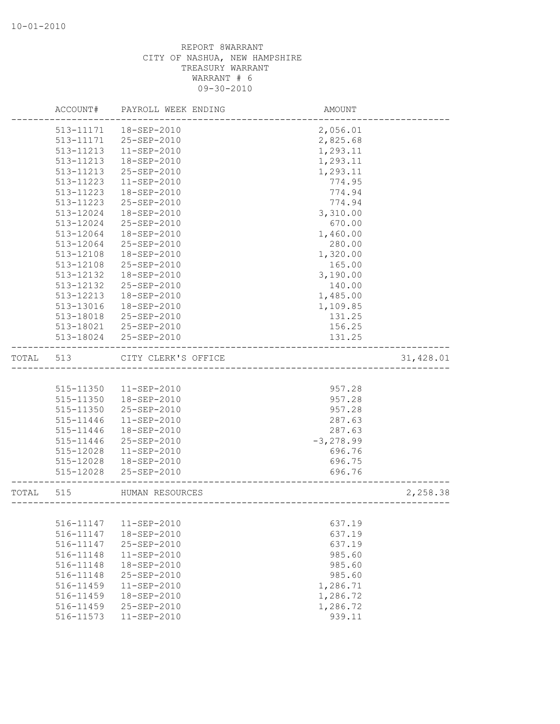|       | ACCOUNT#      | PAYROLL WEEK ENDING | AMOUNT                                              |           |
|-------|---------------|---------------------|-----------------------------------------------------|-----------|
|       | 513-11171     | 18-SEP-2010         | 2,056.01                                            |           |
|       | 513-11171     | 25-SEP-2010         | 2,825.68                                            |           |
|       | 513-11213     | 11-SEP-2010         | 1,293.11                                            |           |
|       | 513-11213     | 18-SEP-2010         | 1,293.11                                            |           |
|       | 513-11213     | 25-SEP-2010         | 1,293.11                                            |           |
|       | 513-11223     | $11 - SEP - 2010$   | 774.95                                              |           |
|       | 513-11223     | 18-SEP-2010         | 774.94                                              |           |
|       | 513-11223     | 25-SEP-2010         | 774.94                                              |           |
|       | 513-12024     | 18-SEP-2010         | 3,310.00                                            |           |
|       | 513-12024     | 25-SEP-2010         | 670.00                                              |           |
|       | $513 - 12064$ | 18-SEP-2010         | 1,460.00                                            |           |
|       | 513-12064     | 25-SEP-2010         | 280.00                                              |           |
|       | 513-12108     | 18-SEP-2010         | 1,320.00                                            |           |
|       | 513-12108     | 25-SEP-2010         | 165.00                                              |           |
|       | 513-12132     | 18-SEP-2010         | 3,190.00                                            |           |
|       | 513-12132     | 25-SEP-2010         | 140.00                                              |           |
|       | 513-12213     | 18-SEP-2010         | 1,485.00                                            |           |
|       | 513-13016     | 18-SEP-2010         | 1,109.85                                            |           |
|       | 513-18018     | 25-SEP-2010         | 131.25                                              |           |
|       | 513-18021     | 25-SEP-2010         | 156.25                                              |           |
|       | 513-18024     | 25-SEP-2010         | 131.25                                              |           |
| TOTAL | 513           | CITY CLERK'S OFFICE |                                                     | 31,428.01 |
|       |               |                     | <u> 1999 - Johann Bernstein, fransk politiker (</u> |           |
|       | 515-11350     | 11-SEP-2010         | 957.28                                              |           |
|       | 515-11350     | 18-SEP-2010         | 957.28                                              |           |
|       | 515-11350     | 25-SEP-2010         | 957.28                                              |           |
|       | 515-11446     | $11 - SEP - 2010$   | 287.63                                              |           |
|       | 515-11446     | 18-SEP-2010         | 287.63                                              |           |
|       | 515-11446     | 25-SEP-2010         | $-3,278.99$                                         |           |
|       | 515-12028     | $11 - SEP - 2010$   | 696.76                                              |           |
|       | 515-12028     | 18-SEP-2010         | 696.75                                              |           |
|       | 515-12028     | 25-SEP-2010         | 696.76                                              |           |
|       |               | HUMAN RESOURCES     |                                                     |           |
| TOTAL | 515           |                     | -----------------------------                       | 2,258.38  |
|       |               |                     |                                                     |           |
|       | 516-11147     | 11-SEP-2010         | 637.19                                              |           |
|       | 516-11147     | 18-SEP-2010         | 637.19                                              |           |
|       | 516-11147     | 25-SEP-2010         | 637.19                                              |           |
|       | 516-11148     | 11-SEP-2010         | 985.60                                              |           |
|       | 516-11148     | 18-SEP-2010         | 985.60                                              |           |
|       | 516-11148     | 25-SEP-2010         | 985.60                                              |           |
|       | 516-11459     | $11 - SEP - 2010$   | 1,286.71                                            |           |
|       | 516-11459     | 18-SEP-2010         | 1,286.72                                            |           |
|       | 516-11459     | 25-SEP-2010         | 1,286.72                                            |           |
|       | 516-11573     | 11-SEP-2010         | 939.11                                              |           |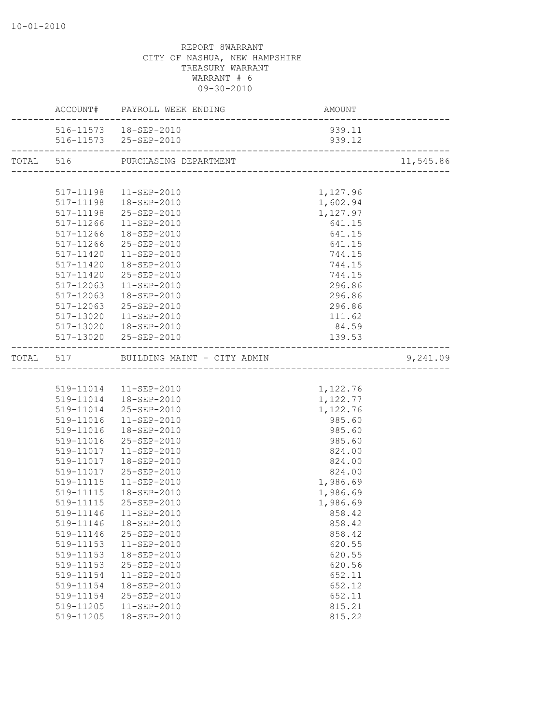|                        | ACCOUNT# PAYROLL WEEK ENDING          | AMOUNT<br>-------------------------- |           |
|------------------------|---------------------------------------|--------------------------------------|-----------|
|                        | 516-11573  18-SEP-2010                | 939.11                               |           |
|                        |                                       |                                      |           |
|                        |                                       |                                      | 11,545.86 |
|                        |                                       |                                      |           |
|                        | 517-11198  11-SEP-2010                | 1,127.96                             |           |
|                        | 517-11198  18-SEP-2010                | 1,602.94                             |           |
|                        | 517-11198 25-SEP-2010                 | 1,127.97                             |           |
|                        | 517-11266 11-SEP-2010                 | 641.15                               |           |
|                        | 517-11266  18-SEP-2010                | 641.15                               |           |
|                        | 517-11266 25-SEP-2010                 | 641.15                               |           |
|                        | 517-11420  11-SEP-2010                | 744.15                               |           |
|                        | 517-11420  18-SEP-2010                | 744.15                               |           |
|                        | 517-11420 25-SEP-2010                 | 744.15                               |           |
|                        | 517-12063  11-SEP-2010                | 296.86                               |           |
|                        | 517-12063  18-SEP-2010                | 296.86                               |           |
|                        | 517-12063 25-SEP-2010                 | 296.86                               |           |
|                        | 517-13020  11-SEP-2010                | 111.62                               |           |
|                        | 517-13020  18-SEP-2010                | 84.59                                |           |
|                        | 517-13020 25-SEP-2010                 | 139.53                               |           |
|                        | TOTAL 517 BUILDING MAINT - CITY ADMIN |                                      | 9,241.09  |
|                        |                                       |                                      |           |
|                        | 519-11014   11-SEP-2010               | 1,122.76                             |           |
|                        | 519-11014  18-SEP-2010                | 1,122.77                             |           |
|                        | 519-11014 25-SEP-2010                 | 1,122.76                             |           |
|                        | 519-11016  11-SEP-2010                | 985.60                               |           |
|                        | 519-11016  18-SEP-2010                | 985.60                               |           |
|                        | 519-11016 25-SEP-2010                 | 985.60                               |           |
|                        | 519-11017  11-SEP-2010                | 824.00                               |           |
|                        | 519-11017  18-SEP-2010                | 824.00                               |           |
|                        | 519-11017 25-SEP-2010                 | 824.00                               |           |
|                        | 519-11115  11-SEP-2010                | 1,986.69                             |           |
|                        | 519-11115  18-SEP-2010                | 1,986.69                             |           |
| 519-11115              | 25-SEP-2010                           | 1,986.69                             |           |
|                        | 519-11146  11-SEP-2010                | 858.42                               |           |
| 519-11146              | 18-SEP-2010                           | 858.42                               |           |
| 519-11146              | 25-SEP-2010                           | 858.42                               |           |
| 519-11153              | 11-SEP-2010                           | 620.55                               |           |
| 519-11153              | 18-SEP-2010                           | 620.55                               |           |
| 519-11153              | 25-SEP-2010                           | 620.56                               |           |
| 519-11154              | 11-SEP-2010                           | 652.11                               |           |
| 519-11154              | 18-SEP-2010                           | 652.12                               |           |
| 519-11154<br>519-11205 | 25-SEP-2010<br>11-SEP-2010            | 652.11<br>815.21                     |           |
| 519-11205              | 18-SEP-2010                           | 815.22                               |           |
|                        |                                       |                                      |           |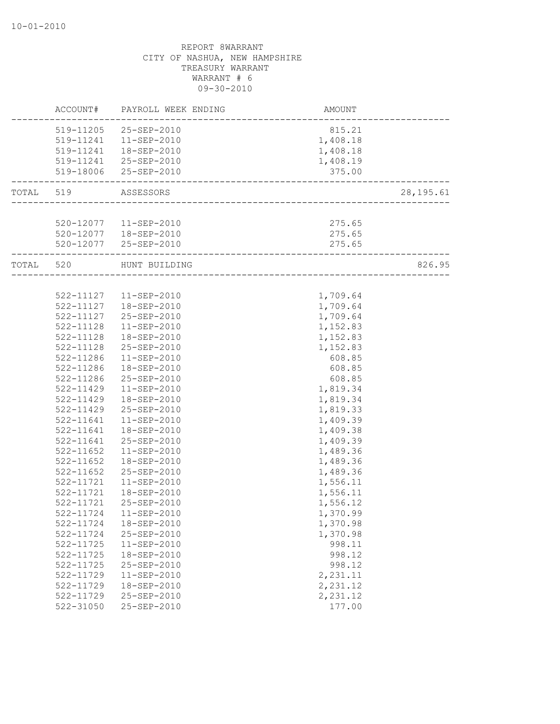|           |               | ACCOUNT# PAYROLL WEEK ENDING | AMOUNT   |            |
|-----------|---------------|------------------------------|----------|------------|
|           |               | 519-11205 25-SEP-2010        | 815.21   |            |
|           |               | 519-11241  11-SEP-2010       | 1,408.18 |            |
|           |               | 519-11241  18-SEP-2010       | 1,408.18 |            |
|           |               | 519-11241 25-SEP-2010        | 1,408.19 |            |
|           |               | 519-18006 25-SEP-2010        | 375.00   |            |
| TOTAL 519 |               | ASSESSORS                    |          | 28, 195.61 |
|           |               |                              |          |            |
|           |               | 520-12077  11-SEP-2010       | 275.65   |            |
|           |               | 520-12077  18-SEP-2010       | 275.65   |            |
|           |               | 520-12077 25-SEP-2010        | 275.65   |            |
| TOTAL 520 |               | HUNT BUILDING                |          | 826.95     |
|           |               |                              |          |            |
|           |               | 522-11127   11-SEP-2010      | 1,709.64 |            |
|           |               | 522-11127  18-SEP-2010       | 1,709.64 |            |
|           | 522-11127     | 25-SEP-2010                  | 1,709.64 |            |
|           | 522-11128     | 11-SEP-2010                  | 1,152.83 |            |
|           | 522-11128     | 18-SEP-2010                  | 1,152.83 |            |
|           | 522-11128     | 25-SEP-2010                  | 1,152.83 |            |
|           | 522-11286     | $11 - SEP - 2010$            | 608.85   |            |
|           | 522-11286     | 18-SEP-2010                  | 608.85   |            |
|           | 522-11286     | 25-SEP-2010                  | 608.85   |            |
|           | 522-11429     | $11 - SEP - 2010$            | 1,819.34 |            |
|           | 522-11429     | 18-SEP-2010                  | 1,819.34 |            |
|           | 522-11429     | 25-SEP-2010                  | 1,819.33 |            |
|           | 522-11641     | 11-SEP-2010                  | 1,409.39 |            |
|           | 522-11641     | 18-SEP-2010                  | 1,409.38 |            |
|           | 522-11641     | 25-SEP-2010                  | 1,409.39 |            |
|           | 522-11652     | $11 - SEP - 2010$            | 1,489.36 |            |
|           | 522-11652     | 18-SEP-2010                  | 1,489.36 |            |
|           | $522 - 11652$ | 25-SEP-2010                  | 1,489.36 |            |
|           | 522-11721     | 11-SEP-2010                  | 1,556.11 |            |
|           | 522-11721     | 18-SEP-2010                  | 1,556.11 |            |
|           | 522-11721     | 25-SEP-2010                  | 1,556.12 |            |
|           | 522-11724     | $11 - SEP - 2010$            | 1,370.99 |            |
|           | 522-11724     | 18-SEP-2010                  | 1,370.98 |            |
|           | $522 - 11724$ | 25-SEP-2010                  | 1,370.98 |            |
|           | 522-11725     | $11 - SEP - 2010$            | 998.11   |            |
|           | $522 - 11725$ | 18-SEP-2010                  | 998.12   |            |
|           | 522-11725     | 25-SEP-2010                  | 998.12   |            |
|           | 522-11729     | $11 - SEP - 2010$            | 2,231.11 |            |
|           | 522-11729     | 18-SEP-2010                  | 2,231.12 |            |
|           | 522-11729     | 25-SEP-2010                  | 2,231.12 |            |
|           | 522-31050     | 25-SEP-2010                  | 177.00   |            |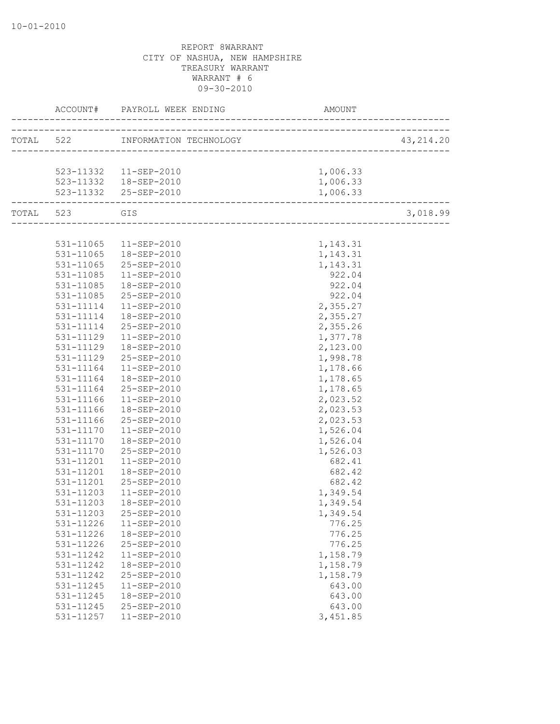|               |                                                  |          | 43, 214.20 |
|---------------|--------------------------------------------------|----------|------------|
|               |                                                  |          |            |
|               |                                                  |          |            |
|               | 523-11332 11-SEP-2010                            | 1,006.33 |            |
|               | 523-11332  18-SEP-2010<br>523-11332  25-SEP-2010 | 1,006.33 |            |
|               |                                                  | 1,006.33 |            |
| TOTAL 523 GIS |                                                  |          | 3,018.99   |
|               |                                                  |          |            |
|               | 531-11065  11-SEP-2010                           | 1,143.31 |            |
|               | 531-11065  18-SEP-2010                           | 1,143.31 |            |
|               | 531-11065 25-SEP-2010                            | 1,143.31 |            |
| 531-11085     | 11-SEP-2010                                      | 922.04   |            |
| 531-11085     | 18-SEP-2010                                      | 922.04   |            |
| 531-11085     | 25-SEP-2010                                      | 922.04   |            |
|               | 531-11114  11-SEP-2010                           | 2,355.27 |            |
|               | 531-11114  18-SEP-2010                           | 2,355.27 |            |
|               | 531-11114 25-SEP-2010                            | 2,355.26 |            |
|               | 531-11129  11-SEP-2010                           | 1,377.78 |            |
| 531-11129     | 18-SEP-2010                                      | 2,123.00 |            |
| 531-11129     | 25-SEP-2010                                      | 1,998.78 |            |
| 531-11164     | 11-SEP-2010                                      | 1,178.66 |            |
| 531-11164     | 18-SEP-2010                                      | 1,178.65 |            |
| 531-11164     | 25-SEP-2010                                      | 1,178.65 |            |
| 531-11166     | 11-SEP-2010                                      | 2,023.52 |            |
|               | 531-11166  18-SEP-2010                           | 2,023.53 |            |
|               | 531-11166 25-SEP-2010                            | 2,023.53 |            |
|               | 531-11170  11-SEP-2010                           | 1,526.04 |            |
| 531-11170     | 18-SEP-2010                                      | 1,526.04 |            |
| 531-11170     | 25-SEP-2010                                      | 1,526.03 |            |
| 531-11201     | 11-SEP-2010                                      | 682.41   |            |
| 531-11201     | 18-SEP-2010                                      | 682.42   |            |
| 531-11201     | 25-SEP-2010                                      | 682.42   |            |
| 531-11203     | 11-SEP-2010                                      | 1,349.54 |            |
| 531-11203     | 18-SEP-2010                                      | 1,349.54 |            |
|               | 531-11203 25-SEP-2010                            | 1,349.54 |            |
| 531-11226     | 11-SEP-2010                                      | 776.25   |            |
| 531-11226     | 18-SEP-2010                                      | 776.25   |            |
| 531-11226     | 25-SEP-2010                                      | 776.25   |            |
| 531-11242     | 11-SEP-2010                                      | 1,158.79 |            |
| 531-11242     | 18-SEP-2010                                      | 1,158.79 |            |
| 531-11242     | 25-SEP-2010                                      | 1,158.79 |            |
| 531-11245     | $11 - SEP - 2010$                                | 643.00   |            |
| 531-11245     | 18-SEP-2010                                      | 643.00   |            |
| 531-11245     | 25-SEP-2010                                      | 643.00   |            |
| 531-11257     | 11-SEP-2010                                      | 3,451.85 |            |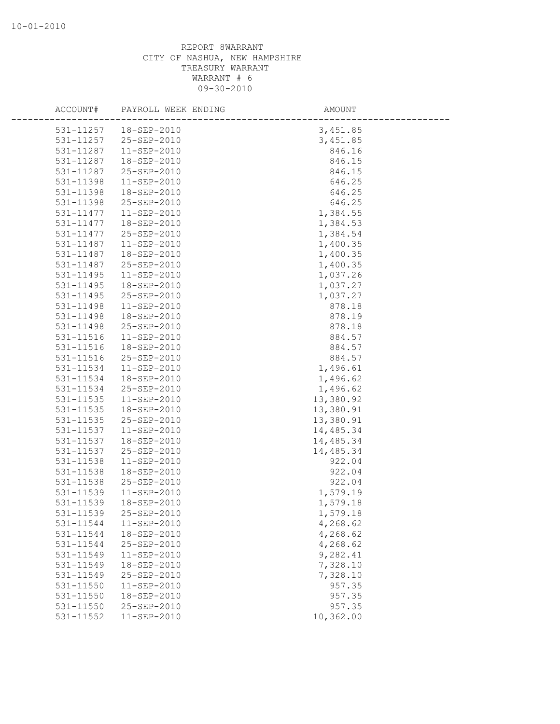| ACCOUNT#      | PAYROLL WEEK ENDING    | AMOUNT    |
|---------------|------------------------|-----------|
|               |                        |           |
|               | 531-11257  18-SEP-2010 | 3,451.85  |
| 531-11257     | 25-SEP-2010            | 3,451.85  |
| 531-11287     | 11-SEP-2010            | 846.16    |
| 531-11287     | 18-SEP-2010            | 846.15    |
| 531-11287     | 25-SEP-2010            | 846.15    |
| 531-11398     | $11 - SEP - 2010$      | 646.25    |
| 531-11398     | 18-SEP-2010            | 646.25    |
| 531-11398     | 25-SEP-2010            | 646.25    |
| 531-11477     | 11-SEP-2010            | 1,384.55  |
| 531-11477     | 18-SEP-2010            | 1,384.53  |
| 531-11477     | 25-SEP-2010            | 1,384.54  |
| 531-11487     | 11-SEP-2010            | 1,400.35  |
| 531-11487     | 18-SEP-2010            | 1,400.35  |
| 531-11487     | 25-SEP-2010            | 1,400.35  |
| 531-11495     | 11-SEP-2010            | 1,037.26  |
| 531-11495     | 18-SEP-2010            | 1,037.27  |
| 531-11495     | 25-SEP-2010            | 1,037.27  |
| 531-11498     | 11-SEP-2010            | 878.18    |
| 531-11498     | 18-SEP-2010            | 878.19    |
| 531-11498     | 25-SEP-2010            | 878.18    |
| 531-11516     | 11-SEP-2010            | 884.57    |
| 531-11516     | 18-SEP-2010            | 884.57    |
| 531-11516     | 25-SEP-2010            | 884.57    |
| 531-11534     | 11-SEP-2010            | 1,496.61  |
| 531-11534     | 18-SEP-2010            | 1,496.62  |
| 531-11534     | 25-SEP-2010            | 1,496.62  |
| 531-11535     | 11-SEP-2010            | 13,380.92 |
| 531-11535     | 18-SEP-2010            | 13,380.91 |
| $531 - 11535$ | 25-SEP-2010            | 13,380.91 |
| 531-11537     | 11-SEP-2010            | 14,485.34 |
| 531-11537     | 18-SEP-2010            | 14,485.34 |
| 531-11537     | 25-SEP-2010            | 14,485.34 |
| 531-11538     | 11-SEP-2010            | 922.04    |
| 531-11538     | 18-SEP-2010            | 922.04    |
| 531-11538     | 25-SEP-2010            | 922.04    |
| 531-11539     | 11-SEP-2010            | 1,579.19  |
| 531-11539     | 18-SEP-2010            | 1,579.18  |
| 531-11539     | 25-SEP-2010            | 1,579.18  |
| 531-11544     | 11-SEP-2010            | 4,268.62  |
| 531-11544     | 18-SEP-2010            | 4,268.62  |
| 531-11544     | 25-SEP-2010            | 4,268.62  |
| 531-11549     | 11-SEP-2010            | 9,282.41  |
| 531-11549     | 18-SEP-2010            | 7,328.10  |
| 531-11549     | 25-SEP-2010            | 7,328.10  |
| 531-11550     | $11 - SEP - 2010$      | 957.35    |
| 531-11550     | 18-SEP-2010            | 957.35    |
| 531-11550     | 25-SEP-2010            | 957.35    |
| 531-11552     | 11-SEP-2010            | 10,362.00 |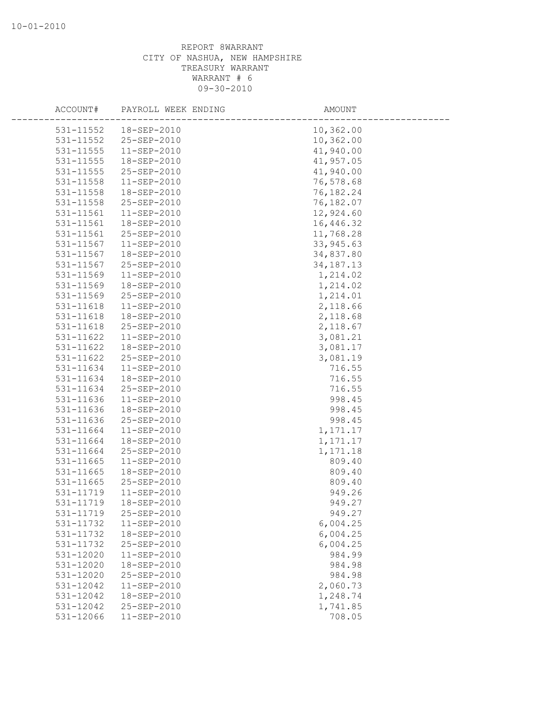| ACCOUNT#      | PAYROLL WEEK ENDING | AMOUNT      |
|---------------|---------------------|-------------|
| 531-11552     | 18-SEP-2010         | 10,362.00   |
| 531-11552     | 25-SEP-2010         | 10,362.00   |
| 531-11555     | $11 - SEP - 2010$   | 41,940.00   |
| 531-11555     | 18-SEP-2010         | 41,957.05   |
| 531-11555     | 25-SEP-2010         | 41,940.00   |
| 531-11558     | $11 - SEP - 2010$   | 76,578.68   |
| 531-11558     | 18-SEP-2010         | 76,182.24   |
| 531-11558     | 25-SEP-2010         | 76,182.07   |
| 531-11561     | $11 - SEP - 2010$   | 12,924.60   |
| 531-11561     | 18-SEP-2010         | 16,446.32   |
| 531-11561     | 25-SEP-2010         | 11,768.28   |
| 531-11567     | 11-SEP-2010         | 33, 945.63  |
| 531-11567     | 18-SEP-2010         | 34,837.80   |
| 531-11567     | 25-SEP-2010         | 34, 187. 13 |
| 531-11569     | $11 - SEP - 2010$   | 1,214.02    |
| 531-11569     | 18-SEP-2010         | 1,214.02    |
| 531-11569     | 25-SEP-2010         | 1,214.01    |
| 531-11618     | $11 - SEP - 2010$   | 2,118.66    |
| 531-11618     | 18-SEP-2010         | 2,118.68    |
| 531-11618     | 25-SEP-2010         | 2,118.67    |
| 531-11622     | 11-SEP-2010         | 3,081.21    |
| 531-11622     | 18-SEP-2010         | 3,081.17    |
| 531-11622     | 25-SEP-2010         | 3,081.19    |
| 531-11634     | $11-SEP-2010$       | 716.55      |
| 531-11634     | 18-SEP-2010         | 716.55      |
| 531-11634     | 25-SEP-2010         | 716.55      |
| 531-11636     | 11-SEP-2010         | 998.45      |
| 531-11636     | 18-SEP-2010         | 998.45      |
| 531-11636     | 25-SEP-2010         | 998.45      |
| 531-11664     | $11 - SEP - 2010$   | 1,171.17    |
| 531-11664     | 18-SEP-2010         | 1,171.17    |
| 531-11664     | 25-SEP-2010         | 1,171.18    |
| 531-11665     | 11-SEP-2010         | 809.40      |
| 531-11665     | 18-SEP-2010         | 809.40      |
| $531 - 11665$ | 25-SEP-2010         | 809.40      |
| 531-11719     | $11 - SEP - 2010$   | 949.26      |
| 531-11719     | 18-SEP-2010         | 949.27      |
| 531-11719     | 25-SEP-2010         | 949.27      |
| 531-11732     | 11-SEP-2010         | 6,004.25    |
| 531-11732     | 18-SEP-2010         | 6,004.25    |
| 531-11732     | 25-SEP-2010         | 6,004.25    |
| 531-12020     | 11-SEP-2010         | 984.99      |
| 531-12020     | 18-SEP-2010         | 984.98      |
| 531-12020     | 25-SEP-2010         | 984.98      |
| 531-12042     | $11 - SEP - 2010$   | 2,060.73    |
| 531-12042     | 18-SEP-2010         | 1,248.74    |
| 531-12042     | 25-SEP-2010         | 1,741.85    |
| 531-12066     | $11 - SEP - 2010$   | 708.05      |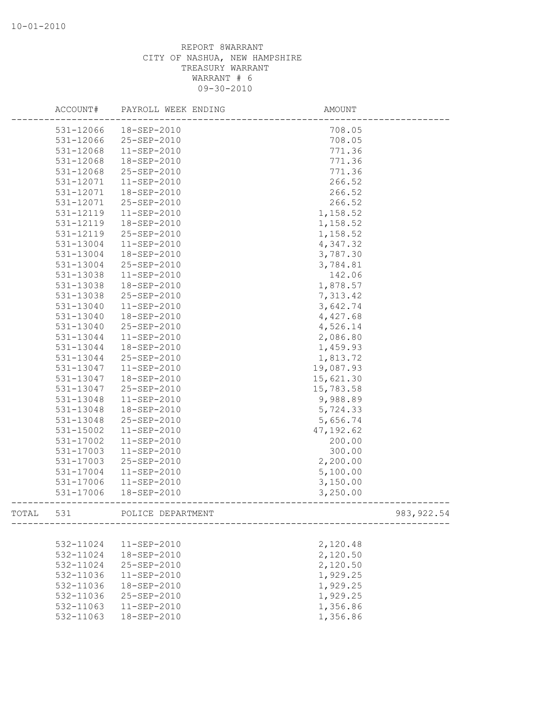|       | ACCOUNT#  | PAYROLL WEEK ENDING | AMOUNT     |             |
|-------|-----------|---------------------|------------|-------------|
|       | 531-12066 | 18-SEP-2010         | 708.05     |             |
|       | 531-12066 | 25-SEP-2010         | 708.05     |             |
|       | 531-12068 | $11 - SEP - 2010$   | 771.36     |             |
|       | 531-12068 | 18-SEP-2010         | 771.36     |             |
|       | 531-12068 | 25-SEP-2010         | 771.36     |             |
|       | 531-12071 | $11 - SEP - 2010$   | 266.52     |             |
|       | 531-12071 | 18-SEP-2010         | 266.52     |             |
|       | 531-12071 | 25-SEP-2010         | 266.52     |             |
|       | 531-12119 | 11-SEP-2010         | 1,158.52   |             |
|       | 531-12119 | 18-SEP-2010         | 1,158.52   |             |
|       | 531-12119 | 25-SEP-2010         | 1,158.52   |             |
|       | 531-13004 | 11-SEP-2010         | 4,347.32   |             |
|       | 531-13004 | 18-SEP-2010         | 3,787.30   |             |
|       | 531-13004 | 25-SEP-2010         | 3,784.81   |             |
|       | 531-13038 | $11 - SEP - 2010$   | 142.06     |             |
|       | 531-13038 | 18-SEP-2010         | 1,878.57   |             |
|       | 531-13038 | 25-SEP-2010         | 7,313.42   |             |
|       | 531-13040 | 11-SEP-2010         | 3,642.74   |             |
|       | 531-13040 | 18-SEP-2010         | 4,427.68   |             |
|       | 531-13040 | 25-SEP-2010         | 4,526.14   |             |
|       | 531-13044 | 11-SEP-2010         | 2,086.80   |             |
|       | 531-13044 | 18-SEP-2010         | 1,459.93   |             |
|       | 531-13044 | 25-SEP-2010         | 1,813.72   |             |
|       | 531-13047 | 11-SEP-2010         | 19,087.93  |             |
|       | 531-13047 | 18-SEP-2010         | 15,621.30  |             |
|       | 531-13047 | 25-SEP-2010         | 15,783.58  |             |
|       | 531-13048 | 11-SEP-2010         | 9,988.89   |             |
|       | 531-13048 | 18-SEP-2010         | 5,724.33   |             |
|       | 531-13048 | 25-SEP-2010         | 5,656.74   |             |
|       | 531-15002 | $11 - SEP - 2010$   | 47, 192.62 |             |
|       | 531-17002 | $11 - SEP - 2010$   | 200.00     |             |
|       | 531-17003 | 11-SEP-2010         | 300.00     |             |
|       | 531-17003 | 25-SEP-2010         | 2,200.00   |             |
|       | 531-17004 | $11 - SEP - 2010$   | 5,100.00   |             |
|       | 531-17006 | 11-SEP-2010         | 3,150.00   |             |
|       | 531-17006 | 18-SEP-2010         | 3,250.00   |             |
| TOTAL | 531       | POLICE DEPARTMENT   |            | 983, 922.54 |
|       |           |                     |            |             |
|       | 532-11024 | 11-SEP-2010         | 2,120.48   |             |
|       | 532-11024 | 18-SEP-2010         | 2,120.50   |             |
|       | 532-11024 | 25-SEP-2010         | 2,120.50   |             |
|       | 532-11036 | 11-SEP-2010         | 1,929.25   |             |
|       | 532-11036 | 18-SEP-2010         | 1,929.25   |             |
|       | 532-11036 | 25-SEP-2010         | 1,929.25   |             |
|       | 532-11063 | $11 - SEP - 2010$   | 1,356.86   |             |
|       | 532-11063 | 18-SEP-2010         | 1,356.86   |             |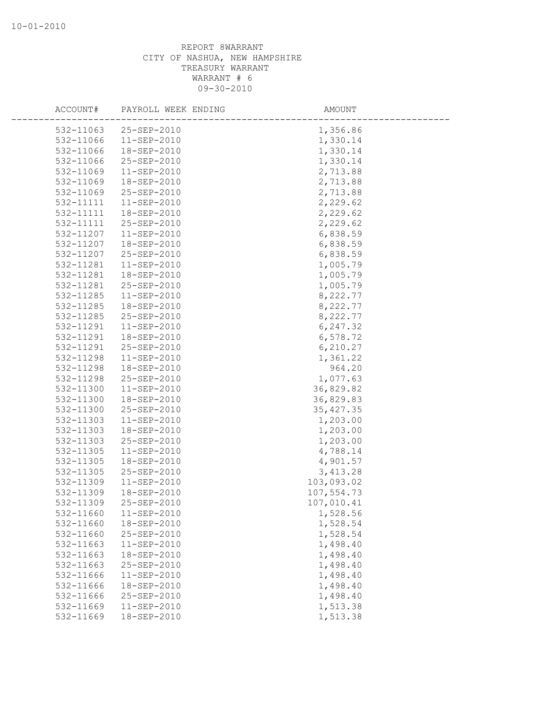| ACCOUNT#  | PAYROLL WEEK ENDING | AMOUNT     |  |
|-----------|---------------------|------------|--|
| 532-11063 | $25 - SEP - 2010$   | 1,356.86   |  |
| 532-11066 | $11 - SEP - 2010$   | 1,330.14   |  |
| 532-11066 | 18-SEP-2010         | 1,330.14   |  |
| 532-11066 | 25-SEP-2010         | 1,330.14   |  |
| 532-11069 | 11-SEP-2010         | 2,713.88   |  |
| 532-11069 | 18-SEP-2010         | 2,713.88   |  |
| 532-11069 | 25-SEP-2010         | 2,713.88   |  |
| 532-11111 | 11-SEP-2010         | 2,229.62   |  |
| 532-11111 | 18-SEP-2010         | 2,229.62   |  |
| 532-11111 | 25-SEP-2010         | 2,229.62   |  |
| 532-11207 | 11-SEP-2010         | 6,838.59   |  |
| 532-11207 | 18-SEP-2010         | 6,838.59   |  |
| 532-11207 | 25-SEP-2010         | 6,838.59   |  |
| 532-11281 | 11-SEP-2010         | 1,005.79   |  |
| 532-11281 | 18-SEP-2010         | 1,005.79   |  |
| 532-11281 | 25-SEP-2010         | 1,005.79   |  |
| 532-11285 | 11-SEP-2010         | 8,222.77   |  |
| 532-11285 | 18-SEP-2010         | 8,222.77   |  |
| 532-11285 | 25-SEP-2010         | 8,222.77   |  |
| 532-11291 | $11 - SEP - 2010$   | 6,247.32   |  |
| 532-11291 | 18-SEP-2010         | 6,578.72   |  |
| 532-11291 | 25-SEP-2010         | 6,210.27   |  |
| 532-11298 | 11-SEP-2010         | 1,361.22   |  |
| 532-11298 | 18-SEP-2010         | 964.20     |  |
| 532-11298 | 25-SEP-2010         | 1,077.63   |  |
| 532-11300 | 11-SEP-2010         | 36,829.82  |  |
| 532-11300 | 18-SEP-2010         | 36,829.83  |  |
| 532-11300 | 25-SEP-2010         | 35, 427.35 |  |
| 532-11303 | 11-SEP-2010         | 1,203.00   |  |
| 532-11303 | 18-SEP-2010         | 1,203.00   |  |
| 532-11303 | 25-SEP-2010         | 1,203.00   |  |
| 532-11305 | 11-SEP-2010         | 4,788.14   |  |
| 532-11305 | 18-SEP-2010         | 4,901.57   |  |
| 532-11305 | 25-SEP-2010         | 3,413.28   |  |
| 532-11309 | $11 - SEP - 2010$   | 103,093.02 |  |
| 532-11309 | 18-SEP-2010         | 107,554.73 |  |
| 532-11309 | 25-SEP-2010         | 107,010.41 |  |
| 532-11660 | 11-SEP-2010         | 1,528.56   |  |
| 532-11660 | 18-SEP-2010         | 1,528.54   |  |
| 532-11660 | 25-SEP-2010         | 1,528.54   |  |
| 532-11663 | $11 - SEP - 2010$   | 1,498.40   |  |
| 532-11663 | 18-SEP-2010         | 1,498.40   |  |
| 532-11663 | 25-SEP-2010         | 1,498.40   |  |
| 532-11666 | $11 - SEP - 2010$   | 1,498.40   |  |
| 532-11666 | 18-SEP-2010         | 1,498.40   |  |
| 532-11666 | 25-SEP-2010         | 1,498.40   |  |
| 532-11669 | 11-SEP-2010         | 1,513.38   |  |
| 532-11669 | 18-SEP-2010         | 1,513.38   |  |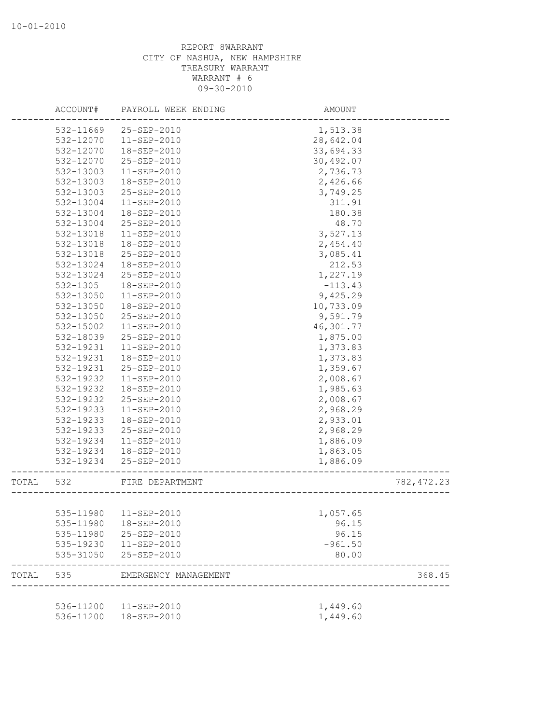|       | ACCOUNT#     | PAYROLL WEEK ENDING    | AMOUNT    |             |
|-------|--------------|------------------------|-----------|-------------|
|       | 532-11669    | 25-SEP-2010            | 1,513.38  |             |
|       | 532-12070    | 11-SEP-2010            | 28,642.04 |             |
|       | 532-12070    | 18-SEP-2010            | 33,694.33 |             |
|       | 532-12070    | 25-SEP-2010            | 30,492.07 |             |
|       | 532-13003    | $11 - SEP - 2010$      | 2,736.73  |             |
|       | 532-13003    | 18-SEP-2010            | 2,426.66  |             |
|       | 532-13003    | 25-SEP-2010            | 3,749.25  |             |
|       | 532-13004    | $11-SEP-2010$          | 311.91    |             |
|       | 532-13004    | 18-SEP-2010            | 180.38    |             |
|       | 532-13004    | 25-SEP-2010            | 48.70     |             |
|       | 532-13018    | $11-SEP-2010$          | 3,527.13  |             |
|       | 532-13018    | 18-SEP-2010            | 2,454.40  |             |
|       | 532-13018    | 25-SEP-2010            | 3,085.41  |             |
|       | 532-13024    | 18-SEP-2010            | 212.53    |             |
|       | 532-13024    | 25-SEP-2010            | 1,227.19  |             |
|       | $532 - 1305$ | 18-SEP-2010            | $-113.43$ |             |
|       | 532-13050    | $11 - SEP - 2010$      | 9,425.29  |             |
|       | 532-13050    | 18-SEP-2010            | 10,733.09 |             |
|       | 532-13050    | 25-SEP-2010            | 9,591.79  |             |
|       | 532-15002    | $11-SEP-2010$          | 46,301.77 |             |
|       | 532-18039    | 25-SEP-2010            | 1,875.00  |             |
|       | 532-19231    | $11 - SEP - 2010$      | 1,373.83  |             |
|       | 532-19231    | 18-SEP-2010            | 1,373.83  |             |
|       | 532-19231    | 25-SEP-2010            | 1,359.67  |             |
|       | 532-19232    | $11 - SEP - 2010$      | 2,008.67  |             |
|       | 532-19232    | 18-SEP-2010            | 1,985.63  |             |
|       | 532-19232    | 25-SEP-2010            | 2,008.67  |             |
|       | 532-19233    | 11-SEP-2010            | 2,968.29  |             |
|       | 532-19233    | 18-SEP-2010            | 2,933.01  |             |
|       | 532-19233    | 25-SEP-2010            | 2,968.29  |             |
|       | 532-19234    | 11-SEP-2010            | 1,886.09  |             |
|       | 532-19234    | 18-SEP-2010            | 1,863.05  |             |
|       | 532-19234    | 25-SEP-2010            | 1,886.09  |             |
| TOTAL | 532          | FIRE DEPARTMENT        |           | 782, 472.23 |
|       |              |                        |           |             |
|       |              | 535-11980  11-SEP-2010 | 1,057.65  |             |
|       |              | 535-11980  18-SEP-2010 | 96.15     |             |
|       |              | 535-11980 25-SEP-2010  | 96.15     |             |
|       | 535-19230    | 11-SEP-2010            | $-961.50$ |             |
|       | 535-31050    | 25-SEP-2010            | 80.00     |             |
| TOTAL | 535          | EMERGENCY MANAGEMENT   |           | 368.45      |
|       |              | 536-11200 11-SEP-2010  | 1,449.60  |             |
|       | 536-11200    | 18-SEP-2010            | 1,449.60  |             |
|       |              |                        |           |             |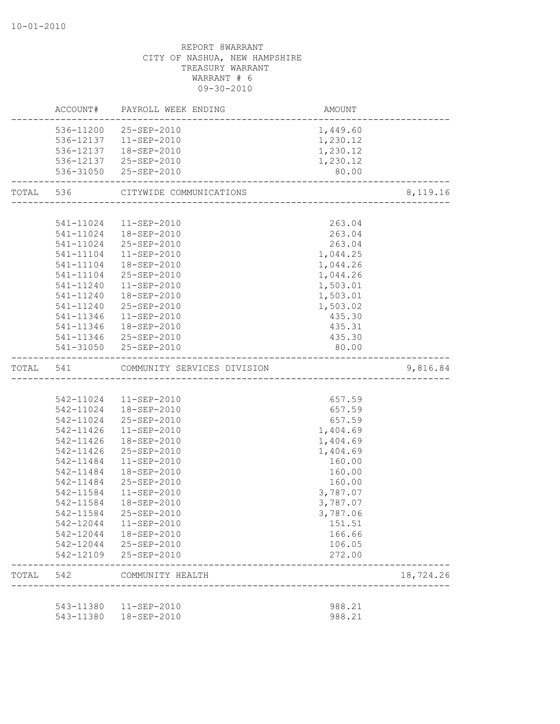# CITY OF NASHUA, NEW HAMPSHIRE TREASURY WARRANT WARRANT # 6 09-30-2010 ACCOUNT# PAYROLL WEEK ENDING AMOUNT -------------------------------------------------------------------------------- 536-11200 25-SEP-2010 1,449.60 536-12137 11-SEP-2010 1,230.12 536-12137 18-SEP-2010 1,230.12 536-12137 25-SEP-2010 1,230.12 536-31050 25-SEP-2010 80.00 -------------------------------------------------------------------------------- TOTAL 536 CITYWIDE COMMUNICATIONS 6,119.16 -------------------------------------------------------------------------------- 541-11024 11-SEP-2010 263.04 541-11024 18-SEP-2010 263.04 541-11024 25-SEP-2010 263.04 541-11104 11-SEP-2010 1,044.25 541-11104 18-SEP-2010 1,044.26 541-11104 25-SEP-2010 1,044.26 541-11240 11-SEP-2010 1,503.01 541-11240 18-SEP-2010 1,503.01 541-11240 25-SEP-2010 1,503.02 541-11346 11-SEP-2010 435.30 541-11346 18-SEP-2010 435.31 541-11346 25-SEP-2010 435.30 541-31050 25-SEP-2010 80.00 -------------------------------------------------------------------------------- TOTAL 541 COMMUNITY SERVICES DIVISION 9,816.84 -------------------------------------------------------------------------------- 542-11024 11-SEP-2010 657.59 542-11024 18-SEP-2010 657.59 542-11024 25-SEP-2010 657.59 542-11426 11-SEP-2010 1,404.69 542-11426 18-SEP-2010 1,404.69 542-11426 25-SEP-2010 1,404.69 542-11484 11-SEP-2010 160.00 542-11484 18-SEP-2010 160.00 542-11484 25-SEP-2010 160.00 542-11584 11-SEP-2010 3,787.07 542-11584 18-SEP-2010 3,787.07 542-11584 25-SEP-2010 3,787.06 542-12044 11-SEP-2010 151.51 542-12044 18-SEP-2010 166.66 542-12044 25-SEP-2010 106.05 542-12109 25-SEP-2010 272.00 -------------------------------------------------------------------------------- TOTAL 542 COMMUNITY HEALTH 18,724.26 -------------------------------------------------------------------------------- 543-11380 11-SEP-2010 988.21 543-11380 18-SEP-2010 988.21

# REPORT 8WARRANT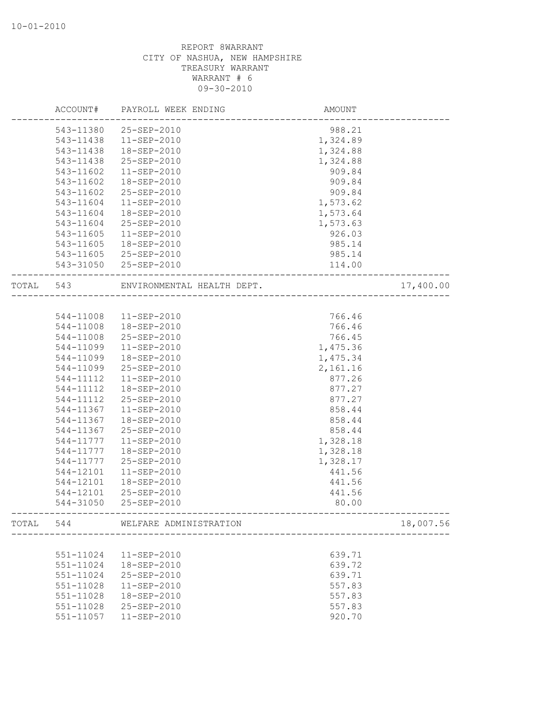|           | ACCOUNT#  | PAYROLL WEEK ENDING        | AMOUNT   |           |
|-----------|-----------|----------------------------|----------|-----------|
|           | 543-11380 | 25-SEP-2010                | 988.21   |           |
|           | 543-11438 | $11 - SEP - 2010$          | 1,324.89 |           |
|           | 543-11438 | 18-SEP-2010                | 1,324.88 |           |
|           | 543-11438 | 25-SEP-2010                | 1,324.88 |           |
|           | 543-11602 | 11-SEP-2010                | 909.84   |           |
|           | 543-11602 | 18-SEP-2010                | 909.84   |           |
|           | 543-11602 | 25-SEP-2010                | 909.84   |           |
|           | 543-11604 | $11-SEP-2010$              | 1,573.62 |           |
|           | 543-11604 | 18-SEP-2010                | 1,573.64 |           |
|           | 543-11604 | 25-SEP-2010                | 1,573.63 |           |
|           | 543-11605 | 11-SEP-2010                | 926.03   |           |
|           | 543-11605 | 18-SEP-2010                | 985.14   |           |
|           | 543-11605 | 25-SEP-2010                | 985.14   |           |
|           | 543-31050 | 25-SEP-2010                | 114.00   |           |
| TOTAL 543 |           | ENVIRONMENTAL HEALTH DEPT. |          | 17,400.00 |
|           |           |                            |          |           |
|           | 544-11008 | 11-SEP-2010                | 766.46   |           |
|           | 544-11008 | 18-SEP-2010                | 766.46   |           |
|           | 544-11008 | 25-SEP-2010                | 766.45   |           |
|           | 544-11099 | $11-SEP-2010$              | 1,475.36 |           |
|           | 544-11099 | 18-SEP-2010                | 1,475.34 |           |
|           | 544-11099 | 25-SEP-2010                | 2,161.16 |           |
|           | 544-11112 | $11 - SEP - 2010$          | 877.26   |           |
|           | 544-11112 | 18-SEP-2010                | 877.27   |           |
|           | 544-11112 | 25-SEP-2010                | 877.27   |           |
|           | 544-11367 | 11-SEP-2010                | 858.44   |           |
|           | 544-11367 | 18-SEP-2010                | 858.44   |           |
|           | 544-11367 | 25-SEP-2010                | 858.44   |           |
|           | 544-11777 | $11 - SEP - 2010$          | 1,328.18 |           |
|           | 544-11777 | 18-SEP-2010                | 1,328.18 |           |
|           | 544-11777 | 25-SEP-2010                | 1,328.17 |           |
|           | 544-12101 | $11 - SEP - 2010$          | 441.56   |           |
|           | 544-12101 | 18-SEP-2010                | 441.56   |           |
|           | 544-12101 | 25-SEP-2010                | 441.56   |           |
|           | 544-31050 | 25-SEP-2010                | 80.00    |           |
| TOTAL     | 544       | WELFARE ADMINISTRATION     |          | 18,007.56 |
|           |           |                            |          |           |
|           | 551-11024 | 11-SEP-2010                | 639.71   |           |
|           | 551-11024 | 18-SEP-2010                | 639.72   |           |
|           | 551-11024 | 25-SEP-2010                | 639.71   |           |
|           | 551-11028 | 11-SEP-2010                | 557.83   |           |
|           | 551-11028 | 18-SEP-2010                | 557.83   |           |
|           | 551-11028 | 25-SEP-2010                | 557.83   |           |
|           | 551-11057 | 11-SEP-2010                | 920.70   |           |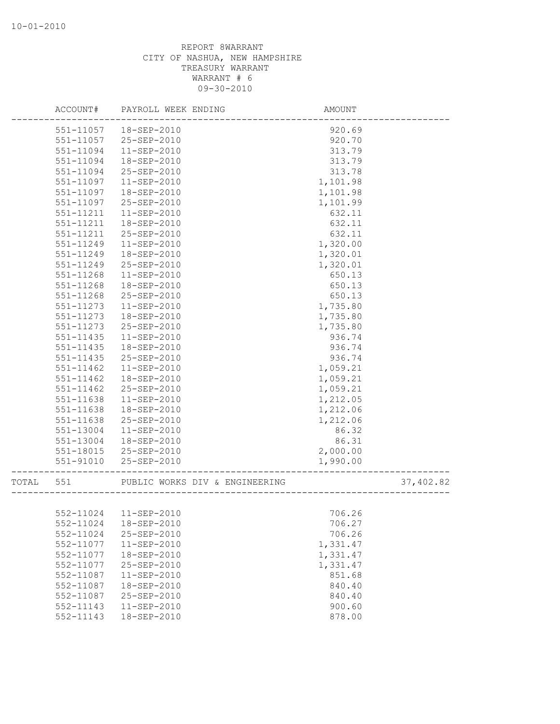|       | ACCOUNT#               | PAYROLL WEEK ENDING              | AMOUNT            |           |
|-------|------------------------|----------------------------------|-------------------|-----------|
|       | 551-11057              | 18-SEP-2010                      | 920.69            |           |
|       | 551-11057              | 25-SEP-2010                      | 920.70            |           |
|       | 551-11094              | $11-SEP-2010$                    | 313.79            |           |
|       | 551-11094              | 18-SEP-2010                      | 313.79            |           |
|       | 551-11094              | 25-SEP-2010                      | 313.78            |           |
|       | 551-11097              | $11 - SEP - 2010$                | 1,101.98          |           |
|       | 551-11097              | 18-SEP-2010                      | 1,101.98          |           |
|       | 551-11097              | 25-SEP-2010                      | 1,101.99          |           |
|       | 551-11211              | 11-SEP-2010                      | 632.11            |           |
|       | 551-11211              | 18-SEP-2010                      | 632.11            |           |
|       | 551-11211              | 25-SEP-2010                      | 632.11            |           |
|       | 551-11249              | $11 - SEP - 2010$                | 1,320.00          |           |
|       | 551-11249              | 18-SEP-2010                      | 1,320.01          |           |
|       | 551-11249              | 25-SEP-2010                      | 1,320.01          |           |
|       | 551-11268              | $11 - SEP - 2010$                | 650.13            |           |
|       | 551-11268              | 18-SEP-2010                      | 650.13            |           |
|       | 551-11268              | 25-SEP-2010                      | 650.13            |           |
|       | 551-11273              | 11-SEP-2010                      | 1,735.80          |           |
|       | $551 - 11273$          | 18-SEP-2010                      | 1,735.80          |           |
|       | 551-11273              | 25-SEP-2010                      | 1,735.80          |           |
|       | 551-11435              | $11-SEP-2010$                    | 936.74            |           |
|       | $551 - 11435$          | 18-SEP-2010                      | 936.74            |           |
|       | 551-11435              | 25-SEP-2010                      | 936.74            |           |
|       | 551-11462              | 11-SEP-2010                      | 1,059.21          |           |
|       | 551-11462              | 18-SEP-2010                      | 1,059.21          |           |
|       | 551-11462              | 25-SEP-2010                      | 1,059.21          |           |
|       | 551-11638              | 11-SEP-2010                      | 1,212.05          |           |
|       | 551-11638              | 18-SEP-2010                      | 1,212.06          |           |
|       | 551-11638              | 25-SEP-2010                      | 1,212.06          |           |
|       | 551-13004<br>551-13004 | $11 - SEP - 2010$<br>18-SEP-2010 | 86.32             |           |
|       | 551-18015              | 25-SEP-2010                      | 86.31<br>2,000.00 |           |
|       | $551 - 91010$          | 25-SEP-2010                      | 1,990.00          |           |
|       |                        |                                  |                   |           |
| TOTAL | 551                    | PUBLIC WORKS DIV & ENGINEERING   |                   | 37,402.82 |
|       |                        |                                  |                   |           |
|       |                        | 552-11024  11-SEP-2010           | 706.26            |           |
|       | 552-11024              | 18-SEP-2010                      | 706.27            |           |
|       | 552-11024              | 25-SEP-2010                      | 706.26            |           |
|       | 552-11077              | 11-SEP-2010                      | 1,331.47          |           |
|       | 552-11077              | 18-SEP-2010                      | 1,331.47          |           |
|       | 552-11077              | 25-SEP-2010                      | 1,331.47          |           |
|       | 552-11087              | 11-SEP-2010                      | 851.68            |           |
|       | 552-11087              | 18-SEP-2010                      | 840.40            |           |
|       | 552-11087              | 25-SEP-2010                      | 840.40            |           |
|       | 552-11143              | 11-SEP-2010                      | 900.60            |           |
|       | 552-11143              | 18-SEP-2010                      | 878.00            |           |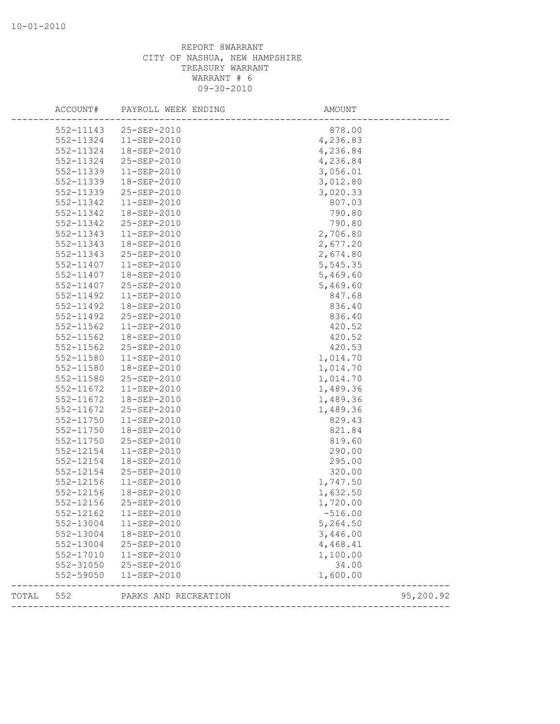|       | 552-11324              | 552-11143 25-SEP-2010      | 878.00                                           |
|-------|------------------------|----------------------------|--------------------------------------------------|
|       |                        |                            |                                                  |
|       |                        | $11 - SEP - 2010$          | 4,236.83                                         |
|       | 552-11324              | 18-SEP-2010                | 4,236.84                                         |
|       | 552-11324              | 25-SEP-2010                | 4,236.84                                         |
|       | 552-11339              | 11-SEP-2010                | 3,056.01                                         |
|       | 552-11339              | 18-SEP-2010                | 3,012.80                                         |
|       | 552-11339              | 25-SEP-2010                | 3,020.33                                         |
|       | 552-11342              | 11-SEP-2010                | 807.03                                           |
|       | 552-11342              | 18-SEP-2010                | 790.80                                           |
|       | 552-11342              | 25-SEP-2010                | 790.80                                           |
|       | 552-11343              | $11 - SEP - 2010$          | 2,706.80                                         |
|       | 552-11343              | 18-SEP-2010                | 2,677.20                                         |
|       | 552-11343              | 25-SEP-2010                | 2,674.80                                         |
|       | 552-11407              | 11-SEP-2010                | 5,545.35                                         |
|       | 552-11407              | 18-SEP-2010                | 5,469.60                                         |
|       | 552-11407              | 25-SEP-2010                | 5,469.60                                         |
|       | 552-11492              | 11-SEP-2010                | 847.68                                           |
|       | 552-11492              | 18-SEP-2010                | 836.40                                           |
|       | 552-11492              | 25-SEP-2010                | 836.40                                           |
|       | 552-11562              | 11-SEP-2010                | 420.52                                           |
|       | 552-11562              | 18-SEP-2010                | 420.52                                           |
|       | 552-11562              | 25-SEP-2010                | 420.53                                           |
|       | 552-11580              | $11 - SEP - 2010$          | 1,014.70                                         |
|       | 552-11580              | 18-SEP-2010                | 1,014.70                                         |
|       | 552-11580              | 25-SEP-2010                | 1,014.70                                         |
|       | 552-11672              | 11-SEP-2010                | 1,489.36                                         |
|       | 552-11672              | 18-SEP-2010                | 1,489.36                                         |
|       | 552-11672              | 25-SEP-2010                | 1,489.36                                         |
|       | 552-11750              | $11 - SEP - 2010$          | 829.43                                           |
|       | 552-11750              | 18-SEP-2010                | 821.84                                           |
|       | 552-11750              | 25-SEP-2010<br>11-SEP-2010 | 819.60                                           |
|       | 552-12154<br>552-12154 |                            | 290.00<br>295.00                                 |
|       | 552-12154              | 18-SEP-2010<br>25-SEP-2010 | 320.00                                           |
|       | 552-12156              | 11-SEP-2010                | 1,747.50                                         |
|       | 552-12156              | 18-SEP-2010                | 1,632.50                                         |
|       | 552-12156              | 25-SEP-2010                | 1,720.00                                         |
|       | 552-12162              | 11-SEP-2010                | $-516.00$                                        |
|       | 552-13004              | $11 - SEP - 2010$          | 5,264.50                                         |
|       | 552-13004              | 18-SEP-2010                | 3,446.00                                         |
|       | 552-13004              | 25-SEP-2010                | 4,468.41                                         |
|       | 552-17010              | 11-SEP-2010                | 1,100.00                                         |
|       | 552-31050              | 25-SEP-2010                | 34.00                                            |
|       | 552-59050              | 11-SEP-2010                | 1,600.00                                         |
| TOTAL | 552                    | PARKS AND RECREATION       | 95,200.92<br>----------------------------------- |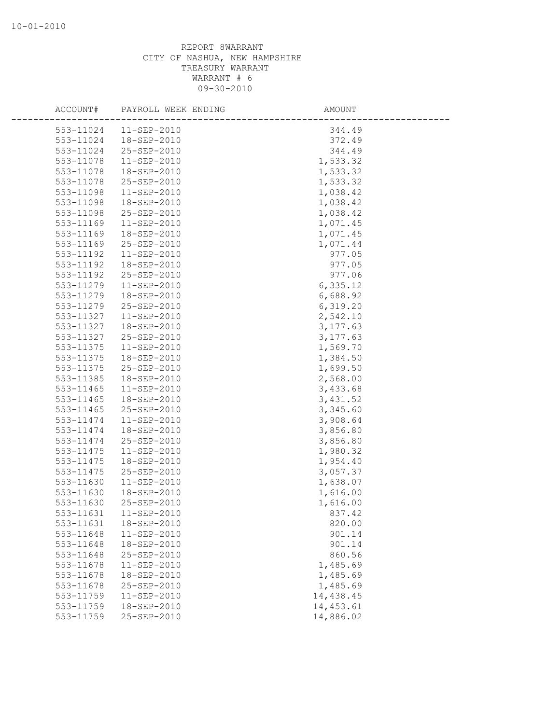| ACCOUNT#  | PAYROLL WEEK ENDING | AMOUNT     |
|-----------|---------------------|------------|
| 553-11024 | 11-SEP-2010         | 344.49     |
| 553-11024 | 18-SEP-2010         | 372.49     |
| 553-11024 | 25-SEP-2010         | 344.49     |
| 553-11078 | 11-SEP-2010         | 1,533.32   |
| 553-11078 | 18-SEP-2010         | 1,533.32   |
| 553-11078 | 25-SEP-2010         | 1,533.32   |
| 553-11098 | 11-SEP-2010         | 1,038.42   |
| 553-11098 | 18-SEP-2010         | 1,038.42   |
| 553-11098 | 25-SEP-2010         | 1,038.42   |
| 553-11169 | 11-SEP-2010         | 1,071.45   |
| 553-11169 | 18-SEP-2010         | 1,071.45   |
| 553-11169 | 25-SEP-2010         | 1,071.44   |
| 553-11192 | 11-SEP-2010         | 977.05     |
| 553-11192 | 18-SEP-2010         | 977.05     |
| 553-11192 | 25-SEP-2010         | 977.06     |
| 553-11279 | $11 - SEP - 2010$   | 6,335.12   |
| 553-11279 | 18-SEP-2010         | 6,688.92   |
| 553-11279 | 25-SEP-2010         | 6,319.20   |
| 553-11327 | 11-SEP-2010         | 2,542.10   |
| 553-11327 | 18-SEP-2010         | 3, 177.63  |
| 553-11327 | 25-SEP-2010         | 3, 177.63  |
| 553-11375 | 11-SEP-2010         | 1,569.70   |
| 553-11375 | 18-SEP-2010         | 1,384.50   |
| 553-11375 | 25-SEP-2010         | 1,699.50   |
| 553-11385 | 18-SEP-2010         | 2,568.00   |
| 553-11465 | 11-SEP-2010         | 3,433.68   |
| 553-11465 | 18-SEP-2010         | 3,431.52   |
| 553-11465 | 25-SEP-2010         | 3,345.60   |
| 553-11474 | 11-SEP-2010         | 3,908.64   |
| 553-11474 | 18-SEP-2010         | 3,856.80   |
| 553-11474 | 25-SEP-2010         | 3,856.80   |
| 553-11475 | 11-SEP-2010         | 1,980.32   |
| 553-11475 | 18-SEP-2010         | 1,954.40   |
| 553-11475 | 25-SEP-2010         | 3,057.37   |
| 553-11630 | 11-SEP-2010         | 1,638.07   |
| 553-11630 | 18-SEP-2010         | 1,616.00   |
| 553-11630 | 25-SEP-2010         | 1,616.00   |
| 553-11631 | 11-SEP-2010         | 837.42     |
| 553-11631 | 18-SEP-2010         | 820.00     |
| 553-11648 | 11-SEP-2010         | 901.14     |
| 553-11648 | 18-SEP-2010         | 901.14     |
| 553-11648 | 25-SEP-2010         | 860.56     |
| 553-11678 | 11-SEP-2010         | 1,485.69   |
| 553-11678 | 18-SEP-2010         | 1,485.69   |
| 553-11678 | 25-SEP-2010         | 1,485.69   |
| 553-11759 | $11 - SEP - 2010$   | 14,438.45  |
| 553-11759 | 18-SEP-2010         | 14, 453.61 |
| 553-11759 | 25-SEP-2010         | 14,886.02  |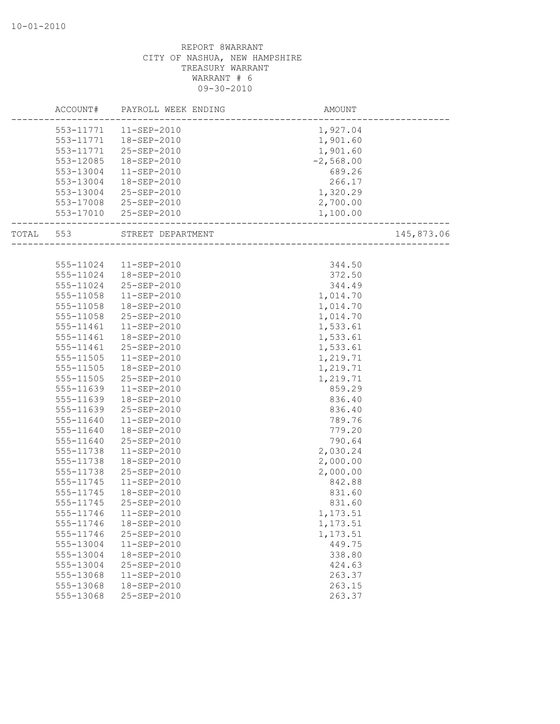|           |           | ACCOUNT# PAYROLL WEEK ENDING | AMOUNT                                                |            |
|-----------|-----------|------------------------------|-------------------------------------------------------|------------|
|           |           | 553-11771  11-SEP-2010       |                                                       |            |
|           |           | 553-11771  18-SEP-2010       | $1,927.04$<br>$1,901.60$<br>$1,901.60$<br>$-2,568.00$ |            |
|           |           | 553-11771 25-SEP-2010        |                                                       |            |
|           | 553-12085 | 18-SEP-2010                  |                                                       |            |
|           | 553-13004 | 11-SEP-2010                  | 689.26                                                |            |
|           | 553-13004 | 18-SEP-2010                  | 266.17                                                |            |
|           | 553-13004 | 25-SEP-2010                  | 1,320.29                                              |            |
|           |           | 553-17008 25-SEP-2010        | 2,700.00                                              |            |
|           |           | 553-17010 25-SEP-2010        | 1,100.00                                              |            |
| TOTAL 553 |           | STREET DEPARTMENT            | -----------------------<br>___________________        | 145,873.06 |
|           |           |                              |                                                       |            |
|           |           | 555-11024  11-SEP-2010       | 344.50                                                |            |
|           | 555-11024 | 18-SEP-2010                  | 372.50                                                |            |
|           | 555-11024 | 25-SEP-2010                  | 344.49                                                |            |
|           | 555-11058 | 11-SEP-2010                  | 1,014.70                                              |            |
|           | 555-11058 | 18-SEP-2010                  | 1,014.70                                              |            |
|           | 555-11058 | 25-SEP-2010                  | 1,014.70                                              |            |
|           | 555-11461 | 11-SEP-2010                  | 1,533.61                                              |            |
|           | 555-11461 | 18-SEP-2010                  | 1,533.61                                              |            |
|           | 555-11461 | 25-SEP-2010                  | 1,533.61                                              |            |
|           | 555-11505 | 11-SEP-2010                  | 1,219.71                                              |            |
|           | 555-11505 | 18-SEP-2010                  | 1,219.71                                              |            |
|           | 555-11505 | 25-SEP-2010                  | 1,219.71                                              |            |
|           | 555-11639 | 11-SEP-2010                  | 859.29                                                |            |
|           | 555-11639 | 18-SEP-2010                  | 836.40                                                |            |
|           | 555-11639 | 25-SEP-2010                  | 836.40                                                |            |
|           | 555-11640 | 11-SEP-2010                  | 789.76                                                |            |
|           | 555-11640 | 18-SEP-2010                  | 779.20                                                |            |
|           | 555-11640 | 25-SEP-2010                  | 790.64                                                |            |
|           | 555-11738 | 11-SEP-2010                  | 2,030.24                                              |            |
|           | 555-11738 | 18-SEP-2010                  | 2,000.00                                              |            |
|           | 555-11738 | 25-SEP-2010                  | 2,000.00                                              |            |
|           | 555-11745 | $11 - SEP - 2010$            | 842.88                                                |            |
|           | 555-11745 | 18-SEP-2010                  | 831.60                                                |            |
|           | 555-11745 | 25-SEP-2010                  | 831.60                                                |            |
|           | 555-11746 | 11-SEP-2010                  | 1,173.51                                              |            |
|           | 555-11746 | 18-SEP-2010                  | 1,173.51                                              |            |
|           | 555-11746 | 25-SEP-2010                  | 1,173.51                                              |            |
|           | 555-13004 | $11 - SEP - 2010$            | 449.75                                                |            |
|           | 555-13004 | 18-SEP-2010                  | 338.80                                                |            |
|           | 555-13004 | 25-SEP-2010                  | 424.63                                                |            |
|           | 555-13068 | 11-SEP-2010                  | 263.37                                                |            |
|           | 555-13068 | 18-SEP-2010                  | 263.15                                                |            |
|           | 555-13068 | 25-SEP-2010                  | 263.37                                                |            |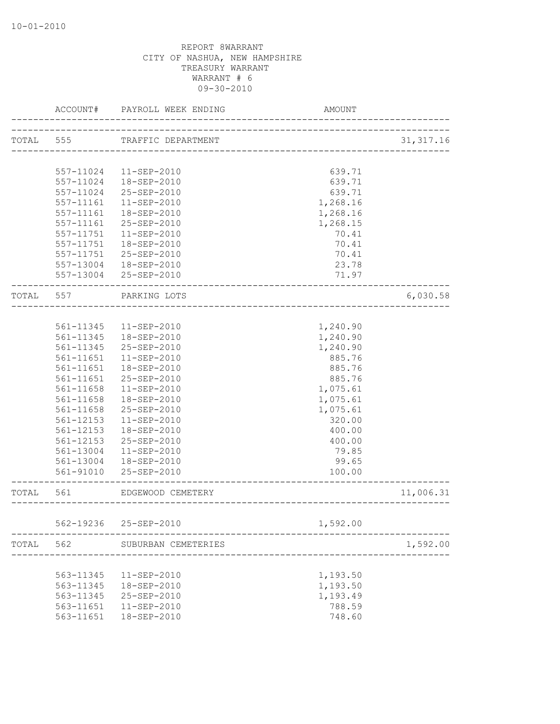|           | ACCOUNT#  | PAYROLL WEEK ENDING | AMOUNT                              |            |
|-----------|-----------|---------------------|-------------------------------------|------------|
| TOTAL 555 |           | TRAFFIC DEPARTMENT  |                                     | 31, 317.16 |
|           |           |                     | ___________________________________ |            |
|           | 557-11024 | 11-SEP-2010         | 639.71                              |            |
|           | 557-11024 | 18-SEP-2010         | 639.71                              |            |
|           | 557-11024 | 25-SEP-2010         | 639.71                              |            |
|           | 557-11161 | 11-SEP-2010         | 1,268.16                            |            |
|           | 557-11161 | 18-SEP-2010         | 1,268.16                            |            |
|           | 557-11161 | 25-SEP-2010         | 1,268.15                            |            |
|           | 557-11751 | 11-SEP-2010         | 70.41                               |            |
|           | 557-11751 | 18-SEP-2010         | 70.41                               |            |
|           | 557-11751 | 25-SEP-2010         | 70.41                               |            |
|           | 557-13004 | 18-SEP-2010         | 23.78                               |            |
|           | 557-13004 | 25-SEP-2010         | 71.97                               |            |
| TOTAL     | 557       | PARKING LOTS        |                                     | 6,030.58   |
|           |           |                     | ___________________________         |            |
|           | 561-11345 | 11-SEP-2010         | 1,240.90                            |            |
|           | 561-11345 | 18-SEP-2010         | 1,240.90                            |            |
|           | 561-11345 | 25-SEP-2010         | 1,240.90                            |            |
|           | 561-11651 | $11 - SEP - 2010$   | 885.76                              |            |
|           | 561-11651 | 18-SEP-2010         | 885.76                              |            |
|           | 561-11651 | 25-SEP-2010         | 885.76                              |            |
|           | 561-11658 | $11 - SEP - 2010$   | 1,075.61                            |            |
|           | 561-11658 | 18-SEP-2010         | 1,075.61                            |            |
|           | 561-11658 | 25-SEP-2010         | 1,075.61                            |            |
|           | 561-12153 | 11-SEP-2010         | 320.00                              |            |
|           | 561-12153 | 18-SEP-2010         | 400.00                              |            |
|           | 561-12153 | 25-SEP-2010         | 400.00                              |            |
|           | 561-13004 | $11 - SEP - 2010$   | 79.85                               |            |
|           | 561-13004 | 18-SEP-2010         | 99.65                               |            |
|           |           | 25-SEP-2010         |                                     |            |
|           | 561-91010 |                     | 100.00                              |            |
| TOTAL     | 561       | EDGEWOOD CEMETERY   | ___________________________________ | 11,006.31  |
|           |           |                     |                                     |            |
|           | 562-19236 | 25-SEP-2010         | 1,592.00                            |            |
| TOTAL     | 562       | SUBURBAN CEMETERIES |                                     | 1,592.00   |
|           |           |                     |                                     |            |
|           | 563-11345 | $11 - SEP - 2010$   | 1,193.50                            |            |
|           | 563-11345 | 18-SEP-2010         | 1,193.50                            |            |
|           | 563-11345 | 25-SEP-2010         | 1,193.49                            |            |
|           | 563-11651 | 11-SEP-2010         | 788.59                              |            |
|           | 563-11651 | 18-SEP-2010         | 748.60                              |            |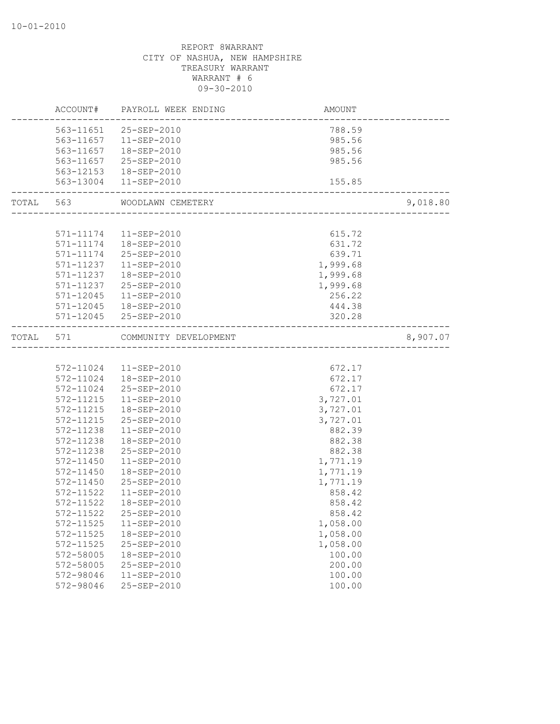|       |               | ACCOUNT# PAYROLL WEEK ENDING | AMOUNT                           |          |
|-------|---------------|------------------------------|----------------------------------|----------|
|       | 563-11651     | 25-SEP-2010                  | 788.59                           |          |
|       | 563-11657     | 11-SEP-2010                  | 985.56                           |          |
|       |               | 563-11657  18-SEP-2010       | 985.56                           |          |
|       |               | 563-11657 25-SEP-2010        | 985.56                           |          |
|       |               | 563-12153  18-SEP-2010       |                                  |          |
|       | 563-13004     | 11-SEP-2010                  | 155.85                           |          |
| TOTAL | 563           | WOODLAWN CEMETERY            | ----------------------------     | 9,018.80 |
|       |               |                              |                                  |          |
|       |               | 571-11174  11-SEP-2010       | 615.72                           |          |
|       |               | 571-11174  18-SEP-2010       | 631.72                           |          |
|       | 571-11174     | 25-SEP-2010                  | 639.71                           |          |
|       | 571-11237     | $11 - SEP - 2010$            | 1,999.68                         |          |
|       | 571-11237     | 18-SEP-2010                  | 1,999.68                         |          |
|       | 571-11237     | 25-SEP-2010                  | 1,999.68                         |          |
|       | 571-12045     | 11-SEP-2010                  | 256.22                           |          |
|       | $571 - 12045$ | 18-SEP-2010                  | 444.38                           |          |
|       |               | 571-12045 25-SEP-2010        | 320.28                           |          |
| TOTAL | 571           | COMMUNITY DEVELOPMENT        | -------------------------------- | 8,907.07 |
|       |               |                              |                                  |          |
|       | 572-11024     | 11-SEP-2010                  | 672.17                           |          |
|       | 572-11024     | 18-SEP-2010                  | 672.17                           |          |
|       | 572-11024     | 25-SEP-2010                  | 672.17                           |          |
|       | 572-11215     | $11 - SEP - 2010$            | 3,727.01                         |          |
|       | 572-11215     | 18-SEP-2010                  | 3,727.01                         |          |
|       | 572-11215     | 25-SEP-2010                  | 3,727.01                         |          |
|       | 572-11238     | $11 - SEP - 2010$            | 882.39                           |          |
|       | 572-11238     | 18-SEP-2010                  | 882.38                           |          |
|       | 572-11238     | 25-SEP-2010                  | 882.38                           |          |
|       | 572-11450     | 11-SEP-2010                  | 1,771.19                         |          |
|       | 572-11450     | 18-SEP-2010                  | 1,771.19                         |          |
|       | 572-11450     | 25-SEP-2010                  | 1,771.19                         |          |
|       | 572-11522     | $11 - SEP - 2010$            | 858.42                           |          |
|       | 572-11522     | 18-SEP-2010                  | 858.42                           |          |
|       | 572-11522     | 25-SEP-2010                  | 858.42                           |          |
|       | 572-11525     | $11 - SEP - 2010$            | 1,058.00                         |          |
|       | $572 - 11525$ | 18-SEP-2010                  | 1,058.00                         |          |
|       | 572-11525     | 25-SEP-2010                  | 1,058.00                         |          |
|       | 572-58005     | 18-SEP-2010                  | 100.00                           |          |
|       | 572-58005     | 25-SEP-2010                  | 200.00                           |          |
|       | 572-98046     | 11-SEP-2010                  | 100.00                           |          |
|       | 572-98046     | 25-SEP-2010                  | 100.00                           |          |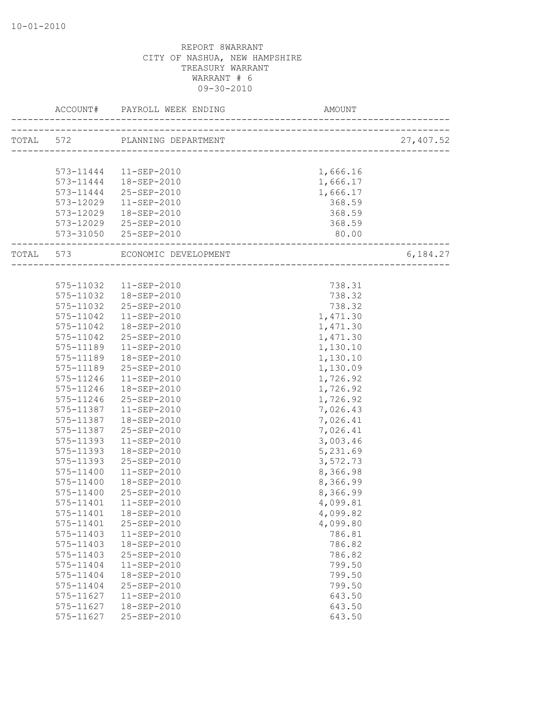| ACCOUNT#  | PAYROLL WEEK ENDING AM AM      | AMOUNT                            |           |
|-----------|--------------------------------|-----------------------------------|-----------|
|           |                                |                                   | 27,407.52 |
|           |                                |                                   |           |
|           | 573-11444   11-SEP-2010        | 1,666.16                          |           |
|           |                                |                                   |           |
|           | 573-11444  18-SEP-2010         | 1,666.17                          |           |
|           | 573-11444 25-SEP-2010          | 1,666.17                          |           |
| 573-12029 | 11-SEP-2010                    | 368.59                            |           |
|           | 573-12029  18-SEP-2010         | 368.59                            |           |
|           | 573-12029 25-SEP-2010          | 368.59                            |           |
|           | 573-31050 25-SEP-2010          | 80.00<br>________________________ |           |
|           | TOTAL 573 ECONOMIC DEVELOPMENT | ____________________________      | 6,184.27  |
|           |                                |                                   |           |
|           | 575-11032  11-SEP-2010         | 738.31                            |           |
| 575-11032 | 18-SEP-2010                    | 738.32                            |           |
| 575-11032 | 25-SEP-2010                    | 738.32                            |           |
| 575-11042 | 11-SEP-2010                    | 1,471.30                          |           |
| 575-11042 | 18-SEP-2010                    | 1,471.30                          |           |
| 575-11042 | 25-SEP-2010                    | 1,471.30                          |           |
|           | 575-11189  11-SEP-2010         | 1,130.10                          |           |
| 575-11189 | 18-SEP-2010                    | 1,130.10                          |           |
| 575-11189 | 25-SEP-2010                    | 1,130.09                          |           |
| 575-11246 | 11-SEP-2010                    | 1,726.92                          |           |
| 575-11246 | 18-SEP-2010                    | 1,726.92                          |           |
| 575-11246 | 25-SEP-2010                    | 1,726.92                          |           |
| 575-11387 | 11-SEP-2010                    | 7,026.43                          |           |
| 575-11387 | 18-SEP-2010                    | 7,026.41                          |           |
|           | 575-11387 25-SEP-2010          | 7,026.41                          |           |
| 575-11393 | 11-SEP-2010                    | 3,003.46                          |           |
| 575-11393 | 18-SEP-2010                    | 5,231.69                          |           |
| 575-11393 | 25-SEP-2010                    | 3,572.73                          |           |
| 575-11400 | 11-SEP-2010                    | 8,366.98                          |           |
| 575-11400 | 18-SEP-2010                    | 8,366.99                          |           |
| 575-11400 | 25-SEP-2010                    | 8,366.99                          |           |
| 575-11401 | 11-SEP-2010                    | 4,099.81                          |           |
|           |                                | 4,099.82                          |           |
| 575-11401 | 25-SEP-2010                    | 4,099.80                          |           |
| 575-11403 | 11-SEP-2010                    | 786.81                            |           |
| 575-11403 | 18-SEP-2010                    | 786.82                            |           |
| 575-11403 | 25-SEP-2010                    | 786.82                            |           |
| 575-11404 | $11 - SEP - 2010$              | 799.50                            |           |
| 575-11404 | 18-SEP-2010                    | 799.50                            |           |
| 575-11404 | 25-SEP-2010                    | 799.50                            |           |
| 575-11627 | $11 - SEP - 2010$              | 643.50                            |           |
| 575-11627 | 18-SEP-2010                    | 643.50                            |           |
|           |                                |                                   |           |
| 575-11627 | 25-SEP-2010                    | 643.50                            |           |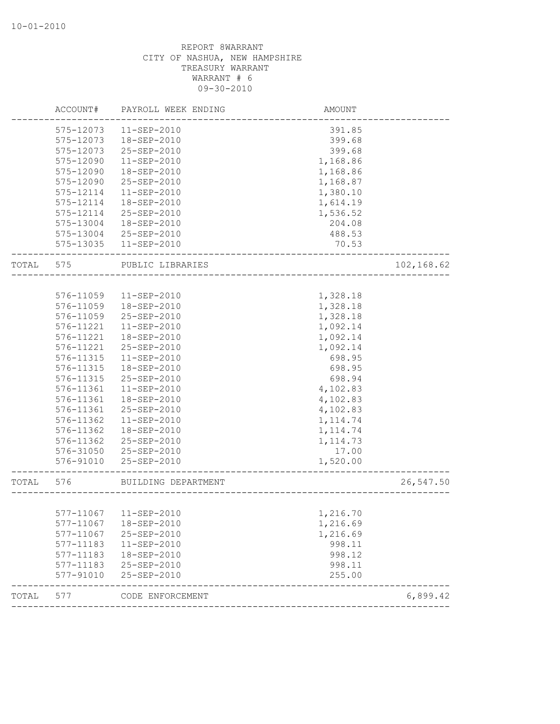| ACCOUNT#  | PAYROLL WEEK ENDING | AMOUNT                                |                                                                        |
|-----------|---------------------|---------------------------------------|------------------------------------------------------------------------|
| 575-12073 | $11 - SEP - 2010$   | 391.85                                |                                                                        |
| 575-12073 | 18-SEP-2010         | 399.68                                |                                                                        |
| 575-12073 | 25-SEP-2010         | 399.68                                |                                                                        |
| 575-12090 | $11 - SEP - 2010$   | 1,168.86                              |                                                                        |
| 575-12090 | 18-SEP-2010         | 1,168.86                              |                                                                        |
| 575-12090 | 25-SEP-2010         | 1,168.87                              |                                                                        |
| 575-12114 | $11 - SEP - 2010$   | 1,380.10                              |                                                                        |
| 575-12114 | 18-SEP-2010         |                                       |                                                                        |
| 575-12114 |                     |                                       |                                                                        |
| 575-13004 | 18-SEP-2010         |                                       |                                                                        |
| 575-13004 | 25-SEP-2010         | 488.53                                |                                                                        |
| 575-13035 | 11-SEP-2010         | 70.53                                 |                                                                        |
| 575       | PUBLIC LIBRARIES    |                                       | 102,168.62                                                             |
|           |                     |                                       |                                                                        |
| 576-11059 | 11-SEP-2010         | 1,328.18                              |                                                                        |
| 576-11059 | 18-SEP-2010         | 1,328.18                              |                                                                        |
| 576-11059 | 25-SEP-2010         | 1,328.18                              |                                                                        |
| 576-11221 | 11-SEP-2010         | 1,092.14                              |                                                                        |
| 576-11221 | 18-SEP-2010         | 1,092.14                              |                                                                        |
| 576-11221 | 25-SEP-2010         | 1,092.14                              |                                                                        |
| 576-11315 | 11-SEP-2010         | 698.95                                |                                                                        |
| 576-11315 | 18-SEP-2010         | 698.95                                |                                                                        |
| 576-11315 | 25-SEP-2010         | 698.94                                |                                                                        |
| 576-11361 | $11 - SEP - 2010$   | 4,102.83                              |                                                                        |
| 576-11361 | 18-SEP-2010         | 4,102.83                              |                                                                        |
| 576-11361 | 25-SEP-2010         | 4,102.83                              |                                                                        |
| 576-11362 | 11-SEP-2010         | 1, 114.74                             |                                                                        |
| 576-11362 | 18-SEP-2010         | 1, 114.74                             |                                                                        |
| 576-11362 | 25-SEP-2010         | 1, 114.73                             |                                                                        |
| 576-31050 | 25-SEP-2010         | 17.00                                 |                                                                        |
| 576-91010 | 25-SEP-2010         | 1,520.00                              |                                                                        |
| 576       | BUILDING DEPARTMENT |                                       | 26,547.50                                                              |
|           |                     |                                       |                                                                        |
|           |                     | 1,216.70                              |                                                                        |
| 577-11067 | 18-SEP-2010         | 1,216.69                              |                                                                        |
| 577-11067 | 25-SEP-2010         |                                       |                                                                        |
| 577-11183 | $11 - SEP - 2010$   | 998.11                                |                                                                        |
| 577-11183 | 18-SEP-2010         | 998.12                                |                                                                        |
| 577-11183 | 25-SEP-2010         | 998.11                                |                                                                        |
| 577-91010 | 25-SEP-2010         | 255.00                                |                                                                        |
| 577       | CODE ENFORCEMENT    |                                       | 6,899.42                                                               |
|           |                     | 25-SEP-2010<br>577-11067  11-SEP-2010 | 1,614.19<br>1,536.52<br>204.08<br>________________________<br>1,216.69 |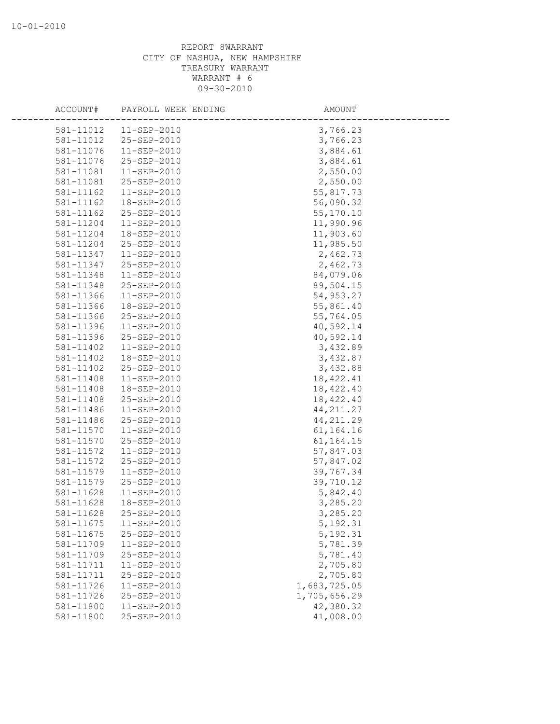| ACCOUNT#  | PAYROLL WEEK ENDING | AMOUNT       |
|-----------|---------------------|--------------|
|           |                     |              |
| 581-11012 | $11-$ SEP-2010      | 3,766.23     |
| 581-11012 | 25-SEP-2010         | 3,766.23     |
| 581-11076 | 11-SEP-2010         | 3,884.61     |
| 581-11076 | 25-SEP-2010         | 3,884.61     |
| 581-11081 | $11 - SEP - 2010$   | 2,550.00     |
| 581-11081 | 25-SEP-2010         | 2,550.00     |
| 581-11162 | 11-SEP-2010         | 55,817.73    |
| 581-11162 | 18-SEP-2010         | 56,090.32    |
| 581-11162 | 25-SEP-2010         | 55, 170.10   |
| 581-11204 | 11-SEP-2010         | 11,990.96    |
| 581-11204 | 18-SEP-2010         | 11,903.60    |
| 581-11204 | 25-SEP-2010         | 11,985.50    |
| 581-11347 | 11-SEP-2010         | 2,462.73     |
| 581-11347 | 25-SEP-2010         | 2,462.73     |
| 581-11348 | $11 - SEP - 2010$   | 84,079.06    |
| 581-11348 | 25-SEP-2010         | 89,504.15    |
| 581-11366 | $11 - SEP - 2010$   | 54,953.27    |
| 581-11366 | 18-SEP-2010         | 55,861.40    |
| 581-11366 | 25-SEP-2010         | 55,764.05    |
| 581-11396 | 11-SEP-2010         | 40,592.14    |
| 581-11396 | 25-SEP-2010         | 40,592.14    |
| 581-11402 | 11-SEP-2010         | 3,432.89     |
| 581-11402 | 18-SEP-2010         | 3,432.87     |
| 581-11402 | 25-SEP-2010         | 3,432.88     |
| 581-11408 | 11-SEP-2010         | 18, 422.41   |
| 581-11408 | 18-SEP-2010         | 18,422.40    |
| 581-11408 | 25-SEP-2010         | 18,422.40    |
| 581-11486 | 11-SEP-2010         | 44, 211.27   |
| 581-11486 | 25-SEP-2010         | 44, 211.29   |
| 581-11570 | 11-SEP-2010         | 61,164.16    |
| 581-11570 | 25-SEP-2010         | 61, 164. 15  |
| 581-11572 | $11 - SEP - 2010$   | 57,847.03    |
| 581-11572 | 25-SEP-2010         | 57,847.02    |
| 581-11579 | 11-SEP-2010         | 39,767.34    |
| 581-11579 | 25-SEP-2010         | 39,710.12    |
| 581-11628 | $11 - SEP - 2010$   | 5,842.40     |
| 581-11628 | 18-SEP-2010         | 3,285.20     |
| 581-11628 | 25-SEP-2010         | 3,285.20     |
| 581-11675 | 11-SEP-2010         | 5, 192.31    |
| 581-11675 | 25-SEP-2010         | 5, 192.31    |
| 581-11709 | 11-SEP-2010         | 5,781.39     |
| 581-11709 | 25-SEP-2010         | 5,781.40     |
| 581-11711 | 11-SEP-2010         | 2,705.80     |
| 581-11711 | 25-SEP-2010         | 2,705.80     |
| 581-11726 | $11 - SEP - 2010$   | 1,683,725.05 |
| 581-11726 | 25-SEP-2010         | 1,705,656.29 |
| 581-11800 | 11-SEP-2010         | 42,380.32    |
| 581-11800 | 25-SEP-2010         | 41,008.00    |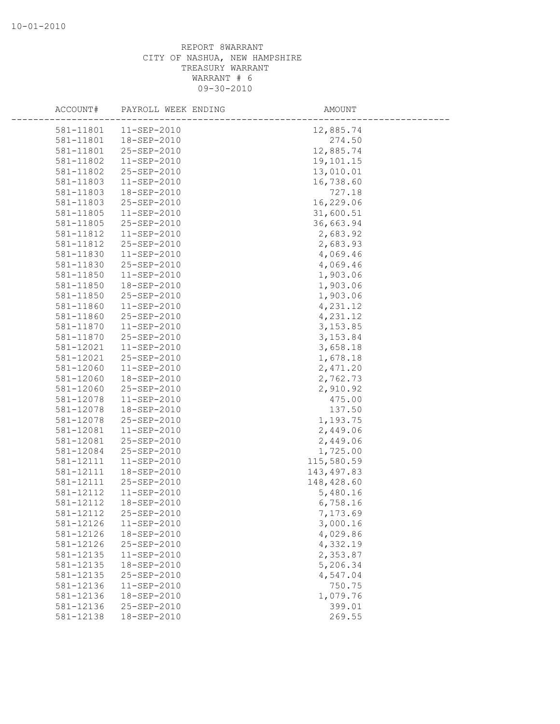| ACCOUNT#               | PAYROLL WEEK ENDING        | AMOUNT             |
|------------------------|----------------------------|--------------------|
| 581-11801              | $11 - SEP - 2010$          | 12,885.74          |
| 581-11801              | 18-SEP-2010                | 274.50             |
| 581-11801              | 25-SEP-2010                | 12,885.74          |
| 581-11802              | 11-SEP-2010                | 19,101.15          |
| 581-11802              | 25-SEP-2010                | 13,010.01          |
| 581-11803              | $11 - SEP - 2010$          | 16,738.60          |
| 581-11803              | 18-SEP-2010                | 727.18             |
| 581-11803              | 25-SEP-2010                | 16,229.06          |
| 581-11805              | $11 - SEP - 2010$          | 31,600.51          |
| 581-11805              | 25-SEP-2010                | 36,663.94          |
| 581-11812              | $11-SEP-2010$              | 2,683.92           |
| 581-11812              | 25-SEP-2010                | 2,683.93           |
| 581-11830              | 11-SEP-2010                | 4,069.46           |
| 581-11830              | 25-SEP-2010                | 4,069.46           |
| 581-11850              | $11 - SEP - 2010$          | 1,903.06           |
| 581-11850              | 18-SEP-2010                | 1,903.06           |
| 581-11850              | 25-SEP-2010                | 1,903.06           |
| 581-11860              | $11 - SEP - 2010$          | 4,231.12           |
| 581-11860              | 25-SEP-2010                | 4,231.12           |
| 581-11870              | $11-SEP-2010$              | 3, 153.85          |
| 581-11870              | 25-SEP-2010                | 3, 153.84          |
| 581-12021              | 11-SEP-2010                | 3,658.18           |
| 581-12021              | 25-SEP-2010                | 1,678.18           |
| 581-12060              | $11 - SEP - 2010$          | 2,471.20           |
| 581-12060              | 18-SEP-2010                | 2,762.73           |
| 581-12060              | 25-SEP-2010                | 2,910.92           |
| 581-12078              | 11-SEP-2010                | 475.00             |
| 581-12078              | 18-SEP-2010                | 137.50             |
| 581-12078              | 25-SEP-2010                | 1,193.75           |
| 581-12081              | 11-SEP-2010                | 2,449.06           |
| 581-12081              | 25-SEP-2010                | 2,449.06           |
| 581-12084              | 25-SEP-2010                | 1,725.00           |
| 581-12111              | 11-SEP-2010                | 115,580.59         |
| 581-12111              | 18-SEP-2010                | 143, 497.83        |
| 581-12111              | 25-SEP-2010                | 148,428.60         |
| 581-12112              | $11 - SEP - 2010$          | 5,480.16           |
| 581-12112              | 18-SEP-2010                | 6,758.16           |
| 581-12112              | 25-SEP-2010                | 7,173.69           |
| 581-12126              | 11-SEP-2010                | 3,000.16           |
| 581-12126              | 18-SEP-2010                | 4,029.86           |
| 581-12126<br>581-12135 | 25-SEP-2010                | 4,332.19           |
|                        | 11-SEP-2010                | 2,353.87           |
| 581-12135<br>581-12135 | 18-SEP-2010<br>25-SEP-2010 | 5,206.34           |
| 581-12136              | 11-SEP-2010                | 4,547.04           |
| 581-12136              | 18-SEP-2010                | 750.75<br>1,079.76 |
| 581-12136              | 25-SEP-2010                | 399.01             |
| 581-12138              | 18-SEP-2010                | 269.55             |
|                        |                            |                    |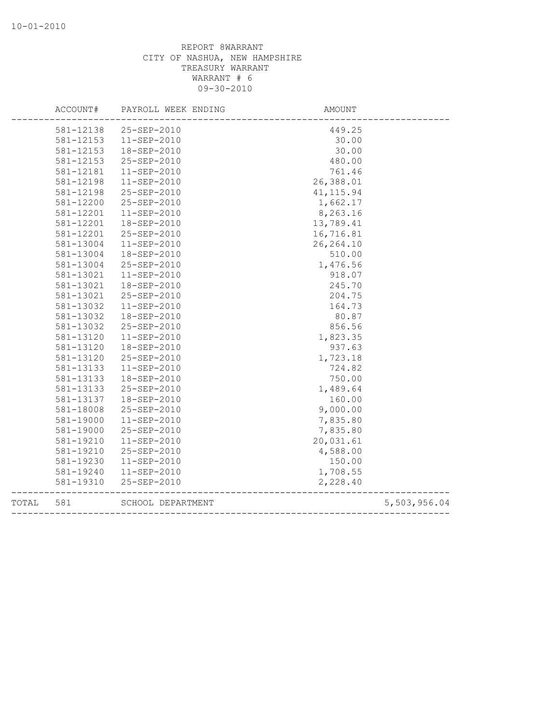|       | ACCOUNT#  | PAYROLL WEEK ENDING | AMOUNT                            |              |
|-------|-----------|---------------------|-----------------------------------|--------------|
|       | 581-12138 | 25-SEP-2010         | 449.25                            |              |
|       | 581-12153 | $11 - SEP - 2010$   | 30.00                             |              |
|       | 581-12153 | 18-SEP-2010         | 30.00                             |              |
|       | 581-12153 | 25-SEP-2010         | 480.00                            |              |
|       | 581-12181 | 11-SEP-2010         | 761.46                            |              |
|       | 581-12198 | $11 - SEP - 2010$   | 26,388.01                         |              |
|       | 581-12198 | 25-SEP-2010         | 41, 115.94                        |              |
|       | 581-12200 | 25-SEP-2010         | 1,662.17                          |              |
|       | 581-12201 | $11 - SEP - 2010$   | 8,263.16                          |              |
|       | 581-12201 | 18-SEP-2010         | 13,789.41                         |              |
|       | 581-12201 | 25-SEP-2010         | 16,716.81                         |              |
|       | 581-13004 | 11-SEP-2010         | 26, 264.10                        |              |
|       | 581-13004 | 18-SEP-2010         | 510.00                            |              |
|       | 581-13004 | 25-SEP-2010         | 1,476.56                          |              |
|       | 581-13021 | $11 - SEP - 2010$   | 918.07                            |              |
|       | 581-13021 | 18-SEP-2010         | 245.70                            |              |
|       | 581-13021 | 25-SEP-2010         | 204.75                            |              |
|       | 581-13032 | $11-SEP-2010$       | 164.73                            |              |
|       | 581-13032 | 18-SEP-2010         | 80.87                             |              |
|       | 581-13032 | 25-SEP-2010         | 856.56                            |              |
|       | 581-13120 | $11 - SEP - 2010$   | 1,823.35                          |              |
|       | 581-13120 | 18-SEP-2010         | 937.63                            |              |
|       | 581-13120 | 25-SEP-2010         | 1,723.18                          |              |
|       | 581-13133 | $11 - SEP - 2010$   | 724.82                            |              |
|       | 581-13133 | 18-SEP-2010         | 750.00                            |              |
|       | 581-13133 | 25-SEP-2010         | 1,489.64                          |              |
|       | 581-13137 | 18-SEP-2010         | 160.00                            |              |
|       | 581-18008 | 25-SEP-2010         | 9,000.00                          |              |
|       | 581-19000 | $11 - SEP - 2010$   | 7,835.80                          |              |
|       | 581-19000 | 25-SEP-2010         | 7,835.80                          |              |
|       | 581-19210 | $11 - SEP - 2010$   | 20,031.61                         |              |
|       | 581-19210 | 25-SEP-2010         | 4,588.00                          |              |
|       | 581-19230 | $11 - SEP - 2010$   | 150.00                            |              |
|       | 581-19240 | 11-SEP-2010         | 1,708.55                          |              |
|       | 581-19310 | 25-SEP-2010         | 2,228.40                          |              |
| TOTAL | 581       | SCHOOL DEPARTMENT   | --------------------------------- | 5,503,956.04 |
|       |           |                     |                                   |              |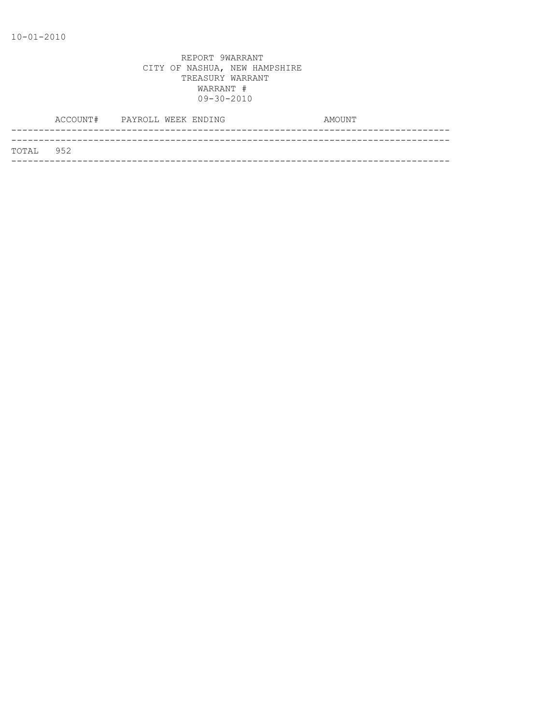|           | ACCOUNT# PAYROLL WEEK ENDING |  |  | AMOUNT |
|-----------|------------------------------|--|--|--------|
|           |                              |  |  |        |
| TOTAL 952 |                              |  |  |        |
|           |                              |  |  |        |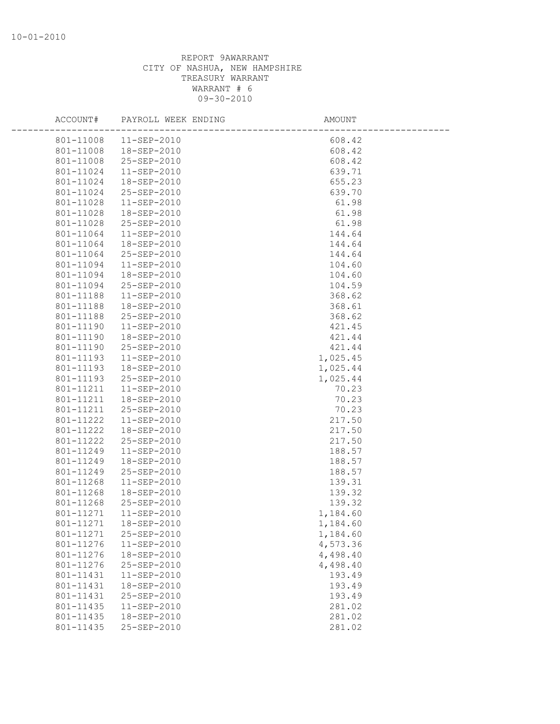| ACCOUNT#  | PAYROLL WEEK ENDING | AMOUNT   |  |
|-----------|---------------------|----------|--|
| 801-11008 | $11 - SEP - 2010$   | 608.42   |  |
| 801-11008 | 18-SEP-2010         | 608.42   |  |
| 801-11008 | 25-SEP-2010         | 608.42   |  |
| 801-11024 | 11-SEP-2010         | 639.71   |  |
| 801-11024 | 18-SEP-2010         | 655.23   |  |
| 801-11024 | 25-SEP-2010         | 639.70   |  |
| 801-11028 | $11 - SEP - 2010$   | 61.98    |  |
| 801-11028 | 18-SEP-2010         | 61.98    |  |
| 801-11028 | 25-SEP-2010         | 61.98    |  |
| 801-11064 | $11 - SEP - 2010$   | 144.64   |  |
| 801-11064 | 18-SEP-2010         | 144.64   |  |
| 801-11064 | 25-SEP-2010         | 144.64   |  |
| 801-11094 | 11-SEP-2010         | 104.60   |  |
| 801-11094 | 18-SEP-2010         | 104.60   |  |
| 801-11094 | 25-SEP-2010         | 104.59   |  |
| 801-11188 | $11 - SEP - 2010$   | 368.62   |  |
| 801-11188 | 18-SEP-2010         | 368.61   |  |
| 801-11188 | 25-SEP-2010         | 368.62   |  |
| 801-11190 | $11 - SEP - 2010$   | 421.45   |  |
| 801-11190 | 18-SEP-2010         | 421.44   |  |
| 801-11190 | 25-SEP-2010         | 421.44   |  |
| 801-11193 | $11 - SEP - 2010$   | 1,025.45 |  |
| 801-11193 | 18-SEP-2010         | 1,025.44 |  |
| 801-11193 | 25-SEP-2010         | 1,025.44 |  |
| 801-11211 | 11-SEP-2010         | 70.23    |  |
| 801-11211 | 18-SEP-2010         | 70.23    |  |
| 801-11211 | 25-SEP-2010         | 70.23    |  |
| 801-11222 | $11-SEP-2010$       | 217.50   |  |
| 801-11222 | 18-SEP-2010         | 217.50   |  |
| 801-11222 | 25-SEP-2010         | 217.50   |  |
| 801-11249 | 11-SEP-2010         | 188.57   |  |
| 801-11249 | 18-SEP-2010         | 188.57   |  |
| 801-11249 | 25-SEP-2010         | 188.57   |  |
| 801-11268 | $11-SEP-2010$       | 139.31   |  |
| 801-11268 | 18-SEP-2010         | 139.32   |  |
| 801-11268 | 25-SEP-2010         | 139.32   |  |
| 801-11271 | $11-SEP-2010$       | 1,184.60 |  |
| 801-11271 | 18-SEP-2010         | 1,184.60 |  |
| 801-11271 | 25-SEP-2010         | 1,184.60 |  |
| 801-11276 | 11-SEP-2010         | 4,573.36 |  |
| 801-11276 | 18-SEP-2010         | 4,498.40 |  |
| 801-11276 | 25-SEP-2010         | 4,498.40 |  |
| 801-11431 | 11-SEP-2010         | 193.49   |  |
| 801-11431 | 18-SEP-2010         | 193.49   |  |
| 801-11431 | 25-SEP-2010         | 193.49   |  |
| 801-11435 | 11-SEP-2010         | 281.02   |  |
| 801-11435 | 18-SEP-2010         | 281.02   |  |
| 801-11435 | 25-SEP-2010         | 281.02   |  |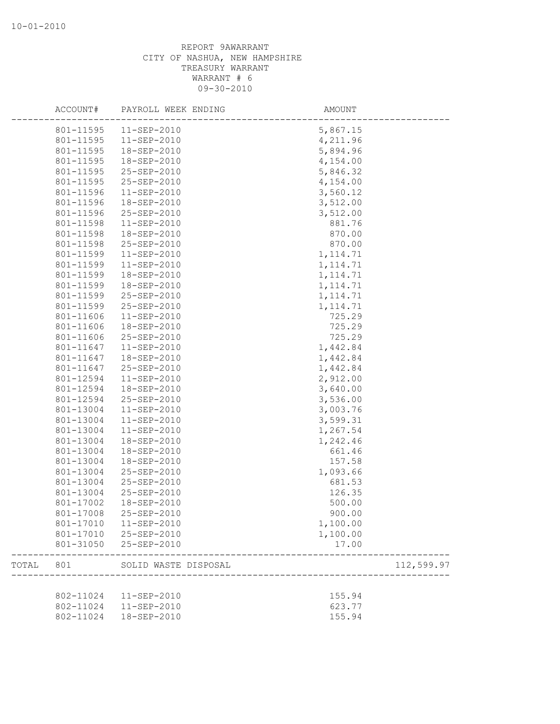|       | ACCOUNT#  | PAYROLL WEEK ENDING   | AMOUNT                           |  |
|-------|-----------|-----------------------|----------------------------------|--|
|       | 801-11595 | 11-SEP-2010           | 5,867.15                         |  |
|       | 801-11595 | $11 - SEP - 2010$     | 4,211.96                         |  |
|       | 801-11595 | 18-SEP-2010           | 5,894.96                         |  |
|       | 801-11595 | 18-SEP-2010           | 4,154.00                         |  |
|       | 801-11595 | 25-SEP-2010           | 5,846.32                         |  |
|       | 801-11595 | 25-SEP-2010           | 4,154.00                         |  |
|       | 801-11596 | 11-SEP-2010           | 3,560.12                         |  |
|       | 801-11596 | 18-SEP-2010           | 3,512.00                         |  |
|       | 801-11596 | 25-SEP-2010           | 3,512.00                         |  |
|       | 801-11598 | $11 - SEP - 2010$     | 881.76                           |  |
|       | 801-11598 | 18-SEP-2010           | 870.00                           |  |
|       | 801-11598 | 25-SEP-2010           | 870.00                           |  |
|       | 801-11599 | 11-SEP-2010           | 1, 114.71                        |  |
|       | 801-11599 | 11-SEP-2010           | 1, 114.71                        |  |
|       | 801-11599 | 18-SEP-2010           | 1, 114.71                        |  |
|       | 801-11599 | 18-SEP-2010           | 1, 114.71                        |  |
|       | 801-11599 | 25-SEP-2010           | 1, 114.71                        |  |
|       | 801-11599 | 25-SEP-2010           | 1, 114.71                        |  |
|       | 801-11606 | 11-SEP-2010           | 725.29                           |  |
|       | 801-11606 | 18-SEP-2010           | 725.29                           |  |
|       | 801-11606 | 25-SEP-2010           | 725.29                           |  |
|       | 801-11647 | 11-SEP-2010           | 1,442.84                         |  |
|       | 801-11647 | 18-SEP-2010           | 1,442.84                         |  |
|       | 801-11647 | 25-SEP-2010           | 1,442.84                         |  |
|       | 801-12594 | 11-SEP-2010           | 2,912.00                         |  |
|       | 801-12594 | 18-SEP-2010           | 3,640.00                         |  |
|       | 801-12594 | 25-SEP-2010           | 3,536.00                         |  |
|       | 801-13004 | 11-SEP-2010           | 3,003.76                         |  |
|       | 801-13004 | 11-SEP-2010           | 3,599.31                         |  |
|       | 801-13004 | 11-SEP-2010           | 1,267.54                         |  |
|       | 801-13004 | 18-SEP-2010           | 1,242.46                         |  |
|       | 801-13004 | 18-SEP-2010           | 661.46                           |  |
|       | 801-13004 | 18-SEP-2010           | 157.58                           |  |
|       | 801-13004 | 25-SEP-2010           | 1,093.66                         |  |
|       | 801-13004 | 25-SEP-2010           | 681.53                           |  |
|       | 801-13004 | 25-SEP-2010           | 126.35                           |  |
|       | 801-17002 | 18-SEP-2010           | 500.00                           |  |
|       | 801-17008 | 25-SEP-2010           | 900.00                           |  |
|       | 801-17010 | $11 - SEP - 2010$     | 1,100.00                         |  |
|       |           | 801-17010 25-SEP-2010 | 1,100.00                         |  |
|       | 801-31050 | 25-SEP-2010           | 17.00                            |  |
| TOTAL | 801       | SOLID WASTE DISPOSAL  | 112,599.97<br>__________________ |  |
|       |           |                       |                                  |  |
|       | 802-11024 | 11-SEP-2010           | 155.94                           |  |
|       | 802-11024 | 11-SEP-2010           | 623.77                           |  |
|       | 802-11024 | 18-SEP-2010           | 155.94                           |  |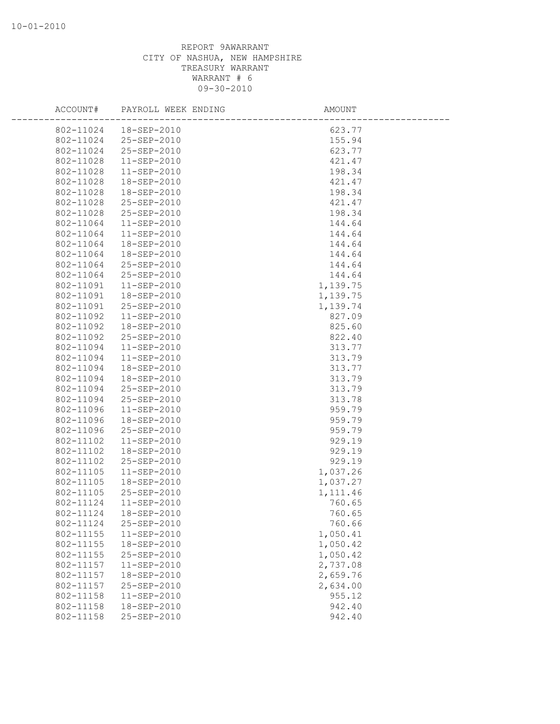| ACCOUNT#  | PAYROLL WEEK ENDING | AMOUNT   |  |
|-----------|---------------------|----------|--|
| 802-11024 | 18-SEP-2010         | 623.77   |  |
| 802-11024 | 25-SEP-2010         | 155.94   |  |
| 802-11024 | 25-SEP-2010         | 623.77   |  |
| 802-11028 | $11 - SEP - 2010$   | 421.47   |  |
| 802-11028 | 11-SEP-2010         | 198.34   |  |
| 802-11028 | 18-SEP-2010         | 421.47   |  |
| 802-11028 | 18-SEP-2010         | 198.34   |  |
| 802-11028 | 25-SEP-2010         | 421.47   |  |
| 802-11028 | 25-SEP-2010         | 198.34   |  |
| 802-11064 | $11 - SEP - 2010$   | 144.64   |  |
| 802-11064 | 11-SEP-2010         | 144.64   |  |
| 802-11064 | 18-SEP-2010         | 144.64   |  |
| 802-11064 | 18-SEP-2010         | 144.64   |  |
| 802-11064 | 25-SEP-2010         | 144.64   |  |
| 802-11064 | 25-SEP-2010         | 144.64   |  |
| 802-11091 | 11-SEP-2010         | 1,139.75 |  |
| 802-11091 | 18-SEP-2010         | 1,139.75 |  |
| 802-11091 | 25-SEP-2010         | 1,139.74 |  |
| 802-11092 | $11 - SEP - 2010$   | 827.09   |  |
| 802-11092 | 18-SEP-2010         | 825.60   |  |
| 802-11092 | 25-SEP-2010         | 822.40   |  |
| 802-11094 | $11 - SEP - 2010$   | 313.77   |  |
| 802-11094 | 11-SEP-2010         | 313.79   |  |
| 802-11094 | 18-SEP-2010         | 313.77   |  |
| 802-11094 | 18-SEP-2010         | 313.79   |  |
| 802-11094 | 25-SEP-2010         | 313.79   |  |
| 802-11094 | 25-SEP-2010         | 313.78   |  |
| 802-11096 | $11 - SEP - 2010$   | 959.79   |  |
| 802-11096 | 18-SEP-2010         | 959.79   |  |
| 802-11096 | 25-SEP-2010         | 959.79   |  |
| 802-11102 | $11 - SEP - 2010$   | 929.19   |  |
| 802-11102 | 18-SEP-2010         | 929.19   |  |
| 802-11102 | 25-SEP-2010         | 929.19   |  |
| 802-11105 | 11-SEP-2010         | 1,037.26 |  |
| 802-11105 | 18-SEP-2010         | 1,037.27 |  |
| 802-11105 | 25-SEP-2010         | 1,111.46 |  |
| 802-11124 | $11 - SEP - 2010$   | 760.65   |  |
| 802-11124 | 18-SEP-2010         | 760.65   |  |
| 802-11124 | 25-SEP-2010         | 760.66   |  |
| 802-11155 | 11-SEP-2010         | 1,050.41 |  |
| 802-11155 | 18-SEP-2010         | 1,050.42 |  |
| 802-11155 | 25-SEP-2010         | 1,050.42 |  |
| 802-11157 | 11-SEP-2010         | 2,737.08 |  |
| 802-11157 | 18-SEP-2010         | 2,659.76 |  |
| 802-11157 | 25-SEP-2010         | 2,634.00 |  |
| 802-11158 | 11-SEP-2010         | 955.12   |  |
| 802-11158 | 18-SEP-2010         | 942.40   |  |
| 802-11158 | 25-SEP-2010         | 942.40   |  |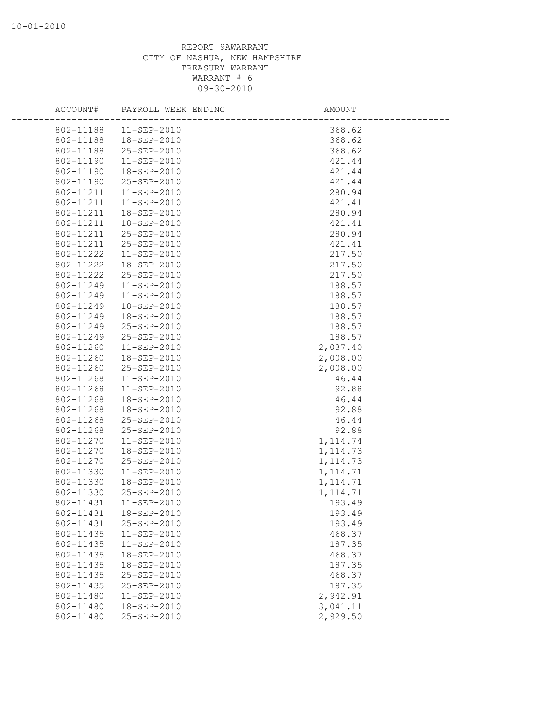| ACCOUNT#  | PAYROLL WEEK ENDING | AMOUNT    |  |
|-----------|---------------------|-----------|--|
| 802-11188 | $11-SEP-2010$       | 368.62    |  |
| 802-11188 | 18-SEP-2010         | 368.62    |  |
| 802-11188 | 25-SEP-2010         | 368.62    |  |
| 802-11190 | $11 - SEP - 2010$   | 421.44    |  |
| 802-11190 | 18-SEP-2010         | 421.44    |  |
| 802-11190 | 25-SEP-2010         | 421.44    |  |
| 802-11211 | $11 - SEP - 2010$   | 280.94    |  |
| 802-11211 | $11 - SEP - 2010$   | 421.41    |  |
| 802-11211 | 18-SEP-2010         | 280.94    |  |
| 802-11211 | 18-SEP-2010         | 421.41    |  |
| 802-11211 | 25-SEP-2010         | 280.94    |  |
| 802-11211 | 25-SEP-2010         | 421.41    |  |
| 802-11222 | $11 - SEP - 2010$   | 217.50    |  |
| 802-11222 | 18-SEP-2010         | 217.50    |  |
| 802-11222 | 25-SEP-2010         | 217.50    |  |
| 802-11249 | $11 - SEP - 2010$   | 188.57    |  |
| 802-11249 | $11 - SEP - 2010$   | 188.57    |  |
| 802-11249 | 18-SEP-2010         | 188.57    |  |
| 802-11249 | 18-SEP-2010         | 188.57    |  |
| 802-11249 | 25-SEP-2010         | 188.57    |  |
| 802-11249 | 25-SEP-2010         | 188.57    |  |
| 802-11260 | $11 - SEP - 2010$   | 2,037.40  |  |
| 802-11260 | 18-SEP-2010         | 2,008.00  |  |
| 802-11260 | 25-SEP-2010         | 2,008.00  |  |
| 802-11268 | $11 - SEP - 2010$   | 46.44     |  |
| 802-11268 | $11 - SEP - 2010$   | 92.88     |  |
| 802-11268 | 18-SEP-2010         | 46.44     |  |
| 802-11268 | 18-SEP-2010         | 92.88     |  |
| 802-11268 | 25-SEP-2010         | 46.44     |  |
| 802-11268 | 25-SEP-2010         | 92.88     |  |
| 802-11270 | $11 - SEP - 2010$   | 1, 114.74 |  |
| 802-11270 | 18-SEP-2010         | 1, 114.73 |  |
| 802-11270 | 25-SEP-2010         | 1, 114.73 |  |
| 802-11330 | 11-SEP-2010         | 1, 114.71 |  |
| 802-11330 | 18-SEP-2010         | 1, 114.71 |  |
| 802-11330 | 25-SEP-2010         | 1, 114.71 |  |
| 802-11431 | $11 - SEP - 2010$   | 193.49    |  |
| 802-11431 | 18-SEP-2010         | 193.49    |  |
| 802-11431 | 25-SEP-2010         | 193.49    |  |
| 802-11435 | 11-SEP-2010         | 468.37    |  |
| 802-11435 | 11-SEP-2010         | 187.35    |  |
| 802-11435 | 18-SEP-2010         | 468.37    |  |
| 802-11435 | 18-SEP-2010         | 187.35    |  |
| 802-11435 | 25-SEP-2010         | 468.37    |  |
| 802-11435 | 25-SEP-2010         | 187.35    |  |
| 802-11480 | $11 - SEP - 2010$   | 2,942.91  |  |
| 802-11480 | 18-SEP-2010         | 3,041.11  |  |
| 802-11480 | 25-SEP-2010         | 2,929.50  |  |
|           |                     |           |  |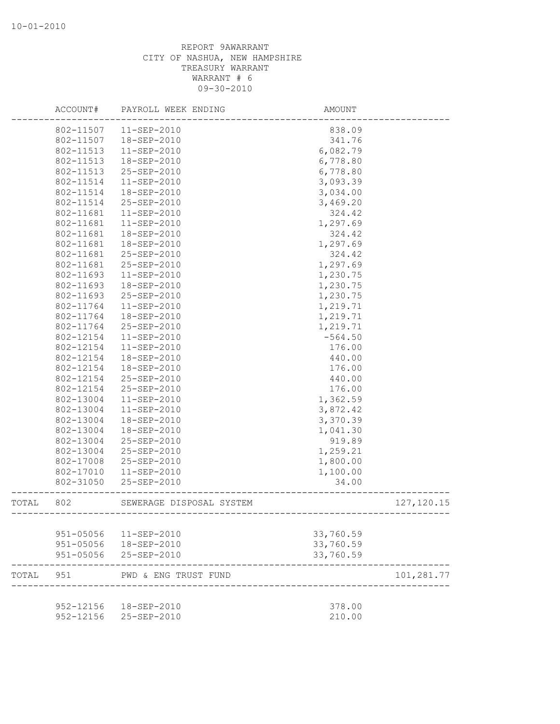|       | ACCOUNT#  | PAYROLL WEEK ENDING      | AMOUNT           |                            |
|-------|-----------|--------------------------|------------------|----------------------------|
|       | 802-11507 | 11-SEP-2010              | 838.09           |                            |
|       | 802-11507 | 18-SEP-2010              | 341.76           |                            |
|       | 802-11513 | 11-SEP-2010              | 6,082.79         |                            |
|       | 802-11513 | 18-SEP-2010              | 6,778.80         |                            |
|       | 802-11513 | 25-SEP-2010              | 6,778.80         |                            |
|       | 802-11514 | 11-SEP-2010              | 3,093.39         |                            |
|       | 802-11514 | 18-SEP-2010              | 3,034.00         |                            |
|       | 802-11514 | 25-SEP-2010              | 3,469.20         |                            |
|       | 802-11681 | 11-SEP-2010              | 324.42           |                            |
|       | 802-11681 | 11-SEP-2010              | 1,297.69         |                            |
|       | 802-11681 | 18-SEP-2010              | 324.42           |                            |
|       | 802-11681 | 18-SEP-2010              | 1,297.69         |                            |
|       | 802-11681 | 25-SEP-2010              | 324.42           |                            |
|       | 802-11681 | 25-SEP-2010              | 1,297.69         |                            |
|       | 802-11693 | 11-SEP-2010              | 1,230.75         |                            |
|       | 802-11693 | 18-SEP-2010              | 1,230.75         |                            |
|       | 802-11693 | 25-SEP-2010              | 1,230.75         |                            |
|       | 802-11764 | 11-SEP-2010              | 1,219.71         |                            |
|       | 802-11764 | 18-SEP-2010              | 1,219.71         |                            |
|       | 802-11764 | 25-SEP-2010              | 1,219.71         |                            |
|       | 802-12154 | $11-SEP-2010$            | $-564.50$        |                            |
|       | 802-12154 | $11 - SEP - 2010$        | 176.00           |                            |
|       | 802-12154 | 18-SEP-2010              | 440.00           |                            |
|       | 802-12154 | 18-SEP-2010              |                  |                            |
|       | 802-12154 | 25-SEP-2010              | 176.00<br>440.00 |                            |
|       |           |                          | 176.00           |                            |
|       | 802-12154 | 25-SEP-2010              |                  |                            |
|       | 802-13004 | 11-SEP-2010              | 1,362.59         |                            |
|       | 802-13004 | 11-SEP-2010              | 3,872.42         |                            |
|       | 802-13004 | 18-SEP-2010              | 3,370.39         |                            |
|       | 802-13004 | 18-SEP-2010              | 1,041.30         |                            |
|       | 802-13004 | 25-SEP-2010              | 919.89           |                            |
|       | 802-13004 | 25-SEP-2010              | 1,259.21         |                            |
|       | 802-17008 | 25-SEP-2010              | 1,800.00         |                            |
|       | 802-17010 | 11-SEP-2010              | 1,100.00         |                            |
|       | 802-31050 | 25-SEP-2010              | 34.00            |                            |
| TOTAL | 802       | SEWERAGE DISPOSAL SYSTEM |                  | 127, 120.15<br>----------- |
|       | 951-05056 | $11 - SEP - 2010$        | 33,760.59        |                            |
|       | 951-05056 | 18-SEP-2010              | 33,760.59        |                            |
|       | 951-05056 | 25-SEP-2010              | 33,760.59        |                            |
|       |           |                          |                  |                            |
| TOTAL | 951       | PWD & ENG TRUST FUND     |                  | 101,281.77                 |
|       | 952-12156 | 18-SEP-2010              | 378.00           |                            |
|       | 952-12156 | 25-SEP-2010              | 210.00           |                            |
|       |           |                          |                  |                            |